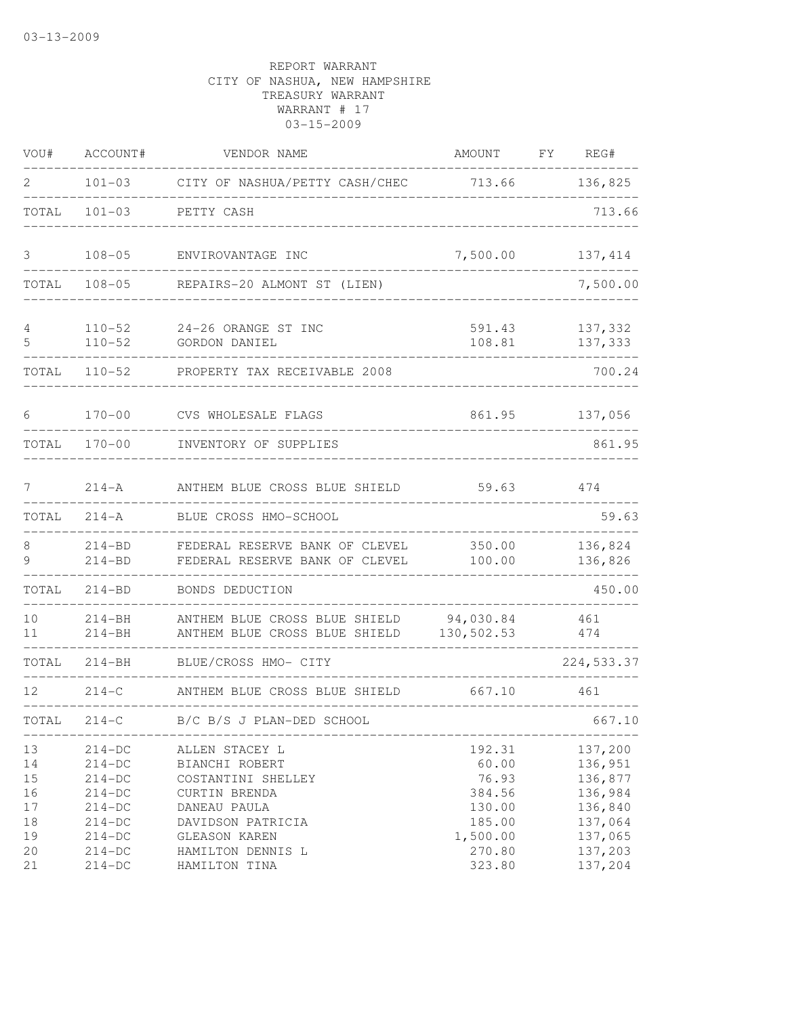| VOU#                                     | ACCOUNT#                                                                         | VENDOR NAME                                                                                                                   | AMOUNT                                                             | FY | REG#                                                                      |
|------------------------------------------|----------------------------------------------------------------------------------|-------------------------------------------------------------------------------------------------------------------------------|--------------------------------------------------------------------|----|---------------------------------------------------------------------------|
| 2                                        | $101 - 03$                                                                       | CITY OF NASHUA/PETTY CASH/CHEC 713.66                                                                                         |                                                                    |    | 136,825                                                                   |
| TOTAL                                    | $101 - 03$                                                                       | PETTY CASH                                                                                                                    |                                                                    |    | 713.66                                                                    |
| 3                                        | $108 - 05$                                                                       | ENVIROVANTAGE INC                                                                                                             | 7,500.00                                                           |    | 137,414                                                                   |
| TOTAL                                    | $108 - 05$                                                                       | REPAIRS-20 ALMONT ST (LIEN)                                                                                                   |                                                                    |    | 7,500.00                                                                  |
| 4<br>5                                   | $110 - 52$<br>$110 - 52$                                                         | 24-26 ORANGE ST INC<br>GORDON DANIEL                                                                                          | 591.43<br>108.81                                                   |    | 137,332<br>137,333                                                        |
| TOTAL                                    | $110 - 52$                                                                       | PROPERTY TAX RECEIVABLE 2008                                                                                                  |                                                                    |    | 700.24                                                                    |
| 6                                        | $170 - 00$                                                                       | CVS WHOLESALE FLAGS                                                                                                           | 861.95                                                             |    | 137,056                                                                   |
| TOTAL                                    | $170 - 00$                                                                       | INVENTORY OF SUPPLIES                                                                                                         |                                                                    |    | 861.95                                                                    |
| 7                                        | $214 - A$                                                                        | ANTHEM BLUE CROSS BLUE SHIELD                                                                                                 | 59.63                                                              |    | 474                                                                       |
| TOTAL                                    | $214 - A$                                                                        | BLUE CROSS HMO-SCHOOL                                                                                                         |                                                                    |    | 59.63                                                                     |
| 8<br>9                                   | $214 - BD$<br>$214 - BD$                                                         | FEDERAL RESERVE BANK OF CLEVEL<br>FEDERAL RESERVE BANK OF CLEVEL                                                              | 350.00<br>100.00                                                   |    | 136,824<br>136,826                                                        |
| TOTAL                                    | $214 - BD$                                                                       | BONDS DEDUCTION                                                                                                               |                                                                    |    | 450.00                                                                    |
| 10<br>11                                 | $214 - BH$<br>$214 - BH$                                                         | ANTHEM BLUE CROSS BLUE SHIELD<br>ANTHEM BLUE CROSS BLUE SHIELD                                                                | 94,030.84<br>130,502.53                                            |    | 461<br>474                                                                |
| TOTAL                                    | $214 - BH$                                                                       | BLUE/CROSS HMO- CITY                                                                                                          |                                                                    |    | 224, 533.37                                                               |
| 12                                       | $214 - C$                                                                        | ANTHEM BLUE CROSS BLUE SHIELD                                                                                                 | 667.10                                                             |    | 461                                                                       |
| TOTAL                                    | $214-C$                                                                          | B/C B/S J PLAN-DED SCHOOL                                                                                                     |                                                                    |    | 667.10                                                                    |
| 13<br>14<br>15<br>16<br>$17$<br>18<br>19 | $214-DC$<br>$214-DC$<br>$214-DC$<br>$214-DC$<br>$214-DC$<br>$214-DC$<br>$214-DC$ | ALLEN STACEY L<br>BIANCHI ROBERT<br>COSTANTINI SHELLEY<br>CURTIN BRENDA<br>DANEAU PAULA<br>DAVIDSON PATRICIA<br>GLEASON KAREN | 192.31<br>60.00<br>76.93<br>384.56<br>130.00<br>185.00<br>1,500.00 |    | 137,200<br>136,951<br>136,877<br>136,984<br>136,840<br>137,064<br>137,065 |
| 20<br>21                                 | $214-DC$<br>$214-DC$                                                             | HAMILTON DENNIS L<br>HAMILTON TINA                                                                                            | 270.80<br>323.80                                                   |    | 137,203<br>137,204                                                        |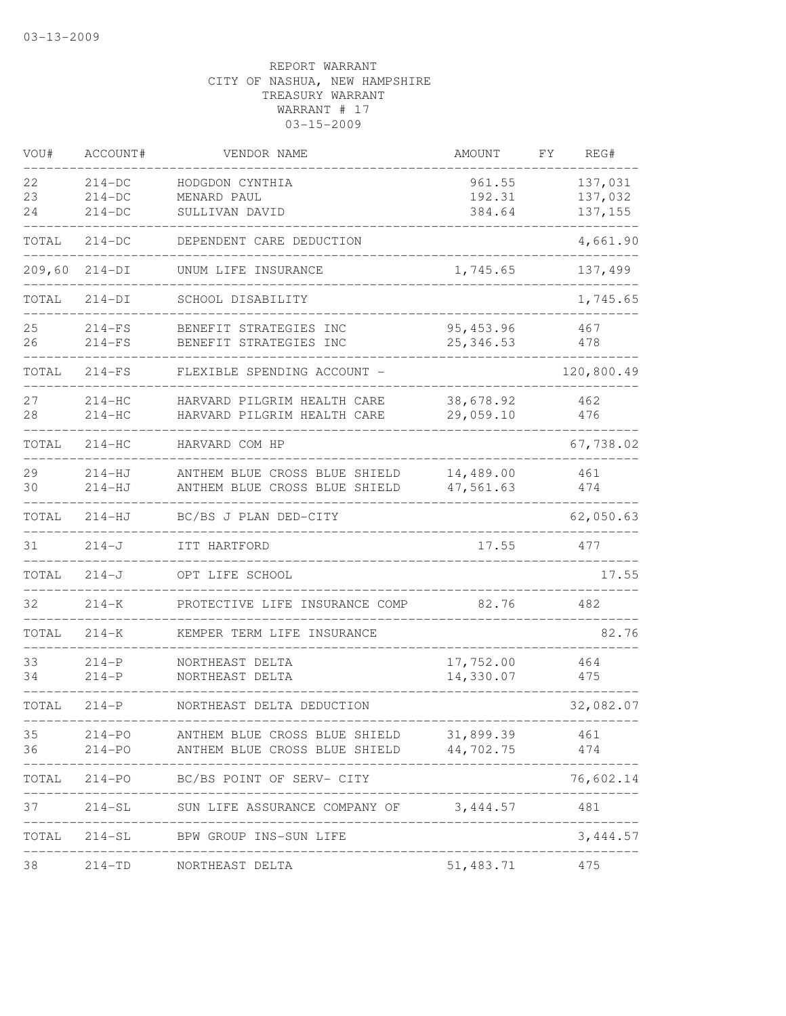| VOU#           | ACCOUNT#                         | VENDOR NAME                                                                        | AMOUNT                               | FΥ | REG#                           |
|----------------|----------------------------------|------------------------------------------------------------------------------------|--------------------------------------|----|--------------------------------|
| 22<br>23<br>24 | $214-DC$<br>$214-DC$<br>$214-DC$ | HODGDON CYNTHIA<br>MENARD PAUL<br>SULLIVAN DAVID                                   | 961.55<br>192.31<br>384.64           |    | 137,031<br>137,032<br>137, 155 |
| TOTAL          | $214-DC$                         | DEPENDENT CARE DEDUCTION                                                           |                                      |    | 4,661.90                       |
| 209,60         | $214-DI$                         | UNUM LIFE INSURANCE                                                                | 1,745.65                             |    | 137,499                        |
| TOTAL          | $214-DI$                         | SCHOOL DISABILITY                                                                  |                                      |    | 1,745.65                       |
| 25<br>26       | $214-FS$<br>$214-FS$             | BENEFIT STRATEGIES INC<br>BENEFIT STRATEGIES INC                                   | 95, 453.96<br>25, 346.53             |    | 467<br>478                     |
| TOTAL          | $214-FS$                         | FLEXIBLE SPENDING ACCOUNT -                                                        |                                      |    | 120,800.49                     |
| 27<br>28       | $214-HC$<br>$214-HC$             | HARVARD PILGRIM HEALTH CARE<br>HARVARD PILGRIM HEALTH CARE                         | 38,678.92<br>29,059.10               |    | 462<br>476                     |
| TOTAL          | $214-HC$                         | HARVARD COM HP                                                                     |                                      |    | 67,738.02                      |
| 29<br>30       | $214-HJ$<br>$214-HJ$             | ANTHEM BLUE CROSS BLUE SHIELD<br>ANTHEM BLUE CROSS BLUE SHIELD                     | 14,489.00<br>47,561.63               |    | 461<br>474                     |
| TOTAL          | $214 - HJ$                       | BC/BS J PLAN DED-CITY                                                              |                                      |    | 62,050.63                      |
| 31             | $214 - J$                        | ITT HARTFORD                                                                       | 17.55                                |    | 477                            |
| TOTAL          | $214 - J$                        | OPT LIFE SCHOOL                                                                    |                                      |    | 17.55                          |
| 32             | $214 - K$                        | PROTECTIVE LIFE INSURANCE COMP                                                     | 82.76                                |    | 482                            |
| TOTAL          | $214 - K$                        | KEMPER TERM LIFE INSURANCE                                                         |                                      |    | 82.76                          |
| 33<br>34       | $214-P$<br>$214-P$               | NORTHEAST DELTA<br>NORTHEAST DELTA                                                 | 17,752.00<br>14,330.07               |    | 464<br>475                     |
| TOTAL          | $214-P$                          | NORTHEAST DELTA DEDUCTION                                                          |                                      |    | 32,082.07                      |
| 35<br>36       | $214 - PO$<br>$214 - PO$         | ANTHEM BLUE CROSS BLUE SHIELD 31,899.39<br>ANTHEM BLUE CROSS BLUE SHIELD 44,702.75 |                                      |    | 461<br>474<br>$---$            |
| TOTAL          |                                  | 214-PO BC/BS POINT OF SERV- CITY                                                   |                                      |    | 76,602.14                      |
| 37             |                                  | 214-SL SUN LIFE ASSURANCE COMPANY OF 3,444.57 481                                  |                                      |    |                                |
| TOTAL          |                                  | 214-SL BPW GROUP INS-SUN LIFE                                                      | ------------------------------------ |    | 3,444.57                       |
| 38             | $214 - TD$                       | NORTHEAST DELTA                                                                    | 51,483.71                            |    | 475                            |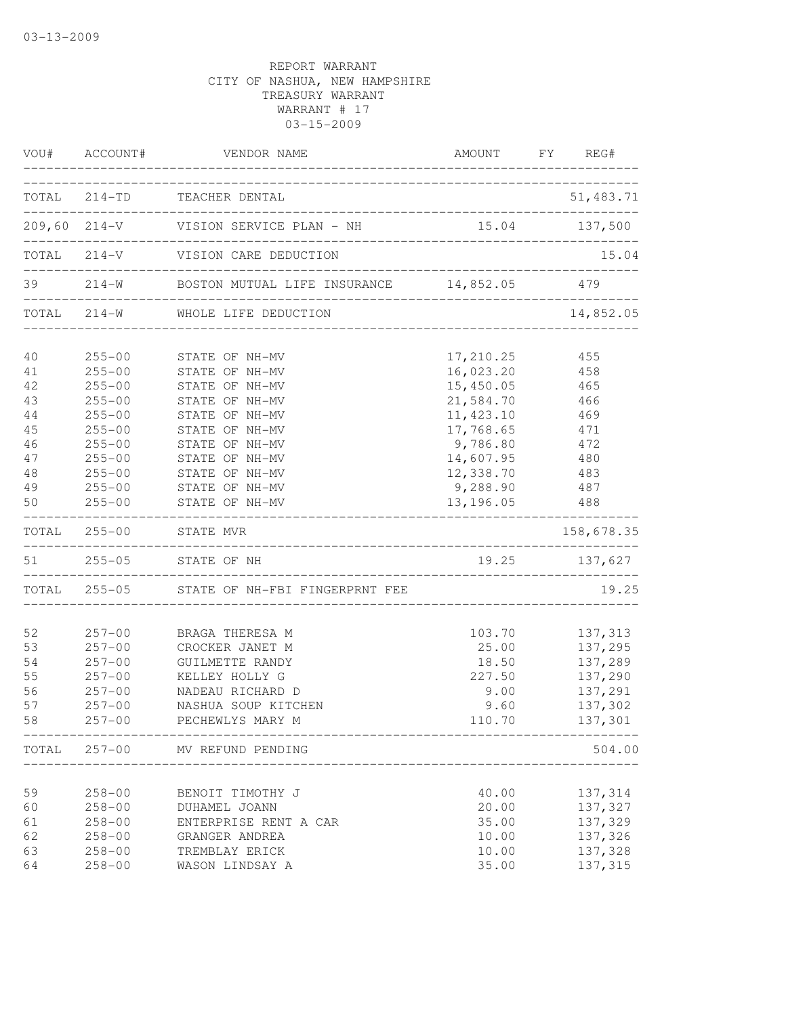|          | VOU# ACCOUNT#            | VENDOR NAME                                         | AMOUNT FY REG#         |               |
|----------|--------------------------|-----------------------------------------------------|------------------------|---------------|
|          |                          | TOTAL 214-TD TEACHER DENTAL                         |                        | 51,483.71     |
|          |                          |                                                     |                        |               |
|          |                          | TOTAL 214-V VISION CARE DEDUCTION                   |                        | 15.04         |
|          |                          | 39 214-W BOSTON MUTUAL LIFE INSURANCE 14,852.05 479 |                        |               |
|          |                          | TOTAL 214-W WHOLE LIFE DEDUCTION                    |                        | 14,852.05     |
| 40       | $255 - 00$               | STATE OF NH-MV                                      | 17,210.25              | 455           |
| 41<br>42 | $255 - 00$<br>$255 - 00$ | STATE OF NH-MV<br>STATE OF NH-MV                    | 16,023.20<br>15,450.05 | 458<br>465    |
| 43       | $255 - 00$               | STATE OF NH-MV                                      | 21,584.70              | 466           |
| 44       | $255 - 00$               | STATE OF NH-MV                                      | 11, 423.10             | 469           |
| 45       | $255 - 00$               | STATE OF NH-MV                                      | 17,768.65              | 471           |
| 46       | $255 - 00$               | STATE OF NH-MV                                      | 9,786.80               | 472           |
| 47       | $255 - 00$               | STATE OF NH-MV                                      | 14,607.95              | 480           |
| 48       | $255 - 00$               | STATE OF NH-MV                                      | 12,338.70              | 483           |
| 49       | $255 - 00$               | STATE OF NH-MV                                      | 9,288.90               | 487           |
| 50       | $255 - 00$               | STATE OF NH-MV                                      | 13,196.05              | 488           |
|          |                          | TOTAL 255-00 STATE MVR                              |                        | 158,678.35    |
|          |                          | 51  255-05  STATE OF NH                             |                        | 19.25 137,627 |
|          |                          | TOTAL 255-05 STATE OF NH-FBI FINGERPRNT FEE         |                        | 19.25         |
| 52       | $257 - 00$               | BRAGA THERESA M                                     | 103.70                 | 137,313       |
| 53       | $257 - 00$               | CROCKER JANET M                                     | 25.00                  | 137,295       |
| 54       | $257 - 00$               | GUILMETTE RANDY                                     | 18.50                  | 137,289       |
| 55       | $257 - 00$               | KELLEY HOLLY G                                      | 227.50                 | 137,290       |
| 56       | $257 - 00$               | NADEAU RICHARD D                                    | 9.00                   | 137,291       |
| 57       | $257 - 00$               | NASHUA SOUP KITCHEN                                 | 9.60                   | 137,302       |
| 58       | $257 - 00$               | PECHEWLYS MARY M                                    | 110.70                 | 137,301       |
|          |                          | TOTAL 257-00 MV REFUND PENDING                      |                        | 504.00        |
| 59       | $258 - 00$               | BENOIT TIMOTHY J                                    | 40.00                  | 137,314       |
| 60       | $258 - 00$               | DUHAMEL JOANN                                       | 20.00                  | 137,327       |
| 61       | $258 - 00$               | ENTERPRISE RENT A CAR                               | 35.00                  | 137,329       |
| 62       | $258 - 00$               | GRANGER ANDREA                                      | 10.00                  | 137,326       |
| 63       | $258 - 00$               | TREMBLAY ERICK                                      | 10.00                  | 137,328       |
| 64       | $258 - 00$               | WASON LINDSAY A                                     | 35.00                  | 137,315       |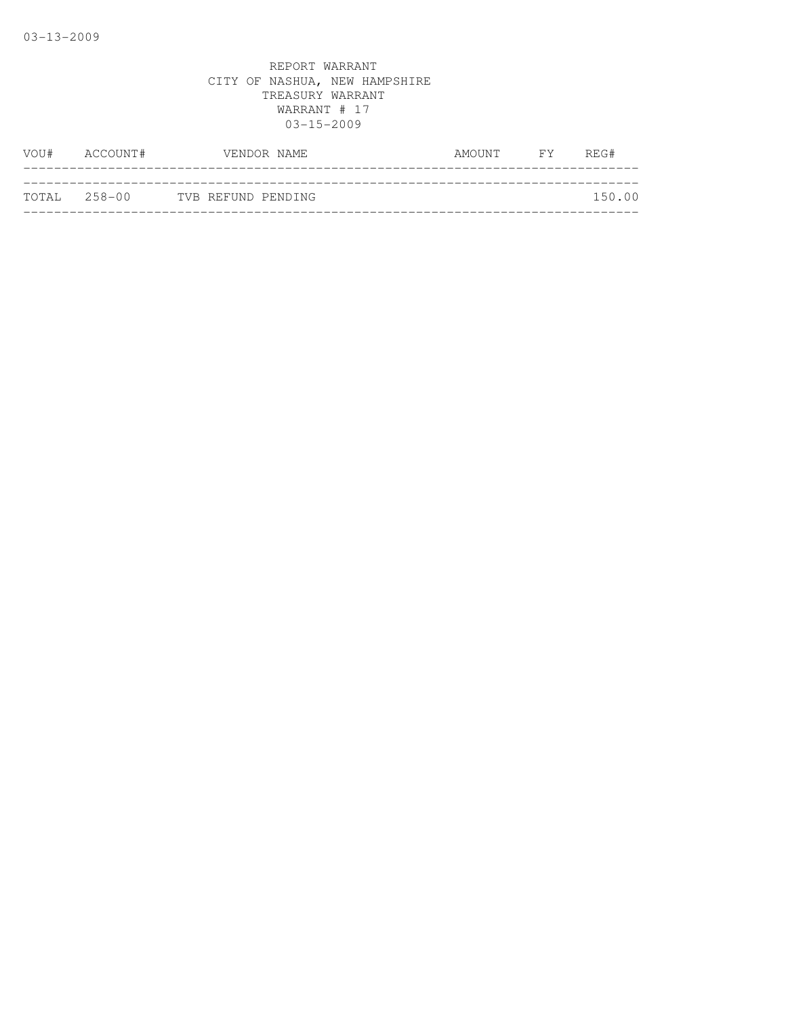| VOU#         | ACCOUNT# | VENDOR NAME        | AMOUNT | $\overline{F}Y$ | REG#   |
|--------------|----------|--------------------|--------|-----------------|--------|
|              |          |                    |        |                 |        |
| TOTAL 258-00 |          | TVB REFUND PENDING |        |                 | 150.00 |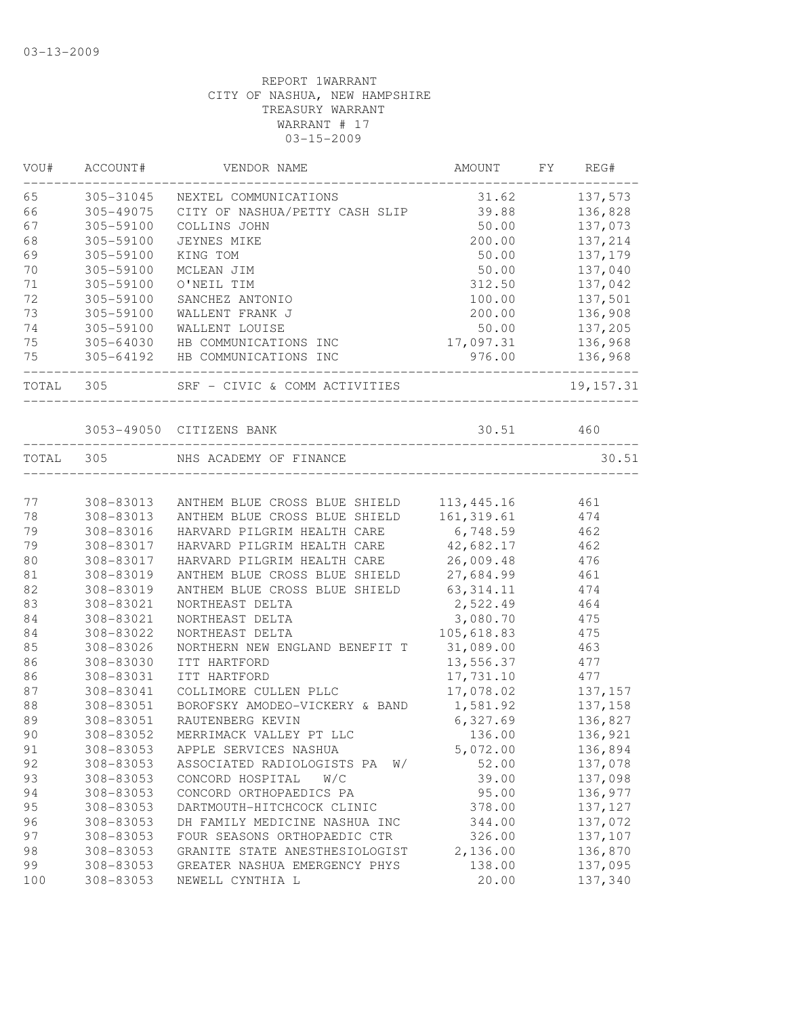| VOU#      | ACCOUNT#  | VENDOR NAME                      | AMOUNT      | FY | REG#           |
|-----------|-----------|----------------------------------|-------------|----|----------------|
| 65        | 305-31045 | NEXTEL COMMUNICATIONS            | 31.62       |    | 137,573        |
| 66        | 305-49075 | CITY OF NASHUA/PETTY CASH SLIP   | 39.88       |    | 136,828        |
| 67        | 305-59100 | COLLINS JOHN                     | 50.00       |    | 137,073        |
| 68        | 305-59100 | JEYNES MIKE                      | 200.00      |    | 137,214        |
| 69        | 305-59100 | KING TOM                         | 50.00       |    | 137,179        |
| 70        | 305-59100 | MCLEAN JIM                       | 50.00       |    | 137,040        |
| 71        | 305-59100 | O'NEIL TIM                       | 312.50      |    | 137,042        |
| 72        | 305-59100 | SANCHEZ ANTONIO                  | 100.00      |    | 137,501        |
| 73        | 305-59100 | WALLENT FRANK J                  | 200.00      |    | 136,908        |
| 74        | 305-59100 | WALLENT LOUISE                   | 50.00       |    | 137,205        |
| 75        | 305-64030 | HB COMMUNICATIONS INC            | 17,097.31   |    | 136,968        |
| 75        |           | 305-64192 HB COMMUNICATIONS INC  |             |    | 976.00 136,968 |
| TOTAL 305 |           | SRF - CIVIC & COMM ACTIVITIES    |             |    | 19, 157.31     |
|           |           | 3053-49050 CITIZENS BANK         | 30.51 460   |    |                |
| TOTAL     | 305       | NHS ACADEMY OF FINANCE           |             |    | 30.51          |
|           |           |                                  |             |    |                |
| 77        | 308-83013 | ANTHEM BLUE CROSS BLUE SHIELD    | 113,445.16  |    | 461            |
| 78        | 308-83013 | ANTHEM BLUE CROSS BLUE SHIELD    | 161, 319.61 |    | 474            |
| 79        | 308-83016 | HARVARD PILGRIM HEALTH CARE      | 6,748.59    |    | 462            |
| 79        | 308-83017 | HARVARD PILGRIM HEALTH CARE      | 42,682.17   |    | 462            |
| 80        | 308-83017 | HARVARD PILGRIM HEALTH CARE      | 26,009.48   |    | 476            |
| 81        | 308-83019 | ANTHEM BLUE CROSS BLUE SHIELD    | 27,684.99   |    | 461            |
| 82        | 308-83019 | ANTHEM BLUE CROSS BLUE SHIELD    | 63, 314.11  |    | 474            |
| 83        | 308-83021 | NORTHEAST DELTA                  | 2,522.49    |    | 464            |
| 84        | 308-83021 | NORTHEAST DELTA                  | 3,080.70    |    | 475            |
| 84        | 308-83022 | NORTHEAST DELTA                  | 105,618.83  |    | 475            |
| 85        | 308-83026 | NORTHERN NEW ENGLAND BENEFIT T   | 31,089.00   |    | 463            |
| 86        | 308-83030 | ITT HARTFORD                     | 13,556.37   |    | 477            |
| 86        | 308-83031 | ITT HARTFORD                     | 17,731.10   |    | 477            |
| 87        | 308-83041 | COLLIMORE CULLEN PLLC            | 17,078.02   |    | 137,157        |
| 88        | 308-83051 | BOROFSKY AMODEO-VICKERY & BAND   | 1,581.92    |    | 137,158        |
| 89        | 308-83051 | RAUTENBERG KEVIN                 | 6,327.69    |    | 136,827        |
| 90        | 308-83052 | MERRIMACK VALLEY PT LLC          | 136.00      |    | 136,921        |
|           |           |                                  |             |    |                |
| 91        | 308-83053 | APPLE SERVICES NASHUA            | 5,072.00    |    | 136,894        |
| 92        | 308-83053 | ASSOCIATED RADIOLOGISTS PA<br>W/ | 52.00       |    | 137,078        |
| 93        | 308-83053 | CONCORD HOSPITAL<br>W/C          | 39.00       |    | 137,098        |
| 94        | 308-83053 | CONCORD ORTHOPAEDICS PA          | 95.00       |    | 136,977        |
| 95        | 308-83053 | DARTMOUTH-HITCHCOCK CLINIC       | 378.00      |    | 137,127        |
| 96        | 308-83053 | DH FAMILY MEDICINE NASHUA INC    | 344.00      |    | 137,072        |
| 97        | 308-83053 | FOUR SEASONS ORTHOPAEDIC CTR     | 326.00      |    | 137,107        |
| 98        | 308-83053 | GRANITE STATE ANESTHESIOLOGIST   | 2,136.00    |    | 136,870        |
| 99        | 308-83053 | GREATER NASHUA EMERGENCY PHYS    | 138.00      |    | 137,095        |
| 100       | 308-83053 | NEWELL CYNTHIA L                 | 20.00       |    | 137,340        |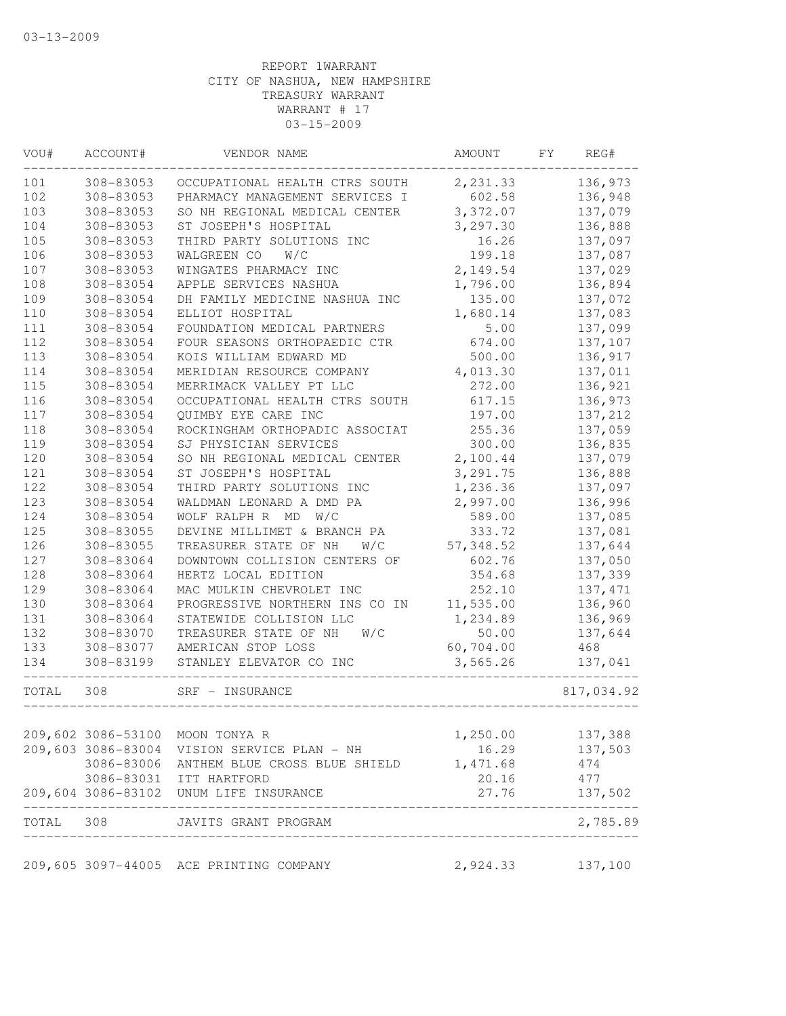| VOU#  | ACCOUNT#           | VENDOR NAME                                                     | AMOUNT    | FY | REG#       |
|-------|--------------------|-----------------------------------------------------------------|-----------|----|------------|
| 101   | 308-83053          | OCCUPATIONAL HEALTH CTRS SOUTH                                  | 2,231.33  |    | 136,973    |
| 102   | 308-83053          | PHARMACY MANAGEMENT SERVICES I                                  | 602.58    |    | 136,948    |
| 103   | 308-83053          | SO NH REGIONAL MEDICAL CENTER                                   | 3,372.07  |    | 137,079    |
| 104   | 308-83053          | ST JOSEPH'S HOSPITAL                                            | 3,297.30  |    | 136,888    |
| 105   | 308-83053          | THIRD PARTY SOLUTIONS INC                                       | 16.26     |    | 137,097    |
| 106   | 308-83053          | WALGREEN CO<br>W/C                                              | 199.18    |    | 137,087    |
| 107   | 308-83053          | WINGATES PHARMACY INC                                           | 2,149.54  |    | 137,029    |
| 108   | 308-83054          | APPLE SERVICES NASHUA                                           | 1,796.00  |    | 136,894    |
| 109   | 308-83054          | DH FAMILY MEDICINE NASHUA INC                                   | 135.00    |    | 137,072    |
| 110   | 308-83054          | ELLIOT HOSPITAL                                                 | 1,680.14  |    | 137,083    |
| 111   | 308-83054          | FOUNDATION MEDICAL PARTNERS                                     | 5.00      |    | 137,099    |
| 112   | 308-83054          | FOUR SEASONS ORTHOPAEDIC CTR                                    | 674.00    |    | 137,107    |
| 113   | 308-83054          | KOIS WILLIAM EDWARD MD                                          | 500.00    |    | 136,917    |
| 114   | 308-83054          | MERIDIAN RESOURCE COMPANY                                       | 4,013.30  |    | 137,011    |
| 115   | 308-83054          | MERRIMACK VALLEY PT LLC                                         | 272.00    |    | 136,921    |
| 116   | 308-83054          | OCCUPATIONAL HEALTH CTRS SOUTH                                  | 617.15    |    | 136,973    |
| 117   | 308-83054          | QUIMBY EYE CARE INC                                             | 197.00    |    | 137,212    |
| 118   | 308-83054          | ROCKINGHAM ORTHOPADIC ASSOCIAT                                  | 255.36    |    | 137,059    |
| 119   | 308-83054          | SJ PHYSICIAN SERVICES                                           | 300.00    |    | 136,835    |
| 120   | 308-83054          | SO NH REGIONAL MEDICAL CENTER                                   | 2,100.44  |    | 137,079    |
| 121   | 308-83054          | ST JOSEPH'S HOSPITAL                                            | 3,291.75  |    | 136,888    |
| 122   | 308-83054          | THIRD PARTY SOLUTIONS INC                                       | 1,236.36  |    | 137,097    |
| 123   | 308-83054          | WALDMAN LEONARD A DMD PA                                        | 2,997.00  |    | 136,996    |
| 124   | 308-83054          | WOLF RALPH R MD W/C                                             | 589.00    |    | 137,085    |
| 125   | 308-83055          | DEVINE MILLIMET & BRANCH PA                                     | 333.72    |    | 137,081    |
| 126   | 308-83055          | TREASURER STATE OF NH<br>W/C                                    | 57,348.52 |    | 137,644    |
| 127   | 308-83064          | DOWNTOWN COLLISION CENTERS OF                                   | 602.76    |    | 137,050    |
| 128   | 308-83064          | HERTZ LOCAL EDITION                                             | 354.68    |    | 137,339    |
| 129   | 308-83064          | MAC MULKIN CHEVROLET INC                                        | 252.10    |    | 137, 471   |
| 130   | 308-83064          | PROGRESSIVE NORTHERN INS CO IN                                  | 11,535.00 |    | 136,960    |
| 131   | 308-83064          | STATEWIDE COLLISION LLC                                         | 1,234.89  |    | 136,969    |
| 132   | 308-83070          | TREASURER STATE OF NH<br>W/C                                    | 50.00     |    | 137,644    |
| 133   | 308-83077          | AMERICAN STOP LOSS                                              | 60,704.00 |    | 468        |
| 134   | 308-83199          | STANLEY ELEVATOR CO INC                                         | 3,565.26  |    | 137,041    |
| TOTAL | 308                | SRF - INSURANCE                                                 |           |    | 817,034.92 |
|       |                    |                                                                 |           |    |            |
|       | 209,602 3086-53100 | MOON TONYA R                                                    | 1,250.00  |    | 137,388    |
|       | 209,603 3086-83004 | VISION SERVICE PLAN - NH                                        | 16.29     |    | 137,503    |
|       | 3086-83006         | ANTHEM BLUE CROSS BLUE SHIELD                                   | 1,471.68  |    | 474        |
|       |                    | 3086-83031 ITT HARTFORD                                         | 20.16     |    | 477        |
|       |                    | 209,604 3086-83102 UNUM LIFE INSURANCE<br>______________        | 27.76     |    | 137,502    |
|       |                    | TOTAL 308 JAVITS GRANT PROGRAM<br>_____________________________ |           |    | 2,785.89   |
|       |                    | 209,605 3097-44005 ACE PRINTING COMPANY                         | 2,924.33  |    | 137,100    |
|       |                    |                                                                 |           |    |            |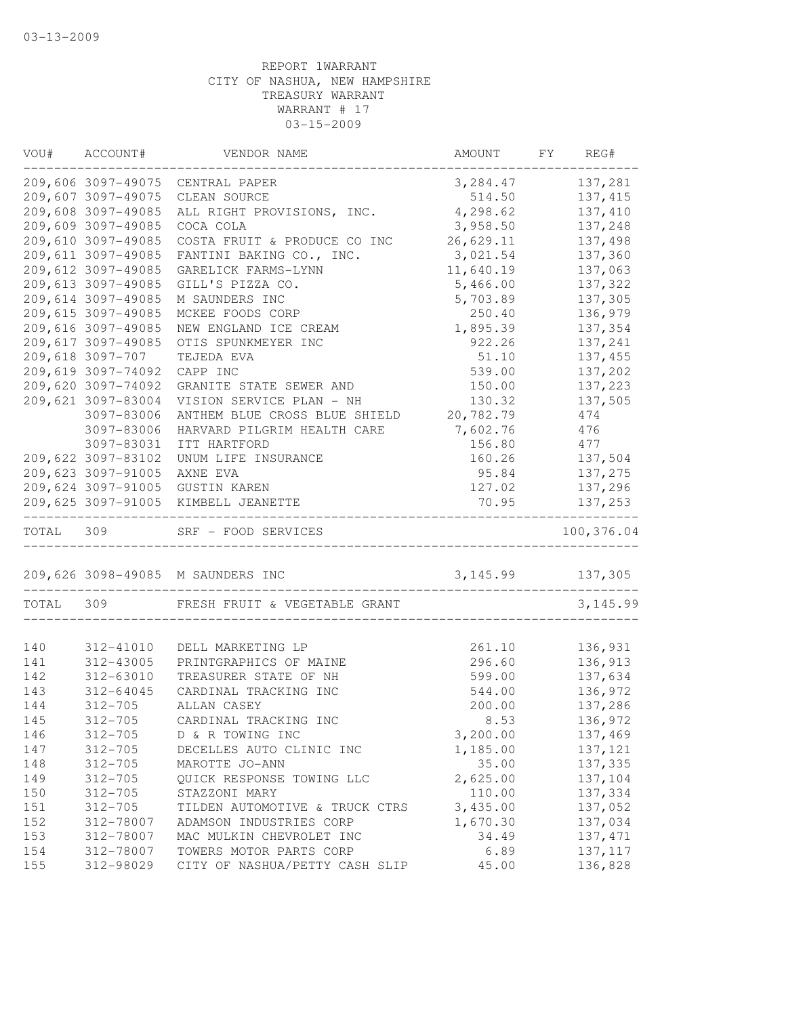| VOU#       | ACCOUNT#               | VENDOR NAME                                                                | AMOUNT             | FY REG#             |
|------------|------------------------|----------------------------------------------------------------------------|--------------------|---------------------|
|            |                        | 209,606 3097-49075 CENTRAL PAPER                                           | 3, 284.47          | 137,281             |
|            | 209,607 3097-49075     | CLEAN SOURCE                                                               | 514.50             | 137, 415            |
|            | 209,608 3097-49085     | ALL RIGHT PROVISIONS, INC.                                                 | 4,298.62           | 137,410             |
|            | 209,609 3097-49085     | COCA COLA                                                                  | 3,958.50           | 137,248             |
|            | 209,610 3097-49085     | COSTA FRUIT & PRODUCE CO INC                                               | 26,629.11          | 137,498             |
|            | 209,611 3097-49085     | FANTINI BAKING CO., INC.                                                   | 3,021.54           | 137,360             |
|            | 209,612 3097-49085     | GARELICK FARMS-LYNN                                                        | 11,640.19          | 137,063             |
|            | 209,613 3097-49085     | GILL'S PIZZA CO.                                                           | 5,466.00           | 137,322             |
|            | 209,614 3097-49085     | M SAUNDERS INC                                                             | 5,703.89           | 137,305             |
|            | 209,615 3097-49085     | MCKEE FOODS CORP                                                           | 250.40             | 136,979             |
|            | 209,616 3097-49085     | NEW ENGLAND ICE CREAM                                                      | 1,895.39           | 137,354             |
|            | 209,617 3097-49085     | OTIS SPUNKMEYER INC                                                        | 922.26             | 137,241             |
|            | 209,618 3097-707       | TEJEDA EVA                                                                 | 51.10              | 137,455             |
|            | 209,619 3097-74092     | CAPP INC                                                                   | 539.00             | 137,202             |
|            | 209,620 3097-74092     | GRANITE STATE SEWER AND                                                    | 150.00             | 137,223             |
|            | 209,621 3097-83004     | VISION SERVICE PLAN - NH                                                   | 130.32             | 137,505             |
|            | 3097-83006             | ANTHEM BLUE CROSS BLUE SHIELD                                              | 20,782.79          | 474                 |
|            | 3097-83006             | HARVARD PILGRIM HEALTH CARE                                                | 7,602.76           | 476                 |
|            | 3097-83031             | ITT HARTFORD                                                               | 156.80             | 477                 |
|            | 209,622 3097-83102     | UNUM LIFE INSURANCE                                                        | 160.26             | 137,504             |
|            | 209,623 3097-91005     | AXNE EVA                                                                   | 95.84              | 137,275             |
|            |                        | 209,624 3097-91005 GUSTIN KAREN                                            | 127.02             | 137,296             |
|            |                        | 209,625 3097-91005 KIMBELL JEANETTE<br>___________________________________ | 70.95              | 137,253             |
| TOTAL      | 309                    | SRF - FOOD SERVICES                                                        |                    | 100,376.04          |
|            |                        | 209,626 3098-49085 M SAUNDERS INC                                          | 3, 145.99 137, 305 |                     |
| TOTAL      | 309                    | FRESH FRUIT & VEGETABLE GRANT                                              |                    | 3, 145.99           |
|            |                        |                                                                            |                    |                     |
| 140        | 312-41010              | DELL MARKETING LP                                                          | 261.10             | 136,931<br>136,913  |
| 141        | 312-43005              | PRINTGRAPHICS OF MAINE                                                     | 296.60             |                     |
| 142        | 312-63010              | TREASURER STATE OF NH                                                      | 599.00             | 137,634             |
| 143<br>144 | 312-64045              | CARDINAL TRACKING INC<br>ALLAN CASEY                                       | 544.00             | 136,972             |
|            | $312 - 705$            |                                                                            | 200.00             | 137,286<br>136,972  |
| 145        | $312 - 705$            | CARDINAL TRACKING INC                                                      | 8.53               |                     |
| 146        | $312 - 705$            | D & R TOWING INC                                                           | 3,200.00           | 137,469             |
| 147        | $312 - 705$            | DECELLES AUTO CLINIC INC                                                   | 1,185.00           | 137,121             |
| 148        | $312 - 705$            | MAROTTE JO-ANN                                                             | 35.00              | 137,335             |
| 149        | $312 - 705$            | QUICK RESPONSE TOWING LLC<br>STAZZONI MARY                                 | 2,625.00           | 137,104             |
| 150        | $312 - 705$            |                                                                            | 110.00             | 137,334             |
| 151        | $312 - 705$            | TILDEN AUTOMOTIVE & TRUCK CTRS                                             | 3,435.00           | 137,052             |
| 152        | 312-78007              | ADAMSON INDUSTRIES CORP                                                    | 1,670.30           | 137,034             |
| 153        | 312-78007              | MAC MULKIN CHEVROLET INC                                                   | 34.49              | 137, 471            |
| 154<br>155 | 312-78007<br>312-98029 | TOWERS MOTOR PARTS CORP<br>CITY OF NASHUA/PETTY CASH SLIP                  | 6.89               | 137, 117<br>136,828 |
|            |                        |                                                                            | 45.00              |                     |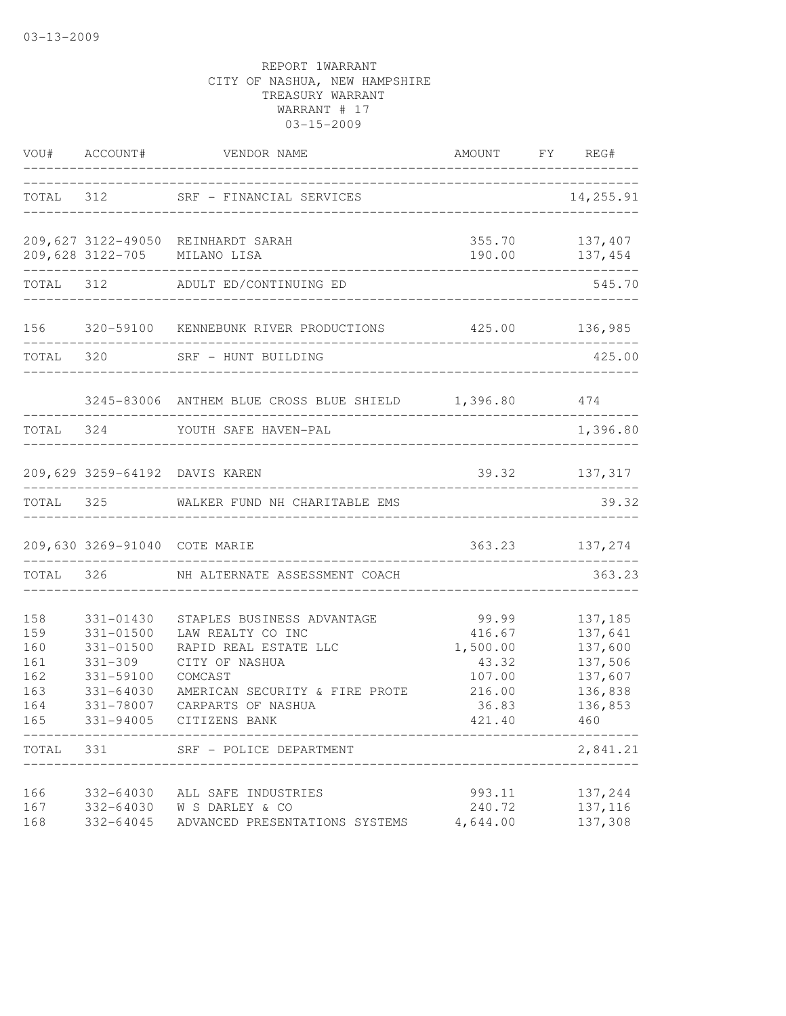|            |                          | VOU# ACCOUNT# VENDOR NAME                                | AMOUNT FY REG#<br>_________________________________ |                    |
|------------|--------------------------|----------------------------------------------------------|-----------------------------------------------------|--------------------|
|            |                          | TOTAL 312 SRF - FINANCIAL SERVICES                       | ___________________________                         | 14,255.91          |
|            |                          | 209,627 3122-49050 REINHARDT SARAH                       |                                                     | 355.70 137,407     |
|            |                          | 209,628 3122-705 MILANO LISA                             |                                                     | 190.00 137,454     |
|            |                          | TOTAL 312 ADULT ED/CONTINUING ED                         |                                                     | 545.70             |
|            |                          | 156 320-59100 KENNEBUNK RIVER PRODUCTIONS 425.00 136,985 |                                                     |                    |
|            |                          | TOTAL 320 SRF - HUNT BUILDING                            |                                                     | 425.00             |
|            |                          | 3245-83006 ANTHEM BLUE CROSS BLUE SHIELD 1,396.80 474    |                                                     |                    |
|            |                          | TOTAL 324 YOUTH SAFE HAVEN-PAL                           |                                                     | 1,396.80           |
|            |                          | 209,629 3259-64192 DAVIS KAREN                           |                                                     | 39.32 137,317      |
|            |                          | TOTAL 325 WALKER FUND NH CHARITABLE EMS                  |                                                     | 39.32              |
|            |                          | 209,630 3269-91040 COTE MARIE                            |                                                     | 363.23 137,274     |
|            |                          | TOTAL 326 NH ALTERNATE ASSESSMENT COACH                  |                                                     | 363.23             |
| 158        | 331-01430                | STAPLES BUSINESS ADVANTAGE                               | 99.99                                               | 137,185            |
| 159        | 331-01500                | LAW REALTY CO INC                                        | 416.67                                              | 137,641            |
| 160        | 331-01500                | RAPID REAL ESTATE LLC                                    | 1,500.00                                            | 137,600            |
| 161<br>162 | $331 - 309$<br>331-59100 | CITY OF NASHUA<br>COMCAST                                | 43.32<br>107.00                                     | 137,506<br>137,607 |
| 163        | 331-64030                | AMERICAN SECURITY & FIRE PROTE                           | 216.00                                              | 136,838            |
| 164        | 331-78007                | CARPARTS OF NASHUA                                       | 36.83                                               | 136,853            |
| 165        | 331-94005                | CITIZENS BANK                                            | 421.40                                              | 460                |
| TOTAL 331  |                          | SRF - POLICE DEPARTMENT                                  |                                                     | 2,841.21           |
| 166        | 332-64030                | ALL SAFE INDUSTRIES                                      | 993.11                                              | 137,244            |
| 167        | 332-64030                | W S DARLEY & CO                                          | 240.72                                              | 137, 116           |
| 168        | 332-64045                | ADVANCED PRESENTATIONS SYSTEMS                           | 4,644.00                                            | 137,308            |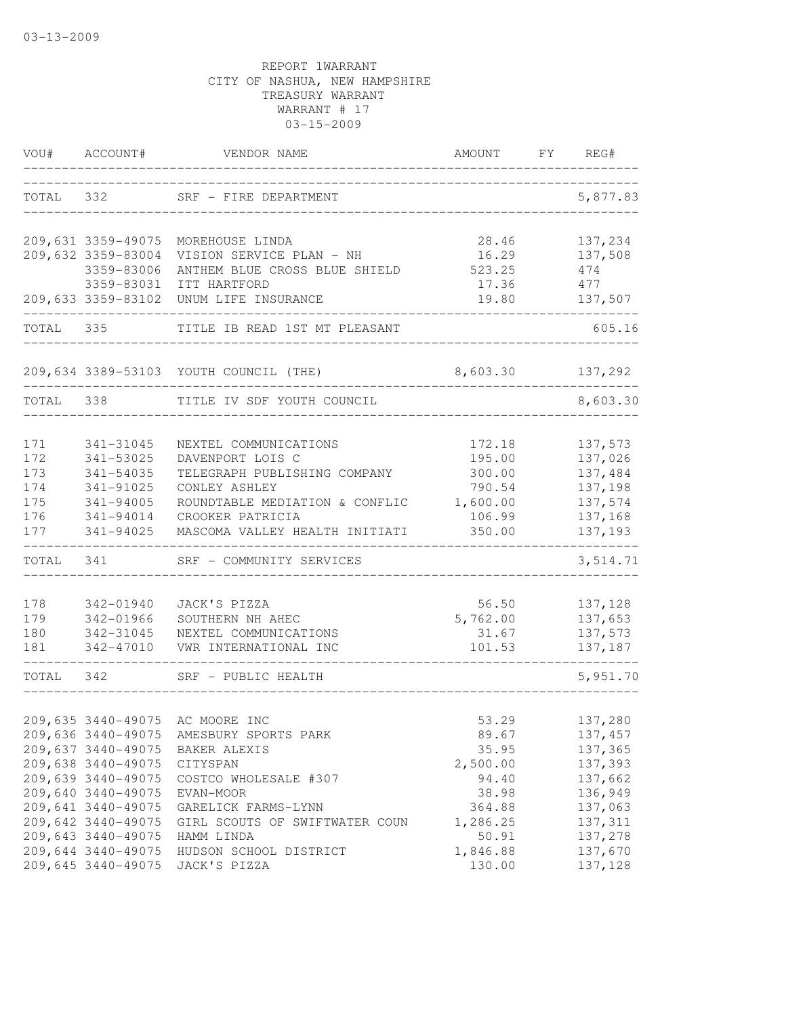| VOU#      | ACCOUNT#           | VENDOR NAME                               | AMOUNT            | FY | REG#               |
|-----------|--------------------|-------------------------------------------|-------------------|----|--------------------|
| TOTAL     | 332                | SRF - FIRE DEPARTMENT                     |                   |    | 5,877.83           |
|           | 209,631 3359-49075 | MOREHOUSE LINDA                           | 28.46             |    | 137,234            |
|           | 209,632 3359-83004 | VISION SERVICE PLAN - NH                  | 16.29             |    | 137,508            |
|           | 3359-83006         | ANTHEM BLUE CROSS BLUE SHIELD             | 523.25            |    | 474                |
|           | 3359-83031         | ITT HARTFORD                              | 17.36             |    | 477                |
|           | 209,633 3359-83102 | UNUM LIFE INSURANCE                       | 19.80             |    | 137,507            |
| TOTAL 335 |                    | TITLE IB READ 1ST MT PLEASANT             |                   |    | 605.16             |
|           |                    | 209,634 3389-53103 YOUTH COUNCIL (THE)    | 8,603.30          |    | 137,292            |
| TOTAL     | 338                | TITLE IV SDF YOUTH COUNCIL                |                   |    | 8,603.30           |
|           |                    |                                           |                   |    |                    |
| 171       | 341-31045          | NEXTEL COMMUNICATIONS                     | 172.18            |    | 137,573            |
| 172       | 341-53025          | DAVENPORT LOIS C                          | 195.00            |    | 137,026            |
| 173       | 341-54035          | TELEGRAPH PUBLISHING COMPANY              | 300.00            |    | 137,484            |
| 174       | 341-91025          | CONLEY ASHLEY                             | 790.54            |    | 137,198            |
| 175       | 341-94005          | ROUNDTABLE MEDIATION & CONFLIC            | 1,600.00          |    | 137,574            |
| 176       | 341-94014          | CROOKER PATRICIA                          | 106.99            |    | 137,168            |
| 177       | 341-94025          | MASCOMA VALLEY HEALTH INITIATI            | 350.00            |    | 137,193            |
| TOTAL     | 341                | SRF - COMMUNITY SERVICES                  |                   |    | 3,514.71           |
| 178       | 342-01940          | JACK'S PIZZA                              |                   |    | 137,128            |
| 179       | 342-01966          |                                           | 56.50<br>5,762.00 |    | 137,653            |
| 180       | 342-31045          | SOUTHERN NH AHEC<br>NEXTEL COMMUNICATIONS | 31.67             |    |                    |
| 181       | 342-47010          | VWR INTERNATIONAL INC                     | 101.53            |    | 137,573<br>137,187 |
| TOTAL     | 342                | SRF - PUBLIC HEALTH                       |                   |    | 5,951.70           |
|           |                    |                                           |                   |    |                    |
|           |                    | 209,635 3440-49075 AC MOORE INC           | 53.29             |    | 137,280            |
|           |                    | 209,636 3440-49075 AMESBURY SPORTS PARK   | 89.67             |    | 137,457            |
|           | 209,637 3440-49075 | BAKER ALEXIS                              | 35.95             |    | 137,365            |
|           | 209,638 3440-49075 | CITYSPAN                                  | 2,500.00          |    | 137,393            |
|           | 209,639 3440-49075 | COSTCO WHOLESALE #307                     | 94.40             |    | 137,662            |
|           | 209,640 3440-49075 | EVAN-MOOR                                 | 38.98             |    | 136,949            |
|           | 209,641 3440-49075 | GARELICK FARMS-LYNN                       | 364.88            |    | 137,063            |
|           | 209,642 3440-49075 | GIRL SCOUTS OF SWIFTWATER COUN            | 1,286.25          |    | 137,311            |
|           | 209,643 3440-49075 | HAMM LINDA                                | 50.91             |    | 137,278            |
|           | 209,644 3440-49075 | HUDSON SCHOOL DISTRICT                    | 1,846.88          |    | 137,670            |
|           | 209,645 3440-49075 | JACK'S PIZZA                              | 130.00            |    | 137,128            |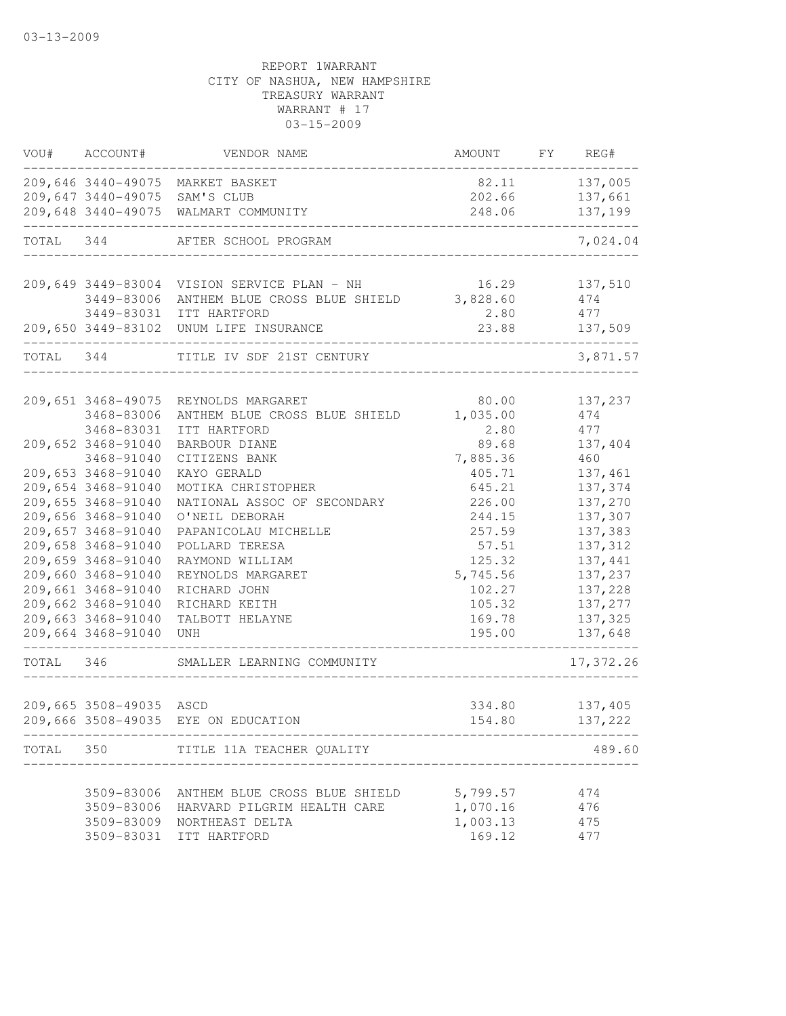| VOU#      | ACCOUNT#                                 | VENDOR NAME                              | AMOUNT           | FY REG#            |
|-----------|------------------------------------------|------------------------------------------|------------------|--------------------|
|           |                                          | 209,646 3440-49075 MARKET BASKET         | 82.11            | 137,005            |
|           | 209,647 3440-49075                       | SAM'S CLUB                               | 202.66           | 137,661            |
|           | 209,648 3440-49075                       | WALMART COMMUNITY                        | 248.06           | 137,199            |
| TOTAL     | 344                                      | AFTER SCHOOL PROGRAM                     |                  | 7,024.04           |
|           | 209,649 3449-83004                       | VISION SERVICE PLAN - NH                 | 16.29            | 137,510            |
|           | 3449-83006                               | ANTHEM BLUE CROSS BLUE SHIELD            | 3,828.60         | 474                |
|           | 3449-83031                               | ITT HARTFORD                             | 2.80             | 477                |
|           |                                          | 209,650 3449-83102 UNUM LIFE INSURANCE   | 23.88            | 137,509            |
| TOTAL 344 |                                          | TITLE IV SDF 21ST CENTURY                |                  | 3,871.57           |
|           | 209,651 3468-49075                       | REYNOLDS MARGARET                        | 80.00            | 137,237            |
|           | 3468-83006                               | ANTHEM BLUE CROSS BLUE SHIELD            | 1,035.00         | 474                |
|           | 3468-83031                               | ITT HARTFORD                             | 2.80             | 477                |
|           | 209,652 3468-91040                       | BARBOUR DIANE                            | 89.68            | 137,404            |
|           | 3468-91040                               | CITIZENS BANK                            | 7,885.36         | 460                |
|           | 209,653 3468-91040                       | KAYO GERALD                              | 405.71           | 137,461            |
|           | 209,654 3468-91040                       | MOTIKA CHRISTOPHER                       | 645.21           | 137,374            |
|           | 209,655 3468-91040                       | NATIONAL ASSOC OF SECONDARY              | 226.00           | 137,270            |
|           | 209,656 3468-91040                       |                                          |                  |                    |
|           | 209,657 3468-91040                       | O'NEIL DEBORAH<br>PAPANICOLAU MICHELLE   | 244.15<br>257.59 | 137,307<br>137,383 |
|           | 209,658 3468-91040                       | POLLARD TERESA                           | 57.51            | 137,312            |
|           | 209,659 3468-91040                       |                                          | 125.32           | 137,441            |
|           | 209,660 3468-91040                       | RAYMOND WILLIAM                          |                  | 137,237            |
|           | 209,661 3468-91040                       | REYNOLDS MARGARET                        | 5,745.56         |                    |
|           |                                          | RICHARD JOHN                             | 102.27           | 137,228            |
|           | 209,662 3468-91040                       | RICHARD KEITH                            | 105.32           | 137,277            |
|           | 209,663 3468-91040<br>209,664 3468-91040 | TALBOTT HELAYNE<br>UNH                   | 169.78<br>195.00 | 137,325<br>137,648 |
| TOTAL     | 346                                      | SMALLER LEARNING COMMUNITY               |                  | 17,372.26          |
|           | 209,665 3508-49035                       | ASCD                                     | 334.80           | 137,405            |
|           |                                          | 209,666 3508-49035 EYE ON EDUCATION      | 154.80           | 137,222            |
|           |                                          | TOTAL 350 TITLE 11A TEACHER QUALITY      |                  | 489.60             |
|           |                                          | 3509-83006 ANTHEM BLUE CROSS BLUE SHIELD | 5,799.57         |                    |
|           |                                          |                                          |                  | 474                |
|           |                                          | 3509-83006 HARVARD PILGRIM HEALTH CARE   | 1,070.16         | 476                |
|           |                                          | 3509-83009 NORTHEAST DELTA               | 1,003.13         | 475                |
|           |                                          | 3509-83031 ITT HARTFORD                  | 169.12           | 477                |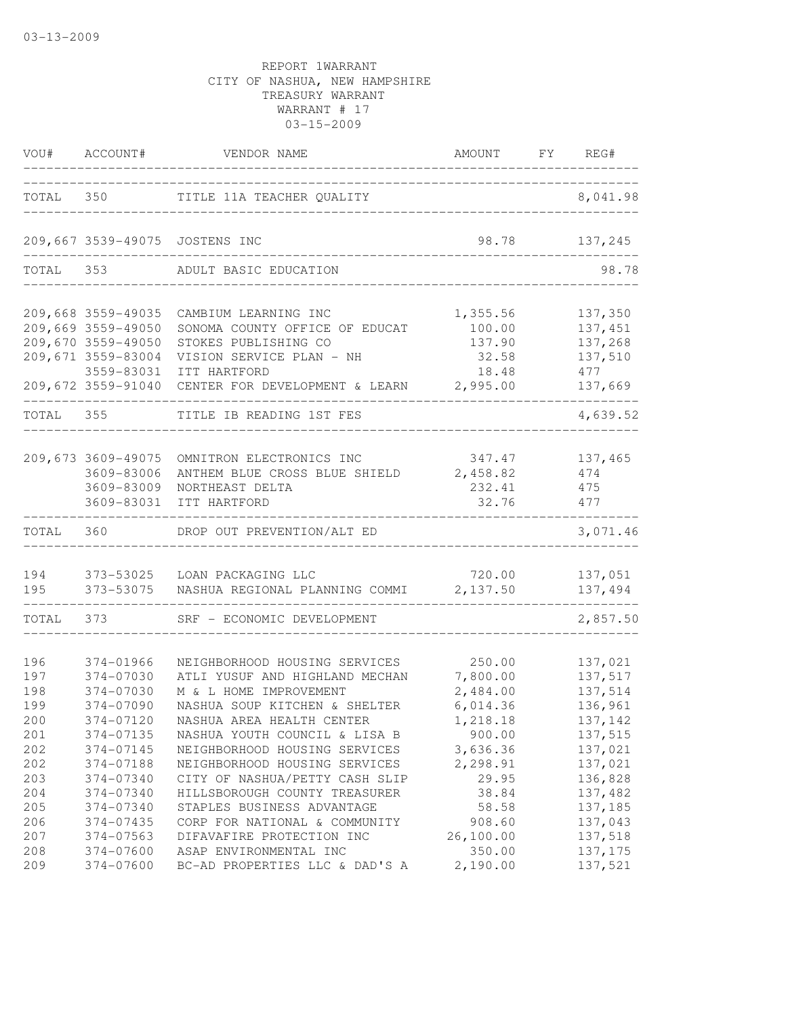|                                        | VOU# ACCOUNT#                                                                                                            | VENDOR NAME                                                                                                                                                                                      | AMOUNT FY REG#                                                   |                                                                |
|----------------------------------------|--------------------------------------------------------------------------------------------------------------------------|--------------------------------------------------------------------------------------------------------------------------------------------------------------------------------------------------|------------------------------------------------------------------|----------------------------------------------------------------|
|                                        | TOTAL 350                                                                                                                | TITLE 11A TEACHER QUALITY                                                                                                                                                                        | __________________                                               | 8,041.98                                                       |
|                                        |                                                                                                                          | 209,667 3539-49075 JOSTENS INC                                                                                                                                                                   | 98.78                                                            | 137,245                                                        |
| TOTAL 353                              |                                                                                                                          | ADULT BASIC EDUCATION                                                                                                                                                                            |                                                                  | 98.78                                                          |
|                                        | 209,668 3559-49035<br>209,669 3559-49050<br>209,670 3559-49050<br>209,671 3559-83004<br>3559-83031<br>209,672 3559-91040 | CAMBIUM LEARNING INC<br>SONOMA COUNTY OFFICE OF EDUCAT<br>STOKES PUBLISHING CO<br>VISION SERVICE PLAN - NH<br>ITT HARTFORD<br>CENTER FOR DEVELOPMENT & LEARN                                     | 1,355.56<br>100.00<br>137.90<br>32.58<br>18.48<br>2,995.00       | 137,350<br>137,451<br>137,268<br>137,510<br>477<br>137,669     |
| TOTAL                                  | 355                                                                                                                      | TITLE IB READING 1ST FES                                                                                                                                                                         |                                                                  | 4,639.52                                                       |
|                                        | 209,673 3609-49075<br>3609-83006<br>3609-83009<br>3609-83031                                                             | OMNITRON ELECTRONICS INC<br>ANTHEM BLUE CROSS BLUE SHIELD<br>NORTHEAST DELTA<br>ITT HARTFORD                                                                                                     | 347.47<br>2,458.82<br>232.41<br>32.76                            | 137,465<br>474<br>475<br>477                                   |
| TOTAL                                  | 360                                                                                                                      | DROP OUT PREVENTION/ALT ED                                                                                                                                                                       |                                                                  | 3,071.46                                                       |
| 194<br>195                             | 373-53075<br>------------------                                                                                          | 373-53025 LOAN PACKAGING LLC<br>NASHUA REGIONAL PLANNING COMMI                                                                                                                                   | 720.00<br>2,137.50                                               | 137,051<br>137,494                                             |
| TOTAL 373                              |                                                                                                                          | SRF - ECONOMIC DEVELOPMENT                                                                                                                                                                       |                                                                  | 2,857.50                                                       |
| 196<br>197<br>198<br>199<br>200<br>201 | 374-01966<br>374-07030<br>374-07030<br>374-07090<br>374-07120<br>374-07135                                               | NEIGHBORHOOD HOUSING SERVICES<br>ATLI YUSUF AND HIGHLAND MECHAN<br>M & L HOME IMPROVEMENT<br>NASHUA SOUP KITCHEN & SHELTER<br>NASHUA AREA HEALTH CENTER<br>NASHUA YOUTH COUNCIL & LISA B         | 250.00<br>7,800.00<br>2,484.00<br>6,014.36<br>1,218.18<br>900.00 | 137,021<br>137,517<br>137,514<br>136,961<br>137,142<br>137,515 |
| 202<br>202<br>203<br>204<br>205<br>206 | 374-07145<br>374-07188<br>374-07340<br>374-07340<br>374-07340<br>374-07435                                               | NEIGHBORHOOD HOUSING SERVICES<br>NEIGHBORHOOD HOUSING SERVICES<br>CITY OF NASHUA/PETTY CASH SLIP<br>HILLSBOROUGH COUNTY TREASURER<br>STAPLES BUSINESS ADVANTAGE<br>CORP FOR NATIONAL & COMMUNITY | 3,636.36<br>2,298.91<br>29.95<br>38.84<br>58.58<br>908.60        | 137,021<br>137,021<br>136,828<br>137,482<br>137,185<br>137,043 |
| 207<br>208<br>209                      | 374-07563<br>374-07600<br>374-07600                                                                                      | DIFAVAFIRE PROTECTION INC<br>ASAP ENVIRONMENTAL INC<br>BC-AD PROPERTIES LLC & DAD'S A                                                                                                            | 26,100.00<br>350.00<br>2,190.00                                  | 137,518<br>137, 175<br>137,521                                 |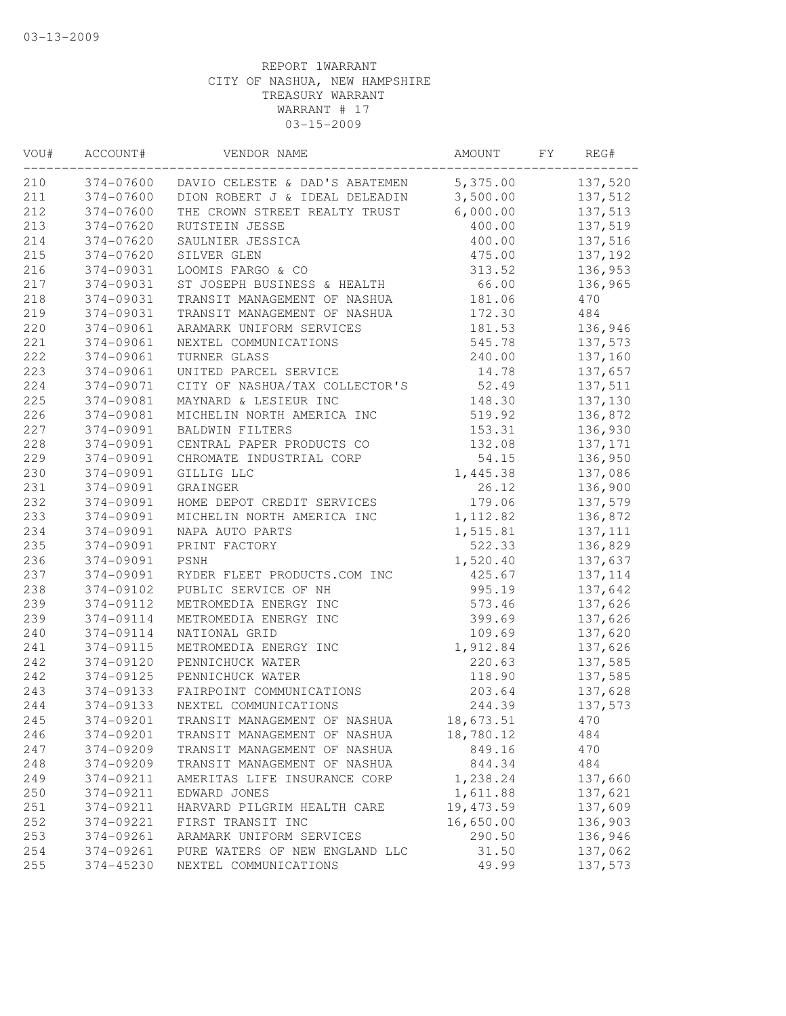| VOU# | ACCOUNT#  | VENDOR NAME                                       | AMOUNT     | FY | REG#     |
|------|-----------|---------------------------------------------------|------------|----|----------|
| 210  |           | 374-07600 DAVIO CELESTE & DAD'S ABATEMEN 5,375.00 |            |    | 137,520  |
| 211  | 374-07600 | DION ROBERT J & IDEAL DELEADIN 3,500.00           |            |    | 137,512  |
| 212  | 374-07600 | THE CROWN STREET REALTY TRUST                     | 6,000.00   |    | 137,513  |
| 213  | 374-07620 | <b>RUTSTEIN JESSE</b>                             | 400.00     |    | 137,519  |
| 214  | 374-07620 | SAULNIER JESSICA                                  | 400.00     |    | 137,516  |
| 215  | 374-07620 | SILVER GLEN                                       | 475.00     |    | 137,192  |
| 216  | 374-09031 | LOOMIS FARGO & CO                                 | 313.52     |    | 136,953  |
| 217  | 374-09031 | ST JOSEPH BUSINESS & HEALTH                       | 66.00      |    | 136,965  |
| 218  | 374-09031 | TRANSIT MANAGEMENT OF NASHUA                      | 181.06     |    | 470      |
| 219  | 374-09031 | TRANSIT MANAGEMENT OF NASHUA                      | 172.30     |    | 484      |
| 220  | 374-09061 | ARAMARK UNIFORM SERVICES                          | 181.53     |    | 136,946  |
| 221  | 374-09061 | NEXTEL COMMUNICATIONS                             | 545.78     |    | 137,573  |
| 222  | 374-09061 | TURNER GLASS                                      | 240.00     |    | 137,160  |
| 223  | 374-09061 | UNITED PARCEL SERVICE                             | 14.78      |    | 137,657  |
| 224  | 374-09071 | CITY OF NASHUA/TAX COLLECTOR'S                    | 52.49      |    | 137,511  |
| 225  | 374-09081 | MAYNARD & LESIEUR INC                             | 148.30     |    | 137,130  |
| 226  | 374-09081 | MICHELIN NORTH AMERICA INC                        | 519.92     |    | 136,872  |
| 227  | 374-09091 | <b>BALDWIN FILTERS</b>                            | 153.31     |    | 136,930  |
| 228  | 374-09091 | CENTRAL PAPER PRODUCTS CO                         | 132.08     |    | 137,171  |
| 229  | 374-09091 | CHROMATE INDUSTRIAL CORP                          | 54.15      |    | 136,950  |
| 230  | 374-09091 | GILLIG LLC                                        | 1,445.38   |    | 137,086  |
| 231  | 374-09091 | GRAINGER                                          | 26.12      |    | 136,900  |
| 232  | 374-09091 | HOME DEPOT CREDIT SERVICES                        | 179.06     |    | 137,579  |
| 233  | 374-09091 | MICHELIN NORTH AMERICA INC                        | 1,112.82   |    | 136,872  |
| 234  | 374-09091 | NAPA AUTO PARTS                                   | 1,515.81   |    | 137, 111 |
| 235  | 374-09091 | PRINT FACTORY                                     | 522.33     |    | 136,829  |
| 236  | 374-09091 | PSNH                                              | 1,520.40   |    | 137,637  |
| 237  | 374-09091 | RYDER FLEET PRODUCTS.COM INC                      | 425.67     |    | 137, 114 |
| 238  | 374-09102 | PUBLIC SERVICE OF NH                              | 995.19     |    | 137,642  |
| 239  | 374-09112 | METROMEDIA ENERGY INC                             | 573.46     |    | 137,626  |
| 239  | 374-09114 | METROMEDIA ENERGY INC                             | 399.69     |    | 137,626  |
| 240  | 374-09114 | NATIONAL GRID                                     | 109.69     |    | 137,620  |
| 241  | 374-09115 | METROMEDIA ENERGY INC                             | 1,912.84   |    | 137,626  |
| 242  | 374-09120 | PENNICHUCK WATER                                  | 220.63     |    | 137,585  |
| 242  | 374-09125 | PENNICHUCK WATER                                  | 118.90     |    | 137,585  |
| 243  | 374-09133 | FAIRPOINT COMMUNICATIONS                          | 203.64     |    | 137,628  |
| 244  | 374-09133 | NEXTEL COMMUNICATIONS                             | 244.39     |    | 137,573  |
| 245  | 374-09201 | TRANSIT MANAGEMENT OF NASHUA                      | 18,673.51  |    | 470      |
| 246  | 374-09201 | TRANSIT MANAGEMENT OF NASHUA                      | 18,780.12  |    | 484      |
| 247  | 374-09209 | TRANSIT MANAGEMENT OF NASHUA                      | 849.16     |    | 470      |
| 248  | 374-09209 | TRANSIT MANAGEMENT OF NASHUA                      | 844.34     |    | 484      |
| 249  | 374-09211 | AMERITAS LIFE INSURANCE CORP                      | 1,238.24   |    | 137,660  |
| 250  | 374-09211 | EDWARD JONES                                      | 1,611.88   |    | 137,621  |
| 251  | 374-09211 | HARVARD PILGRIM HEALTH CARE                       | 19, 473.59 |    | 137,609  |
| 252  | 374-09221 | FIRST TRANSIT INC                                 | 16,650.00  |    | 136,903  |
| 253  | 374-09261 | ARAMARK UNIFORM SERVICES                          | 290.50     |    | 136,946  |
| 254  | 374-09261 | PURE WATERS OF NEW ENGLAND LLC                    | 31.50      |    | 137,062  |
| 255  | 374-45230 | NEXTEL COMMUNICATIONS                             | 49.99      |    | 137,573  |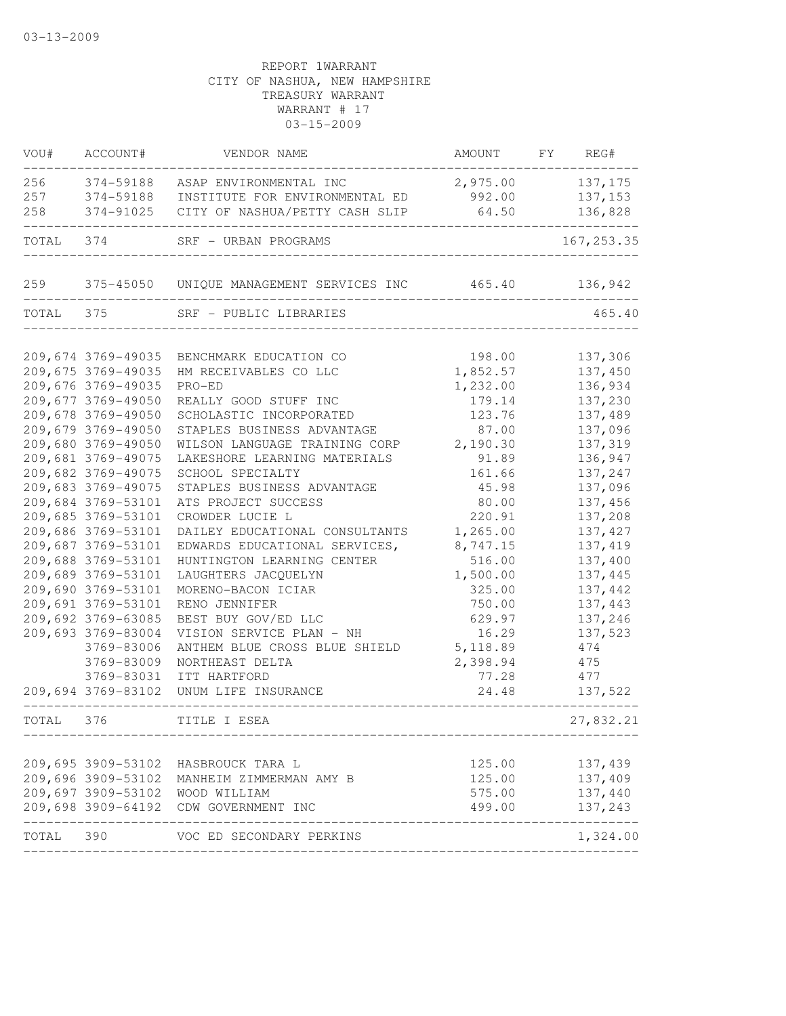| VOU#      | ACCOUNT#           | VENDOR NAME                           | AMOUNT FY REG# |                         |
|-----------|--------------------|---------------------------------------|----------------|-------------------------|
| 256       | 374-59188          | ASAP ENVIRONMENTAL INC                | 2,975.00       | 137,175                 |
| 257       | 374-59188          | INSTITUTE FOR ENVIRONMENTAL ED        | 992.00         | 137,153                 |
| 258       | 374-91025          | CITY OF NASHUA/PETTY CASH SLIP        | 64.50          | 136,828                 |
| TOTAL 374 |                    | SRF - URBAN PROGRAMS                  |                | 167, 253.35             |
|           |                    |                                       |                |                         |
| TOTAL 375 |                    | SRF - PUBLIC LIBRARIES                |                | 465.40                  |
|           | 209,674 3769-49035 | BENCHMARK EDUCATION CO                | 198.00         | 137,306                 |
|           | 209,675 3769-49035 | HM RECEIVABLES CO LLC                 | 1,852.57       | 137,450                 |
|           | 209,676 3769-49035 | PRO-ED                                | 1,232.00       | 136,934                 |
|           | 209,677 3769-49050 | REALLY GOOD STUFF INC                 | 179.14         | 137,230                 |
|           | 209,678 3769-49050 | SCHOLASTIC INCORPORATED               | 123.76         | 137,489                 |
|           | 209,679 3769-49050 | STAPLES BUSINESS ADVANTAGE            | 87.00          | 137,096                 |
|           | 209,680 3769-49050 | WILSON LANGUAGE TRAINING CORP         | 2,190.30       | 137,319                 |
|           | 209,681 3769-49075 | LAKESHORE LEARNING MATERIALS          | 91.89          | 136,947                 |
|           | 209,682 3769-49075 | SCHOOL SPECIALTY                      | 161.66         | 137,247                 |
|           | 209,683 3769-49075 | STAPLES BUSINESS ADVANTAGE            | 45.98          | 137,096                 |
|           | 209,684 3769-53101 | ATS PROJECT SUCCESS                   | 80.00          | 137,456                 |
|           | 209,685 3769-53101 | CROWDER LUCIE L                       | 220.91         | 137,208                 |
|           | 209,686 3769-53101 | DAILEY EDUCATIONAL CONSULTANTS        | 1,265.00       | 137, 427                |
|           | 209,687 3769-53101 | EDWARDS EDUCATIONAL SERVICES,         | 8,747.15       | 137, 419                |
|           | 209,688 3769-53101 | HUNTINGTON LEARNING CENTER            | 516.00         | 137,400                 |
|           | 209,689 3769-53101 | LAUGHTERS JACQUELYN                   | 1,500.00       | 137,445                 |
|           | 209,690 3769-53101 | MORENO-BACON ICIAR                    | 325.00         | 137,442                 |
|           | 209,691 3769-53101 | RENO JENNIFER                         | 750.00         | 137,443                 |
|           | 209,692 3769-63085 | BEST BUY GOV/ED LLC                   | 629.97         | 137,246                 |
|           | 209,693 3769-83004 | VISION SERVICE PLAN - NH              | 16.29          | 137,523                 |
|           | 3769-83006         | ANTHEM BLUE CROSS BLUE SHIELD         | 5, 118.89      | 474                     |
|           | 3769-83009         | NORTHEAST DELTA                       | 2,398.94       | 475                     |
|           | 3769-83031         | ITT HARTFORD                          | 77.28          | 477                     |
|           | 209,694 3769-83102 | UNUM LIFE INSURANCE                   | 24.48          | 137,522                 |
| TOTAL     | 376                | TITLE I ESEA                          |                | 27,832.21               |
|           | 209,695 3909-53102 | HASBROUCK TARA L                      | 125.00         | 137,439                 |
|           | 209,696 3909-53102 | MANHEIM ZIMMERMAN AMY B               | 125.00         | 137,409                 |
|           | 209,697 3909-53102 | WOOD WILLIAM                          | 575.00         | 137,440                 |
|           |                    | 209,698 3909-64192 CDW GOVERNMENT INC | 499.00         | 137,243                 |
| TOTAL 390 |                    | VOC ED SECONDARY PERKINS              |                | $- - - - -$<br>1,324.00 |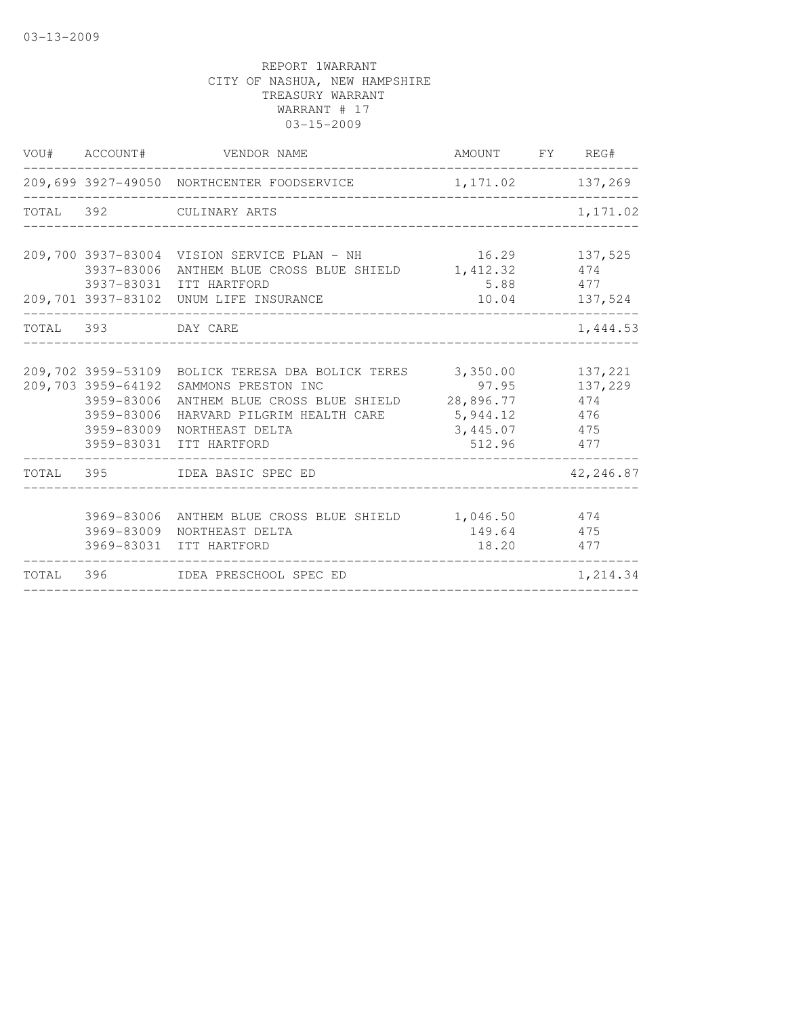|           | VOU# ACCOUNT#                          | VENDOR NAME                                                                                                                                                                                                        | AMOUNT FY REG#                                           |                                         |
|-----------|----------------------------------------|--------------------------------------------------------------------------------------------------------------------------------------------------------------------------------------------------------------------|----------------------------------------------------------|-----------------------------------------|
|           |                                        | 209,699 3927-49050 NORTHCENTER FOODSERVICE                                                                                                                                                                         | 1,171.02                                                 | 137,269                                 |
|           |                                        | TOTAL 392 CULINARY ARTS                                                                                                                                                                                            |                                                          | 1,171.02                                |
|           |                                        | 209,700 3937-83004 VISION SERVICE PLAN - NH<br>3937-83006 ANTHEM BLUE CROSS BLUE SHIELD<br>3937-83031 ITT HARTFORD<br>209,701 3937-83102 UNUM LIFE INSURANCE                                                       | 16.29<br>1,412.32<br>5.88<br>10.04                       | 137,525<br>474<br>477<br>137,524        |
| TOTAL 393 |                                        | DAY CARE                                                                                                                                                                                                           |                                                          | 1,444.53                                |
|           | 3959-83006<br>3959-83006<br>3959-83009 | 209,702 3959-53109 BOLICK TERESA DBA BOLICK TERES 3,350.00<br>209,703 3959-64192 SAMMONS PRESTON INC<br>ANTHEM BLUE CROSS BLUE SHIELD<br>HARVARD PILGRIM HEALTH CARE<br>NORTHEAST DELTA<br>3959-83031 ITT HARTFORD | 97.95<br>28,896.77<br>5,944.12<br>3,445.07 475<br>512.96 | 137,221<br>137,229<br>474<br>476<br>477 |
|           |                                        | TOTAL 395 IDEA BASIC SPEC ED                                                                                                                                                                                       |                                                          | 42,246.87                               |
|           |                                        | 3969-83006 ANTHEM BLUE CROSS BLUE SHIELD 1,046.50<br>3969-83009 NORTHEAST DELTA<br>3969-83031 ITT HARTFORD                                                                                                         | 149.64 475<br>18.20                                      | 474<br>477                              |
|           |                                        | TOTAL 396 IDEA PRESCHOOL SPEC ED                                                                                                                                                                                   |                                                          | 1,214.34                                |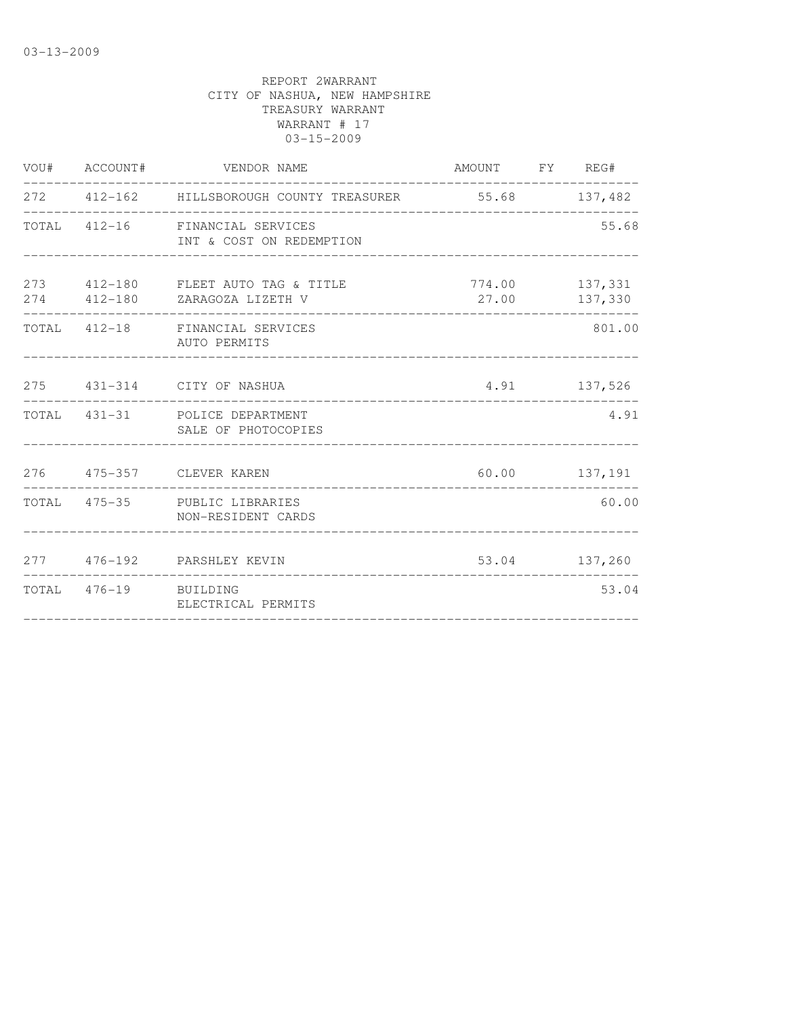| VOU# ACCOUNT#         | VENDOR NAME                                                                              | AMOUNT FY REG#                  |               |
|-----------------------|------------------------------------------------------------------------------------------|---------------------------------|---------------|
|                       | 272   412-162   HILLSBOROUGH COUNTY TREASURER   55.68   137,482<br>_____________________ |                                 |               |
|                       | TOTAL 412-16 FINANCIAL SERVICES<br>INT & COST ON REDEMPTION                              |                                 | 55.68         |
|                       | 273 412-180 FLEET AUTO TAG & TITLE<br>274 412-180 ZARAGOZA LIZETH V                      | 774.00 137,331<br>27.00 137,330 |               |
|                       | TOTAL 412-18 FINANCIAL SERVICES<br>AUTO PERMITS                                          |                                 | 801.00        |
|                       | 275 431-314 CITY OF NASHUA                                                               | 4.91 137,526                    |               |
|                       | TOTAL 431-31 POLICE DEPARTMENT<br>SALE OF PHOTOCOPIES                                    |                                 | 4.91          |
|                       | 276   475-357   CLEVER KAREN                                                             |                                 | 60.00 137,191 |
|                       | TOTAL 475-35 PUBLIC LIBRARIES<br>NON-RESIDENT CARDS                                      |                                 | 60.00         |
|                       | 277 476-192 PARSHLEY KEVIN                                                               |                                 | 53.04 137,260 |
| TOTAL 476-19 BUILDING | ELECTRICAL PERMITS<br>-------------------------------------                              |                                 | 53.04         |
|                       |                                                                                          |                                 |               |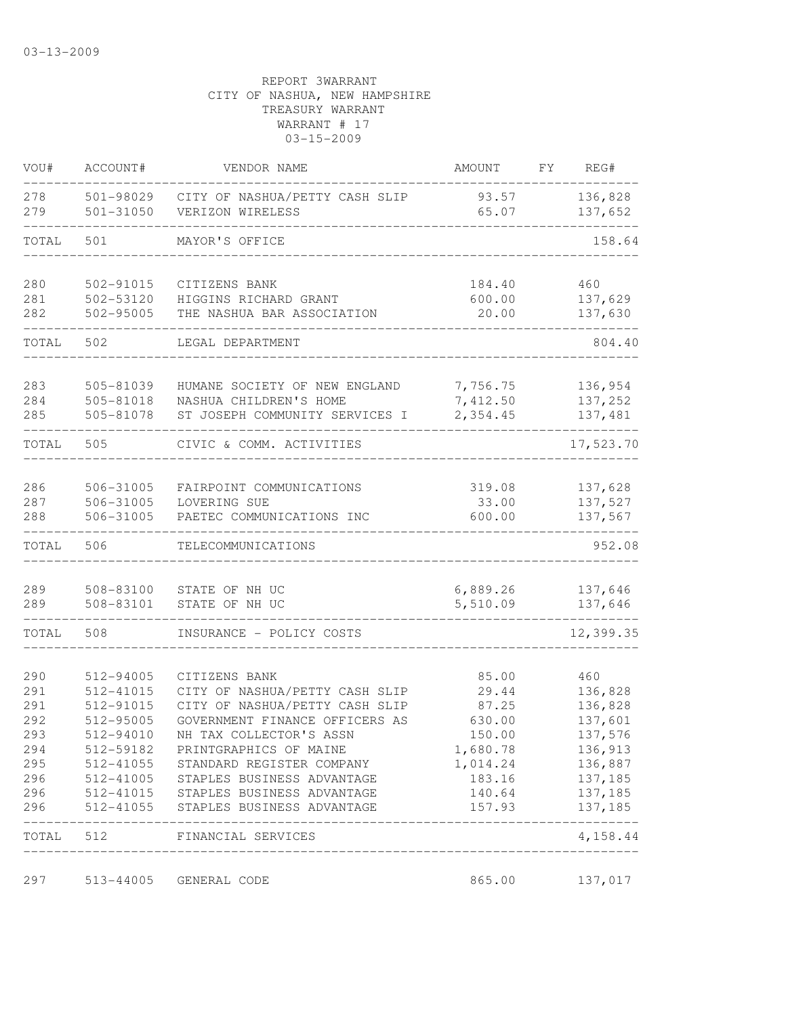| VOU#       | ACCOUNT#               | VENDOR NAME                                        | AMOUNT         | FY | REG#               |
|------------|------------------------|----------------------------------------------------|----------------|----|--------------------|
| 278<br>279 | 501-98029<br>501-31050 | CITY OF NASHUA/PETTY CASH SLIP<br>VERIZON WIRELESS | 93.57<br>65.07 |    | 136,828<br>137,652 |
| TOTAL      | 501                    | MAYOR'S OFFICE                                     |                |    | 158.64             |
| 280        | 502-91015              | CITIZENS BANK                                      | 184.40         |    | 460                |
| 281        | 502-53120              | HIGGINS RICHARD GRANT                              | 600.00         |    | 137,629            |
| 282        | 502-95005              | THE NASHUA BAR ASSOCIATION                         | 20.00          |    | 137,630            |
| TOTAL      | 502                    | LEGAL DEPARTMENT                                   |                |    | 804.40             |
| 283        | 505-81039              | HUMANE SOCIETY OF NEW ENGLAND                      | 7,756.75       |    | 136,954            |
| 284        | 505-81018              | NASHUA CHILDREN'S HOME                             | 7,412.50       |    | 137,252            |
| 285        | 505-81078              | ST JOSEPH COMMUNITY SERVICES I                     | 2,354.45       |    | 137,481            |
| TOTAL      | 505                    | CIVIC & COMM. ACTIVITIES                           |                |    | 17,523.70          |
| 286        | 506-31005              | FAIRPOINT COMMUNICATIONS                           | 319.08         |    | 137,628            |
| 287        | 506-31005              | LOVERING SUE                                       | 33.00          |    | 137,527            |
| 288        | 506-31005              | PAETEC COMMUNICATIONS INC                          | 600.00         |    | 137,567            |
| TOTAL      | 506                    | TELECOMMUNICATIONS                                 |                |    | 952.08             |
| 289        | 508-83100              | STATE OF NH UC                                     | 6,889.26       |    | 137,646            |
| 289        | 508-83101              | STATE OF NH UC                                     | 5,510.09       |    | 137,646            |
| TOTAL      | 508                    | INSURANCE - POLICY COSTS                           |                |    | 12,399.35          |
| 290        | 512-94005              | CITIZENS BANK                                      | 85.00          |    | 460                |
| 291        | 512-41015              | CITY OF NASHUA/PETTY CASH SLIP                     | 29.44          |    | 136,828            |
| 291        | 512-91015              | CITY OF NASHUA/PETTY CASH SLIP                     | 87.25          |    | 136,828            |
| 292        | 512-95005              | GOVERNMENT FINANCE OFFICERS AS                     | 630.00         |    | 137,601            |
| 293        | 512-94010              | NH TAX COLLECTOR'S ASSN                            | 150.00         |    | 137,576            |
| 294        | 512-59182              | PRINTGRAPHICS OF MAINE                             | 1,680.78       |    | 136,913            |
| 295        | 512-41055              | STANDARD REGISTER COMPANY                          | 1,014.24       |    | 136,887            |
| 296        |                        | 512-41005 STAPLES BUSINESS ADVANTAGE               | 183.16         |    | 137,185            |
| 296        |                        | 512-41015 STAPLES BUSINESS ADVANTAGE               | 140.64         |    | 137,185            |
| 296        |                        | 512-41055 STAPLES BUSINESS ADVANTAGE               | 157.93         |    | 137,185            |
| TOTAL      | 512                    | FINANCIAL SERVICES<br>_____________________        |                |    | 4,158.44           |
| 297        | 513-44005              | GENERAL CODE                                       | 865.00         |    | 137,017            |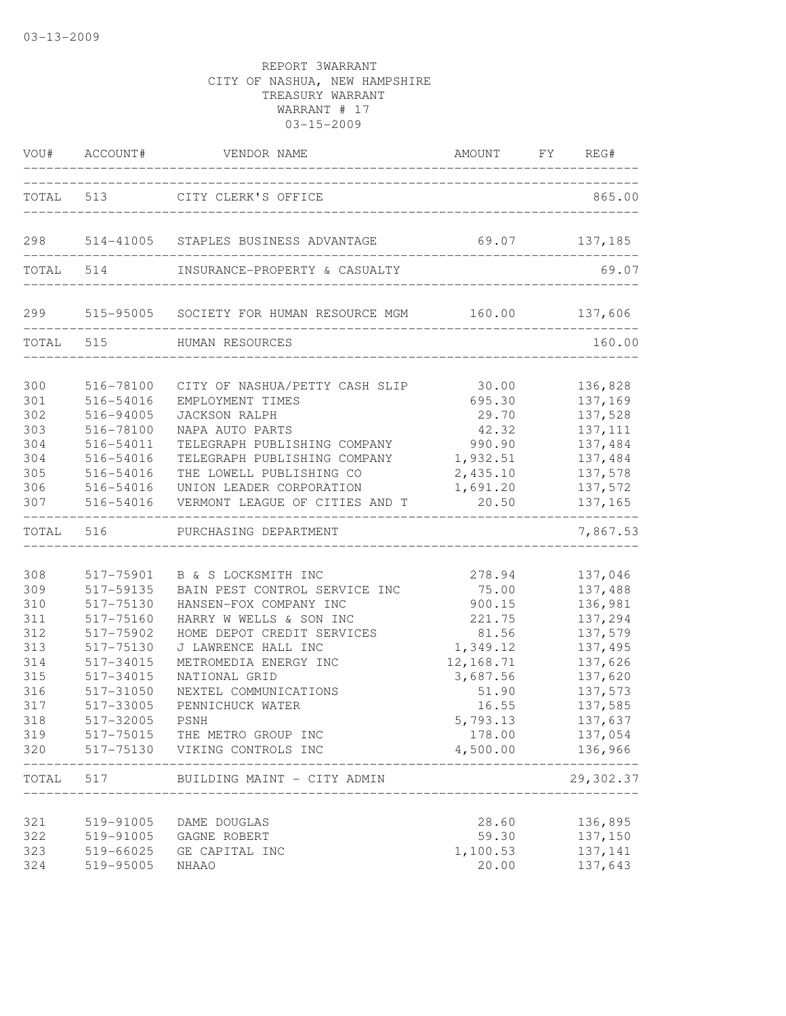|                                                                                                  | VOU# ACCOUNT#                                                                                                                                                   | VENDOR NAME                                                                                                                                                                                                                                                                                                                                          | AMOUNT FY REG#                                                                                                                        |                                                                                                                                                          |
|--------------------------------------------------------------------------------------------------|-----------------------------------------------------------------------------------------------------------------------------------------------------------------|------------------------------------------------------------------------------------------------------------------------------------------------------------------------------------------------------------------------------------------------------------------------------------------------------------------------------------------------------|---------------------------------------------------------------------------------------------------------------------------------------|----------------------------------------------------------------------------------------------------------------------------------------------------------|
|                                                                                                  |                                                                                                                                                                 | TOTAL 513 CITY CLERK'S OFFICE                                                                                                                                                                                                                                                                                                                        |                                                                                                                                       | 865.00                                                                                                                                                   |
|                                                                                                  |                                                                                                                                                                 | 298 514-41005 STAPLES BUSINESS ADVANTAGE                                                                                                                                                                                                                                                                                                             | 69.07 137,185                                                                                                                         |                                                                                                                                                          |
|                                                                                                  | TOTAL 514                                                                                                                                                       | INSURANCE-PROPERTY & CASUALTY                                                                                                                                                                                                                                                                                                                        |                                                                                                                                       | 69.07                                                                                                                                                    |
| 299                                                                                              |                                                                                                                                                                 | 515-95005 SOCIETY FOR HUMAN RESOURCE MGM 160.00 137,606                                                                                                                                                                                                                                                                                              |                                                                                                                                       |                                                                                                                                                          |
|                                                                                                  |                                                                                                                                                                 | TOTAL 515 HUMAN RESOURCES                                                                                                                                                                                                                                                                                                                            |                                                                                                                                       | 160.00                                                                                                                                                   |
| 300<br>301<br>302<br>303<br>304<br>304<br>305<br>306<br>307                                      | 516-78100<br>516-54016<br>516-94005<br>516-78100<br>516-54011<br>516-54016<br>516-54016<br>516-54016<br>516-54016                                               | CITY OF NASHUA/PETTY CASH SLIP<br>EMPLOYMENT TIMES<br><b>JACKSON RALPH</b><br>NAPA AUTO PARTS<br>TELEGRAPH PUBLISHING COMPANY<br>TELEGRAPH PUBLISHING COMPANY<br>THE LOWELL PUBLISHING CO<br>UNION LEADER CORPORATION<br>VERMONT LEAGUE OF CITIES AND T                                                                                              | 30.00<br>695.30<br>29.70<br>42.32<br>990.90<br>1,932.51<br>2,435.10<br>1,691.20<br>20.50                                              | 136,828<br>137,169<br>137,528<br>137, 111<br>137,484<br>137,484<br>137,578<br>137,572<br>137,165                                                         |
| TOTAL 516                                                                                        |                                                                                                                                                                 | PURCHASING DEPARTMENT                                                                                                                                                                                                                                                                                                                                |                                                                                                                                       | 7,867.53                                                                                                                                                 |
| 308<br>309<br>310<br>311<br>312<br>313<br>314<br>315<br>316<br>317<br>318<br>319<br>320<br>TOTAL | 517-75901<br>517-59135<br>517-75130<br>517-75160<br>517-75902<br>517-75130<br>517-34015<br>517-34015<br>517-31050<br>517-33005<br>517-32005<br>517-75015<br>517 | B & S LOCKSMITH INC<br>BAIN PEST CONTROL SERVICE INC<br>HANSEN-FOX COMPANY INC<br>HARRY W WELLS & SON INC<br>HOME DEPOT CREDIT SERVICES<br>J LAWRENCE HALL INC<br>METROMEDIA ENERGY INC<br>NATIONAL GRID<br>NEXTEL COMMUNICATIONS<br>PENNICHUCK WATER<br>PSNH<br>THE METRO GROUP INC<br>517-75130 VIKING CONTROLS INC<br>BUILDING MAINT - CITY ADMIN | 278.94<br>75.00<br>900.15<br>221.75<br>81.56<br>1,349.12<br>12,168.71<br>3,687.56<br>51.90<br>16.55<br>5,793.13<br>178.00<br>4,500.00 | 137,046<br>137,488<br>136,981<br>137,294<br>137,579<br>137,495<br>137,626<br>137,620<br>137,573<br>137,585<br>137,637<br>137,054<br>136,966<br>29,302.37 |
| 321<br>322<br>323<br>324                                                                         | 519-91005<br>519-91005<br>519-66025<br>519-95005                                                                                                                | DAME DOUGLAS<br>GAGNE ROBERT<br>GE CAPITAL INC<br><b>NHAAO</b>                                                                                                                                                                                                                                                                                       | 28.60<br>59.30<br>1,100.53<br>20.00                                                                                                   | 136,895<br>137,150<br>137,141<br>137,643                                                                                                                 |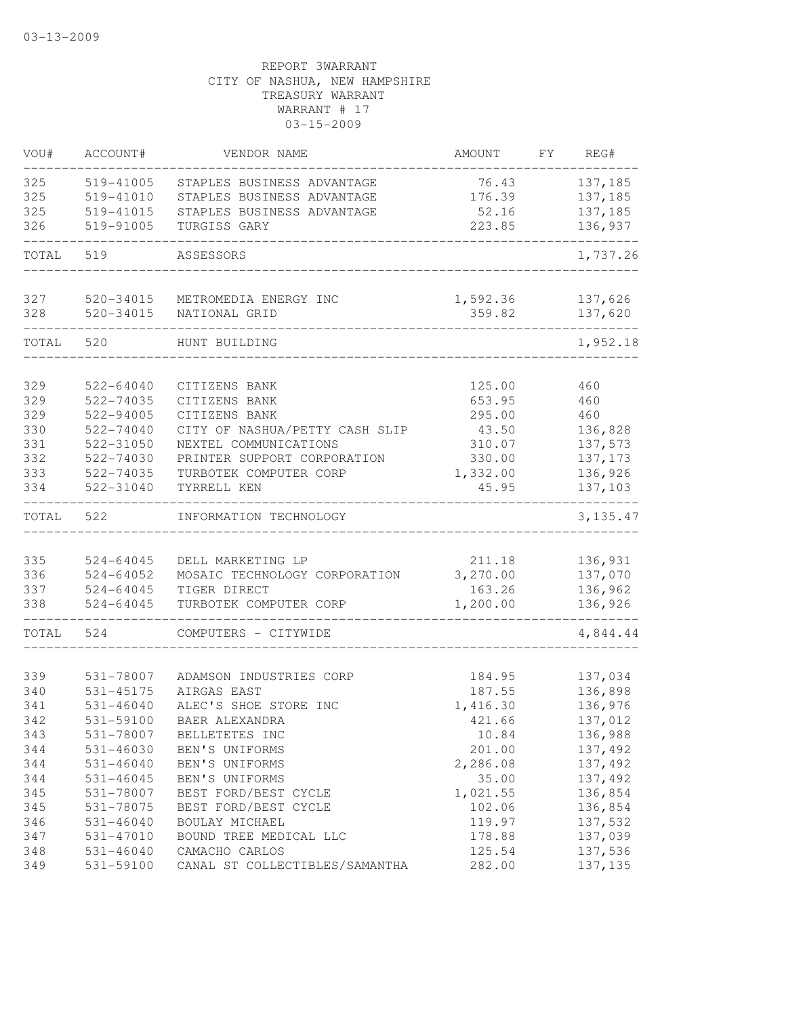| VOU#  | ACCOUNT#      | VENDOR NAME                    | AMOUNT   | FΥ | REG#      |
|-------|---------------|--------------------------------|----------|----|-----------|
| 325   | 519-41005     | STAPLES BUSINESS ADVANTAGE     | 76.43    |    | 137,185   |
| 325   | 519-41010     | STAPLES BUSINESS ADVANTAGE     | 176.39   |    | 137,185   |
| 325   | 519-41015     | STAPLES BUSINESS ADVANTAGE     | 52.16    |    | 137,185   |
| 326   | 519-91005     | TURGISS GARY                   | 223.85   |    | 136,937   |
| TOTAL | 519           | ASSESSORS                      |          |    | 1,737.26  |
| 327   | 520-34015     | METROMEDIA ENERGY INC          | 1,592.36 |    | 137,626   |
| 328   | 520-34015     | NATIONAL GRID                  | 359.82   |    | 137,620   |
| TOTAL | 520           | HUNT BUILDING                  |          |    | 1,952.18  |
| 329   | 522-64040     | CITIZENS BANK                  | 125.00   |    | 460       |
| 329   | 522-74035     | CITIZENS BANK                  | 653.95   |    | 460       |
| 329   | 522-94005     | CITIZENS BANK                  | 295.00   |    | 460       |
| 330   | 522-74040     | CITY OF NASHUA/PETTY CASH SLIP | 43.50    |    | 136,828   |
| 331   | 522-31050     | NEXTEL COMMUNICATIONS          | 310.07   |    | 137,573   |
| 332   | 522-74030     | PRINTER SUPPORT CORPORATION    | 330.00   |    | 137, 173  |
| 333   | 522-74035     | TURBOTEK COMPUTER CORP         | 1,332.00 |    | 136,926   |
| 334   | 522-31040     | TYRRELL KEN                    | 45.95    |    | 137,103   |
| TOTAL | 522           | INFORMATION TECHNOLOGY         |          |    | 3, 135.47 |
| 335   | 524-64045     | DELL MARKETING LP              | 211.18   |    | 136,931   |
| 336   | 524-64052     | MOSAIC TECHNOLOGY CORPORATION  | 3,270.00 |    | 137,070   |
| 337   | 524-64045     | TIGER DIRECT                   | 163.26   |    | 136,962   |
| 338   | 524-64045     | TURBOTEK COMPUTER CORP         | 1,200.00 |    | 136,926   |
| TOTAL | 524           | COMPUTERS - CITYWIDE           |          |    | 4,844.44  |
| 339   | 531-78007     | ADAMSON INDUSTRIES CORP        | 184.95   |    | 137,034   |
| 340   | 531-45175     | AIRGAS EAST                    | 187.55   |    | 136,898   |
| 341   | $531 - 46040$ | ALEC'S SHOE STORE INC          | 1,416.30 |    | 136,976   |
| 342   | 531-59100     | BAER ALEXANDRA                 | 421.66   |    | 137,012   |
| 343   | 531-78007     | BELLETETES INC                 | 10.84    |    | 136,988   |
| 344   | 531-46030     | BEN'S UNIFORMS                 | 201.00   |    | 137,492   |
| 344   | $531 - 46040$ | BEN'S UNIFORMS                 | 2,286.08 |    | 137,492   |
| 344   | $531 - 46045$ | BEN'S UNIFORMS                 | 35.00    |    | 137,492   |
| 345   | 531-78007     | BEST FORD/BEST CYCLE           | 1,021.55 |    | 136,854   |
| 345   | 531-78075     | BEST FORD/BEST CYCLE           | 102.06   |    | 136,854   |
| 346   | $531 - 46040$ | BOULAY MICHAEL                 | 119.97   |    | 137,532   |
| 347   | 531-47010     | BOUND TREE MEDICAL LLC         | 178.88   |    | 137,039   |
| 348   | $531 - 46040$ | CAMACHO CARLOS                 | 125.54   |    | 137,536   |
| 349   | 531-59100     | CANAL ST COLLECTIBLES/SAMANTHA | 282.00   |    | 137, 135  |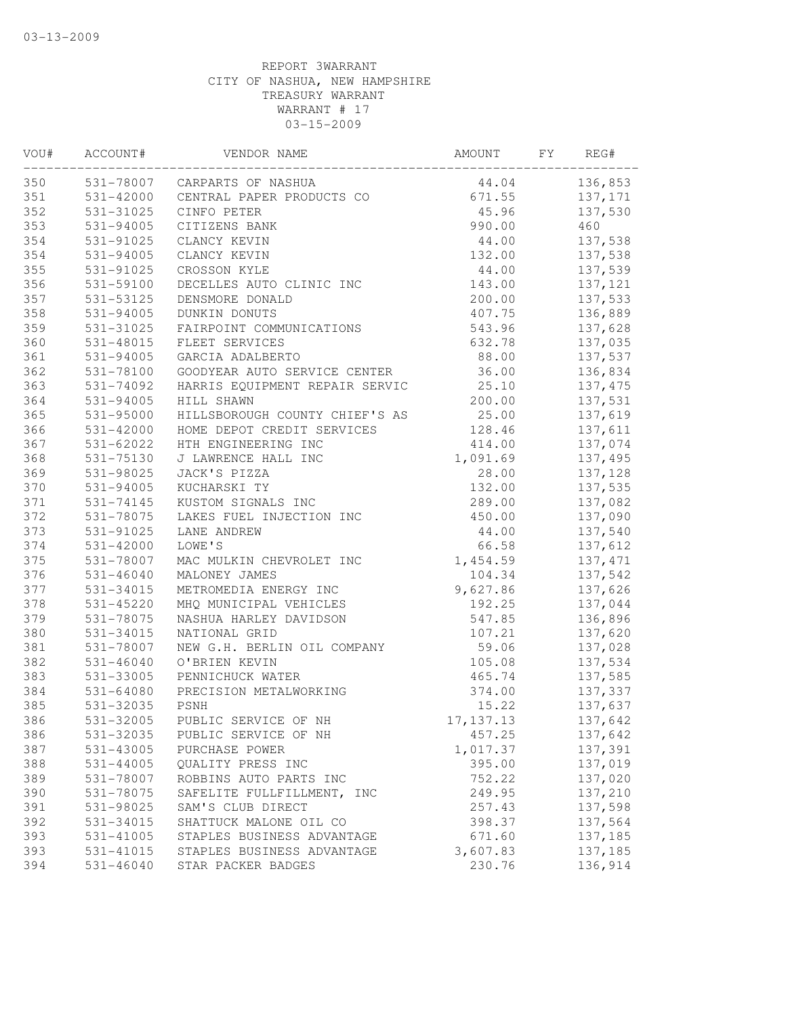| 531-78007 CARPARTS OF NASHUA<br>44.04<br>136,853<br>CENTRAL PAPER PRODUCTS CO<br>531-42000<br>671.55<br>137,171<br>352<br>531-31025<br>CINFO PETER<br>45.96<br>137,530<br>990.00<br>531-94005<br>CITIZENS BANK<br>460<br>531-91025<br>CLANCY KEVIN<br>44.00<br>137,538<br>354<br>531-94005<br>CLANCY KEVIN<br>132.00<br>137,538<br>355<br>531-91025<br>44.00<br>137,539<br>CROSSON KYLE<br>531-59100<br>DECELLES AUTO CLINIC INC<br>143.00<br>137,121<br>357<br>200.00<br>531-53125<br>DENSMORE DONALD<br>137,533<br>358<br>531-94005<br>136,889<br>DUNKIN DONUTS<br>407.75<br>FAIRPOINT COMMUNICATIONS<br>531-31025<br>543.96<br>137,628<br>531-48015<br>FLEET SERVICES<br>632.78<br>137,035<br>88.00<br>531-94005<br>GARCIA ADALBERTO<br>137,537<br>362<br>531-78100<br>GOODYEAR AUTO SERVICE CENTER<br>36.00<br>136,834<br>HARRIS EQUIPMENT REPAIR SERVIC<br>25.10<br>137, 475<br>531-74092<br>531-94005<br>200.00<br>137,531<br>HILL SHAWN<br>HILLSBOROUGH COUNTY CHIEF'S AS<br>25.00<br>531-95000<br>137,619<br>531-42000<br>HOME DEPOT CREDIT SERVICES<br>128.46<br>137,611<br>137,074<br>531-62022<br>HTH ENGINEERING INC<br>414.00<br>531-75130<br>J LAWRENCE HALL INC<br>1,091.69<br>137,495<br>531-98025<br>JACK'S PIZZA<br>28.00<br>137,128<br>531-94005<br>KUCHARSKI TY<br>132.00<br>137,535<br>531-74145<br>KUSTOM SIGNALS INC<br>289.00<br>137,082<br>531-78075<br>LAKES FUEL INJECTION INC<br>450.00<br>137,090<br>531-91025<br>137,540<br>LANE ANDREW<br>44.00<br>LOWE'S<br>66.58<br>531-42000<br>137,612<br>531-78007<br>MAC MULKIN CHEVROLET INC<br>1,454.59<br>137, 471<br>531-46040<br>MALONEY JAMES<br>104.34<br>137,542<br>531-34015<br>METROMEDIA ENERGY INC<br>9,627.86<br>137,626<br>378<br>531-45220<br>MHQ MUNICIPAL VEHICLES<br>192.25<br>137,044<br>531-78075<br>NASHUA HARLEY DAVIDSON<br>547.85<br>136,896<br>531-34015<br>NATIONAL GRID<br>107.21<br>137,620<br>NEW G.H. BERLIN OIL COMPANY<br>59.06<br>137,028<br>531-78007<br>531-46040<br>O'BRIEN KEVIN<br>105.08<br>137,534<br>137,585<br>531-33005<br>PENNICHUCK WATER<br>465.74<br>531-64080<br>PRECISION METALWORKING<br>374.00<br>137,337<br>531-32035<br>PSNH<br>15.22<br>137,637<br>531-32005<br>17, 137. 13<br>PUBLIC SERVICE OF NH<br>137,642<br>531-32035<br>PUBLIC SERVICE OF NH<br>457.25<br>137,642<br>531-43005<br>1,017.37<br>137,391<br>PURCHASE POWER<br>$531 - 44005$<br>395.00<br>137,019<br>OUALITY PRESS INC<br>531-78007<br>ROBBINS AUTO PARTS INC<br>752.22<br>137,020<br>137,210<br>531-78075<br>SAFELITE FULLFILLMENT, INC<br>249.95<br>137,598<br>531-98025<br>SAM'S CLUB DIRECT<br>257.43<br>SHATTUCK MALONE OIL CO<br>137,564<br>531-34015<br>398.37<br>STAPLES BUSINESS ADVANTAGE<br>531-41005<br>671.60<br>137,185<br>531-41015<br>STAPLES BUSINESS ADVANTAGE<br>3,607.83<br>137,185<br>531-46040<br>STAR PACKER BADGES<br>230.76<br>136,914 | VOU# | ACCOUNT# | VENDOR NAME | AMOUNT | FY | REG# |
|---------------------------------------------------------------------------------------------------------------------------------------------------------------------------------------------------------------------------------------------------------------------------------------------------------------------------------------------------------------------------------------------------------------------------------------------------------------------------------------------------------------------------------------------------------------------------------------------------------------------------------------------------------------------------------------------------------------------------------------------------------------------------------------------------------------------------------------------------------------------------------------------------------------------------------------------------------------------------------------------------------------------------------------------------------------------------------------------------------------------------------------------------------------------------------------------------------------------------------------------------------------------------------------------------------------------------------------------------------------------------------------------------------------------------------------------------------------------------------------------------------------------------------------------------------------------------------------------------------------------------------------------------------------------------------------------------------------------------------------------------------------------------------------------------------------------------------------------------------------------------------------------------------------------------------------------------------------------------------------------------------------------------------------------------------------------------------------------------------------------------------------------------------------------------------------------------------------------------------------------------------------------------------------------------------------------------------------------------------------------------------------------------------------------------------------------------------------------------------------------------------------------------------------------------------------------------------------------------------------------------------------------------------------------------------------------------------------------------------------------------------------------------------------------------------------------------------------------------------------|------|----------|-------------|--------|----|------|
|                                                                                                                                                                                                                                                                                                                                                                                                                                                                                                                                                                                                                                                                                                                                                                                                                                                                                                                                                                                                                                                                                                                                                                                                                                                                                                                                                                                                                                                                                                                                                                                                                                                                                                                                                                                                                                                                                                                                                                                                                                                                                                                                                                                                                                                                                                                                                                                                                                                                                                                                                                                                                                                                                                                                                                                                                                                               | 350  |          |             |        |    |      |
|                                                                                                                                                                                                                                                                                                                                                                                                                                                                                                                                                                                                                                                                                                                                                                                                                                                                                                                                                                                                                                                                                                                                                                                                                                                                                                                                                                                                                                                                                                                                                                                                                                                                                                                                                                                                                                                                                                                                                                                                                                                                                                                                                                                                                                                                                                                                                                                                                                                                                                                                                                                                                                                                                                                                                                                                                                                               | 351  |          |             |        |    |      |
|                                                                                                                                                                                                                                                                                                                                                                                                                                                                                                                                                                                                                                                                                                                                                                                                                                                                                                                                                                                                                                                                                                                                                                                                                                                                                                                                                                                                                                                                                                                                                                                                                                                                                                                                                                                                                                                                                                                                                                                                                                                                                                                                                                                                                                                                                                                                                                                                                                                                                                                                                                                                                                                                                                                                                                                                                                                               |      |          |             |        |    |      |
|                                                                                                                                                                                                                                                                                                                                                                                                                                                                                                                                                                                                                                                                                                                                                                                                                                                                                                                                                                                                                                                                                                                                                                                                                                                                                                                                                                                                                                                                                                                                                                                                                                                                                                                                                                                                                                                                                                                                                                                                                                                                                                                                                                                                                                                                                                                                                                                                                                                                                                                                                                                                                                                                                                                                                                                                                                                               | 353  |          |             |        |    |      |
|                                                                                                                                                                                                                                                                                                                                                                                                                                                                                                                                                                                                                                                                                                                                                                                                                                                                                                                                                                                                                                                                                                                                                                                                                                                                                                                                                                                                                                                                                                                                                                                                                                                                                                                                                                                                                                                                                                                                                                                                                                                                                                                                                                                                                                                                                                                                                                                                                                                                                                                                                                                                                                                                                                                                                                                                                                                               | 354  |          |             |        |    |      |
|                                                                                                                                                                                                                                                                                                                                                                                                                                                                                                                                                                                                                                                                                                                                                                                                                                                                                                                                                                                                                                                                                                                                                                                                                                                                                                                                                                                                                                                                                                                                                                                                                                                                                                                                                                                                                                                                                                                                                                                                                                                                                                                                                                                                                                                                                                                                                                                                                                                                                                                                                                                                                                                                                                                                                                                                                                                               |      |          |             |        |    |      |
|                                                                                                                                                                                                                                                                                                                                                                                                                                                                                                                                                                                                                                                                                                                                                                                                                                                                                                                                                                                                                                                                                                                                                                                                                                                                                                                                                                                                                                                                                                                                                                                                                                                                                                                                                                                                                                                                                                                                                                                                                                                                                                                                                                                                                                                                                                                                                                                                                                                                                                                                                                                                                                                                                                                                                                                                                                                               |      |          |             |        |    |      |
|                                                                                                                                                                                                                                                                                                                                                                                                                                                                                                                                                                                                                                                                                                                                                                                                                                                                                                                                                                                                                                                                                                                                                                                                                                                                                                                                                                                                                                                                                                                                                                                                                                                                                                                                                                                                                                                                                                                                                                                                                                                                                                                                                                                                                                                                                                                                                                                                                                                                                                                                                                                                                                                                                                                                                                                                                                                               | 356  |          |             |        |    |      |
|                                                                                                                                                                                                                                                                                                                                                                                                                                                                                                                                                                                                                                                                                                                                                                                                                                                                                                                                                                                                                                                                                                                                                                                                                                                                                                                                                                                                                                                                                                                                                                                                                                                                                                                                                                                                                                                                                                                                                                                                                                                                                                                                                                                                                                                                                                                                                                                                                                                                                                                                                                                                                                                                                                                                                                                                                                                               |      |          |             |        |    |      |
|                                                                                                                                                                                                                                                                                                                                                                                                                                                                                                                                                                                                                                                                                                                                                                                                                                                                                                                                                                                                                                                                                                                                                                                                                                                                                                                                                                                                                                                                                                                                                                                                                                                                                                                                                                                                                                                                                                                                                                                                                                                                                                                                                                                                                                                                                                                                                                                                                                                                                                                                                                                                                                                                                                                                                                                                                                                               |      |          |             |        |    |      |
|                                                                                                                                                                                                                                                                                                                                                                                                                                                                                                                                                                                                                                                                                                                                                                                                                                                                                                                                                                                                                                                                                                                                                                                                                                                                                                                                                                                                                                                                                                                                                                                                                                                                                                                                                                                                                                                                                                                                                                                                                                                                                                                                                                                                                                                                                                                                                                                                                                                                                                                                                                                                                                                                                                                                                                                                                                                               | 359  |          |             |        |    |      |
|                                                                                                                                                                                                                                                                                                                                                                                                                                                                                                                                                                                                                                                                                                                                                                                                                                                                                                                                                                                                                                                                                                                                                                                                                                                                                                                                                                                                                                                                                                                                                                                                                                                                                                                                                                                                                                                                                                                                                                                                                                                                                                                                                                                                                                                                                                                                                                                                                                                                                                                                                                                                                                                                                                                                                                                                                                                               | 360  |          |             |        |    |      |
|                                                                                                                                                                                                                                                                                                                                                                                                                                                                                                                                                                                                                                                                                                                                                                                                                                                                                                                                                                                                                                                                                                                                                                                                                                                                                                                                                                                                                                                                                                                                                                                                                                                                                                                                                                                                                                                                                                                                                                                                                                                                                                                                                                                                                                                                                                                                                                                                                                                                                                                                                                                                                                                                                                                                                                                                                                                               | 361  |          |             |        |    |      |
|                                                                                                                                                                                                                                                                                                                                                                                                                                                                                                                                                                                                                                                                                                                                                                                                                                                                                                                                                                                                                                                                                                                                                                                                                                                                                                                                                                                                                                                                                                                                                                                                                                                                                                                                                                                                                                                                                                                                                                                                                                                                                                                                                                                                                                                                                                                                                                                                                                                                                                                                                                                                                                                                                                                                                                                                                                                               |      |          |             |        |    |      |
|                                                                                                                                                                                                                                                                                                                                                                                                                                                                                                                                                                                                                                                                                                                                                                                                                                                                                                                                                                                                                                                                                                                                                                                                                                                                                                                                                                                                                                                                                                                                                                                                                                                                                                                                                                                                                                                                                                                                                                                                                                                                                                                                                                                                                                                                                                                                                                                                                                                                                                                                                                                                                                                                                                                                                                                                                                                               | 363  |          |             |        |    |      |
|                                                                                                                                                                                                                                                                                                                                                                                                                                                                                                                                                                                                                                                                                                                                                                                                                                                                                                                                                                                                                                                                                                                                                                                                                                                                                                                                                                                                                                                                                                                                                                                                                                                                                                                                                                                                                                                                                                                                                                                                                                                                                                                                                                                                                                                                                                                                                                                                                                                                                                                                                                                                                                                                                                                                                                                                                                                               | 364  |          |             |        |    |      |
|                                                                                                                                                                                                                                                                                                                                                                                                                                                                                                                                                                                                                                                                                                                                                                                                                                                                                                                                                                                                                                                                                                                                                                                                                                                                                                                                                                                                                                                                                                                                                                                                                                                                                                                                                                                                                                                                                                                                                                                                                                                                                                                                                                                                                                                                                                                                                                                                                                                                                                                                                                                                                                                                                                                                                                                                                                                               | 365  |          |             |        |    |      |
|                                                                                                                                                                                                                                                                                                                                                                                                                                                                                                                                                                                                                                                                                                                                                                                                                                                                                                                                                                                                                                                                                                                                                                                                                                                                                                                                                                                                                                                                                                                                                                                                                                                                                                                                                                                                                                                                                                                                                                                                                                                                                                                                                                                                                                                                                                                                                                                                                                                                                                                                                                                                                                                                                                                                                                                                                                                               | 366  |          |             |        |    |      |
|                                                                                                                                                                                                                                                                                                                                                                                                                                                                                                                                                                                                                                                                                                                                                                                                                                                                                                                                                                                                                                                                                                                                                                                                                                                                                                                                                                                                                                                                                                                                                                                                                                                                                                                                                                                                                                                                                                                                                                                                                                                                                                                                                                                                                                                                                                                                                                                                                                                                                                                                                                                                                                                                                                                                                                                                                                                               | 367  |          |             |        |    |      |
|                                                                                                                                                                                                                                                                                                                                                                                                                                                                                                                                                                                                                                                                                                                                                                                                                                                                                                                                                                                                                                                                                                                                                                                                                                                                                                                                                                                                                                                                                                                                                                                                                                                                                                                                                                                                                                                                                                                                                                                                                                                                                                                                                                                                                                                                                                                                                                                                                                                                                                                                                                                                                                                                                                                                                                                                                                                               | 368  |          |             |        |    |      |
|                                                                                                                                                                                                                                                                                                                                                                                                                                                                                                                                                                                                                                                                                                                                                                                                                                                                                                                                                                                                                                                                                                                                                                                                                                                                                                                                                                                                                                                                                                                                                                                                                                                                                                                                                                                                                                                                                                                                                                                                                                                                                                                                                                                                                                                                                                                                                                                                                                                                                                                                                                                                                                                                                                                                                                                                                                                               | 369  |          |             |        |    |      |
|                                                                                                                                                                                                                                                                                                                                                                                                                                                                                                                                                                                                                                                                                                                                                                                                                                                                                                                                                                                                                                                                                                                                                                                                                                                                                                                                                                                                                                                                                                                                                                                                                                                                                                                                                                                                                                                                                                                                                                                                                                                                                                                                                                                                                                                                                                                                                                                                                                                                                                                                                                                                                                                                                                                                                                                                                                                               | 370  |          |             |        |    |      |
|                                                                                                                                                                                                                                                                                                                                                                                                                                                                                                                                                                                                                                                                                                                                                                                                                                                                                                                                                                                                                                                                                                                                                                                                                                                                                                                                                                                                                                                                                                                                                                                                                                                                                                                                                                                                                                                                                                                                                                                                                                                                                                                                                                                                                                                                                                                                                                                                                                                                                                                                                                                                                                                                                                                                                                                                                                                               | 371  |          |             |        |    |      |
|                                                                                                                                                                                                                                                                                                                                                                                                                                                                                                                                                                                                                                                                                                                                                                                                                                                                                                                                                                                                                                                                                                                                                                                                                                                                                                                                                                                                                                                                                                                                                                                                                                                                                                                                                                                                                                                                                                                                                                                                                                                                                                                                                                                                                                                                                                                                                                                                                                                                                                                                                                                                                                                                                                                                                                                                                                                               | 372  |          |             |        |    |      |
|                                                                                                                                                                                                                                                                                                                                                                                                                                                                                                                                                                                                                                                                                                                                                                                                                                                                                                                                                                                                                                                                                                                                                                                                                                                                                                                                                                                                                                                                                                                                                                                                                                                                                                                                                                                                                                                                                                                                                                                                                                                                                                                                                                                                                                                                                                                                                                                                                                                                                                                                                                                                                                                                                                                                                                                                                                                               | 373  |          |             |        |    |      |
|                                                                                                                                                                                                                                                                                                                                                                                                                                                                                                                                                                                                                                                                                                                                                                                                                                                                                                                                                                                                                                                                                                                                                                                                                                                                                                                                                                                                                                                                                                                                                                                                                                                                                                                                                                                                                                                                                                                                                                                                                                                                                                                                                                                                                                                                                                                                                                                                                                                                                                                                                                                                                                                                                                                                                                                                                                                               | 374  |          |             |        |    |      |
|                                                                                                                                                                                                                                                                                                                                                                                                                                                                                                                                                                                                                                                                                                                                                                                                                                                                                                                                                                                                                                                                                                                                                                                                                                                                                                                                                                                                                                                                                                                                                                                                                                                                                                                                                                                                                                                                                                                                                                                                                                                                                                                                                                                                                                                                                                                                                                                                                                                                                                                                                                                                                                                                                                                                                                                                                                                               | 375  |          |             |        |    |      |
|                                                                                                                                                                                                                                                                                                                                                                                                                                                                                                                                                                                                                                                                                                                                                                                                                                                                                                                                                                                                                                                                                                                                                                                                                                                                                                                                                                                                                                                                                                                                                                                                                                                                                                                                                                                                                                                                                                                                                                                                                                                                                                                                                                                                                                                                                                                                                                                                                                                                                                                                                                                                                                                                                                                                                                                                                                                               | 376  |          |             |        |    |      |
|                                                                                                                                                                                                                                                                                                                                                                                                                                                                                                                                                                                                                                                                                                                                                                                                                                                                                                                                                                                                                                                                                                                                                                                                                                                                                                                                                                                                                                                                                                                                                                                                                                                                                                                                                                                                                                                                                                                                                                                                                                                                                                                                                                                                                                                                                                                                                                                                                                                                                                                                                                                                                                                                                                                                                                                                                                                               | 377  |          |             |        |    |      |
|                                                                                                                                                                                                                                                                                                                                                                                                                                                                                                                                                                                                                                                                                                                                                                                                                                                                                                                                                                                                                                                                                                                                                                                                                                                                                                                                                                                                                                                                                                                                                                                                                                                                                                                                                                                                                                                                                                                                                                                                                                                                                                                                                                                                                                                                                                                                                                                                                                                                                                                                                                                                                                                                                                                                                                                                                                                               |      |          |             |        |    |      |
|                                                                                                                                                                                                                                                                                                                                                                                                                                                                                                                                                                                                                                                                                                                                                                                                                                                                                                                                                                                                                                                                                                                                                                                                                                                                                                                                                                                                                                                                                                                                                                                                                                                                                                                                                                                                                                                                                                                                                                                                                                                                                                                                                                                                                                                                                                                                                                                                                                                                                                                                                                                                                                                                                                                                                                                                                                                               | 379  |          |             |        |    |      |
|                                                                                                                                                                                                                                                                                                                                                                                                                                                                                                                                                                                                                                                                                                                                                                                                                                                                                                                                                                                                                                                                                                                                                                                                                                                                                                                                                                                                                                                                                                                                                                                                                                                                                                                                                                                                                                                                                                                                                                                                                                                                                                                                                                                                                                                                                                                                                                                                                                                                                                                                                                                                                                                                                                                                                                                                                                                               | 380  |          |             |        |    |      |
|                                                                                                                                                                                                                                                                                                                                                                                                                                                                                                                                                                                                                                                                                                                                                                                                                                                                                                                                                                                                                                                                                                                                                                                                                                                                                                                                                                                                                                                                                                                                                                                                                                                                                                                                                                                                                                                                                                                                                                                                                                                                                                                                                                                                                                                                                                                                                                                                                                                                                                                                                                                                                                                                                                                                                                                                                                                               | 381  |          |             |        |    |      |
|                                                                                                                                                                                                                                                                                                                                                                                                                                                                                                                                                                                                                                                                                                                                                                                                                                                                                                                                                                                                                                                                                                                                                                                                                                                                                                                                                                                                                                                                                                                                                                                                                                                                                                                                                                                                                                                                                                                                                                                                                                                                                                                                                                                                                                                                                                                                                                                                                                                                                                                                                                                                                                                                                                                                                                                                                                                               | 382  |          |             |        |    |      |
|                                                                                                                                                                                                                                                                                                                                                                                                                                                                                                                                                                                                                                                                                                                                                                                                                                                                                                                                                                                                                                                                                                                                                                                                                                                                                                                                                                                                                                                                                                                                                                                                                                                                                                                                                                                                                                                                                                                                                                                                                                                                                                                                                                                                                                                                                                                                                                                                                                                                                                                                                                                                                                                                                                                                                                                                                                                               | 383  |          |             |        |    |      |
|                                                                                                                                                                                                                                                                                                                                                                                                                                                                                                                                                                                                                                                                                                                                                                                                                                                                                                                                                                                                                                                                                                                                                                                                                                                                                                                                                                                                                                                                                                                                                                                                                                                                                                                                                                                                                                                                                                                                                                                                                                                                                                                                                                                                                                                                                                                                                                                                                                                                                                                                                                                                                                                                                                                                                                                                                                                               | 384  |          |             |        |    |      |
|                                                                                                                                                                                                                                                                                                                                                                                                                                                                                                                                                                                                                                                                                                                                                                                                                                                                                                                                                                                                                                                                                                                                                                                                                                                                                                                                                                                                                                                                                                                                                                                                                                                                                                                                                                                                                                                                                                                                                                                                                                                                                                                                                                                                                                                                                                                                                                                                                                                                                                                                                                                                                                                                                                                                                                                                                                                               | 385  |          |             |        |    |      |
|                                                                                                                                                                                                                                                                                                                                                                                                                                                                                                                                                                                                                                                                                                                                                                                                                                                                                                                                                                                                                                                                                                                                                                                                                                                                                                                                                                                                                                                                                                                                                                                                                                                                                                                                                                                                                                                                                                                                                                                                                                                                                                                                                                                                                                                                                                                                                                                                                                                                                                                                                                                                                                                                                                                                                                                                                                                               | 386  |          |             |        |    |      |
|                                                                                                                                                                                                                                                                                                                                                                                                                                                                                                                                                                                                                                                                                                                                                                                                                                                                                                                                                                                                                                                                                                                                                                                                                                                                                                                                                                                                                                                                                                                                                                                                                                                                                                                                                                                                                                                                                                                                                                                                                                                                                                                                                                                                                                                                                                                                                                                                                                                                                                                                                                                                                                                                                                                                                                                                                                                               | 386  |          |             |        |    |      |
|                                                                                                                                                                                                                                                                                                                                                                                                                                                                                                                                                                                                                                                                                                                                                                                                                                                                                                                                                                                                                                                                                                                                                                                                                                                                                                                                                                                                                                                                                                                                                                                                                                                                                                                                                                                                                                                                                                                                                                                                                                                                                                                                                                                                                                                                                                                                                                                                                                                                                                                                                                                                                                                                                                                                                                                                                                                               | 387  |          |             |        |    |      |
|                                                                                                                                                                                                                                                                                                                                                                                                                                                                                                                                                                                                                                                                                                                                                                                                                                                                                                                                                                                                                                                                                                                                                                                                                                                                                                                                                                                                                                                                                                                                                                                                                                                                                                                                                                                                                                                                                                                                                                                                                                                                                                                                                                                                                                                                                                                                                                                                                                                                                                                                                                                                                                                                                                                                                                                                                                                               | 388  |          |             |        |    |      |
|                                                                                                                                                                                                                                                                                                                                                                                                                                                                                                                                                                                                                                                                                                                                                                                                                                                                                                                                                                                                                                                                                                                                                                                                                                                                                                                                                                                                                                                                                                                                                                                                                                                                                                                                                                                                                                                                                                                                                                                                                                                                                                                                                                                                                                                                                                                                                                                                                                                                                                                                                                                                                                                                                                                                                                                                                                                               | 389  |          |             |        |    |      |
|                                                                                                                                                                                                                                                                                                                                                                                                                                                                                                                                                                                                                                                                                                                                                                                                                                                                                                                                                                                                                                                                                                                                                                                                                                                                                                                                                                                                                                                                                                                                                                                                                                                                                                                                                                                                                                                                                                                                                                                                                                                                                                                                                                                                                                                                                                                                                                                                                                                                                                                                                                                                                                                                                                                                                                                                                                                               | 390  |          |             |        |    |      |
|                                                                                                                                                                                                                                                                                                                                                                                                                                                                                                                                                                                                                                                                                                                                                                                                                                                                                                                                                                                                                                                                                                                                                                                                                                                                                                                                                                                                                                                                                                                                                                                                                                                                                                                                                                                                                                                                                                                                                                                                                                                                                                                                                                                                                                                                                                                                                                                                                                                                                                                                                                                                                                                                                                                                                                                                                                                               | 391  |          |             |        |    |      |
|                                                                                                                                                                                                                                                                                                                                                                                                                                                                                                                                                                                                                                                                                                                                                                                                                                                                                                                                                                                                                                                                                                                                                                                                                                                                                                                                                                                                                                                                                                                                                                                                                                                                                                                                                                                                                                                                                                                                                                                                                                                                                                                                                                                                                                                                                                                                                                                                                                                                                                                                                                                                                                                                                                                                                                                                                                                               | 392  |          |             |        |    |      |
|                                                                                                                                                                                                                                                                                                                                                                                                                                                                                                                                                                                                                                                                                                                                                                                                                                                                                                                                                                                                                                                                                                                                                                                                                                                                                                                                                                                                                                                                                                                                                                                                                                                                                                                                                                                                                                                                                                                                                                                                                                                                                                                                                                                                                                                                                                                                                                                                                                                                                                                                                                                                                                                                                                                                                                                                                                                               | 393  |          |             |        |    |      |
|                                                                                                                                                                                                                                                                                                                                                                                                                                                                                                                                                                                                                                                                                                                                                                                                                                                                                                                                                                                                                                                                                                                                                                                                                                                                                                                                                                                                                                                                                                                                                                                                                                                                                                                                                                                                                                                                                                                                                                                                                                                                                                                                                                                                                                                                                                                                                                                                                                                                                                                                                                                                                                                                                                                                                                                                                                                               | 393  |          |             |        |    |      |
|                                                                                                                                                                                                                                                                                                                                                                                                                                                                                                                                                                                                                                                                                                                                                                                                                                                                                                                                                                                                                                                                                                                                                                                                                                                                                                                                                                                                                                                                                                                                                                                                                                                                                                                                                                                                                                                                                                                                                                                                                                                                                                                                                                                                                                                                                                                                                                                                                                                                                                                                                                                                                                                                                                                                                                                                                                                               | 394  |          |             |        |    |      |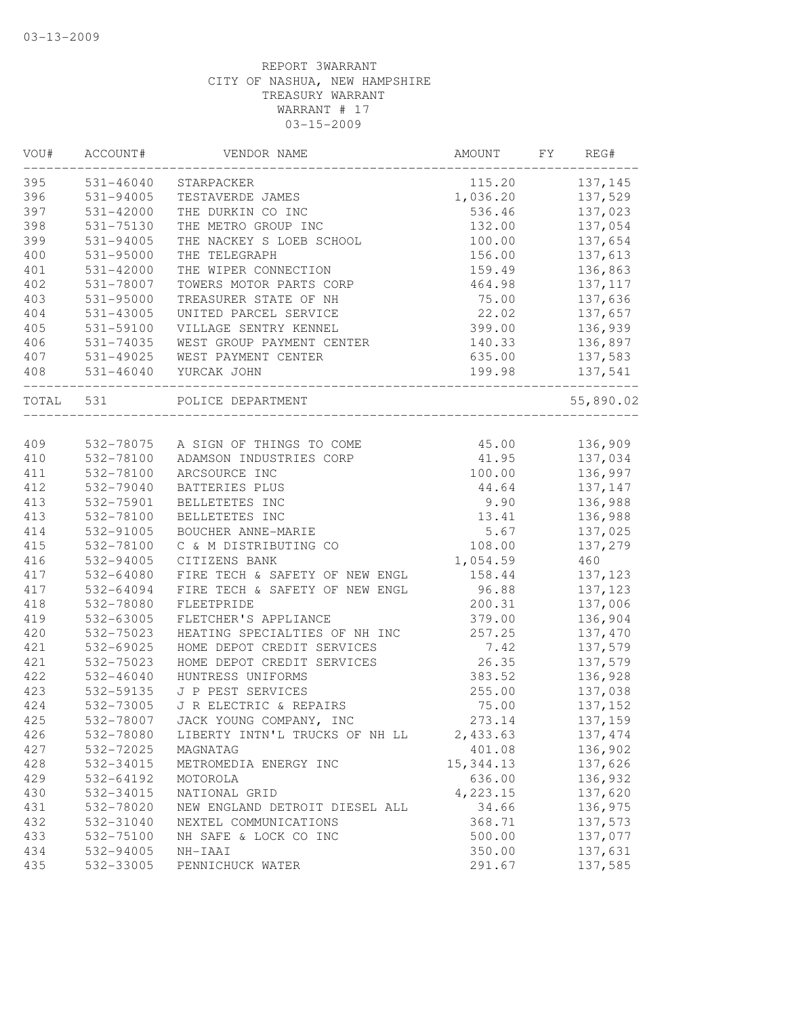| VOU#      | ACCOUNT#      | VENDOR NAME                        | AMOUNT     | FY | REG#      |
|-----------|---------------|------------------------------------|------------|----|-----------|
| 395       | 531-46040     | STARPACKER                         | 115.20     |    | 137,145   |
| 396       | 531-94005     | TESTAVERDE JAMES                   | 1,036.20   |    | 137,529   |
| 397       | 531-42000     | THE DURKIN CO INC                  | 536.46     |    | 137,023   |
| 398       | 531-75130     | THE METRO GROUP INC                | 132.00     |    | 137,054   |
| 399       | 531-94005     | THE NACKEY S LOEB SCHOOL           | 100.00     |    | 137,654   |
| 400       | 531-95000     | THE TELEGRAPH                      | 156.00     |    | 137,613   |
| 401       | $531 - 42000$ | THE WIPER CONNECTION               | 159.49     |    | 136,863   |
| 402       | 531-78007     | TOWERS MOTOR PARTS CORP            | 464.98     |    | 137, 117  |
| 403       | $531 - 95000$ | TREASURER STATE OF NH              | 75.00      |    | 137,636   |
| 404       | $531 - 43005$ | UNITED PARCEL SERVICE              | 22.02      |    | 137,657   |
| 405       | 531-59100     | VILLAGE SENTRY KENNEL              | 399.00     |    | 136,939   |
| 406       | 531-74035     | WEST GROUP PAYMENT CENTER          | 140.33     |    | 136,897   |
| 407       | 531-49025     | WEST PAYMENT CENTER                | 635.00     |    | 137,583   |
| 408       |               | 531-46040 YURCAK JOHN              | 199.98     |    | 137,541   |
| TOTAL 531 |               | POLICE DEPARTMENT                  |            |    | 55,890.02 |
|           |               |                                    |            |    |           |
| 409       | 532-78100     | 532-78075 A SIGN OF THINGS TO COME | 45.00      |    | 136,909   |
| 410       |               | ADAMSON INDUSTRIES CORP            | 41.95      |    | 137,034   |
| 411       | 532-78100     | ARCSOURCE INC                      | 100.00     |    | 136,997   |
| 412       | 532-79040     | BATTERIES PLUS                     | 44.64      |    | 137,147   |
| 413       | 532-75901     | BELLETETES INC                     | 9.90       |    | 136,988   |
| 413       | 532-78100     | BELLETETES INC                     | 13.41      |    | 136,988   |
| 414       | 532-91005     | BOUCHER ANNE-MARIE                 | 5.67       |    | 137,025   |
| 415       | 532-78100     | C & M DISTRIBUTING CO              | 108.00     |    | 137,279   |
| 416       | 532-94005     | CITIZENS BANK                      | 1,054.59   |    | 460       |
| 417       | 532-64080     | FIRE TECH & SAFETY OF NEW ENGL     | 158.44     |    | 137,123   |
| 417       | 532-64094     | FIRE TECH & SAFETY OF NEW ENGL     | 96.88      |    | 137, 123  |
| 418       | 532-78080     | FLEETPRIDE                         | 200.31     |    | 137,006   |
| 419       | 532-63005     | FLETCHER'S APPLIANCE               | 379.00     |    | 136,904   |
| 420       | 532-75023     | HEATING SPECIALTIES OF NH INC      | 257.25     |    | 137,470   |
| 421       | 532-69025     | HOME DEPOT CREDIT SERVICES         | 7.42       |    | 137,579   |
| 421       | 532-75023     | HOME DEPOT CREDIT SERVICES         | 26.35      |    | 137,579   |
| 422       | 532-46040     | HUNTRESS UNIFORMS                  | 383.52     |    | 136,928   |
| 423       | 532-59135     | J P PEST SERVICES                  | 255.00     |    | 137,038   |
| 424       | 532-73005     | J R ELECTRIC & REPAIRS             | 75.00      |    | 137,152   |
| 425       | 532-78007     | JACK YOUNG COMPANY, INC            | 273.14     |    | 137,159   |
| 426       | 532-78080     | LIBERTY INTN'L TRUCKS OF NH LL     | 2,433.63   |    | 137, 474  |
| 427       | 532-72025     | MAGNATAG                           | 401.08     |    | 136,902   |
| 428       | 532-34015     | METROMEDIA ENERGY INC              | 15, 344.13 |    | 137,626   |
| 429       | 532-64192     | MOTOROLA                           | 636.00     |    | 136,932   |
| 430       | 532-34015     | NATIONAL GRID                      | 4,223.15   |    | 137,620   |
| 431       | 532-78020     | NEW ENGLAND DETROIT DIESEL ALL     | 34.66      |    | 136,975   |
| 432       | 532-31040     | NEXTEL COMMUNICATIONS              | 368.71     |    | 137,573   |
| 433       | 532-75100     | NH SAFE & LOCK CO INC              | 500.00     |    | 137,077   |
| 434       | 532-94005     | NH-IAAI                            | 350.00     |    | 137,631   |
| 435       | 532-33005     | PENNICHUCK WATER                   | 291.67     |    | 137,585   |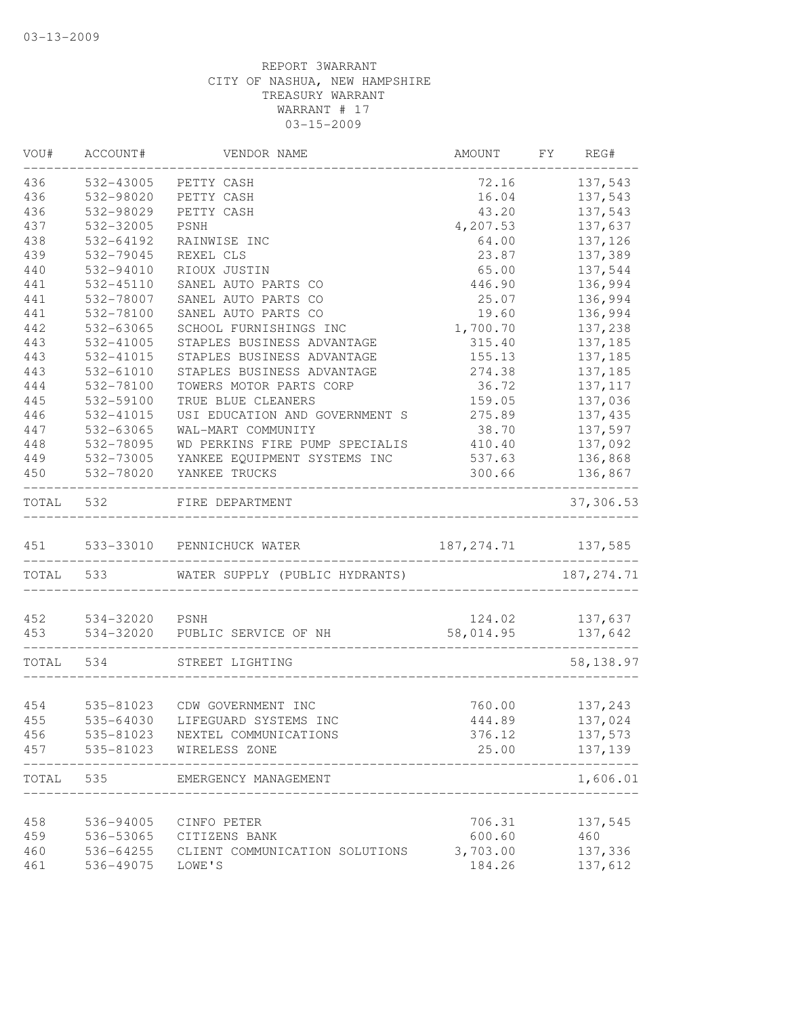| WOU#  | ACCOUNT#       | VENDOR NAME                     | AMOUNT      | FY | REG#        |
|-------|----------------|---------------------------------|-------------|----|-------------|
| 436   | 532-43005      | PETTY CASH                      | 72.16       |    | 137,543     |
| 436   | 532-98020      | PETTY CASH                      | 16.04       |    | 137,543     |
| 436   | 532-98029      | PETTY CASH                      | 43.20       |    | 137,543     |
| 437   | 532-32005      | PSNH                            | 4,207.53    |    | 137,637     |
| 438   | 532-64192      | RAINWISE INC                    | 64.00       |    | 137,126     |
| 439   | 532-79045      | REXEL CLS                       | 23.87       |    | 137,389     |
| 440   | 532-94010      | RIOUX JUSTIN                    | 65.00       |    | 137,544     |
| 441   | 532-45110      | SANEL AUTO PARTS CO             | 446.90      |    | 136,994     |
| 441   | 532-78007      | SANEL AUTO PARTS CO             | 25.07       |    | 136,994     |
| 441   | 532-78100      | SANEL AUTO PARTS CO             | 19.60       |    | 136,994     |
| 442   | 532-63065      | SCHOOL FURNISHINGS INC          | 1,700.70    |    | 137,238     |
| 443   | 532-41005      | STAPLES BUSINESS ADVANTAGE      | 315.40      |    | 137,185     |
| 443   | 532-41015      | STAPLES BUSINESS ADVANTAGE      | 155.13      |    | 137,185     |
| 443   | 532-61010      | STAPLES BUSINESS ADVANTAGE      | 274.38      |    | 137,185     |
| 444   | 532-78100      | TOWERS MOTOR PARTS CORP         | 36.72       |    | 137, 117    |
| 445   | 532-59100      | TRUE BLUE CLEANERS              | 159.05      |    | 137,036     |
| 446   | 532-41015      | USI EDUCATION AND GOVERNMENT S  | 275.89      |    | 137,435     |
| 447   | 532-63065      | WAL-MART COMMUNITY              | 38.70       |    | 137,597     |
| 448   | 532-78095      | WD PERKINS FIRE PUMP SPECIALIS  | 410.40      |    | 137,092     |
| 449   | 532-73005      | YANKEE EQUIPMENT SYSTEMS INC    | 537.63      |    | 136,868     |
| 450   | 532-78020      | YANKEE TRUCKS                   | 300.66      |    | 136,867     |
| TOTAL | 532            | FIRE DEPARTMENT                 |             |    | 37,306.53   |
| 451   |                | 533-33010 PENNICHUCK WATER      | 187, 274.71 |    | 137,585     |
| TOTAL | 533            | WATER SUPPLY (PUBLIC HYDRANTS)  |             |    | 187, 274.71 |
| 452   | 534-32020 PSNH |                                 | 124.02      |    | 137,637     |
| 453   | 534-32020      | PUBLIC SERVICE OF NH            | 58,014.95   |    | 137,642     |
|       |                |                                 |             |    |             |
| TOTAL | 534            | STREET LIGHTING                 |             |    | 58,138.97   |
| 454   |                | 535-81023 CDW GOVERNMENT INC    | 760.00      |    | 137,243     |
| 455   |                | 535-64030 LIFEGUARD SYSTEMS INC | 444.89      |    | 137,024     |
| 456   | 535-81023      | NEXTEL COMMUNICATIONS           | 376.12      |    | 137,573     |
|       |                |                                 |             |    |             |
| 457   | 535-81023      | WIRELESS ZONE                   | 25.00       |    | 137,139     |
| TOTAL | 535            | EMERGENCY MANAGEMENT            |             |    | 1,606.01    |
| 458   | 536-94005      | CINFO PETER                     | 706.31      |    | 137,545     |
| 459   | 536-53065      | CITIZENS BANK                   | 600.60      |    | 460         |
| 460   | 536-64255      | CLIENT COMMUNICATION SOLUTIONS  | 3,703.00    |    | 137,336     |
| 461   | 536-49075      | LOWE'S                          | 184.26      |    | 137,612     |
|       |                |                                 |             |    |             |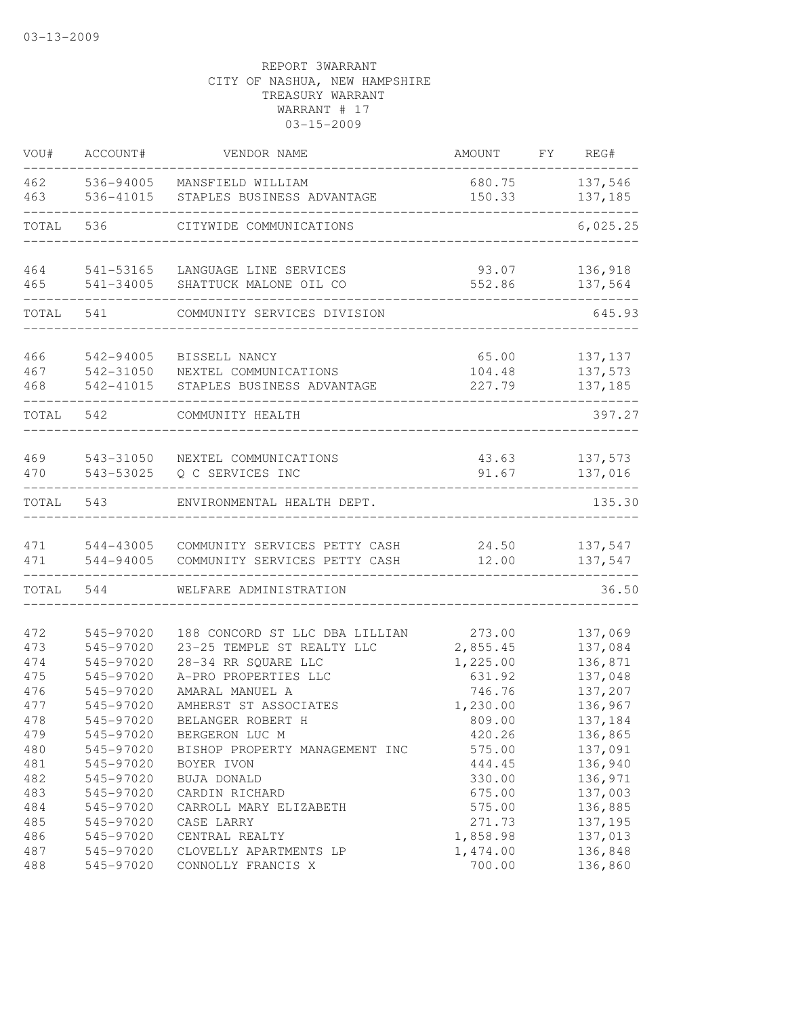| VOU#       | ACCOUNT#               | VENDOR NAME                               | <b>AMOUNT</b>  | FY | REG#               |
|------------|------------------------|-------------------------------------------|----------------|----|--------------------|
| 462        | 536-94005              | MANSFIELD WILLIAM                         | 680.75         |    | 137,546            |
| 463        | 536-41015              | STAPLES BUSINESS ADVANTAGE                | 150.33         |    | 137,185            |
| TOTAL      | 536                    | CITYWIDE COMMUNICATIONS                   |                |    | 6,025.25           |
| 464        | 541-53165              | LANGUAGE LINE SERVICES                    | 93.07          |    | 136,918            |
| 465        | 541-34005              | SHATTUCK MALONE OIL CO                    | 552.86         |    | 137,564            |
| TOTAL      | 541                    | COMMUNITY SERVICES DIVISION               |                |    | 645.93             |
| 466        | 542-94005              | BISSELL NANCY                             | 65.00          |    | 137, 137           |
| 467        | 542-31050              | NEXTEL COMMUNICATIONS                     | 104.48         |    | 137,573            |
| 468        | 542-41015              | STAPLES BUSINESS ADVANTAGE                | 227.79         |    | 137,185            |
| TOTAL      | 542                    | COMMUNITY HEALTH                          |                |    | 397.27             |
|            |                        |                                           |                |    |                    |
| 469<br>470 | 543-31050<br>543-53025 | NEXTEL COMMUNICATIONS<br>Q C SERVICES INC | 43.63<br>91.67 |    | 137,573<br>137,016 |
| TOTAL      | 543                    | ENVIRONMENTAL HEALTH DEPT.                |                |    | 135.30             |
| 471        | 544-43005              | COMMUNITY SERVICES PETTY CASH             | 24.50          |    | 137,547            |
| 471        | 544-94005              | COMMUNITY SERVICES PETTY CASH             | 12.00          |    | 137,547            |
| TOTAL      | 544                    | WELFARE ADMINISTRATION                    |                |    | 36.50              |
| 472        | 545-97020              | 188 CONCORD ST LLC DBA LILLIAN            | 273.00         |    | 137,069            |
| 473        | 545-97020              | 23-25 TEMPLE ST REALTY LLC                | 2,855.45       |    | 137,084            |
| 474        | 545-97020              | 28-34 RR SQUARE LLC                       | 1,225.00       |    | 136,871            |
| 475        | 545-97020              | A-PRO PROPERTIES LLC                      | 631.92         |    | 137,048            |
| 476        | 545-97020              | AMARAL MANUEL A                           | 746.76         |    | 137,207            |
| 477        | 545-97020              | AMHERST ST ASSOCIATES                     | 1,230.00       |    | 136,967            |
| 478        | 545-97020              | BELANGER ROBERT H                         | 809.00         |    | 137,184            |
| 479        | 545-97020              | BERGERON LUC M                            | 420.26         |    | 136,865            |
| 480        | 545-97020              | BISHOP PROPERTY MANAGEMENT INC            | 575.00         |    | 137,091            |
| 481        | 545-97020              | BOYER IVON                                | 444.45         |    | 136,940            |
| 482        | 545-97020              | BUJA DONALD                               | 330.00         |    | 136,971            |
| 483        | 545-97020              | CARDIN RICHARD                            | 675.00         |    | 137,003            |
| 484        | 545-97020              | CARROLL MARY ELIZABETH                    | 575.00         |    | 136,885            |
| 485        | 545-97020              | CASE LARRY                                | 271.73         |    | 137,195            |
| 486        | 545-97020              | CENTRAL REALTY                            | 1,858.98       |    | 137,013            |
| 487        | 545-97020              | CLOVELLY APARTMENTS LP                    | 1,474.00       |    | 136,848            |
| 488        | 545-97020              | CONNOLLY FRANCIS X                        | 700.00         |    | 136,860            |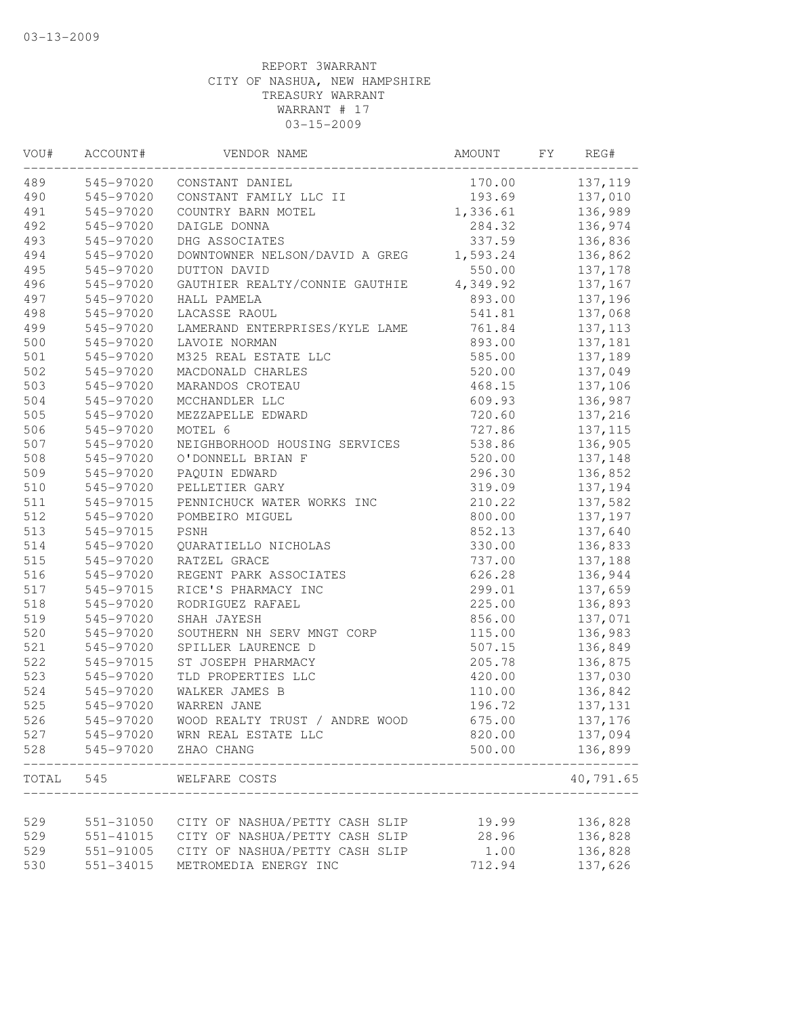| VOU#  | ACCOUNT#  | VENDOR NAME                    | AMOUNT   | FY | REG#      |
|-------|-----------|--------------------------------|----------|----|-----------|
| 489   | 545-97020 | CONSTANT DANIEL                | 170.00   |    | 137,119   |
| 490   | 545-97020 | CONSTANT FAMILY LLC II         | 193.69   |    | 137,010   |
| 491   | 545-97020 | COUNTRY BARN MOTEL             | 1,336.61 |    | 136,989   |
| 492   | 545-97020 | DAIGLE DONNA                   | 284.32   |    | 136,974   |
| 493   | 545-97020 | DHG ASSOCIATES                 | 337.59   |    | 136,836   |
| 494   | 545-97020 | DOWNTOWNER NELSON/DAVID A GREG | 1,593.24 |    | 136,862   |
| 495   | 545-97020 | DUTTON DAVID                   | 550.00   |    | 137,178   |
| 496   | 545-97020 | GAUTHIER REALTY/CONNIE GAUTHIE | 4,349.92 |    | 137,167   |
| 497   | 545-97020 | HALL PAMELA                    | 893.00   |    | 137,196   |
| 498   | 545-97020 | LACASSE RAOUL                  | 541.81   |    | 137,068   |
| 499   | 545-97020 | LAMERAND ENTERPRISES/KYLE LAME | 761.84   |    | 137, 113  |
| 500   | 545-97020 | LAVOIE NORMAN                  | 893.00   |    | 137,181   |
| 501   | 545-97020 | M325 REAL ESTATE LLC           | 585.00   |    | 137,189   |
| 502   | 545-97020 | MACDONALD CHARLES              | 520.00   |    | 137,049   |
| 503   | 545-97020 | MARANDOS CROTEAU               | 468.15   |    | 137,106   |
| 504   | 545-97020 | MCCHANDLER LLC                 | 609.93   |    | 136,987   |
| 505   | 545-97020 | MEZZAPELLE EDWARD              | 720.60   |    | 137,216   |
| 506   | 545-97020 | MOTEL 6                        | 727.86   |    | 137, 115  |
| 507   | 545-97020 | NEIGHBORHOOD HOUSING SERVICES  | 538.86   |    | 136,905   |
| 508   | 545-97020 | O'DONNELL BRIAN F              | 520.00   |    | 137,148   |
| 509   | 545-97020 | PAQUIN EDWARD                  | 296.30   |    | 136,852   |
| 510   | 545-97020 | PELLETIER GARY                 | 319.09   |    | 137,194   |
| 511   | 545-97015 | PENNICHUCK WATER WORKS INC     | 210.22   |    | 137,582   |
| 512   | 545-97020 | POMBEIRO MIGUEL                | 800.00   |    | 137,197   |
| 513   | 545-97015 | PSNH                           | 852.13   |    | 137,640   |
| 514   | 545-97020 | QUARATIELLO NICHOLAS           | 330.00   |    | 136,833   |
| 515   | 545-97020 | RATZEL GRACE                   | 737.00   |    | 137,188   |
| 516   | 545-97020 | REGENT PARK ASSOCIATES         | 626.28   |    | 136,944   |
| 517   | 545-97015 | RICE'S PHARMACY INC            | 299.01   |    | 137,659   |
| 518   | 545-97020 | RODRIGUEZ RAFAEL               | 225.00   |    | 136,893   |
| 519   | 545-97020 | SHAH JAYESH                    | 856.00   |    | 137,071   |
| 520   | 545-97020 | SOUTHERN NH SERV MNGT CORP     | 115.00   |    | 136,983   |
| 521   | 545-97020 | SPILLER LAURENCE D             | 507.15   |    | 136,849   |
| 522   | 545-97015 | ST JOSEPH PHARMACY             | 205.78   |    | 136,875   |
| 523   | 545-97020 | TLD PROPERTIES LLC             | 420.00   |    | 137,030   |
| 524   | 545-97020 | WALKER JAMES B                 | 110.00   |    | 136,842   |
| 525   | 545-97020 | WARREN JANE                    | 196.72   |    | 137,131   |
| 526   | 545-97020 | WOOD REALTY TRUST / ANDRE WOOD | 675.00   |    | 137,176   |
| 527   | 545-97020 | WRN REAL ESTATE LLC            | 820.00   |    | 137,094   |
| 528   | 545-97020 | ZHAO CHANG                     | 500.00   |    | 136,899   |
| TOTAL | 545       | WELFARE COSTS                  |          |    | 40,791.65 |
|       |           |                                |          |    |           |
| 529   | 551-31050 | CITY OF NASHUA/PETTY CASH SLIP | 19.99    |    | 136,828   |
| 529   | 551-41015 | CITY OF NASHUA/PETTY CASH SLIP | 28.96    |    | 136,828   |
| 529   | 551-91005 | CITY OF NASHUA/PETTY CASH SLIP | 1.00     |    | 136,828   |
| 530   | 551-34015 | METROMEDIA ENERGY INC          | 712.94   |    | 137,626   |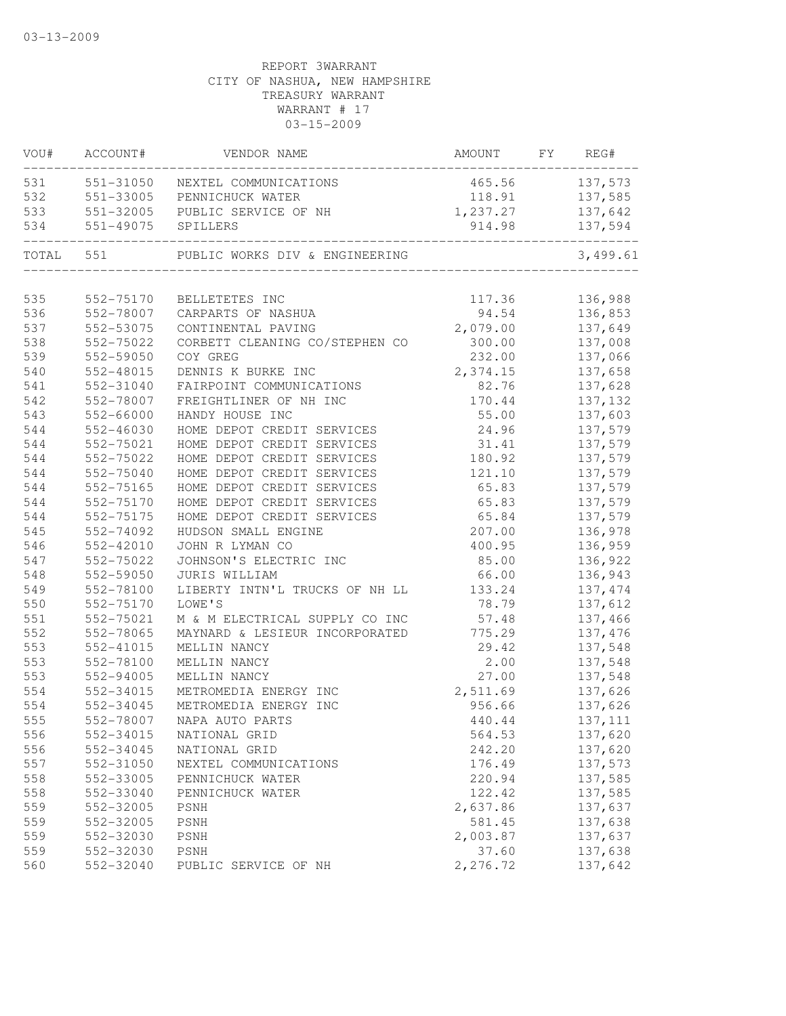| VOU#      | ACCOUNT#           | VENDOR NAME                                                        | AMOUNT FY REG# |          |
|-----------|--------------------|--------------------------------------------------------------------|----------------|----------|
| 531       |                    | 551-31050 NEXTEL COMMUNICATIONS                                    | 465.56         | 137,573  |
| 532       |                    | 551-33005 PENNICHUCK WATER                                         | 118.91         | 137,585  |
| 533       | 551-32005          | PUBLIC SERVICE OF NH                                               | 1,237.27       | 137,642  |
| 534       | 551-49075 SPILLERS |                                                                    | 914.98         | 137,594  |
| TOTAL 551 |                    | PUBLIC WORKS DIV & ENGINEERING<br>________________________________ |                | 3,499.61 |
| 535       | 552-75170          | BELLETETES INC                                                     | 117.36         | 136,988  |
| 536       | 552-78007          | CARPARTS OF NASHUA                                                 | 94.54          | 136,853  |
| 537       | 552-53075          | CONTINENTAL PAVING                                                 | 2,079.00       | 137,649  |
| 538       | 552-75022          | CORBETT CLEANING CO/STEPHEN CO                                     | 300.00         | 137,008  |
| 539       | 552-59050          | COY GREG                                                           | 232.00         | 137,066  |
| 540       | 552-48015          | DENNIS K BURKE INC                                                 | 2,374.15       | 137,658  |
| 541       | 552-31040          | FAIRPOINT COMMUNICATIONS                                           | 82.76          | 137,628  |
| 542       | 552-78007          | FREIGHTLINER OF NH INC                                             | 170.44         | 137,132  |
| 543       | 552-66000          | HANDY HOUSE INC                                                    | 55.00          | 137,603  |
| 544       | $552 - 46030$      | HOME DEPOT CREDIT SERVICES                                         | 24.96          | 137,579  |
| 544       | 552-75021          | HOME DEPOT CREDIT SERVICES                                         | 31.41          | 137,579  |
| 544       | 552-75022          | HOME DEPOT CREDIT SERVICES                                         | 180.92         | 137,579  |
| 544       | 552-75040          | HOME DEPOT CREDIT SERVICES                                         | 121.10         | 137,579  |
| 544       | 552-75165          | HOME DEPOT CREDIT SERVICES                                         | 65.83          | 137,579  |
| 544       | 552-75170          | HOME DEPOT CREDIT SERVICES                                         | 65.83          | 137,579  |
| 544       | 552-75175          | HOME DEPOT CREDIT SERVICES                                         | 65.84          | 137,579  |
| 545       | 552-74092          | HUDSON SMALL ENGINE                                                | 207.00         | 136,978  |
| 546       | 552-42010          | JOHN R LYMAN CO                                                    | 400.95         | 136,959  |
| 547       | 552-75022          | JOHNSON'S ELECTRIC INC                                             | 85.00          | 136,922  |
| 548       | 552-59050          | JURIS WILLIAM                                                      | 66.00          | 136,943  |
| 549       | 552-78100          | LIBERTY INTN'L TRUCKS OF NH LL                                     | 133.24         | 137, 474 |
| 550       | 552-75170          | LOWE'S                                                             | 78.79          | 137,612  |
| 551       | 552-75021          | M & M ELECTRICAL SUPPLY CO INC                                     | 57.48          | 137,466  |
| 552       | 552-78065          | MAYNARD & LESIEUR INCORPORATED                                     | 775.29         | 137,476  |
| 553       | 552-41015          | MELLIN NANCY                                                       | 29.42          | 137,548  |
| 553       | 552-78100          | MELLIN NANCY                                                       | 2.00           | 137,548  |
| 553       | 552-94005          | MELLIN NANCY                                                       | 27.00          | 137,548  |
| 554       | 552-34015          | METROMEDIA ENERGY INC                                              | 2,511.69       | 137,626  |
| 554       | 552-34045          | METROMEDIA ENERGY INC                                              | 956.66         | 137,626  |
| 555       |                    | 552-78007 NAPA AUTO PARTS                                          | 440.44         | 137, 111 |
| 556       | 552-34015          | NATIONAL GRID                                                      | 564.53         | 137,620  |
| 556       | 552-34045          | NATIONAL GRID                                                      | 242.20         | 137,620  |
| 557       | 552-31050          | NEXTEL COMMUNICATIONS                                              | 176.49         | 137,573  |
| 558       | 552-33005          | PENNICHUCK WATER                                                   | 220.94         | 137,585  |
| 558       | 552-33040          | PENNICHUCK WATER                                                   | 122.42         | 137,585  |
| 559       | 552-32005          | PSNH                                                               | 2,637.86       | 137,637  |
| 559       | 552-32005          | PSNH                                                               | 581.45         | 137,638  |
| 559       | 552-32030          | PSNH                                                               | 2,003.87       | 137,637  |
| 559       | 552-32030          | PSNH                                                               | 37.60          | 137,638  |
| 560       | 552-32040          | PUBLIC SERVICE OF NH                                               | 2,276.72       | 137,642  |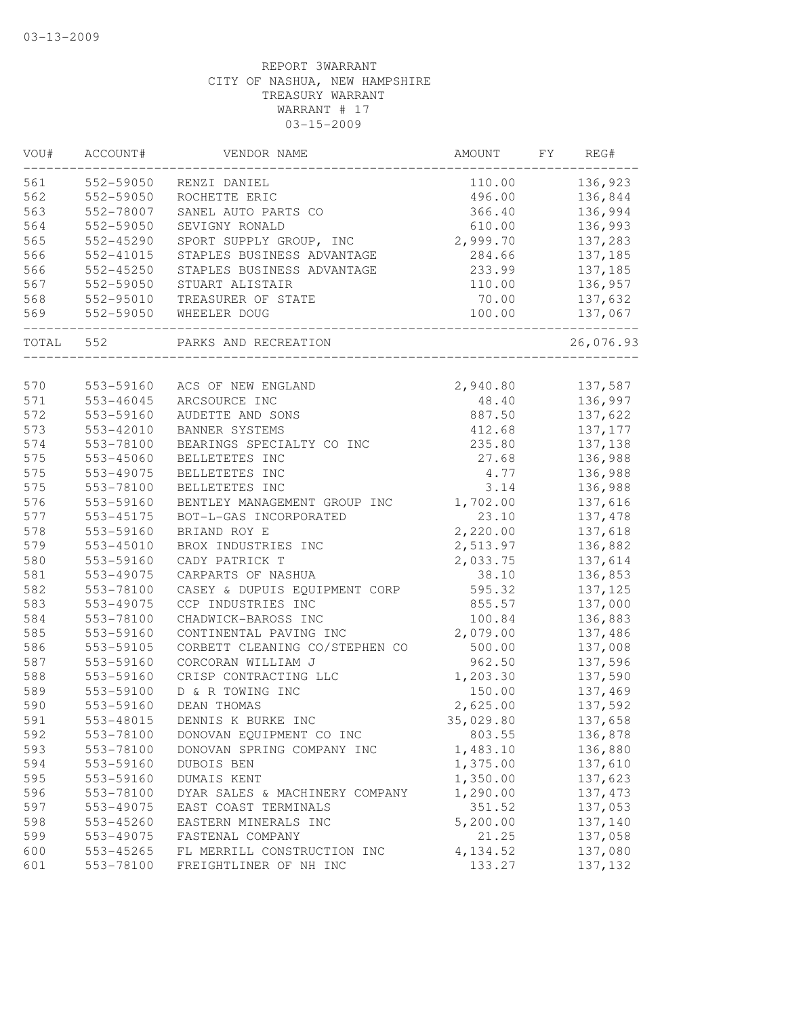| VOU#  | ACCOUNT#      | VENDOR NAME                    | AMOUNT    | FY | REG#      |
|-------|---------------|--------------------------------|-----------|----|-----------|
| 561   | 552-59050     | RENZI DANIEL                   | 110.00    |    | 136,923   |
| 562   | 552-59050     | ROCHETTE ERIC                  | 496.00    |    | 136,844   |
| 563   | 552-78007     | SANEL AUTO PARTS CO            | 366.40    |    | 136,994   |
| 564   | 552-59050     | SEVIGNY RONALD                 | 610.00    |    | 136,993   |
| 565   | 552-45290     | SPORT SUPPLY GROUP, INC        | 2,999.70  |    | 137,283   |
| 566   | 552-41015     | STAPLES BUSINESS ADVANTAGE     | 284.66    |    | 137,185   |
| 566   | 552-45250     | STAPLES BUSINESS ADVANTAGE     | 233.99    |    | 137,185   |
| 567   | 552-59050     | STUART ALISTAIR                | 110.00    |    | 136,957   |
| 568   | 552-95010     | TREASURER OF STATE             | 70.00     |    | 137,632   |
| 569   | 552-59050     | WHEELER DOUG                   | 100.00    |    | 137,067   |
| TOTAL | 552           | PARKS AND RECREATION           |           |    | 26,076.93 |
| 570   | 553-59160     | ACS OF NEW ENGLAND             | 2,940.80  |    | 137,587   |
| 571   | 553-46045     | ARCSOURCE INC                  | 48.40     |    | 136,997   |
| 572   | 553-59160     | AUDETTE AND SONS               | 887.50    |    | 137,622   |
| 573   | 553-42010     | BANNER SYSTEMS                 | 412.68    |    | 137,177   |
| 574   | 553-78100     | BEARINGS SPECIALTY CO INC      | 235.80    |    | 137,138   |
| 575   | $553 - 45060$ | BELLETETES INC                 | 27.68     |    | 136,988   |
| 575   | 553-49075     | BELLETETES INC                 | 4.77      |    | 136,988   |
| 575   | 553-78100     | BELLETETES INC                 | 3.14      |    | 136,988   |
| 576   | 553-59160     | BENTLEY MANAGEMENT GROUP INC   | 1,702.00  |    | 137,616   |
| 577   | 553-45175     | BOT-L-GAS INCORPORATED         | 23.10     |    | 137,478   |
| 578   | 553-59160     | BRIAND ROY E                   | 2,220.00  |    | 137,618   |
| 579   | 553-45010     | BROX INDUSTRIES INC            | 2,513.97  |    | 136,882   |
| 580   | 553-59160     | CADY PATRICK T                 | 2,033.75  |    | 137,614   |
| 581   | 553-49075     | CARPARTS OF NASHUA             | 38.10     |    | 136,853   |
| 582   | 553-78100     | CASEY & DUPUIS EQUIPMENT CORP  | 595.32    |    | 137,125   |
| 583   | 553-49075     | CCP INDUSTRIES INC             | 855.57    |    | 137,000   |
| 584   | 553-78100     | CHADWICK-BAROSS INC            | 100.84    |    | 136,883   |
| 585   | 553-59160     | CONTINENTAL PAVING INC         | 2,079.00  |    | 137,486   |
| 586   | 553-59105     | CORBETT CLEANING CO/STEPHEN CO | 500.00    |    | 137,008   |
| 587   | 553-59160     | CORCORAN WILLIAM J             | 962.50    |    | 137,596   |
| 588   | 553-59160     | CRISP CONTRACTING LLC          | 1,203.30  |    | 137,590   |
| 589   | 553-59100     | D & R TOWING INC               | 150.00    |    | 137,469   |
| 590   | 553-59160     | DEAN THOMAS                    | 2,625.00  |    | 137,592   |
| 591   | 553-48015     | DENNIS K BURKE INC             | 35,029.80 |    | 137,658   |
| 592   | 553-78100     | DONOVAN EQUIPMENT CO INC       | 803.55    |    | 136,878   |
| 593   | 553-78100     | DONOVAN SPRING COMPANY INC     | 1,483.10  |    | 136,880   |
| 594   | 553-59160     | DUBOIS BEN                     | 1,375.00  |    | 137,610   |
| 595   | 553-59160     | DUMAIS KENT                    | 1,350.00  |    | 137,623   |
| 596   | 553-78100     | DYAR SALES & MACHINERY COMPANY | 1,290.00  |    | 137, 473  |
| 597   | 553-49075     | EAST COAST TERMINALS           | 351.52    |    | 137,053   |
| 598   | 553-45260     | EASTERN MINERALS INC           | 5,200.00  |    | 137,140   |
| 599   | 553-49075     | FASTENAL COMPANY               | 21.25     |    | 137,058   |
| 600   | 553-45265     | FL MERRILL CONSTRUCTION INC    | 4,134.52  |    | 137,080   |
| 601   | 553-78100     | FREIGHTLINER OF NH INC         | 133.27    |    | 137,132   |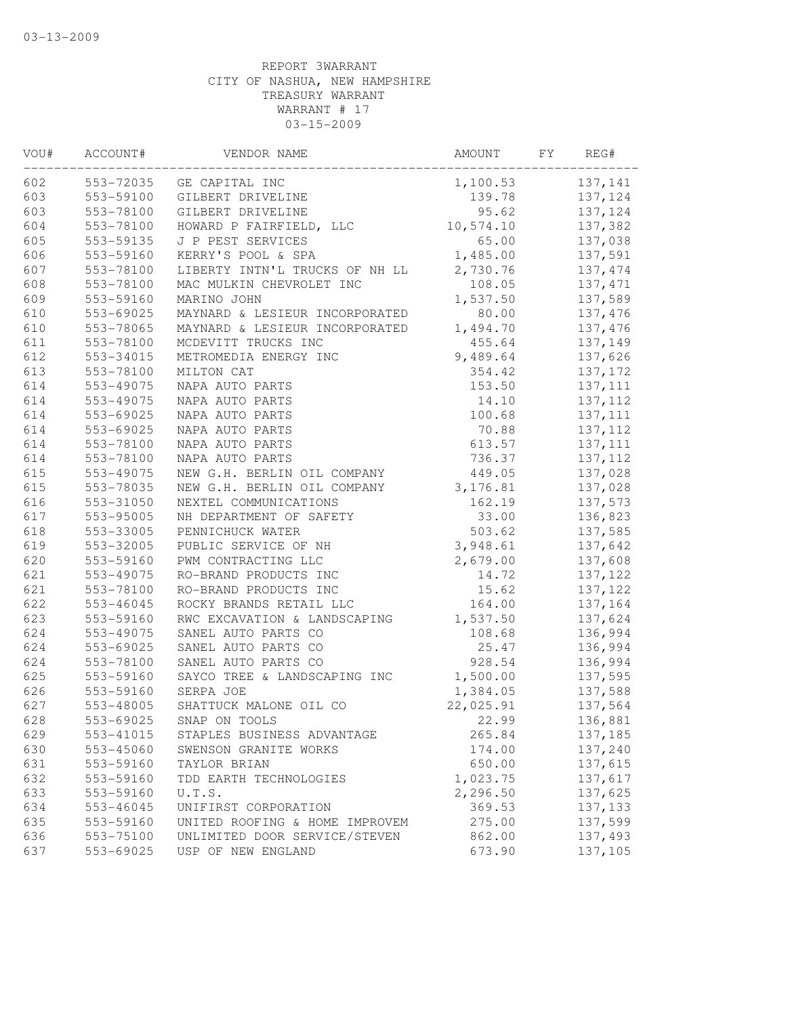| 553-72035<br>137,141<br>GE CAPITAL INC<br>1,100.53<br>553-59100<br>GILBERT DRIVELINE<br>139.78<br>137,124<br>603<br>553-78100<br>GILBERT DRIVELINE<br>95.62<br>137,124<br>604<br>553-78100<br>HOWARD P FAIRFIELD, LLC<br>10,574.10<br>137,382<br>605<br>553-59135<br>J P PEST SERVICES<br>65.00<br>137,038<br>606<br>553-59160<br>1,485.00<br>137,591<br>KERRY'S POOL & SPA<br>607<br>553-78100<br>2,730.76<br>LIBERTY INTN'L TRUCKS OF NH LL<br>137, 474<br>608<br>553-78100<br>MAC MULKIN CHEVROLET INC<br>108.05<br>137, 471<br>609<br>1,537.50<br>553-59160<br>MARINO JOHN<br>137,589<br>610<br>80.00<br>553-69025<br>MAYNARD & LESIEUR INCORPORATED<br>137,476<br>610<br>553-78065<br>MAYNARD & LESIEUR INCORPORATED<br>1,494.70<br>137,476<br>611<br>553-78100<br>MCDEVITT TRUCKS INC<br>455.64<br>137,149<br>612<br>553-34015<br>METROMEDIA ENERGY INC<br>9,489.64<br>137,626<br>613<br>553-78100<br>MILTON CAT<br>354.42<br>137,172<br>614<br>553-49075<br>NAPA AUTO PARTS<br>137, 111<br>153.50<br>137, 112<br>614<br>553-49075<br>NAPA AUTO PARTS<br>14.10<br>614<br>553-69025<br>NAPA AUTO PARTS<br>100.68<br>137, 111<br>614<br>553-69025<br>NAPA AUTO PARTS<br>70.88<br>137, 112<br>614<br>553-78100<br>NAPA AUTO PARTS<br>613.57<br>137, 111<br>614<br>553-78100<br>NAPA AUTO PARTS<br>736.37<br>137, 112<br>615<br>553-49075<br>NEW G.H. BERLIN OIL COMPANY<br>449.05<br>137,028<br>615<br>553-78035<br>NEW G.H. BERLIN OIL COMPANY<br>3, 176.81<br>137,028<br>616<br>553-31050<br>NEXTEL COMMUNICATIONS<br>162.19<br>137,573<br>617<br>553-95005<br>NH DEPARTMENT OF SAFETY<br>33.00<br>136,823<br>618<br>553-33005<br>503.62<br>137,585<br>PENNICHUCK WATER<br>619<br>3,948.61<br>553-32005<br>PUBLIC SERVICE OF NH<br>137,642<br>620<br>2,679.00<br>553-59160<br>PWM CONTRACTING LLC<br>137,608<br>621<br>553-49075<br>RO-BRAND PRODUCTS INC<br>14.72<br>137,122<br>621<br>RO-BRAND PRODUCTS INC<br>553-78100<br>15.62<br>137,122<br>622<br>553-46045<br>ROCKY BRANDS RETAIL LLC<br>164.00<br>137,164<br>623<br>553-59160<br>RWC EXCAVATION & LANDSCAPING<br>1,537.50<br>137,624<br>624<br>553-49075<br>SANEL AUTO PARTS CO<br>108.68<br>136,994<br>624<br>553-69025<br>SANEL AUTO PARTS CO<br>25.47<br>136,994<br>624<br>553-78100<br>SANEL AUTO PARTS CO<br>928.54<br>136,994<br>625<br>1,500.00<br>137,595<br>553-59160<br>SAYCO TREE & LANDSCAPING INC<br>626<br>1,384.05<br>553-59160<br>SERPA JOE<br>137,588<br>627<br>553-48005<br>SHATTUCK MALONE OIL CO<br>22,025.91<br>137,564<br>628<br>553-69025<br>SNAP ON TOOLS<br>22.99<br>136,881<br>629<br>553-41015<br>STAPLES BUSINESS ADVANTAGE<br>265.84<br>137,185<br>630<br>553-45060<br>174.00<br>SWENSON GRANITE WORKS<br>137,240<br>631<br>553-59160<br>650.00<br>137,615<br>TAYLOR BRIAN<br>1,023.75<br>632<br>553-59160<br>137,617<br>TDD EARTH TECHNOLOGIES<br>633<br>2,296.50<br>137,625<br>553-59160<br>U.T.S.<br>369.53<br>137,133<br>634<br>$553 - 46045$<br>UNIFIRST CORPORATION<br>635<br>553-59160<br>UNITED ROOFING & HOME IMPROVEM<br>275.00<br>137,599<br>636<br>553-75100<br>UNLIMITED DOOR SERVICE/STEVEN<br>862.00<br>137,493<br>637<br>553-69025<br>USP OF NEW ENGLAND<br>673.90<br>137,105 | VOU# | ACCOUNT# | VENDOR NAME | AMOUNT | FY | REG# |
|------------------------------------------------------------------------------------------------------------------------------------------------------------------------------------------------------------------------------------------------------------------------------------------------------------------------------------------------------------------------------------------------------------------------------------------------------------------------------------------------------------------------------------------------------------------------------------------------------------------------------------------------------------------------------------------------------------------------------------------------------------------------------------------------------------------------------------------------------------------------------------------------------------------------------------------------------------------------------------------------------------------------------------------------------------------------------------------------------------------------------------------------------------------------------------------------------------------------------------------------------------------------------------------------------------------------------------------------------------------------------------------------------------------------------------------------------------------------------------------------------------------------------------------------------------------------------------------------------------------------------------------------------------------------------------------------------------------------------------------------------------------------------------------------------------------------------------------------------------------------------------------------------------------------------------------------------------------------------------------------------------------------------------------------------------------------------------------------------------------------------------------------------------------------------------------------------------------------------------------------------------------------------------------------------------------------------------------------------------------------------------------------------------------------------------------------------------------------------------------------------------------------------------------------------------------------------------------------------------------------------------------------------------------------------------------------------------------------------------------------------------------------------------------------------------------------------------------------------------------------------------------------------------------------------------------------------------------------------------------------------------------------------------------------------------------------------------------------------------------------------------------------------------------------------------------|------|----------|-------------|--------|----|------|
|                                                                                                                                                                                                                                                                                                                                                                                                                                                                                                                                                                                                                                                                                                                                                                                                                                                                                                                                                                                                                                                                                                                                                                                                                                                                                                                                                                                                                                                                                                                                                                                                                                                                                                                                                                                                                                                                                                                                                                                                                                                                                                                                                                                                                                                                                                                                                                                                                                                                                                                                                                                                                                                                                                                                                                                                                                                                                                                                                                                                                                                                                                                                                                                          | 602  |          |             |        |    |      |
|                                                                                                                                                                                                                                                                                                                                                                                                                                                                                                                                                                                                                                                                                                                                                                                                                                                                                                                                                                                                                                                                                                                                                                                                                                                                                                                                                                                                                                                                                                                                                                                                                                                                                                                                                                                                                                                                                                                                                                                                                                                                                                                                                                                                                                                                                                                                                                                                                                                                                                                                                                                                                                                                                                                                                                                                                                                                                                                                                                                                                                                                                                                                                                                          | 603  |          |             |        |    |      |
|                                                                                                                                                                                                                                                                                                                                                                                                                                                                                                                                                                                                                                                                                                                                                                                                                                                                                                                                                                                                                                                                                                                                                                                                                                                                                                                                                                                                                                                                                                                                                                                                                                                                                                                                                                                                                                                                                                                                                                                                                                                                                                                                                                                                                                                                                                                                                                                                                                                                                                                                                                                                                                                                                                                                                                                                                                                                                                                                                                                                                                                                                                                                                                                          |      |          |             |        |    |      |
|                                                                                                                                                                                                                                                                                                                                                                                                                                                                                                                                                                                                                                                                                                                                                                                                                                                                                                                                                                                                                                                                                                                                                                                                                                                                                                                                                                                                                                                                                                                                                                                                                                                                                                                                                                                                                                                                                                                                                                                                                                                                                                                                                                                                                                                                                                                                                                                                                                                                                                                                                                                                                                                                                                                                                                                                                                                                                                                                                                                                                                                                                                                                                                                          |      |          |             |        |    |      |
|                                                                                                                                                                                                                                                                                                                                                                                                                                                                                                                                                                                                                                                                                                                                                                                                                                                                                                                                                                                                                                                                                                                                                                                                                                                                                                                                                                                                                                                                                                                                                                                                                                                                                                                                                                                                                                                                                                                                                                                                                                                                                                                                                                                                                                                                                                                                                                                                                                                                                                                                                                                                                                                                                                                                                                                                                                                                                                                                                                                                                                                                                                                                                                                          |      |          |             |        |    |      |
|                                                                                                                                                                                                                                                                                                                                                                                                                                                                                                                                                                                                                                                                                                                                                                                                                                                                                                                                                                                                                                                                                                                                                                                                                                                                                                                                                                                                                                                                                                                                                                                                                                                                                                                                                                                                                                                                                                                                                                                                                                                                                                                                                                                                                                                                                                                                                                                                                                                                                                                                                                                                                                                                                                                                                                                                                                                                                                                                                                                                                                                                                                                                                                                          |      |          |             |        |    |      |
|                                                                                                                                                                                                                                                                                                                                                                                                                                                                                                                                                                                                                                                                                                                                                                                                                                                                                                                                                                                                                                                                                                                                                                                                                                                                                                                                                                                                                                                                                                                                                                                                                                                                                                                                                                                                                                                                                                                                                                                                                                                                                                                                                                                                                                                                                                                                                                                                                                                                                                                                                                                                                                                                                                                                                                                                                                                                                                                                                                                                                                                                                                                                                                                          |      |          |             |        |    |      |
|                                                                                                                                                                                                                                                                                                                                                                                                                                                                                                                                                                                                                                                                                                                                                                                                                                                                                                                                                                                                                                                                                                                                                                                                                                                                                                                                                                                                                                                                                                                                                                                                                                                                                                                                                                                                                                                                                                                                                                                                                                                                                                                                                                                                                                                                                                                                                                                                                                                                                                                                                                                                                                                                                                                                                                                                                                                                                                                                                                                                                                                                                                                                                                                          |      |          |             |        |    |      |
|                                                                                                                                                                                                                                                                                                                                                                                                                                                                                                                                                                                                                                                                                                                                                                                                                                                                                                                                                                                                                                                                                                                                                                                                                                                                                                                                                                                                                                                                                                                                                                                                                                                                                                                                                                                                                                                                                                                                                                                                                                                                                                                                                                                                                                                                                                                                                                                                                                                                                                                                                                                                                                                                                                                                                                                                                                                                                                                                                                                                                                                                                                                                                                                          |      |          |             |        |    |      |
|                                                                                                                                                                                                                                                                                                                                                                                                                                                                                                                                                                                                                                                                                                                                                                                                                                                                                                                                                                                                                                                                                                                                                                                                                                                                                                                                                                                                                                                                                                                                                                                                                                                                                                                                                                                                                                                                                                                                                                                                                                                                                                                                                                                                                                                                                                                                                                                                                                                                                                                                                                                                                                                                                                                                                                                                                                                                                                                                                                                                                                                                                                                                                                                          |      |          |             |        |    |      |
|                                                                                                                                                                                                                                                                                                                                                                                                                                                                                                                                                                                                                                                                                                                                                                                                                                                                                                                                                                                                                                                                                                                                                                                                                                                                                                                                                                                                                                                                                                                                                                                                                                                                                                                                                                                                                                                                                                                                                                                                                                                                                                                                                                                                                                                                                                                                                                                                                                                                                                                                                                                                                                                                                                                                                                                                                                                                                                                                                                                                                                                                                                                                                                                          |      |          |             |        |    |      |
|                                                                                                                                                                                                                                                                                                                                                                                                                                                                                                                                                                                                                                                                                                                                                                                                                                                                                                                                                                                                                                                                                                                                                                                                                                                                                                                                                                                                                                                                                                                                                                                                                                                                                                                                                                                                                                                                                                                                                                                                                                                                                                                                                                                                                                                                                                                                                                                                                                                                                                                                                                                                                                                                                                                                                                                                                                                                                                                                                                                                                                                                                                                                                                                          |      |          |             |        |    |      |
|                                                                                                                                                                                                                                                                                                                                                                                                                                                                                                                                                                                                                                                                                                                                                                                                                                                                                                                                                                                                                                                                                                                                                                                                                                                                                                                                                                                                                                                                                                                                                                                                                                                                                                                                                                                                                                                                                                                                                                                                                                                                                                                                                                                                                                                                                                                                                                                                                                                                                                                                                                                                                                                                                                                                                                                                                                                                                                                                                                                                                                                                                                                                                                                          |      |          |             |        |    |      |
|                                                                                                                                                                                                                                                                                                                                                                                                                                                                                                                                                                                                                                                                                                                                                                                                                                                                                                                                                                                                                                                                                                                                                                                                                                                                                                                                                                                                                                                                                                                                                                                                                                                                                                                                                                                                                                                                                                                                                                                                                                                                                                                                                                                                                                                                                                                                                                                                                                                                                                                                                                                                                                                                                                                                                                                                                                                                                                                                                                                                                                                                                                                                                                                          |      |          |             |        |    |      |
|                                                                                                                                                                                                                                                                                                                                                                                                                                                                                                                                                                                                                                                                                                                                                                                                                                                                                                                                                                                                                                                                                                                                                                                                                                                                                                                                                                                                                                                                                                                                                                                                                                                                                                                                                                                                                                                                                                                                                                                                                                                                                                                                                                                                                                                                                                                                                                                                                                                                                                                                                                                                                                                                                                                                                                                                                                                                                                                                                                                                                                                                                                                                                                                          |      |          |             |        |    |      |
|                                                                                                                                                                                                                                                                                                                                                                                                                                                                                                                                                                                                                                                                                                                                                                                                                                                                                                                                                                                                                                                                                                                                                                                                                                                                                                                                                                                                                                                                                                                                                                                                                                                                                                                                                                                                                                                                                                                                                                                                                                                                                                                                                                                                                                                                                                                                                                                                                                                                                                                                                                                                                                                                                                                                                                                                                                                                                                                                                                                                                                                                                                                                                                                          |      |          |             |        |    |      |
|                                                                                                                                                                                                                                                                                                                                                                                                                                                                                                                                                                                                                                                                                                                                                                                                                                                                                                                                                                                                                                                                                                                                                                                                                                                                                                                                                                                                                                                                                                                                                                                                                                                                                                                                                                                                                                                                                                                                                                                                                                                                                                                                                                                                                                                                                                                                                                                                                                                                                                                                                                                                                                                                                                                                                                                                                                                                                                                                                                                                                                                                                                                                                                                          |      |          |             |        |    |      |
|                                                                                                                                                                                                                                                                                                                                                                                                                                                                                                                                                                                                                                                                                                                                                                                                                                                                                                                                                                                                                                                                                                                                                                                                                                                                                                                                                                                                                                                                                                                                                                                                                                                                                                                                                                                                                                                                                                                                                                                                                                                                                                                                                                                                                                                                                                                                                                                                                                                                                                                                                                                                                                                                                                                                                                                                                                                                                                                                                                                                                                                                                                                                                                                          |      |          |             |        |    |      |
|                                                                                                                                                                                                                                                                                                                                                                                                                                                                                                                                                                                                                                                                                                                                                                                                                                                                                                                                                                                                                                                                                                                                                                                                                                                                                                                                                                                                                                                                                                                                                                                                                                                                                                                                                                                                                                                                                                                                                                                                                                                                                                                                                                                                                                                                                                                                                                                                                                                                                                                                                                                                                                                                                                                                                                                                                                                                                                                                                                                                                                                                                                                                                                                          |      |          |             |        |    |      |
|                                                                                                                                                                                                                                                                                                                                                                                                                                                                                                                                                                                                                                                                                                                                                                                                                                                                                                                                                                                                                                                                                                                                                                                                                                                                                                                                                                                                                                                                                                                                                                                                                                                                                                                                                                                                                                                                                                                                                                                                                                                                                                                                                                                                                                                                                                                                                                                                                                                                                                                                                                                                                                                                                                                                                                                                                                                                                                                                                                                                                                                                                                                                                                                          |      |          |             |        |    |      |
|                                                                                                                                                                                                                                                                                                                                                                                                                                                                                                                                                                                                                                                                                                                                                                                                                                                                                                                                                                                                                                                                                                                                                                                                                                                                                                                                                                                                                                                                                                                                                                                                                                                                                                                                                                                                                                                                                                                                                                                                                                                                                                                                                                                                                                                                                                                                                                                                                                                                                                                                                                                                                                                                                                                                                                                                                                                                                                                                                                                                                                                                                                                                                                                          |      |          |             |        |    |      |
|                                                                                                                                                                                                                                                                                                                                                                                                                                                                                                                                                                                                                                                                                                                                                                                                                                                                                                                                                                                                                                                                                                                                                                                                                                                                                                                                                                                                                                                                                                                                                                                                                                                                                                                                                                                                                                                                                                                                                                                                                                                                                                                                                                                                                                                                                                                                                                                                                                                                                                                                                                                                                                                                                                                                                                                                                                                                                                                                                                                                                                                                                                                                                                                          |      |          |             |        |    |      |
|                                                                                                                                                                                                                                                                                                                                                                                                                                                                                                                                                                                                                                                                                                                                                                                                                                                                                                                                                                                                                                                                                                                                                                                                                                                                                                                                                                                                                                                                                                                                                                                                                                                                                                                                                                                                                                                                                                                                                                                                                                                                                                                                                                                                                                                                                                                                                                                                                                                                                                                                                                                                                                                                                                                                                                                                                                                                                                                                                                                                                                                                                                                                                                                          |      |          |             |        |    |      |
|                                                                                                                                                                                                                                                                                                                                                                                                                                                                                                                                                                                                                                                                                                                                                                                                                                                                                                                                                                                                                                                                                                                                                                                                                                                                                                                                                                                                                                                                                                                                                                                                                                                                                                                                                                                                                                                                                                                                                                                                                                                                                                                                                                                                                                                                                                                                                                                                                                                                                                                                                                                                                                                                                                                                                                                                                                                                                                                                                                                                                                                                                                                                                                                          |      |          |             |        |    |      |
|                                                                                                                                                                                                                                                                                                                                                                                                                                                                                                                                                                                                                                                                                                                                                                                                                                                                                                                                                                                                                                                                                                                                                                                                                                                                                                                                                                                                                                                                                                                                                                                                                                                                                                                                                                                                                                                                                                                                                                                                                                                                                                                                                                                                                                                                                                                                                                                                                                                                                                                                                                                                                                                                                                                                                                                                                                                                                                                                                                                                                                                                                                                                                                                          |      |          |             |        |    |      |
|                                                                                                                                                                                                                                                                                                                                                                                                                                                                                                                                                                                                                                                                                                                                                                                                                                                                                                                                                                                                                                                                                                                                                                                                                                                                                                                                                                                                                                                                                                                                                                                                                                                                                                                                                                                                                                                                                                                                                                                                                                                                                                                                                                                                                                                                                                                                                                                                                                                                                                                                                                                                                                                                                                                                                                                                                                                                                                                                                                                                                                                                                                                                                                                          |      |          |             |        |    |      |
|                                                                                                                                                                                                                                                                                                                                                                                                                                                                                                                                                                                                                                                                                                                                                                                                                                                                                                                                                                                                                                                                                                                                                                                                                                                                                                                                                                                                                                                                                                                                                                                                                                                                                                                                                                                                                                                                                                                                                                                                                                                                                                                                                                                                                                                                                                                                                                                                                                                                                                                                                                                                                                                                                                                                                                                                                                                                                                                                                                                                                                                                                                                                                                                          |      |          |             |        |    |      |
|                                                                                                                                                                                                                                                                                                                                                                                                                                                                                                                                                                                                                                                                                                                                                                                                                                                                                                                                                                                                                                                                                                                                                                                                                                                                                                                                                                                                                                                                                                                                                                                                                                                                                                                                                                                                                                                                                                                                                                                                                                                                                                                                                                                                                                                                                                                                                                                                                                                                                                                                                                                                                                                                                                                                                                                                                                                                                                                                                                                                                                                                                                                                                                                          |      |          |             |        |    |      |
|                                                                                                                                                                                                                                                                                                                                                                                                                                                                                                                                                                                                                                                                                                                                                                                                                                                                                                                                                                                                                                                                                                                                                                                                                                                                                                                                                                                                                                                                                                                                                                                                                                                                                                                                                                                                                                                                                                                                                                                                                                                                                                                                                                                                                                                                                                                                                                                                                                                                                                                                                                                                                                                                                                                                                                                                                                                                                                                                                                                                                                                                                                                                                                                          |      |          |             |        |    |      |
|                                                                                                                                                                                                                                                                                                                                                                                                                                                                                                                                                                                                                                                                                                                                                                                                                                                                                                                                                                                                                                                                                                                                                                                                                                                                                                                                                                                                                                                                                                                                                                                                                                                                                                                                                                                                                                                                                                                                                                                                                                                                                                                                                                                                                                                                                                                                                                                                                                                                                                                                                                                                                                                                                                                                                                                                                                                                                                                                                                                                                                                                                                                                                                                          |      |          |             |        |    |      |
|                                                                                                                                                                                                                                                                                                                                                                                                                                                                                                                                                                                                                                                                                                                                                                                                                                                                                                                                                                                                                                                                                                                                                                                                                                                                                                                                                                                                                                                                                                                                                                                                                                                                                                                                                                                                                                                                                                                                                                                                                                                                                                                                                                                                                                                                                                                                                                                                                                                                                                                                                                                                                                                                                                                                                                                                                                                                                                                                                                                                                                                                                                                                                                                          |      |          |             |        |    |      |
|                                                                                                                                                                                                                                                                                                                                                                                                                                                                                                                                                                                                                                                                                                                                                                                                                                                                                                                                                                                                                                                                                                                                                                                                                                                                                                                                                                                                                                                                                                                                                                                                                                                                                                                                                                                                                                                                                                                                                                                                                                                                                                                                                                                                                                                                                                                                                                                                                                                                                                                                                                                                                                                                                                                                                                                                                                                                                                                                                                                                                                                                                                                                                                                          |      |          |             |        |    |      |
|                                                                                                                                                                                                                                                                                                                                                                                                                                                                                                                                                                                                                                                                                                                                                                                                                                                                                                                                                                                                                                                                                                                                                                                                                                                                                                                                                                                                                                                                                                                                                                                                                                                                                                                                                                                                                                                                                                                                                                                                                                                                                                                                                                                                                                                                                                                                                                                                                                                                                                                                                                                                                                                                                                                                                                                                                                                                                                                                                                                                                                                                                                                                                                                          |      |          |             |        |    |      |
|                                                                                                                                                                                                                                                                                                                                                                                                                                                                                                                                                                                                                                                                                                                                                                                                                                                                                                                                                                                                                                                                                                                                                                                                                                                                                                                                                                                                                                                                                                                                                                                                                                                                                                                                                                                                                                                                                                                                                                                                                                                                                                                                                                                                                                                                                                                                                                                                                                                                                                                                                                                                                                                                                                                                                                                                                                                                                                                                                                                                                                                                                                                                                                                          |      |          |             |        |    |      |
|                                                                                                                                                                                                                                                                                                                                                                                                                                                                                                                                                                                                                                                                                                                                                                                                                                                                                                                                                                                                                                                                                                                                                                                                                                                                                                                                                                                                                                                                                                                                                                                                                                                                                                                                                                                                                                                                                                                                                                                                                                                                                                                                                                                                                                                                                                                                                                                                                                                                                                                                                                                                                                                                                                                                                                                                                                                                                                                                                                                                                                                                                                                                                                                          |      |          |             |        |    |      |
|                                                                                                                                                                                                                                                                                                                                                                                                                                                                                                                                                                                                                                                                                                                                                                                                                                                                                                                                                                                                                                                                                                                                                                                                                                                                                                                                                                                                                                                                                                                                                                                                                                                                                                                                                                                                                                                                                                                                                                                                                                                                                                                                                                                                                                                                                                                                                                                                                                                                                                                                                                                                                                                                                                                                                                                                                                                                                                                                                                                                                                                                                                                                                                                          |      |          |             |        |    |      |
|                                                                                                                                                                                                                                                                                                                                                                                                                                                                                                                                                                                                                                                                                                                                                                                                                                                                                                                                                                                                                                                                                                                                                                                                                                                                                                                                                                                                                                                                                                                                                                                                                                                                                                                                                                                                                                                                                                                                                                                                                                                                                                                                                                                                                                                                                                                                                                                                                                                                                                                                                                                                                                                                                                                                                                                                                                                                                                                                                                                                                                                                                                                                                                                          |      |          |             |        |    |      |
|                                                                                                                                                                                                                                                                                                                                                                                                                                                                                                                                                                                                                                                                                                                                                                                                                                                                                                                                                                                                                                                                                                                                                                                                                                                                                                                                                                                                                                                                                                                                                                                                                                                                                                                                                                                                                                                                                                                                                                                                                                                                                                                                                                                                                                                                                                                                                                                                                                                                                                                                                                                                                                                                                                                                                                                                                                                                                                                                                                                                                                                                                                                                                                                          |      |          |             |        |    |      |
|                                                                                                                                                                                                                                                                                                                                                                                                                                                                                                                                                                                                                                                                                                                                                                                                                                                                                                                                                                                                                                                                                                                                                                                                                                                                                                                                                                                                                                                                                                                                                                                                                                                                                                                                                                                                                                                                                                                                                                                                                                                                                                                                                                                                                                                                                                                                                                                                                                                                                                                                                                                                                                                                                                                                                                                                                                                                                                                                                                                                                                                                                                                                                                                          |      |          |             |        |    |      |
|                                                                                                                                                                                                                                                                                                                                                                                                                                                                                                                                                                                                                                                                                                                                                                                                                                                                                                                                                                                                                                                                                                                                                                                                                                                                                                                                                                                                                                                                                                                                                                                                                                                                                                                                                                                                                                                                                                                                                                                                                                                                                                                                                                                                                                                                                                                                                                                                                                                                                                                                                                                                                                                                                                                                                                                                                                                                                                                                                                                                                                                                                                                                                                                          |      |          |             |        |    |      |
|                                                                                                                                                                                                                                                                                                                                                                                                                                                                                                                                                                                                                                                                                                                                                                                                                                                                                                                                                                                                                                                                                                                                                                                                                                                                                                                                                                                                                                                                                                                                                                                                                                                                                                                                                                                                                                                                                                                                                                                                                                                                                                                                                                                                                                                                                                                                                                                                                                                                                                                                                                                                                                                                                                                                                                                                                                                                                                                                                                                                                                                                                                                                                                                          |      |          |             |        |    |      |
|                                                                                                                                                                                                                                                                                                                                                                                                                                                                                                                                                                                                                                                                                                                                                                                                                                                                                                                                                                                                                                                                                                                                                                                                                                                                                                                                                                                                                                                                                                                                                                                                                                                                                                                                                                                                                                                                                                                                                                                                                                                                                                                                                                                                                                                                                                                                                                                                                                                                                                                                                                                                                                                                                                                                                                                                                                                                                                                                                                                                                                                                                                                                                                                          |      |          |             |        |    |      |
|                                                                                                                                                                                                                                                                                                                                                                                                                                                                                                                                                                                                                                                                                                                                                                                                                                                                                                                                                                                                                                                                                                                                                                                                                                                                                                                                                                                                                                                                                                                                                                                                                                                                                                                                                                                                                                                                                                                                                                                                                                                                                                                                                                                                                                                                                                                                                                                                                                                                                                                                                                                                                                                                                                                                                                                                                                                                                                                                                                                                                                                                                                                                                                                          |      |          |             |        |    |      |
|                                                                                                                                                                                                                                                                                                                                                                                                                                                                                                                                                                                                                                                                                                                                                                                                                                                                                                                                                                                                                                                                                                                                                                                                                                                                                                                                                                                                                                                                                                                                                                                                                                                                                                                                                                                                                                                                                                                                                                                                                                                                                                                                                                                                                                                                                                                                                                                                                                                                                                                                                                                                                                                                                                                                                                                                                                                                                                                                                                                                                                                                                                                                                                                          |      |          |             |        |    |      |
|                                                                                                                                                                                                                                                                                                                                                                                                                                                                                                                                                                                                                                                                                                                                                                                                                                                                                                                                                                                                                                                                                                                                                                                                                                                                                                                                                                                                                                                                                                                                                                                                                                                                                                                                                                                                                                                                                                                                                                                                                                                                                                                                                                                                                                                                                                                                                                                                                                                                                                                                                                                                                                                                                                                                                                                                                                                                                                                                                                                                                                                                                                                                                                                          |      |          |             |        |    |      |
|                                                                                                                                                                                                                                                                                                                                                                                                                                                                                                                                                                                                                                                                                                                                                                                                                                                                                                                                                                                                                                                                                                                                                                                                                                                                                                                                                                                                                                                                                                                                                                                                                                                                                                                                                                                                                                                                                                                                                                                                                                                                                                                                                                                                                                                                                                                                                                                                                                                                                                                                                                                                                                                                                                                                                                                                                                                                                                                                                                                                                                                                                                                                                                                          |      |          |             |        |    |      |
|                                                                                                                                                                                                                                                                                                                                                                                                                                                                                                                                                                                                                                                                                                                                                                                                                                                                                                                                                                                                                                                                                                                                                                                                                                                                                                                                                                                                                                                                                                                                                                                                                                                                                                                                                                                                                                                                                                                                                                                                                                                                                                                                                                                                                                                                                                                                                                                                                                                                                                                                                                                                                                                                                                                                                                                                                                                                                                                                                                                                                                                                                                                                                                                          |      |          |             |        |    |      |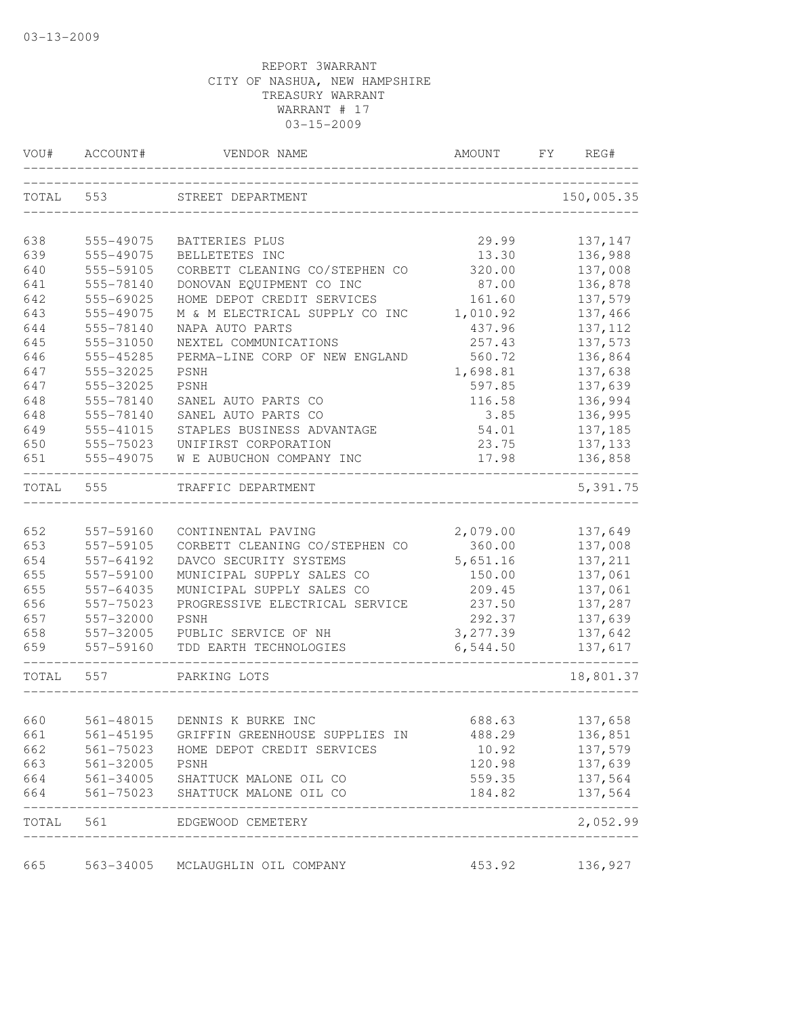| VOU#      | ACCOUNT#      | VENDOR NAME                                    | AMOUNT    | FY | REG#       |
|-----------|---------------|------------------------------------------------|-----------|----|------------|
| TOTAL 553 |               | STREET DEPARTMENT                              |           |    | 150,005.35 |
| 638       | 555-49075     | BATTERIES PLUS                                 | 29.99     |    | 137,147    |
| 639       | 555-49075     | BELLETETES INC                                 | 13.30     |    | 136,988    |
| 640       | 555-59105     | CORBETT CLEANING CO/STEPHEN CO                 | 320.00    |    | 137,008    |
| 641       | 555-78140     | DONOVAN EQUIPMENT CO INC                       | 87.00     |    | 136,878    |
| 642       | 555-69025     | HOME DEPOT CREDIT SERVICES                     | 161.60    |    | 137,579    |
| 643       | 555-49075     | M & M ELECTRICAL SUPPLY CO INC                 | 1,010.92  |    | 137,466    |
| 644       | 555-78140     | NAPA AUTO PARTS                                | 437.96    |    | 137, 112   |
| 645       | 555-31050     | NEXTEL COMMUNICATIONS                          | 257.43    |    | 137,573    |
| 646       | 555-45285     | PERMA-LINE CORP OF NEW ENGLAND                 | 560.72    |    | 136,864    |
| 647       | 555-32025     | PSNH                                           | 1,698.81  |    | 137,638    |
| 647       | 555-32025     | PSNH                                           | 597.85    |    | 137,639    |
| 648       | 555-78140     | SANEL AUTO PARTS CO                            | 116.58    |    | 136,994    |
| 648       | 555-78140     | SANEL AUTO PARTS CO                            | 3.85      |    | 136,995    |
| 649       | 555-41015     | STAPLES BUSINESS ADVANTAGE                     | 54.01     |    | 137,185    |
| 650       | 555-75023     | UNIFIRST CORPORATION                           | 23.75     |    | 137, 133   |
| 651       | 555-49075     | W E AUBUCHON COMPANY INC                       | 17.98     |    | 136,858    |
| TOTAL     | 555           | TRAFFIC DEPARTMENT                             |           |    | 5,391.75   |
|           |               |                                                |           |    |            |
| 652       | 557-59160     | CONTINENTAL PAVING                             | 2,079.00  |    | 137,649    |
| 653       | 557-59105     | CORBETT CLEANING CO/STEPHEN CO                 | 360.00    |    | 137,008    |
| 654       | 557-64192     | DAVCO SECURITY SYSTEMS                         | 5,651.16  |    | 137,211    |
| 655       | 557-59100     | MUNICIPAL SUPPLY SALES CO                      | 150.00    |    | 137,061    |
| 655       | 557-64035     | MUNICIPAL SUPPLY SALES CO                      | 209.45    |    | 137,061    |
| 656       | 557-75023     | PROGRESSIVE ELECTRICAL SERVICE                 | 237.50    |    | 137,287    |
| 657       | 557-32000     | PSNH                                           | 292.37    |    | 137,639    |
| 658       | 557-32005     | PUBLIC SERVICE OF NH                           | 3, 277.39 |    | 137,642    |
| 659       | 557-59160     | TDD EARTH TECHNOLOGIES                         | 6,544.50  |    | 137,617    |
| TOTAL     | 557           | PARKING LOTS                                   |           |    | 18,801.37  |
| 660       |               | 561-48015 DENNIS K BURKE INC                   | 688.63    |    | 137,658    |
| 661       | $561 - 45195$ | GRIFFIN GREENHOUSE SUPPLIES IN                 | 488.29    |    | 136,851    |
| 662       | 561-75023     | HOME DEPOT CREDIT SERVICES                     | 10.92     |    | 137,579    |
| 663       | 561-32005     | PSNH                                           | 120.98    |    | 137,639    |
| 664       |               | 561-34005 SHATTUCK MALONE OIL CO               | 559.35    |    | 137,564    |
| 664       |               | 561-75023 SHATTUCK MALONE OIL CO               | 184.82    |    | 137,564    |
| TOTAL     |               | 561 EDGEWOOD CEMETERY<br>_____________________ |           |    | 2,052.99   |
|           |               |                                                |           |    |            |
| 665       | 563-34005     | MCLAUGHLIN OIL COMPANY                         | 453.92    |    | 136,927    |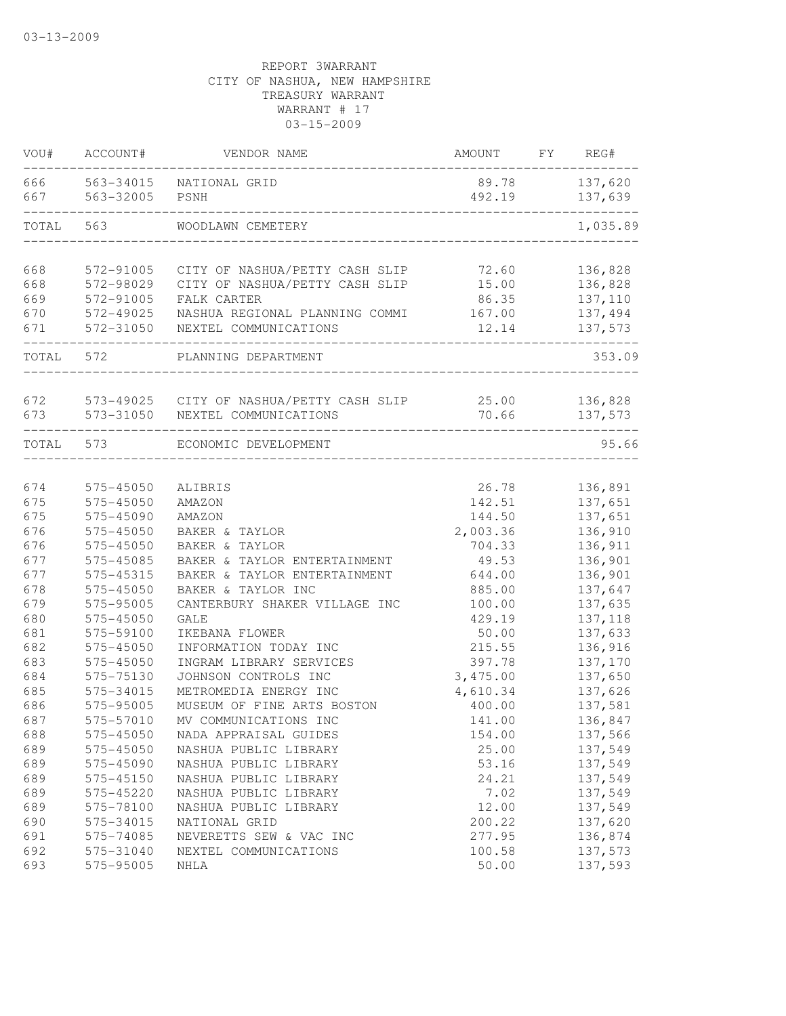| VOU#           | ACCOUNT#               | VENDOR NAME                                                       | AMOUNT           | FY | REG#               |
|----------------|------------------------|-------------------------------------------------------------------|------------------|----|--------------------|
| 666 100<br>667 | 563-34015<br>563-32005 | NATIONAL GRID<br>PSNH                                             | 89.78<br>492.19  |    | 137,620<br>137,639 |
| TOTAL          | 563                    | WOODLAWN CEMETERY                                                 |                  |    | 1,035.89           |
| 668            | 572-91005              | CITY OF NASHUA/PETTY CASH SLIP                                    | 72.60            |    | 136,828            |
| 668            | 572-98029              | CITY OF NASHUA/PETTY CASH SLIP                                    | 15.00            |    | 136,828            |
| 669            | 572-91005              | FALK CARTER                                                       | 86.35            |    | 137,110            |
| 670            | 572-49025              | NASHUA REGIONAL PLANNING COMMI                                    | 167.00           |    | 137,494            |
| 671            | 572-31050              | NEXTEL COMMUNICATIONS                                             | 12.14            |    | 137,573            |
| TOTAL          | 572                    | PLANNING DEPARTMENT                                               |                  |    | 353.09             |
|                |                        |                                                                   |                  |    |                    |
| 672<br>673     | 573-31050              | 573-49025 CITY OF NASHUA/PETTY CASH SLIP<br>NEXTEL COMMUNICATIONS | 25.00<br>70.66   |    | 136,828<br>137,573 |
| TOTAL          | 573                    | ECONOMIC DEVELOPMENT                                              |                  |    | 95.66              |
|                |                        |                                                                   |                  |    |                    |
| 674            | $575 - 45050$          | ALIBRIS                                                           | 26.78            |    | 136,891            |
| 675            | 575-45050              | AMAZON                                                            | 142.51           |    | 137,651            |
| 675            | 575-45090              | AMAZON                                                            | 144.50           |    | 137,651            |
| 676            | 575-45050              | BAKER & TAYLOR                                                    | 2,003.36         |    | 136,910            |
| 676            | 575-45050              | BAKER & TAYLOR                                                    | 704.33           |    | 136,911            |
| 677            | 575-45085              | BAKER & TAYLOR ENTERTAINMENT                                      | 49.53            |    | 136,901            |
| 677            | 575-45315              | BAKER & TAYLOR ENTERTAINMENT                                      | 644.00           |    | 136,901            |
| 678            | 575-45050              | BAKER & TAYLOR INC                                                | 885.00           |    | 137,647            |
| 679            | 575-95005              | CANTERBURY SHAKER VILLAGE INC                                     | 100.00           |    | 137,635            |
| 680            | 575-45050              | <b>GALE</b>                                                       | 429.19           |    | 137, 118           |
| 681            | 575-59100              | IKEBANA FLOWER                                                    | 50.00            |    | 137,633            |
| 682            | 575-45050              | INFORMATION TODAY INC                                             | 215.55           |    | 136,916            |
| 683            | 575-45050              | INGRAM LIBRARY SERVICES                                           | 397.78           |    | 137,170            |
| 684            | 575-75130              | JOHNSON CONTROLS INC                                              | 3,475.00         |    | 137,650            |
| 685            | 575-34015              | METROMEDIA ENERGY INC                                             | 4,610.34         |    | 137,626            |
| 686            | 575-95005              | MUSEUM OF FINE ARTS BOSTON                                        | 400.00           |    | 137,581            |
| 687            | 575-57010              | MV COMMUNICATIONS INC                                             | 141.00           |    | 136,847            |
| 688            | $575 - 45050$          | NADA APPRAISAL GUIDES                                             | 154.00           |    | 137,566            |
| 689            | 575-45050              | NASHUA PUBLIC LIBRARY                                             | 25.00            |    | 137,549            |
| 689            | 575-45090              | NASHUA PUBLIC LIBRARY                                             | 53.16            |    | 137,549            |
| 689            | 575-45150              | NASHUA PUBLIC LIBRARY                                             | 24.21            |    | 137,549            |
| 689            | 575-45220              | NASHUA PUBLIC LIBRARY                                             | 7.02             |    | 137,549            |
| 689            | 575-78100              | NASHUA PUBLIC LIBRARY                                             | 12.00            |    | 137,549            |
| 690            | 575-34015              | NATIONAL GRID                                                     | 200.22           |    | 137,620            |
| 691<br>692     | 575-74085<br>575-31040 | NEVERETTS SEW & VAC INC<br>NEXTEL COMMUNICATIONS                  | 277.95<br>100.58 |    | 136,874<br>137,573 |
| 693            | 575-95005              | NHLA                                                              | 50.00            |    | 137,593            |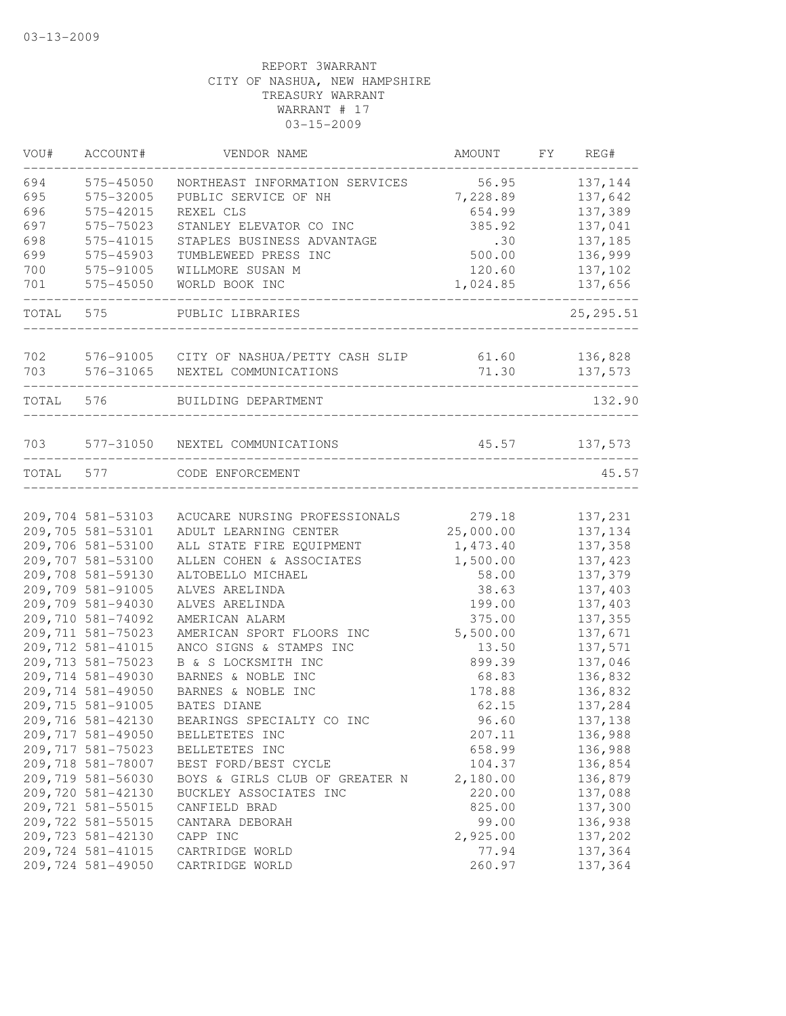| VOU#      | ACCOUNT#                               | VENDOR NAME                                   | AMOUNT               | FY REG#             |
|-----------|----------------------------------------|-----------------------------------------------|----------------------|---------------------|
| 694       | 575-45050                              | NORTHEAST INFORMATION SERVICES                | 56.95                | 137,144             |
| 695       | 575-32005                              | PUBLIC SERVICE OF NH                          | 7,228.89             | 137,642             |
| 696       | 575-42015                              | REXEL CLS                                     | 654.99               | 137,389             |
| 697       | 575-75023                              | STANLEY ELEVATOR CO INC                       | 385.92               | 137,041             |
| 698       | 575-41015                              | STAPLES BUSINESS ADVANTAGE                    | .30                  | 137,185             |
| 699       | 575-45903                              | TUMBLEWEED PRESS INC                          | 500.00               | 136,999             |
| 700       | 575-91005                              | WILLMORE SUSAN M                              | 120.60               | 137,102             |
| 701       | 575-45050                              | WORLD BOOK INC                                | 1,024.85             | 137,656             |
| TOTAL     | 575                                    | PUBLIC LIBRARIES                              |                      | 25, 295.51          |
| 702       |                                        | 576-91005 CITY OF NASHUA/PETTY CASH SLIP      | 61.60                | 136,828             |
| 703       | 576-31065                              | NEXTEL COMMUNICATIONS                         | 71.30                | 137,573             |
|           |                                        |                                               |                      |                     |
| TOTAL     | 576                                    | BUILDING DEPARTMENT                           |                      | 132.90              |
| 703       |                                        | 577-31050 NEXTEL COMMUNICATIONS               | 45.57                | 137,573             |
| TOTAL 577 |                                        | CODE ENFORCEMENT                              |                      | 45.57               |
|           |                                        |                                               |                      |                     |
|           | 209,704 581-53103                      | ACUCARE NURSING PROFESSIONALS                 | 279.18               | 137,231             |
|           | 209,705 581-53101<br>209,706 581-53100 | ADULT LEARNING CENTER                         | 25,000.00            | 137,134             |
|           | 209,707 581-53100                      | ALL STATE FIRE EQUIPMENT                      | 1,473.40<br>1,500.00 | 137,358<br>137, 423 |
|           | 209,708 581-59130                      | ALLEN COHEN & ASSOCIATES<br>ALTOBELLO MICHAEL | 58.00                | 137,379             |
|           | 209,709 581-91005                      | ALVES ARELINDA                                |                      | 137,403             |
|           | 209,709 581-94030                      |                                               | 38.63                |                     |
|           | 209,710 581-74092                      | ALVES ARELINDA                                | 199.00<br>375.00     | 137,403             |
|           | 209, 711 581-75023                     | AMERICAN ALARM<br>AMERICAN SPORT FLOORS INC   | 5,500.00             | 137,355<br>137,671  |
|           | 209, 712 581-41015                     | ANCO SIGNS & STAMPS INC                       | 13.50                | 137,571             |
|           | 209, 713 581-75023                     | B & S LOCKSMITH INC                           | 899.39               |                     |
|           |                                        |                                               |                      | 137,046             |
|           | 209,714 581-49030                      | BARNES & NOBLE INC                            | 68.83                | 136,832             |
|           | 209,714 581-49050                      | BARNES & NOBLE INC                            | 178.88               | 136,832             |
|           | 209, 715 581-91005                     | <b>BATES DIANE</b>                            | 62.15                | 137,284             |
|           | 209,716 581-42130                      | BEARINGS SPECIALTY CO INC                     | 96.60                | 137,138             |
|           | 209, 717 581-49050                     | BELLETETES INC                                | 207.11               | 136,988             |
|           | 209, 717 581-75023                     | BELLETETES INC                                | 658.99               | 136,988             |
|           | 209,718 581-78007                      | BEST FORD/BEST CYCLE                          | 104.37               | 136,854             |
|           | 209,719 581-56030                      | BOYS & GIRLS CLUB OF GREATER N                | 2,180.00             | 136,879             |
|           | 209,720 581-42130                      | BUCKLEY ASSOCIATES INC                        | 220.00               | 137,088             |
|           | 209, 721 581-55015                     | CANFIELD BRAD                                 | 825.00               | 137,300             |
|           | 209, 722 581-55015                     | CANTARA DEBORAH                               | 99.00                | 136,938             |
|           | 209, 723 581-42130                     | CAPP INC                                      | 2,925.00             | 137,202             |
|           | 209, 724 581-41015                     | CARTRIDGE WORLD                               | 77.94                | 137,364<br>137,364  |
|           | 209,724 581-49050                      | CARTRIDGE WORLD                               | 260.97               |                     |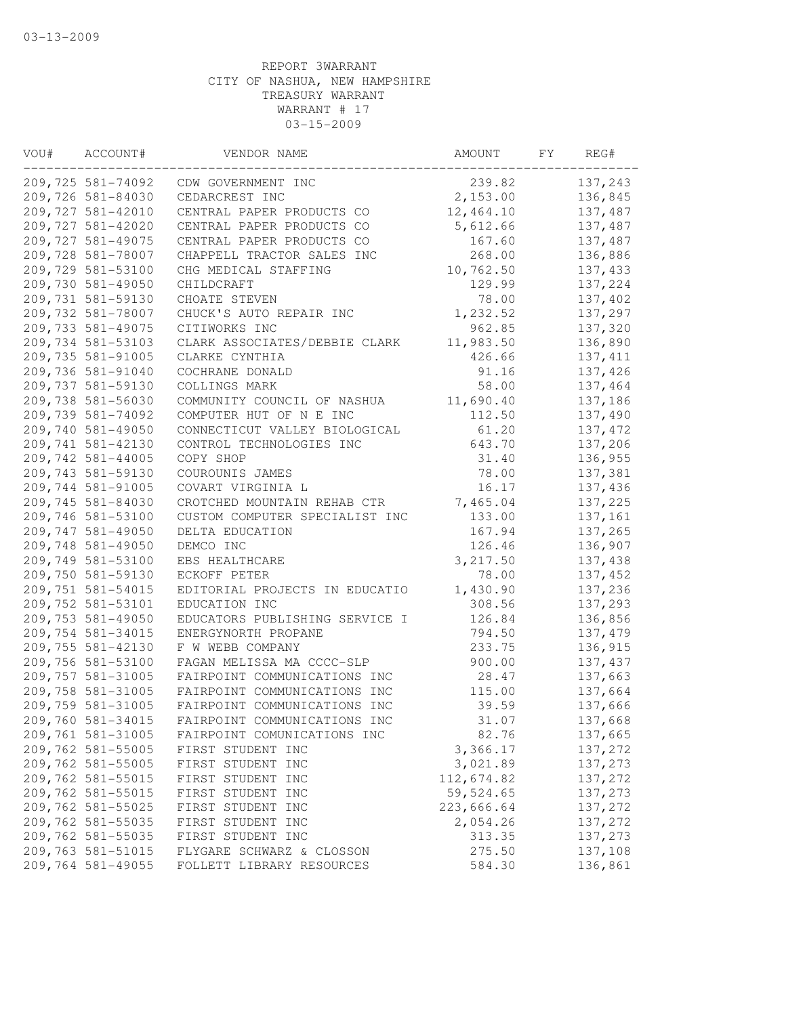| VOU# | ACCOUNT#           | VENDOR NAME                            | AMOUNT     | FY | REG#               |
|------|--------------------|----------------------------------------|------------|----|--------------------|
|      | 209,725 581-74092  | CDW GOVERNMENT INC                     | 239.82     |    | 137,243            |
|      | 209,726 581-84030  | CEDARCREST INC                         | 2,153.00   |    | 136,845            |
|      | 209, 727 581-42010 | CENTRAL PAPER PRODUCTS CO              | 12,464.10  |    | 137,487            |
|      | 209, 727 581-42020 | CENTRAL PAPER PRODUCTS CO              | 5,612.66   |    | 137,487            |
|      | 209, 727 581-49075 | CENTRAL PAPER PRODUCTS CO              | 167.60     |    | 137,487            |
|      | 209,728 581-78007  | CHAPPELL TRACTOR SALES INC             | 268.00     |    | 136,886            |
|      | 209,729 581-53100  | CHG MEDICAL STAFFING                   | 10,762.50  |    | 137,433            |
|      | 209,730 581-49050  | CHILDCRAFT                             | 129.99     |    | 137,224            |
|      | 209,731 581-59130  | CHOATE STEVEN                          | 78.00      |    | 137,402            |
|      | 209,732 581-78007  | CHUCK'S AUTO REPAIR INC                | 1,232.52   |    | 137,297            |
|      | 209, 733 581-49075 | CITIWORKS INC                          | 962.85     |    | 137,320            |
|      | 209,734 581-53103  | CLARK ASSOCIATES/DEBBIE CLARK          | 11,983.50  |    | 136,890            |
|      | 209, 735 581-91005 | CLARKE CYNTHIA                         | 426.66     |    | 137, 411           |
|      | 209,736 581-91040  | COCHRANE DONALD                        | 91.16      |    | 137,426            |
|      | 209,737 581-59130  | COLLINGS MARK                          | 58.00      |    | 137,464            |
|      | 209,738 581-56030  | COMMUNITY COUNCIL OF NASHUA            | 11,690.40  |    | 137,186            |
|      | 209,739 581-74092  | COMPUTER HUT OF N E INC                | 112.50     |    | 137,490            |
|      | 209,740 581-49050  | CONNECTICUT VALLEY BIOLOGICAL          | 61.20      |    | 137, 472           |
|      | 209,741 581-42130  | CONTROL TECHNOLOGIES INC               | 643.70     |    | 137,206            |
|      | 209,742 581-44005  | COPY SHOP                              | 31.40      |    | 136,955            |
|      | 209,743 581-59130  | COUROUNIS JAMES                        | 78.00      |    | 137,381            |
|      | 209,744 581-91005  | COVART VIRGINIA L                      | 16.17      |    | 137,436            |
|      | 209,745 581-84030  | CROTCHED MOUNTAIN REHAB CTR            | 7,465.04   |    | 137,225            |
|      | 209,746 581-53100  | CUSTOM COMPUTER SPECIALIST INC         | 133.00     |    | 137,161            |
|      | 209,747 581-49050  | DELTA EDUCATION                        | 167.94     |    | 137,265            |
|      | 209,748 581-49050  | DEMCO INC                              | 126.46     |    | 136,907            |
|      | 209,749 581-53100  | EBS HEALTHCARE                         | 3,217.50   |    | 137,438            |
|      | 209,750 581-59130  | ECKOFF PETER                           | 78.00      |    | 137,452            |
|      | 209,751 581-54015  | EDITORIAL PROJECTS IN EDUCATIO         | 1,430.90   |    | 137,236            |
|      | 209, 752 581-53101 | EDUCATION INC                          | 308.56     |    | 137,293            |
|      | 209,753 581-49050  | EDUCATORS PUBLISHING SERVICE I         | 126.84     |    | 136,856            |
|      | 209,754 581-34015  | ENERGYNORTH PROPANE                    | 794.50     |    | 137, 479           |
|      | 209,755 581-42130  | F W WEBB COMPANY                       | 233.75     |    | 136,915            |
|      | 209,756 581-53100  | FAGAN MELISSA MA CCCC-SLP              | 900.00     |    | 137, 437           |
|      | 209, 757 581-31005 | FAIRPOINT COMMUNICATIONS INC           | 28.47      |    | 137,663            |
|      | 209,758 581-31005  | FAIRPOINT COMMUNICATIONS INC           | 115.00     |    | 137,664            |
|      | 209,759 581-31005  | FAIRPOINT COMMUNICATIONS INC           | 39.59      |    | 137,666            |
|      | 209,760 581-34015  | FAIRPOINT COMMUNICATIONS INC           | 31.07      |    | 137,668            |
|      | 209,761 581-31005  | FAIRPOINT COMUNICATIONS INC            | 82.76      |    | 137,665            |
|      | 209,762 581-55005  | FIRST STUDENT INC                      | 3,366.17   |    | 137,272            |
|      | 209,762 581-55005  | FIRST STUDENT INC                      | 3,021.89   |    | 137,273            |
|      | 209,762 581-55015  | FIRST STUDENT INC                      | 112,674.82 |    | 137,272            |
|      | 209,762 581-55015  | FIRST STUDENT INC                      | 59,524.65  |    | 137,273            |
|      | 209,762 581-55025  |                                        | 223,666.64 |    |                    |
|      | 209,762 581-55035  | FIRST STUDENT INC<br>FIRST STUDENT INC | 2,054.26   |    | 137,272<br>137,272 |
|      | 209,762 581-55035  | FIRST STUDENT INC                      | 313.35     |    |                    |
|      | 209,763 581-51015  |                                        |            |    | 137,273            |
|      |                    | FLYGARE SCHWARZ & CLOSSON              | 275.50     |    | 137,108            |
|      | 209,764 581-49055  | FOLLETT LIBRARY RESOURCES              | 584.30     |    | 136,861            |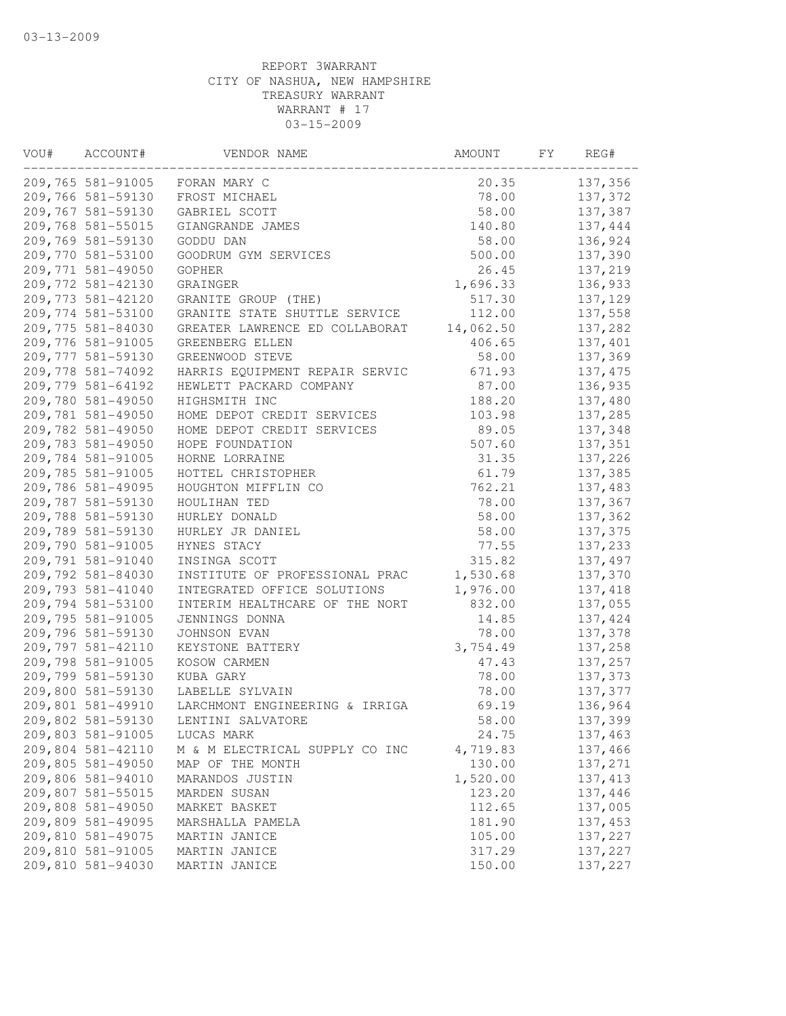| VOU# | ACCOUNT#           | VENDOR NAME                    | AMOUNT    | FY | REG#     |
|------|--------------------|--------------------------------|-----------|----|----------|
|      | 209,765 581-91005  | FORAN MARY C                   | 20.35     |    | 137,356  |
|      | 209,766 581-59130  | FROST MICHAEL                  | 78.00     |    | 137,372  |
|      | 209,767 581-59130  | GABRIEL SCOTT                  | 58.00     |    | 137,387  |
|      | 209,768 581-55015  | GIANGRANDE JAMES               | 140.80    |    | 137,444  |
|      | 209,769 581-59130  | GODDU DAN                      | 58.00     |    | 136,924  |
|      | 209,770 581-53100  | GOODRUM GYM SERVICES           | 500.00    |    | 137,390  |
|      | 209,771 581-49050  | GOPHER                         | 26.45     |    | 137,219  |
|      | 209, 772 581-42130 | GRAINGER                       | 1,696.33  |    | 136,933  |
|      | 209, 773 581-42120 | GRANITE GROUP (THE)            | 517.30    |    | 137,129  |
|      | 209,774 581-53100  | GRANITE STATE SHUTTLE SERVICE  | 112.00    |    | 137,558  |
|      | 209,775 581-84030  | GREATER LAWRENCE ED COLLABORAT | 14,062.50 |    | 137,282  |
|      | 209,776 581-91005  | GREENBERG ELLEN                | 406.65    |    | 137,401  |
|      | 209, 777 581-59130 | GREENWOOD STEVE                | 58.00     |    | 137,369  |
|      | 209,778 581-74092  | HARRIS EQUIPMENT REPAIR SERVIC | 671.93    |    | 137, 475 |
|      | 209,779 581-64192  | HEWLETT PACKARD COMPANY        | 87.00     |    | 136,935  |
|      | 209,780 581-49050  | HIGHSMITH INC                  | 188.20    |    | 137,480  |
|      | 209,781 581-49050  | HOME DEPOT CREDIT SERVICES     | 103.98    |    | 137,285  |
|      | 209,782 581-49050  | HOME DEPOT CREDIT SERVICES     | 89.05     |    | 137,348  |
|      | 209,783 581-49050  | HOPE FOUNDATION                | 507.60    |    | 137,351  |
|      | 209,784 581-91005  | HORNE LORRAINE                 | 31.35     |    | 137,226  |
|      | 209,785 581-91005  | HOTTEL CHRISTOPHER             | 61.79     |    | 137,385  |
|      | 209,786 581-49095  | HOUGHTON MIFFLIN CO            | 762.21    |    | 137,483  |
|      | 209,787 581-59130  | HOULIHAN TED                   | 78.00     |    | 137,367  |
|      | 209,788 581-59130  | HURLEY DONALD                  | 58.00     |    | 137,362  |
|      | 209,789 581-59130  | HURLEY JR DANIEL               | 58.00     |    | 137,375  |
|      | 209,790 581-91005  | HYNES STACY                    | 77.55     |    | 137,233  |
|      | 209,791 581-91040  | INSINGA SCOTT                  | 315.82    |    | 137,497  |
|      | 209,792 581-84030  | INSTITUTE OF PROFESSIONAL PRAC | 1,530.68  |    | 137,370  |
|      | 209,793 581-41040  | INTEGRATED OFFICE SOLUTIONS    | 1,976.00  |    | 137,418  |
|      | 209,794 581-53100  | INTERIM HEALTHCARE OF THE NORT | 832.00    |    | 137,055  |
|      | 209,795 581-91005  | JENNINGS DONNA                 | 14.85     |    | 137,424  |
|      | 209,796 581-59130  | JOHNSON EVAN                   | 78.00     |    | 137,378  |
|      | 209,797 581-42110  | KEYSTONE BATTERY               | 3,754.49  |    | 137,258  |
|      | 209,798 581-91005  | KOSOW CARMEN                   | 47.43     |    | 137,257  |
|      | 209,799 581-59130  | KUBA GARY                      | 78.00     |    | 137,373  |
|      | 209,800 581-59130  | LABELLE SYLVAIN                | 78.00     |    | 137,377  |
|      | 209,801 581-49910  | LARCHMONT ENGINEERING & IRRIGA | 69.19     |    | 136,964  |
|      | 209,802 581-59130  | LENTINI SALVATORE              | 58.00     |    | 137,399  |
|      | 209,803 581-91005  | LUCAS MARK                     | 24.75     |    | 137,463  |
|      | 209,804 581-42110  | M & M ELECTRICAL SUPPLY CO INC | 4,719.83  |    | 137,466  |
|      | 209,805 581-49050  | MAP OF THE MONTH               | 130.00    |    | 137,271  |
|      | 209,806 581-94010  | MARANDOS JUSTIN                | 1,520.00  |    | 137, 413 |
|      | 209,807 581-55015  | MARDEN SUSAN                   | 123.20    |    | 137,446  |
|      | 209,808 581-49050  | MARKET BASKET                  | 112.65    |    | 137,005  |
|      | 209,809 581-49095  | MARSHALLA PAMELA               | 181.90    |    | 137,453  |
|      | 209,810 581-49075  | MARTIN JANICE                  | 105.00    |    | 137,227  |
|      | 209,810 581-91005  | MARTIN JANICE                  | 317.29    |    | 137,227  |
|      | 209,810 581-94030  | MARTIN JANICE                  | 150.00    |    | 137,227  |
|      |                    |                                |           |    |          |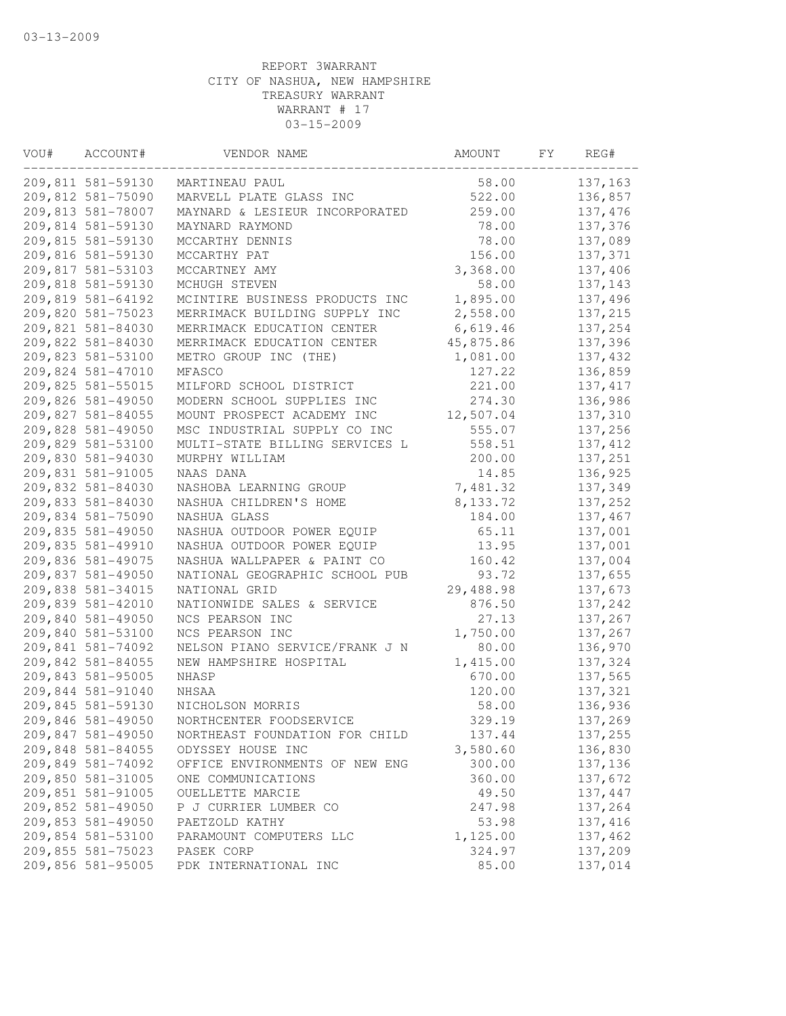| VOU# | ACCOUNT#          | VENDOR NAME                    | AMOUNT     | FY | REG#     |
|------|-------------------|--------------------------------|------------|----|----------|
|      | 209,811 581-59130 | MARTINEAU PAUL                 | 58.00      |    | 137,163  |
|      | 209,812 581-75090 | MARVELL PLATE GLASS INC        | 522.00     |    | 136,857  |
|      | 209,813 581-78007 | MAYNARD & LESIEUR INCORPORATED | 259.00     |    | 137,476  |
|      | 209,814 581-59130 | MAYNARD RAYMOND                | 78.00      |    | 137,376  |
|      | 209,815 581-59130 | MCCARTHY DENNIS                | 78.00      |    | 137,089  |
|      | 209,816 581-59130 | MCCARTHY PAT                   | 156.00     |    | 137,371  |
|      | 209,817 581-53103 | MCCARTNEY AMY                  | 3,368.00   |    | 137,406  |
|      | 209,818 581-59130 | MCHUGH STEVEN                  | 58.00      |    | 137,143  |
|      | 209,819 581-64192 | MCINTIRE BUSINESS PRODUCTS INC | 1,895.00   |    | 137,496  |
|      | 209,820 581-75023 | MERRIMACK BUILDING SUPPLY INC  | 2,558.00   |    | 137,215  |
|      | 209,821 581-84030 | MERRIMACK EDUCATION CENTER     | 6,619.46   |    | 137,254  |
|      | 209,822 581-84030 | MERRIMACK EDUCATION CENTER     | 45,875.86  |    | 137,396  |
|      | 209,823 581-53100 | METRO GROUP INC (THE)          | 1,081.00   |    | 137,432  |
|      | 209,824 581-47010 | MFASCO                         | 127.22     |    | 136,859  |
|      | 209,825 581-55015 | MILFORD SCHOOL DISTRICT        | 221.00     |    | 137, 417 |
|      | 209,826 581-49050 | MODERN SCHOOL SUPPLIES INC     | 274.30     |    | 136,986  |
|      | 209,827 581-84055 | MOUNT PROSPECT ACADEMY INC     | 12,507.04  |    | 137,310  |
|      | 209,828 581-49050 | MSC INDUSTRIAL SUPPLY CO INC   | 555.07     |    | 137,256  |
|      | 209,829 581-53100 | MULTI-STATE BILLING SERVICES L | 558.51     |    | 137, 412 |
|      | 209,830 581-94030 | MURPHY WILLIAM                 | 200.00     |    | 137,251  |
|      | 209,831 581-91005 | NAAS DANA                      | 14.85      |    | 136,925  |
|      | 209,832 581-84030 | NASHOBA LEARNING GROUP         | 7,481.32   |    | 137,349  |
|      | 209,833 581-84030 | NASHUA CHILDREN'S HOME         | 8, 133. 72 |    | 137,252  |
|      | 209,834 581-75090 | NASHUA GLASS                   | 184.00     |    | 137,467  |
|      | 209,835 581-49050 | NASHUA OUTDOOR POWER EQUIP     | 65.11      |    | 137,001  |
|      | 209,835 581-49910 | NASHUA OUTDOOR POWER EQUIP     | 13.95      |    | 137,001  |
|      | 209,836 581-49075 | NASHUA WALLPAPER & PAINT CO    | 160.42     |    | 137,004  |
|      | 209,837 581-49050 | NATIONAL GEOGRAPHIC SCHOOL PUB | 93.72      |    | 137,655  |
|      | 209,838 581-34015 | NATIONAL GRID                  | 29,488.98  |    | 137,673  |
|      | 209,839 581-42010 | NATIONWIDE SALES & SERVICE     | 876.50     |    | 137,242  |
|      | 209,840 581-49050 | NCS PEARSON INC                | 27.13      |    | 137,267  |
|      | 209,840 581-53100 | NCS PEARSON INC                | 1,750.00   |    | 137,267  |
|      | 209,841 581-74092 | NELSON PIANO SERVICE/FRANK J N | 80.00      |    | 136,970  |
|      | 209,842 581-84055 | NEW HAMPSHIRE HOSPITAL         | 1,415.00   |    | 137,324  |
|      | 209,843 581-95005 | NHASP                          | 670.00     |    | 137,565  |
|      | 209,844 581-91040 | NHSAA                          | 120.00     |    | 137,321  |
|      | 209,845 581-59130 | NICHOLSON MORRIS               | 58.00      |    | 136,936  |
|      | 209,846 581-49050 | NORTHCENTER FOODSERVICE        | 329.19     |    | 137,269  |
|      | 209,847 581-49050 | NORTHEAST FOUNDATION FOR CHILD | 137.44     |    | 137,255  |
|      | 209,848 581-84055 | ODYSSEY HOUSE INC              | 3,580.60   |    | 136,830  |
|      | 209,849 581-74092 | OFFICE ENVIRONMENTS OF NEW ENG | 300.00     |    | 137,136  |
|      | 209,850 581-31005 | ONE COMMUNICATIONS             | 360.00     |    | 137,672  |
|      | 209,851 581-91005 | OUELLETTE MARCIE               | 49.50      |    | 137,447  |
|      | 209,852 581-49050 | P J CURRIER LUMBER CO          | 247.98     |    | 137,264  |
|      | 209,853 581-49050 | PAETZOLD KATHY                 | 53.98      |    | 137, 416 |
|      | 209,854 581-53100 | PARAMOUNT COMPUTERS LLC        | 1,125.00   |    | 137,462  |
|      | 209,855 581-75023 | PASEK CORP                     | 324.97     |    | 137,209  |
|      | 209,856 581-95005 | PDK INTERNATIONAL INC          | 85.00      |    | 137,014  |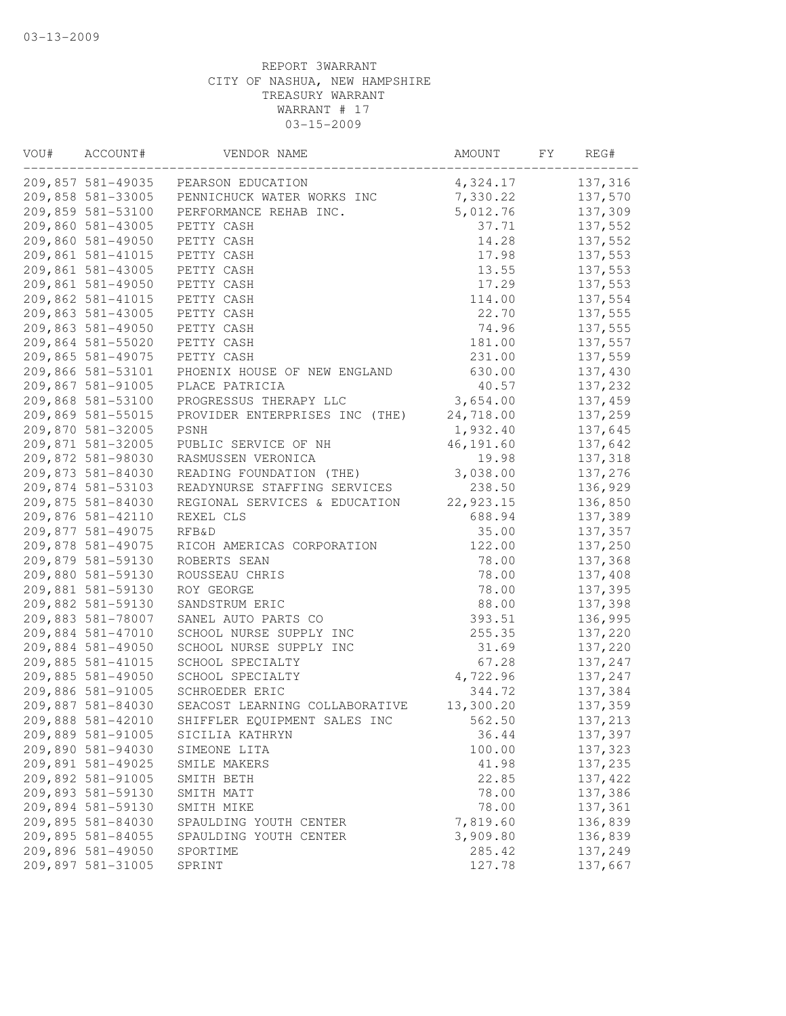| VOU# | ACCOUNT#          | VENDOR NAME                    | AMOUNT    | FY | REG#     |
|------|-------------------|--------------------------------|-----------|----|----------|
|      | 209,857 581-49035 | PEARSON EDUCATION              | 4,324.17  |    | 137,316  |
|      | 209,858 581-33005 | PENNICHUCK WATER WORKS INC     | 7,330.22  |    | 137,570  |
|      | 209,859 581-53100 | PERFORMANCE REHAB INC.         | 5,012.76  |    | 137,309  |
|      | 209,860 581-43005 | PETTY CASH                     | 37.71     |    | 137,552  |
|      | 209,860 581-49050 | PETTY CASH                     | 14.28     |    | 137,552  |
|      | 209,861 581-41015 | PETTY CASH                     | 17.98     |    | 137,553  |
|      | 209,861 581-43005 | PETTY CASH                     | 13.55     |    | 137,553  |
|      | 209,861 581-49050 | PETTY CASH                     | 17.29     |    | 137,553  |
|      | 209,862 581-41015 | PETTY CASH                     | 114.00    |    | 137,554  |
|      | 209,863 581-43005 | PETTY CASH                     | 22.70     |    | 137,555  |
|      | 209,863 581-49050 | PETTY CASH                     | 74.96     |    | 137,555  |
|      | 209,864 581-55020 | PETTY CASH                     | 181.00    |    | 137,557  |
|      | 209,865 581-49075 | PETTY CASH                     | 231.00    |    | 137,559  |
|      | 209,866 581-53101 | PHOENIX HOUSE OF NEW ENGLAND   | 630.00    |    | 137,430  |
|      | 209,867 581-91005 | PLACE PATRICIA                 | 40.57     |    | 137,232  |
|      | 209,868 581-53100 | PROGRESSUS THERAPY LLC         | 3,654.00  |    | 137,459  |
|      | 209,869 581-55015 | PROVIDER ENTERPRISES INC (THE) | 24,718.00 |    | 137,259  |
|      | 209,870 581-32005 | <b>PSNH</b>                    | 1,932.40  |    | 137,645  |
|      | 209,871 581-32005 | PUBLIC SERVICE OF NH           | 46,191.60 |    | 137,642  |
|      | 209,872 581-98030 | RASMUSSEN VERONICA             | 19.98     |    | 137,318  |
|      | 209,873 581-84030 | READING FOUNDATION (THE)       | 3,038.00  |    | 137,276  |
|      | 209,874 581-53103 | READYNURSE STAFFING SERVICES   | 238.50    |    | 136,929  |
|      | 209,875 581-84030 | REGIONAL SERVICES & EDUCATION  | 22,923.15 |    | 136,850  |
|      | 209,876 581-42110 | REXEL CLS                      | 688.94    |    | 137,389  |
|      | 209,877 581-49075 | <b>RFB&amp;D</b>               | 35.00     |    | 137,357  |
|      |                   |                                |           |    |          |
|      | 209,878 581-49075 | RICOH AMERICAS CORPORATION     | 122.00    |    | 137,250  |
|      | 209,879 581-59130 | ROBERTS SEAN                   | 78.00     |    | 137,368  |
|      | 209,880 581-59130 | ROUSSEAU CHRIS                 | 78.00     |    | 137,408  |
|      | 209,881 581-59130 | ROY GEORGE                     | 78.00     |    | 137,395  |
|      | 209,882 581-59130 | SANDSTRUM ERIC                 | 88.00     |    | 137,398  |
|      | 209,883 581-78007 | SANEL AUTO PARTS CO            | 393.51    |    | 136,995  |
|      | 209,884 581-47010 | SCHOOL NURSE SUPPLY INC        | 255.35    |    | 137,220  |
|      | 209,884 581-49050 | SCHOOL NURSE SUPPLY INC        | 31.69     |    | 137,220  |
|      | 209,885 581-41015 | SCHOOL SPECIALTY               | 67.28     |    | 137,247  |
|      | 209,885 581-49050 | SCHOOL SPECIALTY               | 4,722.96  |    | 137,247  |
|      | 209,886 581-91005 | SCHROEDER ERIC                 | 344.72    |    | 137,384  |
|      | 209,887 581-84030 | SEACOST LEARNING COLLABORATIVE | 13,300.20 |    | 137,359  |
|      | 209,888 581-42010 | SHIFFLER EQUIPMENT SALES INC   | 562.50    |    | 137,213  |
|      | 209,889 581-91005 | SICILIA KATHRYN                | 36.44     |    | 137,397  |
|      | 209,890 581-94030 | SIMEONE LITA                   | 100.00    |    | 137,323  |
|      | 209,891 581-49025 | SMILE MAKERS                   | 41.98     |    | 137,235  |
|      | 209,892 581-91005 | SMITH BETH                     | 22.85     |    | 137, 422 |
|      | 209,893 581-59130 | SMITH MATT                     | 78.00     |    | 137,386  |
|      | 209,894 581-59130 | SMITH MIKE                     | 78.00     |    | 137,361  |
|      | 209,895 581-84030 | SPAULDING YOUTH CENTER         | 7,819.60  |    | 136,839  |
|      | 209,895 581-84055 | SPAULDING YOUTH CENTER         | 3,909.80  |    | 136,839  |
|      | 209,896 581-49050 | SPORTIME                       | 285.42    |    | 137,249  |
|      | 209,897 581-31005 | SPRINT                         | 127.78    |    | 137,667  |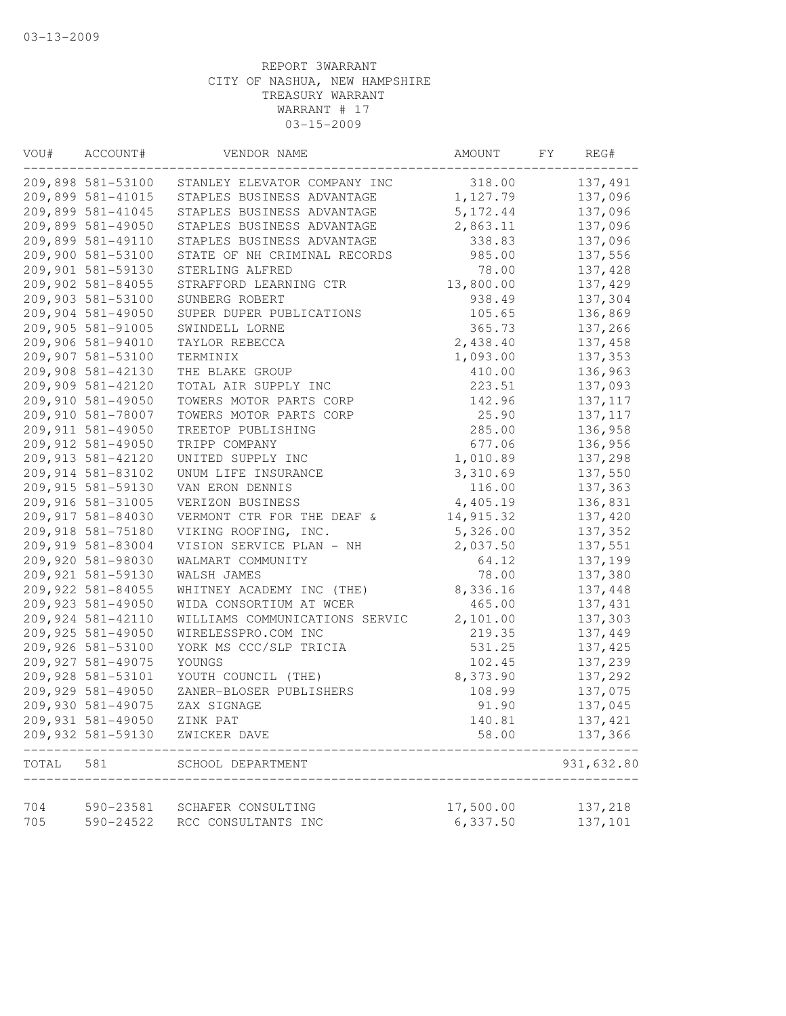| VOU#  | ACCOUNT#           | VENDOR NAME                    | AMOUNT    | FY | REG#       |
|-------|--------------------|--------------------------------|-----------|----|------------|
|       | 209,898 581-53100  | STANLEY ELEVATOR COMPANY INC   | 318.00    |    | 137,491    |
|       | 209,899 581-41015  | STAPLES BUSINESS ADVANTAGE     | 1,127.79  |    | 137,096    |
|       | 209,899 581-41045  | STAPLES BUSINESS ADVANTAGE     | 5, 172.44 |    | 137,096    |
|       | 209,899 581-49050  | STAPLES BUSINESS ADVANTAGE     | 2,863.11  |    | 137,096    |
|       | 209,899 581-49110  | STAPLES BUSINESS ADVANTAGE     | 338.83    |    | 137,096    |
|       | 209,900 581-53100  | STATE OF NH CRIMINAL RECORDS   | 985.00    |    | 137,556    |
|       | 209,901 581-59130  | STERLING ALFRED                | 78.00     |    | 137,428    |
|       | 209,902 581-84055  | STRAFFORD LEARNING CTR         | 13,800.00 |    | 137,429    |
|       | 209,903 581-53100  | SUNBERG ROBERT                 | 938.49    |    | 137,304    |
|       | 209,904 581-49050  | SUPER DUPER PUBLICATIONS       | 105.65    |    | 136,869    |
|       | 209,905 581-91005  | SWINDELL LORNE                 | 365.73    |    | 137,266    |
|       | 209,906 581-94010  | TAYLOR REBECCA                 | 2,438.40  |    | 137,458    |
|       | 209,907 581-53100  | TERMINIX                       | 1,093.00  |    | 137,353    |
|       | 209,908 581-42130  | THE BLAKE GROUP                | 410.00    |    | 136,963    |
|       | 209,909 581-42120  | TOTAL AIR SUPPLY INC           | 223.51    |    | 137,093    |
|       | 209,910 581-49050  | TOWERS MOTOR PARTS CORP        | 142.96    |    | 137, 117   |
|       | 209,910 581-78007  | TOWERS MOTOR PARTS CORP        | 25.90     |    | 137, 117   |
|       | 209,911 581-49050  | TREETOP PUBLISHING             | 285.00    |    | 136,958    |
|       | 209,912 581-49050  | TRIPP COMPANY                  | 677.06    |    | 136,956    |
|       | 209,913 581-42120  | UNITED SUPPLY INC              | 1,010.89  |    | 137,298    |
|       | 209,914 581-83102  | UNUM LIFE INSURANCE            | 3,310.69  |    | 137,550    |
|       | 209,915 581-59130  | VAN ERON DENNIS                | 116.00    |    | 137,363    |
|       | 209,916 581-31005  | VERIZON BUSINESS               | 4,405.19  |    | 136,831    |
|       | 209,917 581-84030  | VERMONT CTR FOR THE DEAF &     | 14,915.32 |    | 137,420    |
|       | 209,918 581-75180  | VIKING ROOFING, INC.           | 5,326.00  |    | 137,352    |
|       | 209,919 581-83004  | VISION SERVICE PLAN - NH       | 2,037.50  |    | 137,551    |
|       | 209,920 581-98030  | WALMART COMMUNITY              | 64.12     |    | 137,199    |
|       | 209,921 581-59130  | WALSH JAMES                    | 78.00     |    | 137,380    |
|       | 209,922 581-84055  | WHITNEY ACADEMY INC (THE)      | 8,336.16  |    | 137,448    |
|       | 209,923 581-49050  | WIDA CONSORTIUM AT WCER        | 465.00    |    | 137,431    |
|       | 209,924 581-42110  | WILLIAMS COMMUNICATIONS SERVIC | 2,101.00  |    | 137,303    |
|       | 209,925 581-49050  | WIRELESSPRO.COM INC            | 219.35    |    | 137,449    |
|       | 209,926 581-53100  | YORK MS CCC/SLP TRICIA         | 531.25    |    | 137, 425   |
|       | 209, 927 581-49075 | YOUNGS                         | 102.45    |    | 137,239    |
|       | 209,928 581-53101  | YOUTH COUNCIL (THE)            | 8,373.90  |    | 137,292    |
|       | 209,929 581-49050  | ZANER-BLOSER PUBLISHERS        | 108.99    |    | 137,075    |
|       | 209,930 581-49075  | ZAX SIGNAGE                    | 91.90     |    | 137,045    |
|       | 209,931 581-49050  | ZINK PAT                       | 140.81    |    | 137, 421   |
|       | 209,932 581-59130  | ZWICKER DAVE                   | 58.00     |    | 137,366    |
| TOTAL | 581                | SCHOOL DEPARTMENT              |           |    | 931,632.80 |
| 704   | 590-23581          | SCHAFER CONSULTING             | 17,500.00 |    | 137,218    |
| 705   | 590-24522          | RCC CONSULTANTS INC            | 6,337.50  |    | 137,101    |
|       |                    |                                |           |    |            |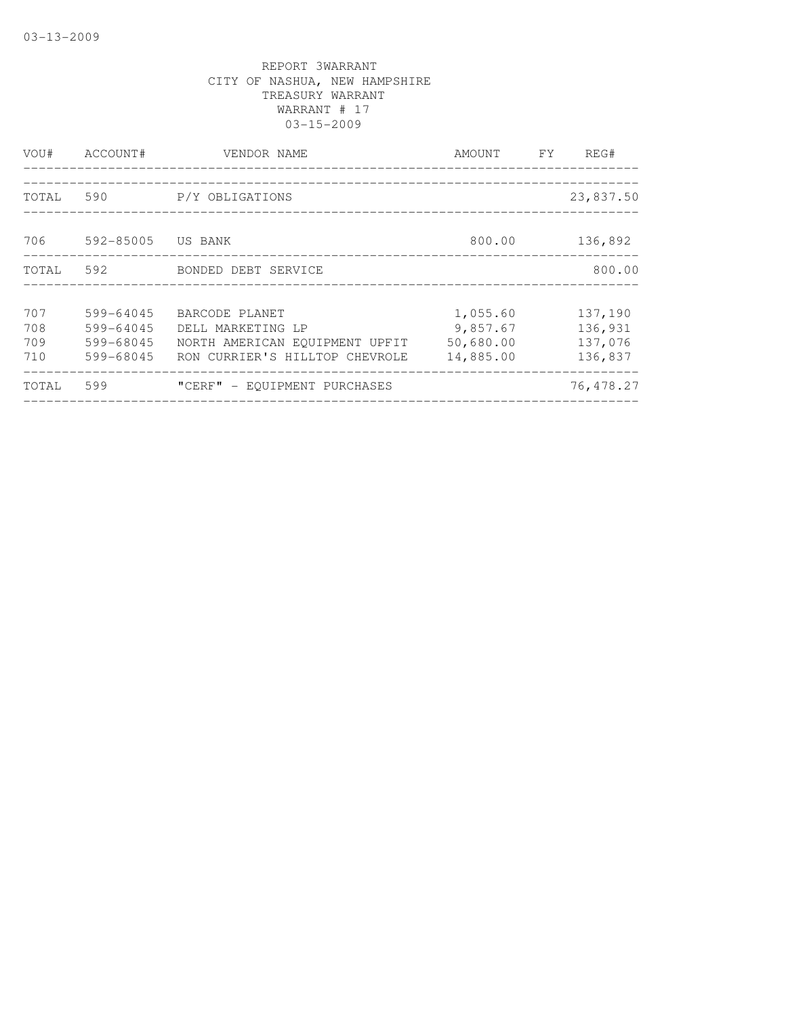| VOU#                     | ACCOUNT#                                         | VENDOR NAME                                                                                             | AMOUNT                                         | FY. | REG#                                     |
|--------------------------|--------------------------------------------------|---------------------------------------------------------------------------------------------------------|------------------------------------------------|-----|------------------------------------------|
| TOTAL                    | 590                                              | P/Y OBLIGATIONS                                                                                         |                                                |     | 23,837.50                                |
| 706                      | 592-85005 US BANK                                |                                                                                                         | 800.00                                         |     | 136,892                                  |
| TOTAL                    | 592                                              | BONDED DEBT SERVICE                                                                                     |                                                |     | 800.00                                   |
| 707<br>708<br>709<br>710 | 599-64045<br>599-64045<br>599-68045<br>599-68045 | BARCODE PLANET<br>DELL MARKETING LP<br>NORTH AMERICAN EOUIPMENT UPFIT<br>RON CURRIER'S HILLTOP CHEVROLE | 1,055.60<br>9,857.67<br>50,680.00<br>14,885.00 |     | 137,190<br>136,931<br>137,076<br>136,837 |
| TOTAL                    | 599                                              | "CERF" - EOUIPMENT PURCHASES                                                                            |                                                |     | 76, 478.27                               |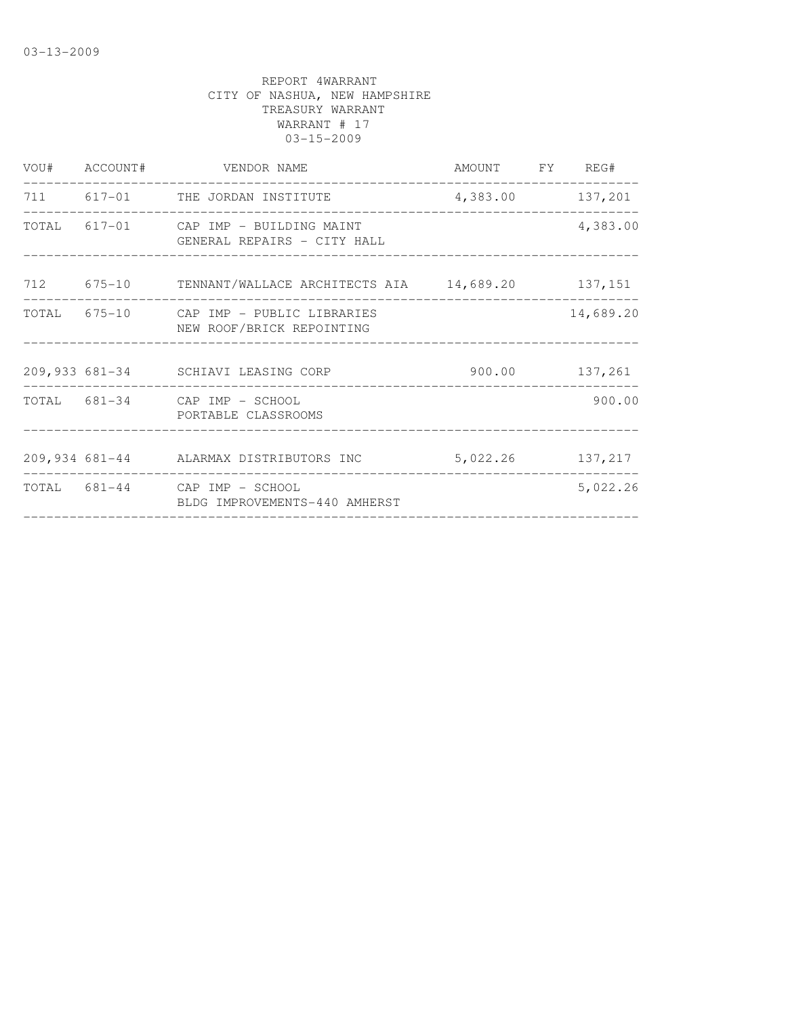|  | VOU# ACCOUNT# VENDOR NAME                                            | AMOUNT FY REG#   |                  |
|--|----------------------------------------------------------------------|------------------|------------------|
|  | 711 617-01 THE JORDAN INSTITUTE                                      |                  | 4,383.00 137,201 |
|  | TOTAL 617-01 CAP IMP - BUILDING MAINT<br>GENERAL REPAIRS - CITY HALL |                  | 4,383.00         |
|  | 712 675-10 TENNANT/WALLACE ARCHITECTS AIA 14,689.20 137,151          |                  |                  |
|  | TOTAL 675-10 CAP IMP - PUBLIC LIBRARIES<br>NEW ROOF/BRICK REPOINTING |                  | 14,689.20        |
|  | 209,933 681-34 SCHIAVI LEASING CORP 500.00 137,261                   |                  |                  |
|  | TOTAL 681-34 CAP IMP - SCHOOL<br>PORTABLE CLASSROOMS                 |                  | 900.00           |
|  | 209,934 681-44 ALARMAX DISTRIBUTORS INC                              | 5,022.26 137,217 |                  |
|  | TOTAL 681-44 CAP IMP - SCHOOL<br>BLDG IMPROVEMENTS-440 AMHERST       |                  | 5,022.26         |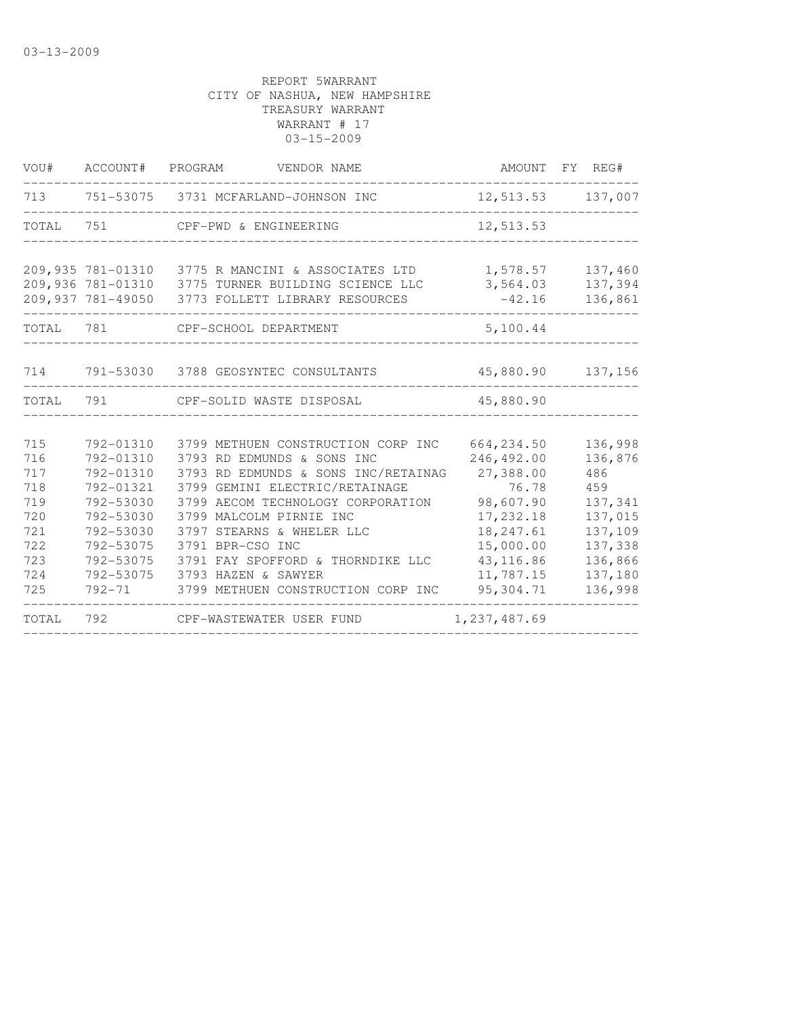| VOU#  | ACCOUNT#          | PROGRAM<br>VENDOR NAME                    |              | AMOUNT FY REG#    |
|-------|-------------------|-------------------------------------------|--------------|-------------------|
| 713   |                   | 751-53075 3731 MCFARLAND-JOHNSON INC      |              | 12,513.53 137,007 |
| TOTAL | 751               | CPF-PWD & ENGINEERING                     | 12,513.53    |                   |
|       | 209,935 781-01310 | 3775 R MANCINI & ASSOCIATES LTD           | 1,578.57     | 137,460           |
|       | 209,936 781-01310 | 3775 TURNER BUILDING SCIENCE LLC          | 3,564.03     | 137,394           |
|       | 209,937 781-49050 | 3773 FOLLETT LIBRARY RESOURCES            | $-42.16$     | 136,861           |
| TOTAL | 781               | CPF-SCHOOL DEPARTMENT                     | 5,100.44     |                   |
| 714   |                   | 791-53030 3788 GEOSYNTEC CONSULTANTS      |              | 45,880.90 137,156 |
|       |                   |                                           |              |                   |
| TOTAL | 791               | CPF-SOLID WASTE DISPOSAL                  | 45,880.90    |                   |
| 715   | 792-01310         | 3799 METHUEN CONSTRUCTION CORP INC        | 664, 234.50  | 136,998           |
| 716   | 792-01310         | 3793 RD EDMUNDS & SONS INC                | 246,492.00   | 136,876           |
| 717   | 792-01310         | 3793 RD EDMUNDS & SONS INC/RETAINAG       | 27,388.00    | 486               |
| 718   | 792-01321         | 3799 GEMINI ELECTRIC/RETAINAGE            | 76.78        | 459               |
| 719   | 792-53030         | 3799 AECOM TECHNOLOGY CORPORATION         | 98,607.90    | 137,341           |
| 720   | 792-53030         | 3799 MALCOLM PIRNIE INC                   | 17, 232.18   | 137,015           |
| 721   | 792-53030         | 3797 STEARNS & WHELER LLC                 | 18, 247.61   | 137,109           |
| 722   | 792-53075         | 3791 BPR-CSO INC                          | 15,000.00    | 137,338           |
| 723   | 792-53075         | 3791 FAY SPOFFORD & THORNDIKE LLC         | 43, 116.86   | 136,866           |
| 724   | 792-53075         | 3793 HAZEN & SAWYER                       | 11,787.15    | 137,180           |
| 725   |                   | 792-71 3799 METHUEN CONSTRUCTION CORP INC | 95,304.71    | 136,998           |
| TOTAL | 792               | CPF-WASTEWATER USER FUND                  | 1,237,487.69 |                   |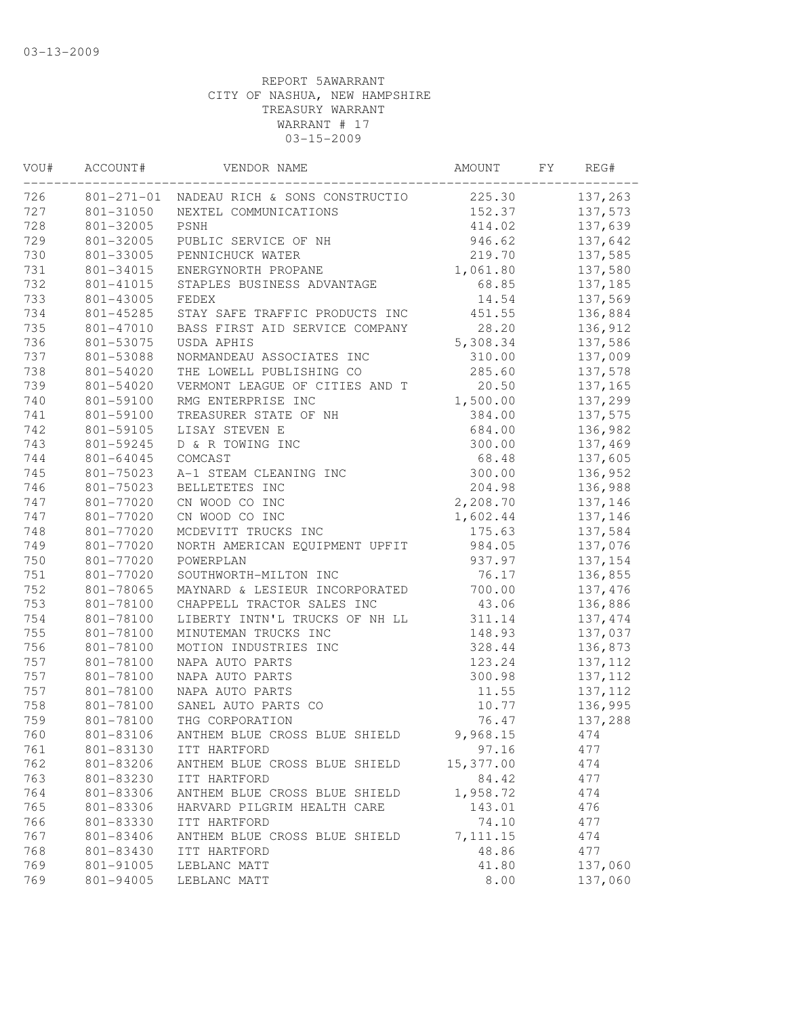| VOU# | ACCOUNT#         | VENDOR NAME                    | AMOUNT    | FY. | REG#     |
|------|------------------|--------------------------------|-----------|-----|----------|
| 726  | $801 - 271 - 01$ | NADEAU RICH & SONS CONSTRUCTIO | 225.30    |     | 137,263  |
| 727  | 801-31050        | NEXTEL COMMUNICATIONS          | 152.37    |     | 137,573  |
| 728  | 801-32005        | PSNH                           | 414.02    |     | 137,639  |
| 729  | 801-32005        | PUBLIC SERVICE OF NH           | 946.62    |     | 137,642  |
| 730  | 801-33005        | PENNICHUCK WATER               | 219.70    |     | 137,585  |
| 731  | 801-34015        | ENERGYNORTH PROPANE            | 1,061.80  |     | 137,580  |
| 732  | 801-41015        | STAPLES BUSINESS ADVANTAGE     | 68.85     |     | 137,185  |
| 733  | 801-43005        | FEDEX                          | 14.54     |     | 137,569  |
| 734  | 801-45285        | STAY SAFE TRAFFIC PRODUCTS INC | 451.55    |     | 136,884  |
| 735  | 801-47010        | BASS FIRST AID SERVICE COMPANY | 28.20     |     | 136,912  |
| 736  | 801-53075        | USDA APHIS                     | 5,308.34  |     | 137,586  |
| 737  | 801-53088        | NORMANDEAU ASSOCIATES INC      | 310.00    |     | 137,009  |
| 738  | 801-54020        | THE LOWELL PUBLISHING CO       | 285.60    |     | 137,578  |
| 739  | 801-54020        | VERMONT LEAGUE OF CITIES AND T | 20.50     |     | 137,165  |
| 740  | 801-59100        | RMG ENTERPRISE INC             | 1,500.00  |     | 137,299  |
| 741  | 801-59100        | TREASURER STATE OF NH          | 384.00    |     | 137,575  |
| 742  | 801-59105        | LISAY STEVEN E                 | 684.00    |     | 136,982  |
| 743  | 801-59245        | D & R TOWING INC               | 300.00    |     | 137,469  |
| 744  | 801-64045        | COMCAST                        | 68.48     |     | 137,605  |
| 745  | 801-75023        | A-1 STEAM CLEANING INC         | 300.00    |     | 136,952  |
| 746  | 801-75023        | BELLETETES INC                 | 204.98    |     | 136,988  |
| 747  | 801-77020        | CN WOOD CO INC                 | 2,208.70  |     | 137,146  |
| 747  | 801-77020        | CN WOOD CO INC                 | 1,602.44  |     | 137,146  |
| 748  | 801-77020        | MCDEVITT TRUCKS INC            | 175.63    |     | 137,584  |
| 749  | 801-77020        | NORTH AMERICAN EQUIPMENT UPFIT | 984.05    |     | 137,076  |
| 750  | 801-77020        | POWERPLAN                      | 937.97    |     | 137,154  |
| 751  | 801-77020        | SOUTHWORTH-MILTON INC          | 76.17     |     | 136,855  |
| 752  | 801-78065        | MAYNARD & LESIEUR INCORPORATED | 700.00    |     | 137,476  |
| 753  | 801-78100        | CHAPPELL TRACTOR SALES INC     | 43.06     |     | 136,886  |
| 754  | 801-78100        | LIBERTY INTN'L TRUCKS OF NH LL | 311.14    |     | 137, 474 |
| 755  | 801-78100        | MINUTEMAN TRUCKS INC           | 148.93    |     | 137,037  |
| 756  | 801-78100        | MOTION INDUSTRIES INC          | 328.44    |     | 136,873  |
| 757  | 801-78100        | NAPA AUTO PARTS                | 123.24    |     | 137, 112 |
| 757  | 801-78100        | NAPA AUTO PARTS                | 300.98    |     | 137, 112 |
| 757  | 801-78100        | NAPA AUTO PARTS                | 11.55     |     | 137, 112 |
| 758  | 801-78100        | SANEL AUTO PARTS CO            | 10.77     |     | 136,995  |
| 759  | 801-78100        | THG CORPORATION                | 76.47     |     | 137,288  |
| 760  | 801-83106        | ANTHEM BLUE CROSS BLUE SHIELD  | 9,968.15  |     | 474      |
| 761  | 801-83130        | ITT HARTFORD                   | 97.16     |     | 477      |
| 762  | 801-83206        | ANTHEM BLUE CROSS BLUE SHIELD  | 15,377.00 |     | 474      |
| 763  | 801-83230        | ITT HARTFORD                   | 84.42     |     | 477      |
| 764  | 801-83306        | ANTHEM BLUE CROSS BLUE SHIELD  | 1,958.72  |     | 474      |
| 765  | 801-83306        | HARVARD PILGRIM HEALTH CARE    | 143.01    |     | 476      |
| 766  | 801-83330        | ITT HARTFORD                   | 74.10     |     | 477      |
| 767  | 801-83406        | ANTHEM BLUE CROSS BLUE SHIELD  | 7, 111.15 |     | 474      |
| 768  | 801-83430        | ITT HARTFORD                   | 48.86     |     | 477      |
| 769  | 801-91005        | LEBLANC MATT                   | 41.80     |     | 137,060  |
| 769  | 801-94005        | LEBLANC MATT                   | 8.00      |     | 137,060  |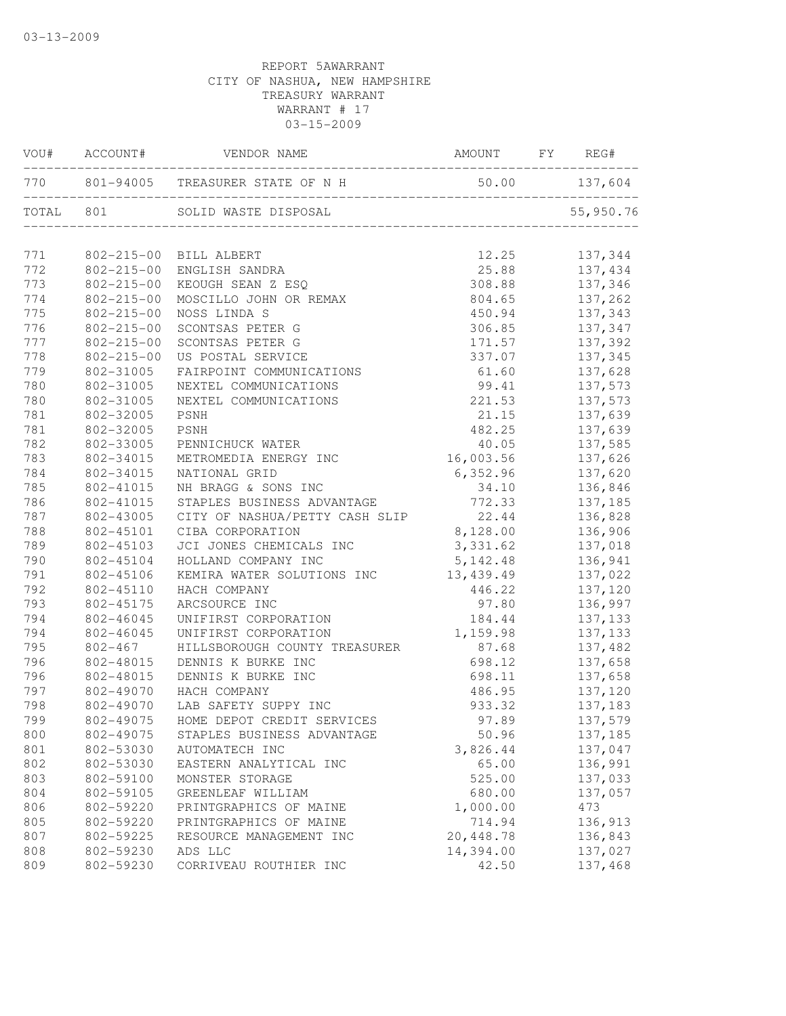|     | VOU# ACCOUNT#    | VENDOR NAME                                        | AMOUNT FY REG# |  |                    |  |
|-----|------------------|----------------------------------------------------|----------------|--|--------------------|--|
|     |                  | 770 801-94005 TREASURER STATE OF N H 50.00 137,604 |                |  |                    |  |
|     | TOTAL 801        | SOLID WASTE DISPOSAL                               |                |  | 55,950.76          |  |
| 771 |                  | 802-215-00 BILL ALBERT                             | 12.25          |  | 137,344            |  |
| 772 | $802 - 215 - 00$ | ENGLISH SANDRA                                     |                |  | 25.88 137,434      |  |
| 773 | $802 - 215 - 00$ | KEOUGH SEAN Z ESQ                                  | 308.88         |  | 137,346            |  |
| 774 | $802 - 215 - 00$ | MOSCILLO JOHN OR REMAX                             | 804.65         |  | 137,262            |  |
| 775 | $802 - 215 - 00$ | NOSS LINDA S                                       | 450.94         |  | 137,343            |  |
| 776 | $802 - 215 - 00$ | SCONTSAS PETER G                                   |                |  | $306.85$ $137,347$ |  |
| 777 | $802 - 215 - 00$ | SCONTSAS PETER G                                   | 171.57         |  | 137,392            |  |
| 778 | $802 - 215 - 00$ | US POSTAL SERVICE                                  | 337.07         |  | 137,345            |  |
| 779 | 802-31005        | FAIRPOINT COMMUNICATIONS                           | 61.60          |  | 137,628            |  |
| 780 | 802-31005        | NEXTEL COMMUNICATIONS                              | 99.41          |  | 137,573            |  |
| 780 | 802-31005        | NEXTEL COMMUNICATIONS                              | 221.53         |  | 137,573            |  |
| 781 | 802-32005        | PSNH                                               | 21.15          |  | 137,639            |  |
| 781 | 802-32005        | PSNH                                               | 482.25         |  | 137,639            |  |
| 782 | 802-33005        | PENNICHUCK WATER                                   | 40.05          |  | 137,585            |  |
| 783 | 802-34015        | METROMEDIA ENERGY INC                              | 16,003.56      |  | 137,626            |  |
| 784 | 802-34015        | NATIONAL GRID                                      | 6,352.96       |  | 137,620            |  |
| 785 | 802-41015        | NH BRAGG & SONS INC                                | 34.10          |  | 136,846            |  |
| 786 | 802-41015        | STAPLES BUSINESS ADVANTAGE                         | 772.33         |  | 137,185            |  |
| 787 | 802-43005        | CITY OF NASHUA/PETTY CASH SLIP 22.44               |                |  | 136,828            |  |
| 788 | 802-45101        | CIBA CORPORATION                                   | 8,128.00       |  | 136,906            |  |
| 789 | 802-45103        | JCI JONES CHEMICALS INC                            | 3,331.62       |  | 137,018            |  |
| 790 | 802-45104        | HOLLAND COMPANY INC                                | 5, 142.48      |  | 136,941            |  |
| 791 | 802-45106        | KEMIRA WATER SOLUTIONS INC                         | 13, 439.49     |  | 137,022            |  |
| 792 | 802-45110        | HACH COMPANY                                       | 446.22         |  | 137,120            |  |
| 793 | 802-45175        | ARCSOURCE INC                                      | 97.80          |  | 136,997            |  |
| 794 | 802-46045        | UNIFIRST CORPORATION                               | 184.44         |  | 137, 133           |  |
| 794 | 802-46045        | UNIFIRST CORPORATION                               | 1,159.98       |  | 137,133            |  |
| 795 | 802-467          | HILLSBOROUGH COUNTY TREASURER                      | 87.68          |  | 137,482            |  |
| 796 | 802-48015        | DENNIS K BURKE INC                                 | 698.12         |  | 137,658            |  |
| 796 | 802-48015        | DENNIS K BURKE INC                                 | 698.11         |  | 137,658            |  |
| 797 | 802-49070        | HACH COMPANY                                       | 486.95         |  |                    |  |
| 798 | 802-49070        | LAB SAFETY SUPPY INC                               | 933.32         |  | 137,120<br>137,183 |  |
| 799 |                  | 802-49075 HOME DEPOT CREDIT SERVICES               | 97.89          |  | 137,579            |  |
| 800 | 802-49075        | STAPLES BUSINESS ADVANTAGE                         | 50.96          |  | 137,185            |  |
| 801 | 802-53030        | AUTOMATECH INC                                     | 3,826.44       |  | 137,047            |  |
| 802 | 802-53030        | EASTERN ANALYTICAL INC                             | 65.00          |  | 136,991            |  |
| 803 | 802-59100        | MONSTER STORAGE                                    | 525.00         |  | 137,033            |  |
| 804 | 802-59105        | GREENLEAF WILLIAM                                  | 680.00         |  | 137,057            |  |
| 806 | 802-59220        | PRINTGRAPHICS OF MAINE                             | 1,000.00       |  | 473                |  |
| 805 | 802-59220        | PRINTGRAPHICS OF MAINE                             | 714.94         |  | 136,913            |  |
| 807 | 802-59225        | RESOURCE MANAGEMENT INC                            | 20,448.78      |  | 136,843            |  |
| 808 | 802-59230        | ADS LLC                                            | 14,394.00      |  | 137,027            |  |
| 809 | 802-59230        | CORRIVEAU ROUTHIER INC                             | 42.50          |  | 137,468            |  |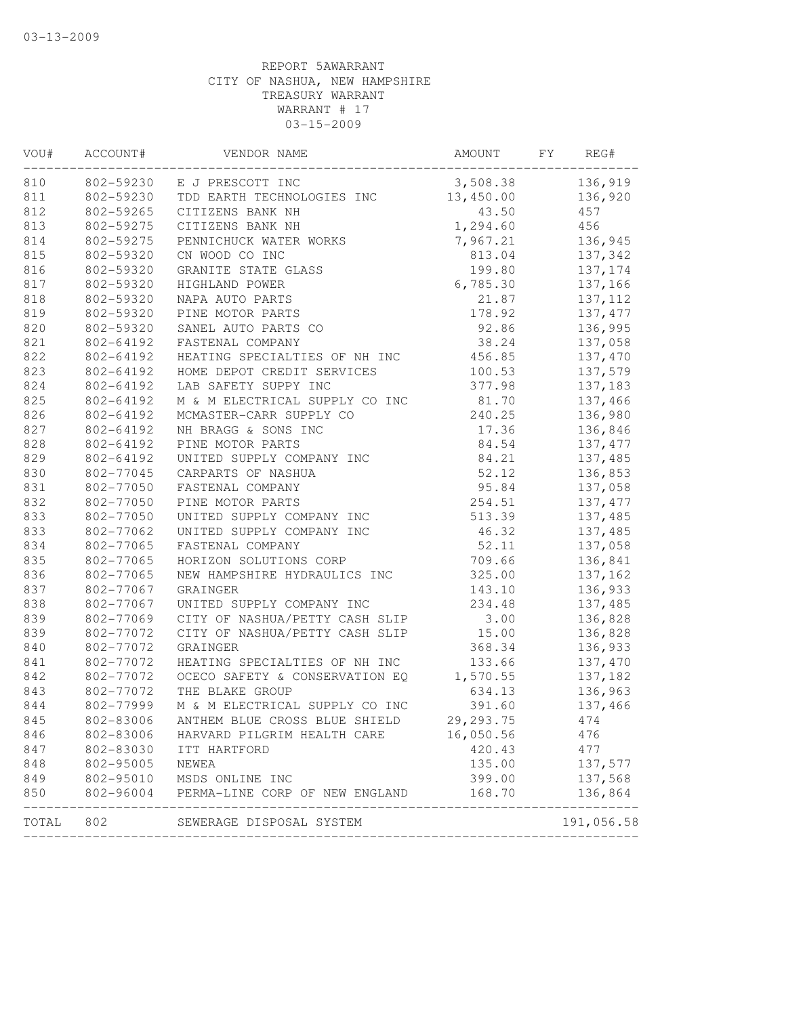| VOU#  | ACCOUNT#  | VENDOR NAME                    | AMOUNT      | FY | REG#       |
|-------|-----------|--------------------------------|-------------|----|------------|
| 810   | 802-59230 | E J PRESCOTT INC               | 3,508.38    |    | 136,919    |
| 811   | 802-59230 | TDD EARTH TECHNOLOGIES INC     | 13,450.00   |    | 136,920    |
| 812   | 802-59265 | CITIZENS BANK NH               | 43.50       |    | 457        |
| 813   | 802-59275 | CITIZENS BANK NH               | 1,294.60    |    | 456        |
| 814   | 802-59275 | PENNICHUCK WATER WORKS         | 7,967.21    |    | 136,945    |
| 815   | 802-59320 | CN WOOD CO INC                 | 813.04      |    | 137,342    |
| 816   | 802-59320 | GRANITE STATE GLASS            | 199.80      |    | 137,174    |
| 817   | 802-59320 | HIGHLAND POWER                 | 6,785.30    |    | 137,166    |
| 818   | 802-59320 | NAPA AUTO PARTS                | 21.87       |    | 137, 112   |
| 819   | 802-59320 | PINE MOTOR PARTS               | 178.92      |    | 137, 477   |
| 820   | 802-59320 | SANEL AUTO PARTS CO            | 92.86       |    | 136,995    |
| 821   | 802-64192 | FASTENAL COMPANY               | 38.24       |    | 137,058    |
| 822   | 802-64192 | HEATING SPECIALTIES OF NH INC  | 456.85      |    | 137,470    |
| 823   | 802-64192 | HOME DEPOT CREDIT SERVICES     | 100.53      |    | 137,579    |
| 824   | 802-64192 | LAB SAFETY SUPPY INC           | 377.98      |    | 137,183    |
| 825   | 802-64192 | M & M ELECTRICAL SUPPLY CO INC | 81.70       |    | 137,466    |
| 826   | 802-64192 | MCMASTER-CARR SUPPLY CO        | 240.25      |    | 136,980    |
| 827   | 802-64192 | NH BRAGG & SONS INC            | 17.36       |    | 136,846    |
| 828   | 802-64192 | PINE MOTOR PARTS               | 84.54       |    | 137, 477   |
| 829   | 802-64192 | UNITED SUPPLY COMPANY INC      | 84.21       |    | 137,485    |
| 830   | 802-77045 | CARPARTS OF NASHUA             | 52.12       |    | 136,853    |
| 831   | 802-77050 | FASTENAL COMPANY               | 95.84       |    | 137,058    |
| 832   | 802-77050 | PINE MOTOR PARTS               | 254.51      |    | 137, 477   |
| 833   | 802-77050 | UNITED SUPPLY COMPANY INC      | 513.39      |    | 137,485    |
| 833   | 802-77062 | UNITED SUPPLY COMPANY INC      | 46.32       |    | 137,485    |
| 834   | 802-77065 | FASTENAL COMPANY               | 52.11       |    | 137,058    |
| 835   | 802-77065 | HORIZON SOLUTIONS CORP         | 709.66      |    | 136,841    |
| 836   | 802-77065 | NEW HAMPSHIRE HYDRAULICS INC   | 325.00      |    | 137,162    |
| 837   | 802-77067 | GRAINGER                       | 143.10      |    | 136,933    |
| 838   | 802-77067 | UNITED SUPPLY COMPANY INC      | 234.48      |    | 137,485    |
| 839   | 802-77069 | CITY OF NASHUA/PETTY CASH SLIP | 3.00        |    | 136,828    |
| 839   | 802-77072 | CITY OF NASHUA/PETTY CASH SLIP | 15.00       |    | 136,828    |
| 840   | 802-77072 | GRAINGER                       | 368.34      |    | 136,933    |
| 841   | 802-77072 | HEATING SPECIALTIES OF NH INC  | 133.66      |    |            |
|       | 802-77072 |                                |             |    | 137,470    |
| 842   |           | OCECO SAFETY & CONSERVATION EQ | 1,570.55    |    | 137,182    |
| 843   | 802-77072 | THE BLAKE GROUP                | 634.13      |    | 136,963    |
| 844   | 802-77999 | M & M ELECTRICAL SUPPLY CO INC | 391.60      |    | 137,466    |
| 845   | 802-83006 | ANTHEM BLUE CROSS BLUE SHIELD  | 29, 293. 75 |    | 474        |
| 846   | 802-83006 | HARVARD PILGRIM HEALTH CARE    | 16,050.56   |    | 476        |
| 847   | 802-83030 | ITT HARTFORD                   | 420.43      |    | 477        |
| 848   | 802-95005 | NEWEA                          | 135.00      |    | 137,577    |
| 849   | 802-95010 | MSDS ONLINE INC                | 399.00      |    | 137,568    |
| 850   | 802-96004 | PERMA-LINE CORP OF NEW ENGLAND | 168.70      |    | 136,864    |
| TOTAL | 802       | SEWERAGE DISPOSAL SYSTEM       |             |    | 191,056.58 |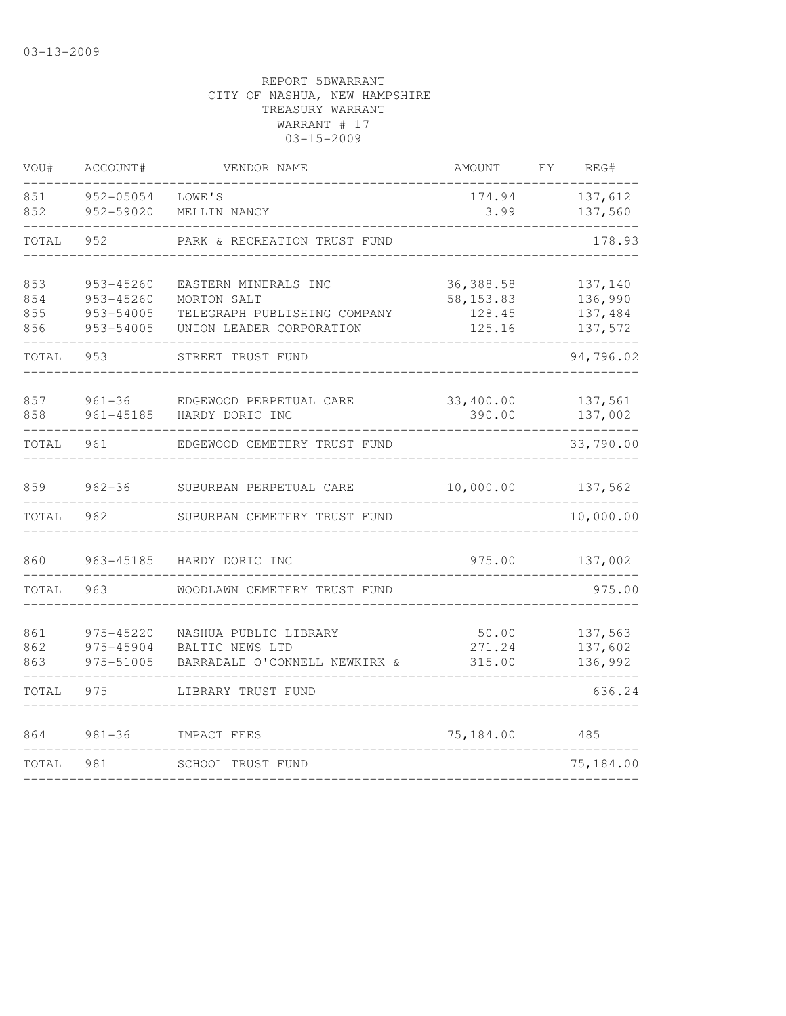| VOU#                     | ACCOUNT#                                         | VENDOR NAME                                                                                     | <b>AMOUNT</b>                               | FΥ | REG#                                     |
|--------------------------|--------------------------------------------------|-------------------------------------------------------------------------------------------------|---------------------------------------------|----|------------------------------------------|
| 851<br>852               | 952-05054<br>952-59020                           | LOWE'S<br>MELLIN NANCY                                                                          | 174.94<br>3.99                              |    | 137,612<br>137,560                       |
| TOTAL                    | 952                                              | PARK & RECREATION TRUST FUND                                                                    |                                             |    | 178.93                                   |
| 853<br>854<br>855<br>856 | 953-45260<br>953-45260<br>953-54005<br>953-54005 | EASTERN MINERALS INC<br>MORTON SALT<br>TELEGRAPH PUBLISHING COMPANY<br>UNION LEADER CORPORATION | 36,388.58<br>58, 153.83<br>128.45<br>125.16 |    | 137,140<br>136,990<br>137,484<br>137,572 |
| TOTAL                    | 953                                              | STREET TRUST FUND                                                                               |                                             |    | 94,796.02                                |
| 857<br>858               | $961 - 36$<br>$961 - 45185$                      | EDGEWOOD PERPETUAL CARE<br>HARDY DORIC INC                                                      | 33,400.00<br>390.00                         |    | 137,561<br>137,002                       |
| TOTAL                    | 961                                              | EDGEWOOD CEMETERY TRUST FUND                                                                    |                                             |    | 33,790.00                                |
| 859                      | $962 - 36$                                       | SUBURBAN PERPETUAL CARE                                                                         | 10,000.00                                   |    | 137,562                                  |
| TOTAL                    | 962                                              | SUBURBAN CEMETERY TRUST FUND                                                                    |                                             |    | 10,000.00                                |
| 860                      | 963-45185                                        | HARDY DORIC INC                                                                                 | 975.00                                      |    | 137,002                                  |
| TOTAL                    | 963                                              | WOODLAWN CEMETERY TRUST FUND                                                                    |                                             |    | 975.00                                   |
| 861<br>862<br>863        | 975-45220<br>975-45904<br>975-51005              | NASHUA PUBLIC LIBRARY<br>BALTIC NEWS LTD<br>BARRADALE O'CONNELL NEWKIRK &                       | 50.00<br>271.24<br>315.00                   |    | 137,563<br>137,602<br>136,992            |
| TOTAL                    | 975                                              | LIBRARY TRUST FUND                                                                              |                                             |    | 636.24                                   |
| 864                      | $981 - 36$                                       | IMPACT FEES                                                                                     | 75,184.00                                   |    | 485                                      |
| TOTAL                    | 981                                              | SCHOOL TRUST FUND                                                                               |                                             |    | 75,184.00                                |
|                          |                                                  |                                                                                                 |                                             |    |                                          |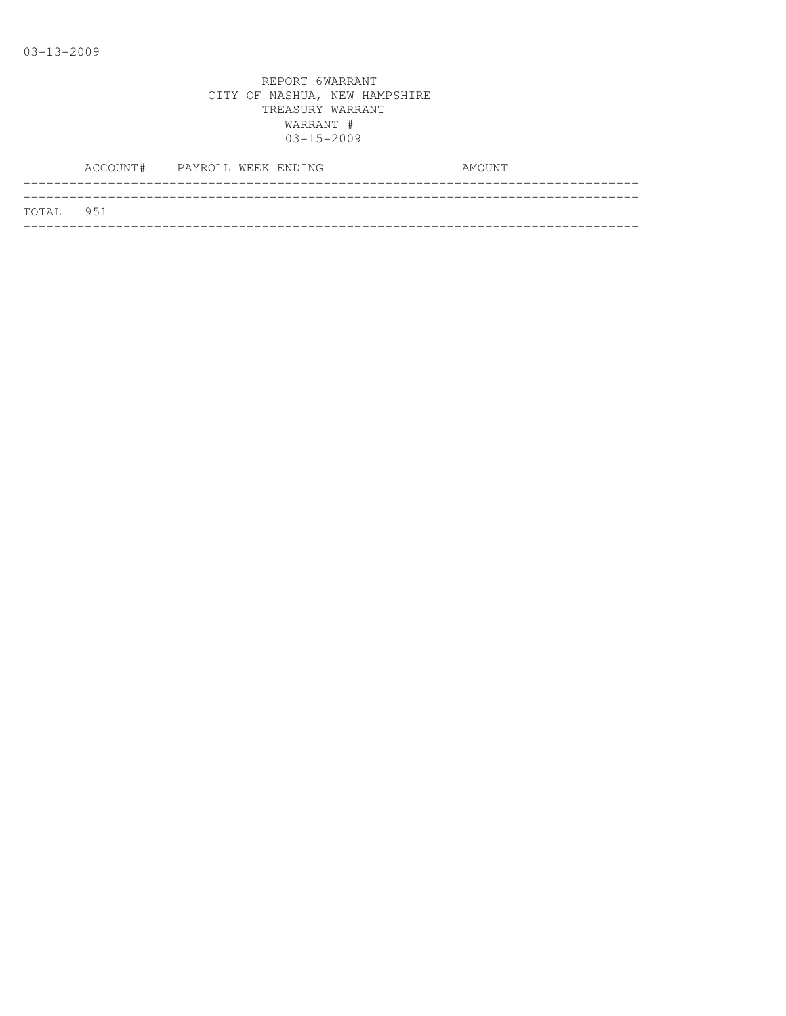|           | ACCOUNT# PAYROLL WEEK ENDING |  |  | AMOUNT |  |
|-----------|------------------------------|--|--|--------|--|
|           |                              |  |  |        |  |
| TOTAL 951 |                              |  |  |        |  |
|           |                              |  |  |        |  |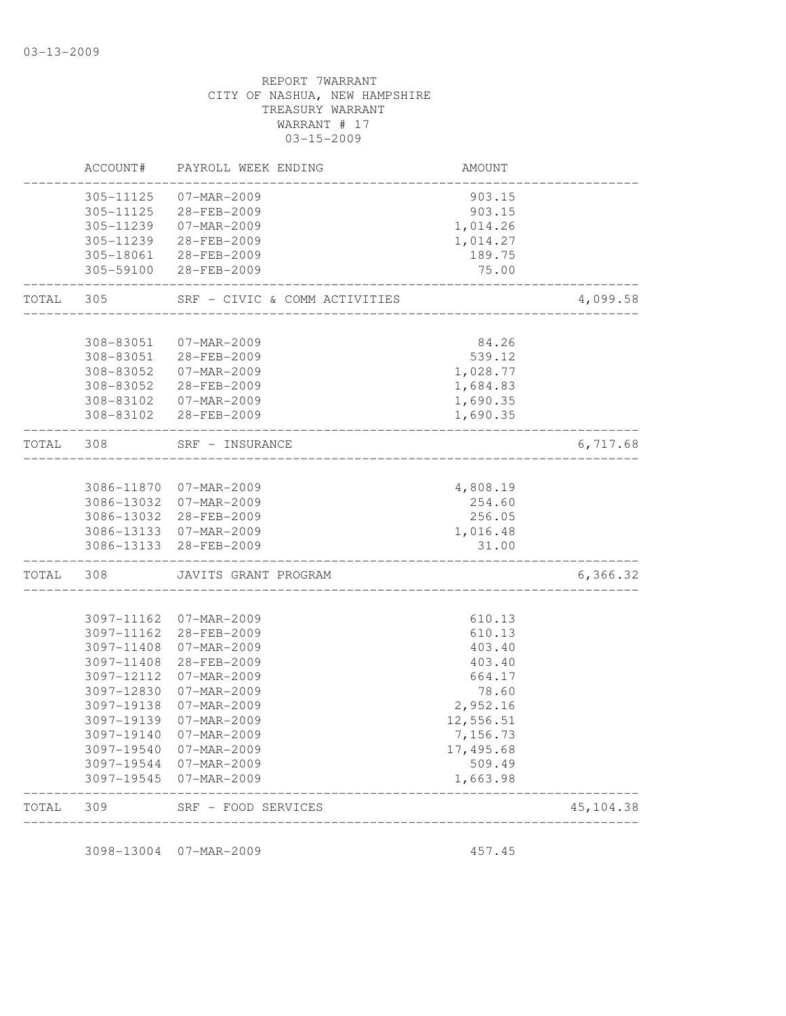| TOTAL | 309                      | SRF - FOOD SERVICES           |                       | 45, 104.38 |
|-------|--------------------------|-------------------------------|-----------------------|------------|
|       | 3097-19545               | 07-MAR-2009                   | 1,663.98              |            |
|       | 3097-19544               | 07-MAR-2009                   | 509.49                |            |
|       | 3097-19140<br>3097-19540 | 07-MAR-2009<br>07-MAR-2009    | 7,156.73<br>17,495.68 |            |
|       | 3097-19139               | 07-MAR-2009                   | 12,556.51             |            |
|       | 3097-19138               | 07-MAR-2009                   | 2,952.16              |            |
|       | 3097-12830               | 07-MAR-2009                   | 78.60                 |            |
|       | 3097-12112               | 07-MAR-2009                   | 664.17                |            |
|       | 3097-11408               | 28-FEB-2009                   | 403.40                |            |
|       | 3097-11408               | 07-MAR-2009                   | 403.40                |            |
|       | 3097-11162<br>3097-11162 | 07-MAR-2009<br>28-FEB-2009    | 610.13<br>610.13      |            |
|       |                          |                               |                       |            |
| TOTAL | 308                      | JAVITS GRANT PROGRAM          |                       | 6,366.32   |
|       | 3086-13133               | 28-FEB-2009                   | 31.00                 |            |
|       | 3086-13133               | 07-MAR-2009                   | 1,016.48              |            |
|       | 3086-13032               | 28-FEB-2009                   | 256.05                |            |
|       | 3086-11870<br>3086-13032 | 07-MAR-2009<br>07-MAR-2009    | 4,808.19<br>254.60    |            |
| TOTAL | 308                      | SRF - INSURANCE               |                       | 6,717.68   |
|       | 308-83102                | 28-FEB-2009                   | 1,690.35              |            |
|       | 308-83102                | 07-MAR-2009                   | 1,690.35              |            |
|       | 308-83052                | 28-FEB-2009                   | 1,684.83              |            |
|       | 308-83052                | 07-MAR-2009                   | 1,028.77              |            |
|       | 308-83051<br>308-83051   | 07-MAR-2009<br>28-FEB-2009    | 84.26<br>539.12       |            |
| TOTAL | 305                      | SRF - CIVIC & COMM ACTIVITIES |                       | 4,099.58   |
|       | 305-59100                | 28-FEB-2009                   | 75.00                 |            |
|       | 305-18061                | 28-FEB-2009                   | 189.75                |            |
|       | 305-11239                | 28-FEB-2009                   | 1,014.27              |            |
|       | 305-11125<br>305-11239   | 28-FEB-2009<br>07-MAR-2009    | 903.15<br>1,014.26    |            |
|       | 305-11125                | 07-MAR-2009                   | 903.15                |            |
|       |                          |                               |                       |            |
|       | ACCOUNT#                 | PAYROLL WEEK ENDING           | <b>AMOUNT</b>         |            |

3098-13004 07-MAR-2009 457.45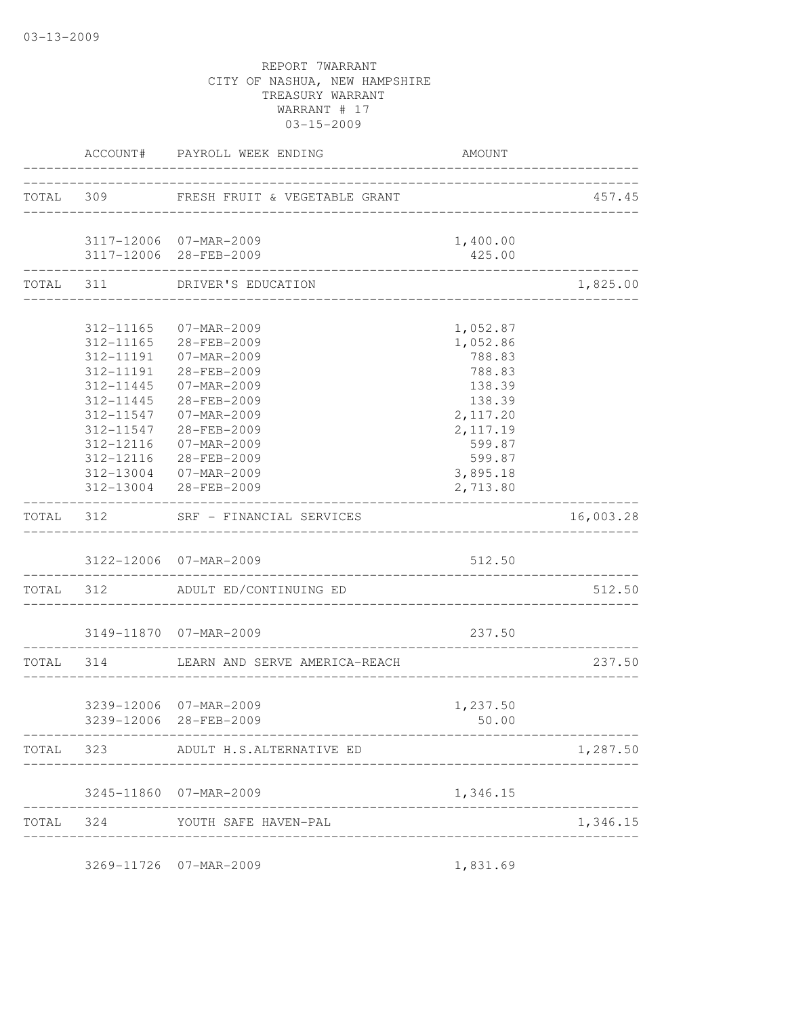|           |           | ACCOUNT# PAYROLL WEEK ENDING                 | AMOUNT                         |           |
|-----------|-----------|----------------------------------------------|--------------------------------|-----------|
|           |           | TOTAL 309 FRESH FRUIT & VEGETABLE GRANT      |                                | 457.45    |
|           |           | 3117-12006 07-MAR-2009                       | 1,400.00                       |           |
|           |           | 3117-12006 28-FEB-2009                       | 425.00                         |           |
|           |           | TOTAL 311 DRIVER'S EDUCATION                 |                                | 1,825.00  |
|           |           | 312-11165 07-MAR-2009                        | 1,052.87                       |           |
|           |           | 312-11165 28-FEB-2009                        | 1,052.86                       |           |
|           |           | 312-11191  07-MAR-2009                       | 788.83                         |           |
|           |           | 312-11191 28-FEB-2009                        | 788.83                         |           |
|           |           | 312-11445 07-MAR-2009                        | 138.39                         |           |
|           |           | 312-11445 28-FEB-2009                        | 138.39                         |           |
|           |           | 312-11547 07-MAR-2009                        | 2,117.20                       |           |
|           |           | 312-11547 28-FEB-2009                        | 2, 117.19                      |           |
|           | 312-12116 | 07-MAR-2009                                  | 599.87                         |           |
|           | 312-12116 | 28-FEB-2009                                  | 599.87                         |           |
|           |           | 312-13004 07-MAR-2009                        | 3,895.18                       |           |
|           |           | 312-13004 28-FEB-2009                        | 2,713.80                       |           |
| TOTAL 312 |           | ________________<br>SRF - FINANCIAL SERVICES |                                | 16,003.28 |
|           |           | 3122-12006 07-MAR-2009                       | 512.50                         |           |
|           |           | TOTAL 312 ADULT ED/CONTINUING ED             |                                | 512.50    |
|           |           | 3149-11870  07-MAR-2009                      | 237.50                         |           |
|           |           | TOTAL 314 LEARN AND SERVE AMERICA-REACH      | ______________________________ | 237.50    |
|           |           |                                              | _____________________________  |           |
|           |           | 3239-12006 07-MAR-2009                       | 1,237.50                       |           |
|           |           | 3239-12006 28-FEB-2009                       | 50.00                          |           |
|           | TOTAL 323 | ADULT H.S.ALTERNATIVE ED                     |                                | 1,287.50  |
|           |           | 3245-11860 07-MAR-2009                       | 1,346.15                       |           |
|           |           | TOTAL 324 YOUTH SAFE HAVEN-PAL               |                                | 1,346.15  |
|           |           |                                              |                                |           |
|           |           | 3269-11726 07-MAR-2009                       | 1,831.69                       |           |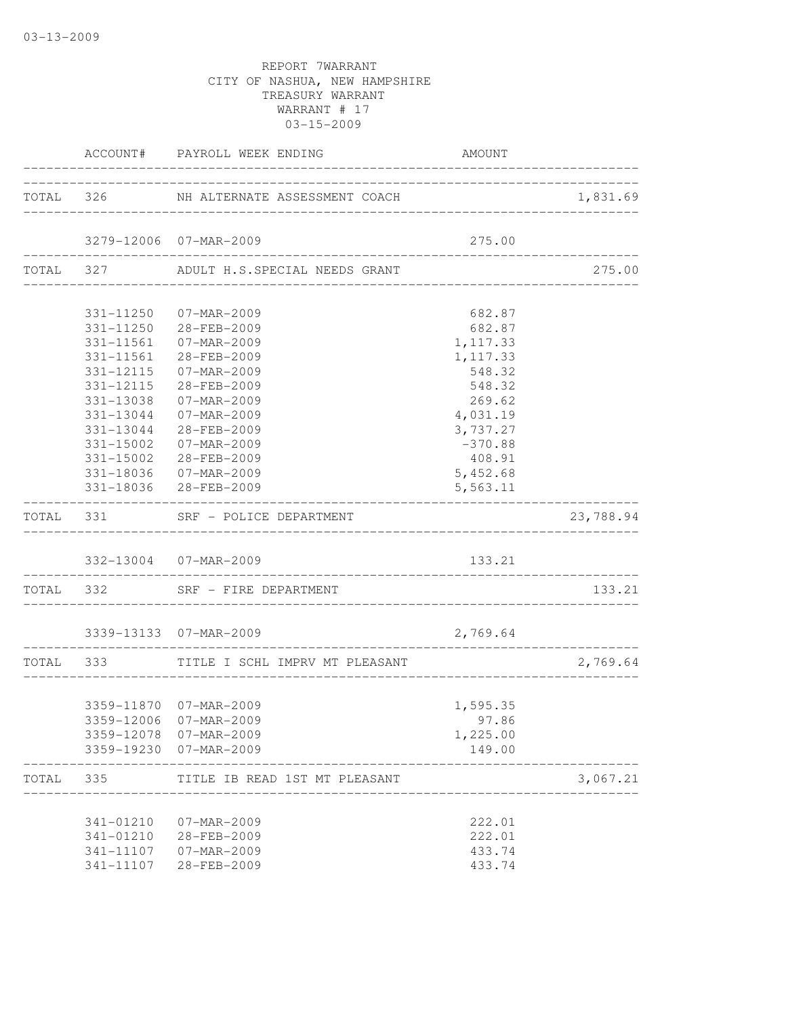03-13-2009

|       |               | ACCOUNT# PAYROLL WEEK ENDING                | AMOUNT                             |           |
|-------|---------------|---------------------------------------------|------------------------------------|-----------|
|       |               | TOTAL 326 NH ALTERNATE ASSESSMENT COACH     |                                    | 1,831.69  |
|       |               | 3279-12006 07-MAR-2009                      | 275.00                             |           |
|       |               | TOTAL 327 ADULT H.S. SPECIAL NEEDS GRANT    |                                    | 275.00    |
|       |               |                                             |                                    |           |
|       |               | 331-11250 07-MAR-2009                       | 682.87                             |           |
|       |               | 331-11250 28-FEB-2009                       | 682.87                             |           |
|       |               | 331-11561 07-MAR-2009                       | 1,117.33                           |           |
|       |               | 331-11561 28-FEB-2009                       | 1, 117.33                          |           |
|       | 331-12115     | $07 - \text{MAR} - 2009$                    | 548.32                             |           |
|       | 331-12115     | 28-FEB-2009                                 | 548.32                             |           |
|       | 331-13038     | $07 - MAR - 2009$                           | 269.62                             |           |
|       | 331-13044     | $07 - MAR - 2009$                           | 4,031.19                           |           |
|       | 331-13044     | 28-FEB-2009                                 | 3,737.27                           |           |
|       | $331 - 15002$ | 07-MAR-2009                                 | $-370.88$                          |           |
|       | 331-15002     | 28-FEB-2009                                 | 408.91                             |           |
|       |               | 331-18036 07-MAR-2009                       | 5,452.68                           |           |
|       |               | 331-18036 28-FEB-2009<br>__________________ | 5,563.11                           |           |
|       |               | TOTAL 331 SRF - POLICE DEPARTMENT           |                                    | 23,788.94 |
|       |               | 332-13004 07-MAR-2009                       | 133.21                             |           |
|       |               | TOTAL 332 SRF - FIRE DEPARTMENT             |                                    | 133.21    |
|       |               | 3339-13133 07-MAR-2009                      | 2,769.64                           |           |
|       |               |                                             | ---------------------------------- |           |
|       |               | TOTAL 333 TITLE I SCHL IMPRV MT PLEASANT    |                                    | 2,769.64  |
|       |               |                                             |                                    |           |
|       |               | 3359-11870 07-MAR-2009                      | 1,595.35                           |           |
|       |               | 3359-12006 07-MAR-2009                      | 97.86                              |           |
|       |               | 3359-12078 07-MAR-2009                      | 1,225.00                           |           |
|       |               | 3359-19230 07-MAR-2009                      | 149.00                             |           |
| TOTAL | 335           | TITLE IB READ 1ST MT PLEASANT               |                                    | 3,067.21  |
|       | 341-01210     | 07-MAR-2009                                 | 222.01                             |           |
|       | 341-01210     | 28-FEB-2009                                 | 222.01                             |           |
|       | 341-11107     | 07-MAR-2009                                 | 433.74                             |           |
|       | 341-11107     | 28-FEB-2009                                 | 433.74                             |           |
|       |               |                                             |                                    |           |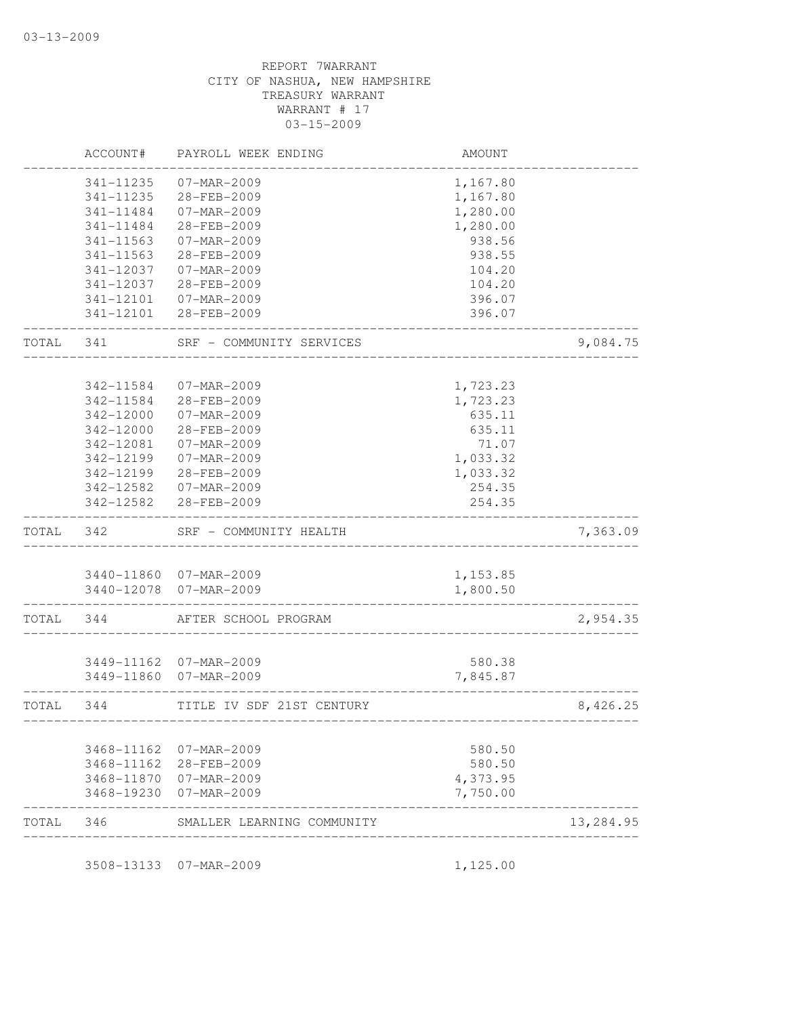|       | ACCOUNT#               | PAYROLL WEEK ENDING                   | AMOUNT           |           |
|-------|------------------------|---------------------------------------|------------------|-----------|
|       | 341-11235              | 07-MAR-2009                           | 1,167.80         |           |
|       | 341-11235              | 28-FEB-2009                           | 1,167.80         |           |
|       | 341-11484              | 07-MAR-2009                           | 1,280.00         |           |
|       | 341-11484              | 28-FEB-2009                           | 1,280.00         |           |
|       | 341-11563              | 07-MAR-2009                           | 938.56           |           |
|       | 341-11563              | 28-FEB-2009                           | 938.55           |           |
|       | 341-12037              | 07-MAR-2009                           | 104.20           |           |
|       | 341-12037              | 28-FEB-2009                           | 104.20           |           |
|       | 341-12101              | 07-MAR-2009                           | 396.07           |           |
|       | 341-12101              | 28-FEB-2009                           | 396.07           |           |
| TOTAL | 341                    | SRF - COMMUNITY SERVICES              |                  | 9,084.75  |
|       |                        |                                       |                  |           |
|       | 342-11584              | 07-MAR-2009<br>28-FEB-2009            | 1,723.23         |           |
|       | 342-11584<br>342-12000 | $07 - MAR - 2009$                     | 1,723.23         |           |
|       | 342-12000              | 28-FEB-2009                           | 635.11           |           |
|       |                        |                                       | 635.11           |           |
|       | 342-12081              | 07-MAR-2009                           | 71.07            |           |
|       | 342-12199              | 07-MAR-2009                           | 1,033.32         |           |
|       | 342-12199              | 28-FEB-2009                           | 1,033.32         |           |
|       | 342-12582<br>342-12582 | 07-MAR-2009<br>28-FEB-2009            | 254.35<br>254.35 |           |
| TOTAL | 342                    | SRF - COMMUNITY HEALTH                |                  | 7,363.09  |
|       |                        |                                       |                  |           |
|       |                        | 3440-11860 07-MAR-2009                | 1,153.85         |           |
|       |                        | 3440-12078 07-MAR-2009                | 1,800.50         |           |
| TOTAL | 344                    | AFTER SCHOOL PROGRAM                  |                  | 2,954.35  |
|       |                        |                                       | 580.38           |           |
|       | 3449-11860             | 3449-11162 07-MAR-2009<br>07-MAR-2009 | 7,845.87         |           |
| TOTAL | 344                    | TITLE IV SDF 21ST CENTURY             |                  | 8,426.25  |
|       |                        |                                       | ---------------  |           |
|       |                        | 3468-11162 07-MAR-2009                | 580.50           |           |
|       |                        | 3468-11162 28-FEB-2009                | 580.50           |           |
|       |                        | 3468-11870 07-MAR-2009                | 4,373.95         |           |
|       | 3468-19230             | 07-MAR-2009                           | 7,750.00         |           |
| TOTAL | 346                    | SMALLER LEARNING COMMUNITY            |                  | 13,284.95 |
|       |                        | 3508-13133 07-MAR-2009                | 1,125.00         |           |
|       |                        |                                       |                  |           |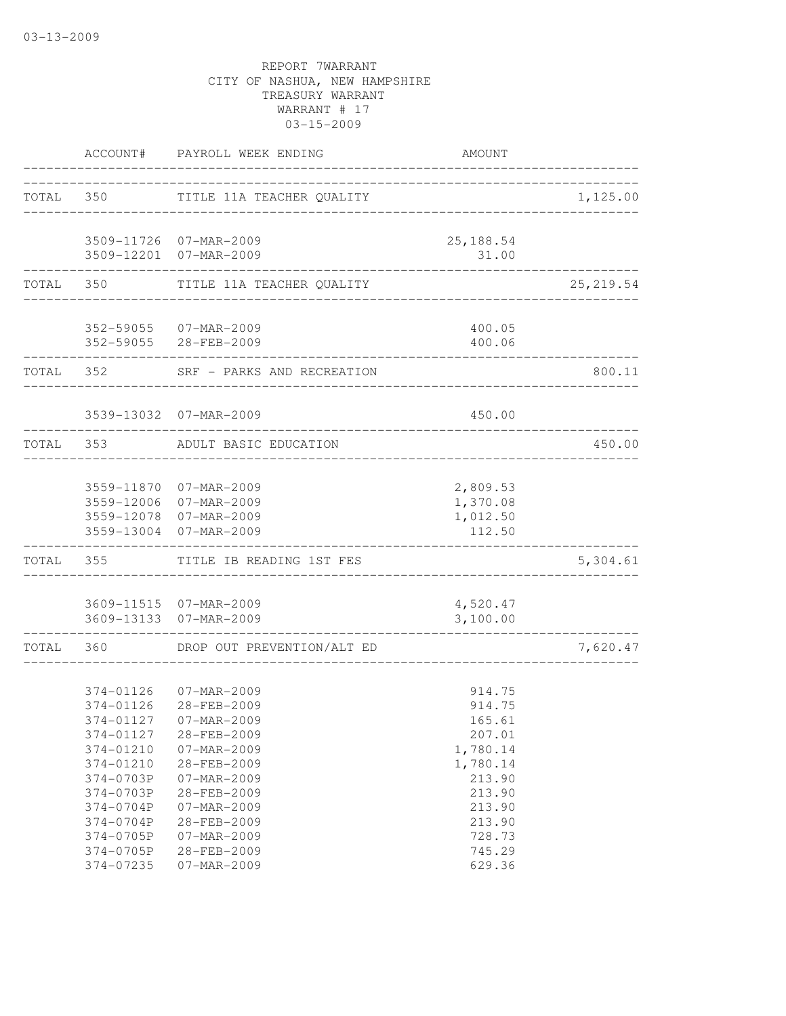|           | ACCOUNT#                                                                                                                                                 | PAYROLL WEEK ENDING<br>------------------------                                                                                                                                                                             | AMOUNT                                                                                                                             |            |
|-----------|----------------------------------------------------------------------------------------------------------------------------------------------------------|-----------------------------------------------------------------------------------------------------------------------------------------------------------------------------------------------------------------------------|------------------------------------------------------------------------------------------------------------------------------------|------------|
|           | TOTAL 350                                                                                                                                                | TITLE 11A TEACHER QUALITY                                                                                                                                                                                                   |                                                                                                                                    | 1,125.00   |
|           |                                                                                                                                                          | 3509-11726 07-MAR-2009<br>3509-12201 07-MAR-2009                                                                                                                                                                            | 25, 188.54<br>31.00                                                                                                                |            |
|           | ---------------                                                                                                                                          | ---------------------------------<br>TOTAL 350 TITLE 11A TEACHER QUALITY                                                                                                                                                    | ______________________________________                                                                                             | 25, 219.54 |
|           | ------------                                                                                                                                             | 352-59055 07-MAR-2009<br>352-59055 28-FEB-2009                                                                                                                                                                              | 400.05<br>400.06                                                                                                                   |            |
|           | TOTAL 352                                                                                                                                                | SRF - PARKS AND RECREATION                                                                                                                                                                                                  |                                                                                                                                    | 800.11     |
|           |                                                                                                                                                          | 3539-13032 07-MAR-2009                                                                                                                                                                                                      | 450.00<br>______________________                                                                                                   |            |
| TOTAL 353 |                                                                                                                                                          | ADULT BASIC EDUCATION                                                                                                                                                                                                       |                                                                                                                                    | 450.00     |
|           |                                                                                                                                                          | 3559-11870 07-MAR-2009<br>3559-12006 07-MAR-2009<br>3559-12078 07-MAR-2009<br>3559-13004 07-MAR-2009                                                                                                                        | 2,809.53<br>1,370.08<br>1,012.50<br>112.50                                                                                         |            |
| TOTAL     | 355                                                                                                                                                      | TITLE IB READING 1ST FES                                                                                                                                                                                                    |                                                                                                                                    | 5,304.61   |
|           |                                                                                                                                                          | 3609-11515 07-MAR-2009<br>3609-13133 07-MAR-2009                                                                                                                                                                            | 4,520.47<br>3,100.00                                                                                                               |            |
| TOTAL     |                                                                                                                                                          | 360 DROP OUT PREVENTION/ALT ED                                                                                                                                                                                              |                                                                                                                                    | 7,620.47   |
|           | 374-01126<br>374-01126<br>374-01127<br>374-01210<br>374-01210<br>374-0703P<br>374-0703P<br>374-0704P<br>374-0704P<br>374-0705P<br>374-0705P<br>374-07235 | $07 - MAR - 2009$<br>28-FEB-2009<br>374-01127 07-MAR-2009<br>28-FEB-2009<br>07-MAR-2009<br>28-FEB-2009<br>$07 - MAR - 2009$<br>28-FEB-2009<br>07-MAR-2009<br>28-FEB-2009<br>07-MAR-2009<br>28-FEB-2009<br>$07 - MAR - 2009$ | 914.75<br>914.75<br>165.61<br>207.01<br>1,780.14<br>1,780.14<br>213.90<br>213.90<br>213.90<br>213.90<br>728.73<br>745.29<br>629.36 |            |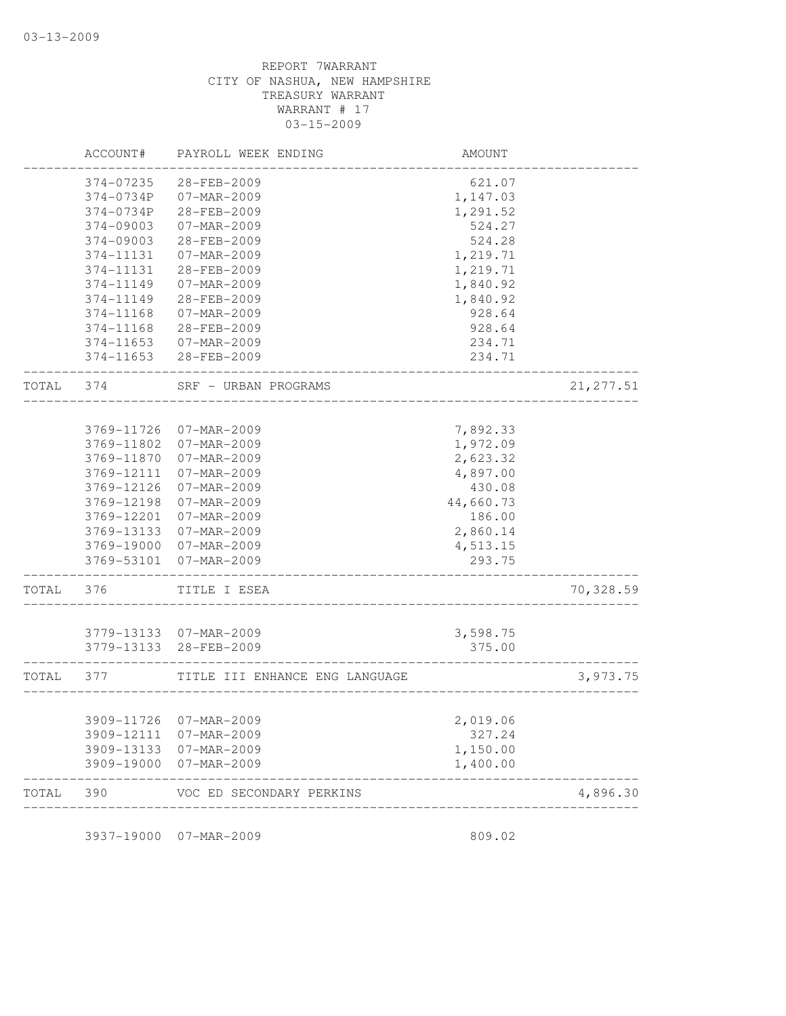|            | PAYROLL WEEK ENDING                                                                          | AMOUNT                                                                                 |                                                                                          |
|------------|----------------------------------------------------------------------------------------------|----------------------------------------------------------------------------------------|------------------------------------------------------------------------------------------|
| 374-07235  | 28-FEB-2009                                                                                  | 621.07                                                                                 |                                                                                          |
| 374-0734P  | 07-MAR-2009                                                                                  | 1,147.03                                                                               |                                                                                          |
| 374-0734P  | 28-FEB-2009                                                                                  |                                                                                        |                                                                                          |
| 374-09003  | 07-MAR-2009                                                                                  | 524.27                                                                                 |                                                                                          |
| 374-09003  | 28-FEB-2009                                                                                  | 524.28                                                                                 |                                                                                          |
| 374-11131  | 07-MAR-2009                                                                                  | 1,219.71                                                                               |                                                                                          |
| 374-11131  | 28-FEB-2009                                                                                  | 1,219.71                                                                               |                                                                                          |
| 374-11149  | 07-MAR-2009                                                                                  | 1,840.92                                                                               |                                                                                          |
| 374-11149  | 28-FEB-2009                                                                                  | 1,840.92                                                                               |                                                                                          |
| 374-11168  | 07-MAR-2009                                                                                  | 928.64                                                                                 |                                                                                          |
| 374-11168  | 28-FEB-2009                                                                                  | 928.64                                                                                 |                                                                                          |
| 374-11653  | 07-MAR-2009                                                                                  | 234.71                                                                                 |                                                                                          |
| 374-11653  | 28-FEB-2009                                                                                  | 234.71                                                                                 |                                                                                          |
| 374        | SRF - URBAN PROGRAMS                                                                         |                                                                                        | 21, 277.51                                                                               |
|            |                                                                                              |                                                                                        |                                                                                          |
| 3769-11726 | 07-MAR-2009                                                                                  | 7,892.33                                                                               |                                                                                          |
| 3769-11802 | 07-MAR-2009                                                                                  | 1,972.09                                                                               |                                                                                          |
| 3769-11870 | 07-MAR-2009                                                                                  | 2,623.32                                                                               |                                                                                          |
| 3769-12111 | 07-MAR-2009                                                                                  | 4,897.00                                                                               |                                                                                          |
| 3769-12126 | 07-MAR-2009                                                                                  | 430.08                                                                                 |                                                                                          |
| 3769-12198 | 07-MAR-2009                                                                                  | 44,660.73                                                                              |                                                                                          |
| 3769-12201 | $07 - MAR - 2009$                                                                            | 186.00                                                                                 |                                                                                          |
|            |                                                                                              |                                                                                        |                                                                                          |
| 3769-19000 | 07-MAR-2009                                                                                  |                                                                                        |                                                                                          |
| 3769-53101 | 07-MAR-2009                                                                                  | 293.75                                                                                 |                                                                                          |
| 376        | TITLE I ESEA                                                                                 |                                                                                        | 70,328.59                                                                                |
|            |                                                                                              |                                                                                        |                                                                                          |
|            |                                                                                              |                                                                                        |                                                                                          |
|            |                                                                                              |                                                                                        |                                                                                          |
| 377        | TITLE III ENHANCE ENG LANGUAGE                                                               |                                                                                        | 3,973.75                                                                                 |
|            |                                                                                              |                                                                                        |                                                                                          |
|            |                                                                                              |                                                                                        |                                                                                          |
|            |                                                                                              |                                                                                        |                                                                                          |
| 3909-19000 | 07-MAR-2009                                                                                  | 1,400.00                                                                               |                                                                                          |
| 390        | VOC ED SECONDARY PERKINS                                                                     |                                                                                        | 4,896.30                                                                                 |
|            | ACCOUNT#<br>3769-13133<br>3779-13133<br>3779-13133<br>3909-11726<br>3909-12111<br>3909-13133 | 07-MAR-2009<br>07-MAR-2009<br>28-FEB-2009<br>07-MAR-2009<br>07-MAR-2009<br>07-MAR-2009 | 1,291.52<br>2,860.14<br>4,513.15<br>3,598.75<br>375.00<br>2,019.06<br>327.24<br>1,150.00 |

3937-19000 07-MAR-2009 809.02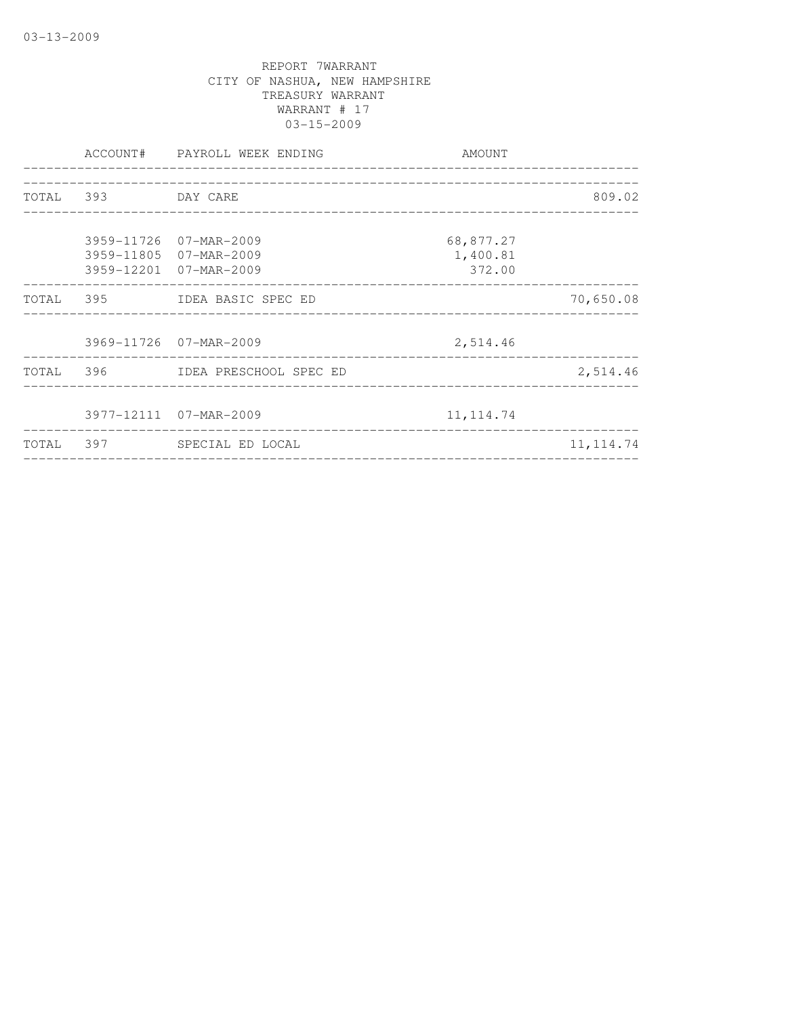|                    | ACCOUNT# PAYROLL WEEK ENDING                                               | AMOUNT<br>_________________________ |            |
|--------------------|----------------------------------------------------------------------------|-------------------------------------|------------|
| TOTAL 393 DAY CARE |                                                                            |                                     | 809.02     |
|                    | 3959-11726 07-MAR-2009<br>3959-11805 07-MAR-2009<br>3959-12201 07-MAR-2009 | 68,877.27<br>1,400.81<br>372.00     |            |
|                    | TOTAL 395 IDEA BASIC SPEC ED                                               |                                     | 70,650.08  |
|                    | 3969-11726 07-MAR-2009                                                     | 2,514.46                            |            |
|                    | TOTAL 396 IDEA PRESCHOOL SPEC ED                                           |                                     | 2,514.46   |
|                    | 3977-12111 07-MAR-2009                                                     | 11, 114.74                          |            |
|                    | TOTAL 397 SPECIAL ED LOCAL                                                 |                                     | 11, 114.74 |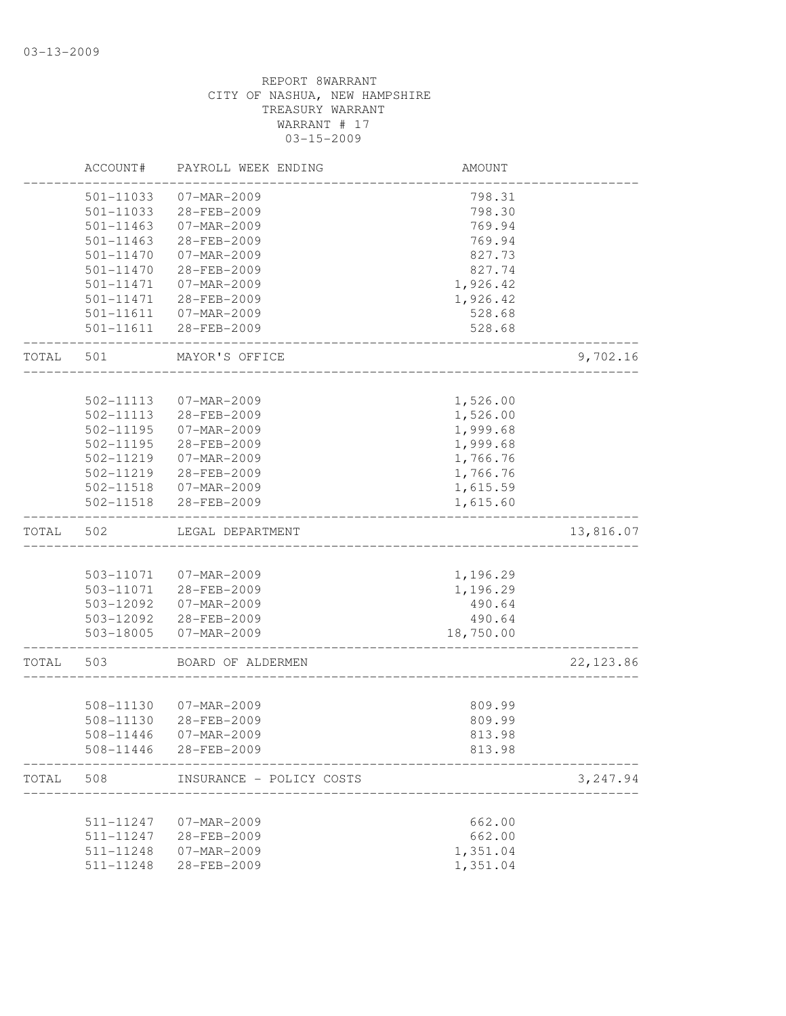|       | ACCOUNT#      | PAYROLL WEEK ENDING      | AMOUNT    |            |
|-------|---------------|--------------------------|-----------|------------|
|       | 501-11033     | 07-MAR-2009              | 798.31    |            |
|       | 501-11033     | 28-FEB-2009              | 798.30    |            |
|       | 501-11463     | 07-MAR-2009              | 769.94    |            |
|       | 501-11463     | 28-FEB-2009              | 769.94    |            |
|       | 501-11470     | $07 - MAR - 2009$        | 827.73    |            |
|       | 501-11470     | 28-FEB-2009              | 827.74    |            |
|       | 501-11471     | 07-MAR-2009              | 1,926.42  |            |
|       | 501-11471     | 28-FEB-2009              | 1,926.42  |            |
|       | 501-11611     | 07-MAR-2009              | 528.68    |            |
|       | 501-11611     | 28-FEB-2009              | 528.68    |            |
| TOTAL | 501           | MAYOR'S OFFICE           |           | 9,702.16   |
|       |               |                          |           |            |
|       | 502-11113     | 07-MAR-2009              | 1,526.00  |            |
|       | $502 - 11113$ | 28-FEB-2009              | 1,526.00  |            |
|       | 502-11195     | $07 - MAR - 2009$        | 1,999.68  |            |
|       | 502-11195     | 28-FEB-2009              | 1,999.68  |            |
|       | 502-11219     | $07 - MAR - 2009$        | 1,766.76  |            |
|       | 502-11219     | 28-FEB-2009              | 1,766.76  |            |
|       | 502-11518     | 07-MAR-2009              | 1,615.59  |            |
|       | 502-11518     | 28-FEB-2009              | 1,615.60  |            |
| TOTAL | 502           | LEGAL DEPARTMENT         |           | 13,816.07  |
|       |               |                          |           |            |
|       | 503-11071     | 07-MAR-2009              | 1,196.29  |            |
|       | 503-11071     | 28-FEB-2009              | 1,196.29  |            |
|       | 503-12092     | 07-MAR-2009              | 490.64    |            |
|       | 503-12092     | 28-FEB-2009              | 490.64    |            |
|       | 503-18005     | 07-MAR-2009              | 18,750.00 |            |
| TOTAL | 503           | BOARD OF ALDERMEN        |           | 22, 123.86 |
|       |               |                          |           |            |
|       | 508-11130     | 07-MAR-2009              | 809.99    |            |
|       | 508-11130     | 28-FEB-2009              | 809.99    |            |
|       | 508-11446     | $07 - MAR - 2009$        | 813.98    |            |
|       | 508-11446     | 28-FEB-2009              | 813.98    |            |
| TOTAL | 508           | INSURANCE - POLICY COSTS |           | 3,247.94   |
|       | 511-11247     | 07-MAR-2009              | 662.00    |            |
|       | 511-11247     | 28-FEB-2009              | 662.00    |            |
|       | 511-11248     | 07-MAR-2009              | 1,351.04  |            |
|       | 511-11248     | 28-FEB-2009              | 1,351.04  |            |
|       |               |                          |           |            |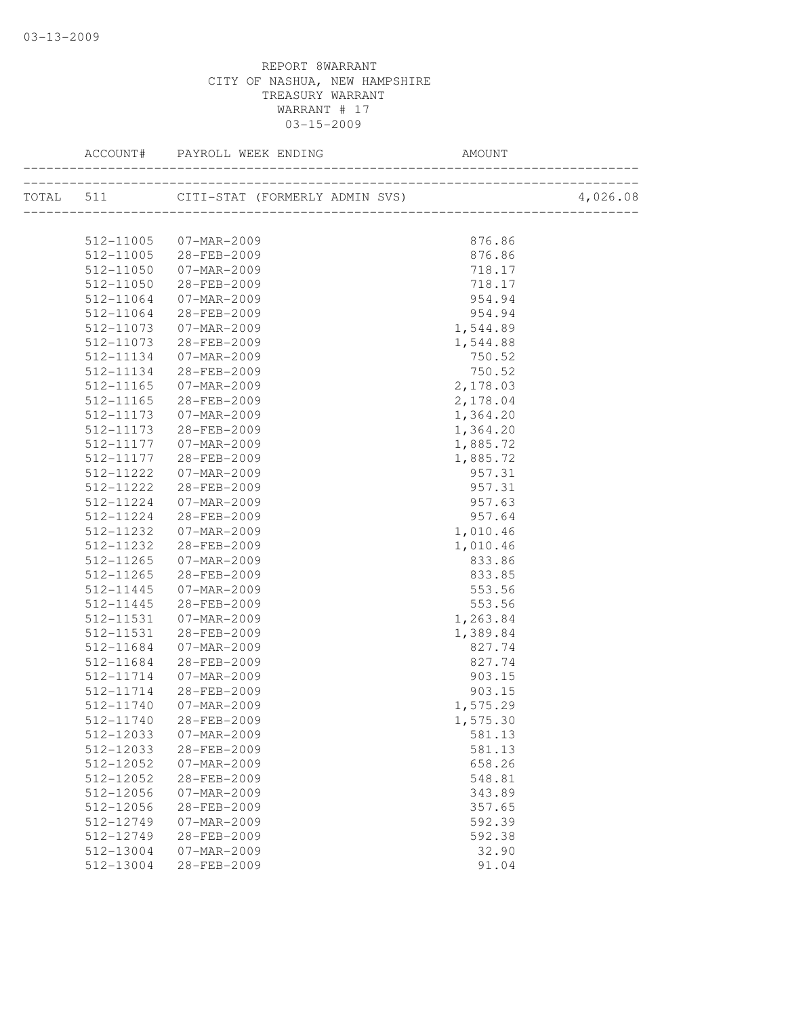|           | ACCOUNT# PAYROLL WEEK ENDING                                                                   | AMOUNT   |          |
|-----------|------------------------------------------------------------------------------------------------|----------|----------|
|           | ___________________________<br>-------------------<br>TOTAL 511 CITI-STAT (FORMERLY ADMIN SVS) |          | 4,026.08 |
|           |                                                                                                |          |          |
| 512-11005 | 07-MAR-2009                                                                                    | 876.86   |          |
| 512-11005 | 28-FEB-2009                                                                                    | 876.86   |          |
| 512-11050 | 07-MAR-2009                                                                                    | 718.17   |          |
| 512-11050 | 28-FEB-2009                                                                                    | 718.17   |          |
| 512-11064 | 07-MAR-2009                                                                                    | 954.94   |          |
| 512-11064 | 28-FEB-2009                                                                                    | 954.94   |          |
| 512-11073 | 07-MAR-2009                                                                                    | 1,544.89 |          |
| 512-11073 | 28-FEB-2009                                                                                    | 1,544.88 |          |
| 512-11134 | 07-MAR-2009                                                                                    | 750.52   |          |
| 512-11134 | 28-FEB-2009                                                                                    | 750.52   |          |
| 512-11165 | 07-MAR-2009                                                                                    | 2,178.03 |          |
| 512-11165 | 28-FEB-2009                                                                                    | 2,178.04 |          |
| 512-11173 | 07-MAR-2009                                                                                    | 1,364.20 |          |
| 512-11173 | 28-FEB-2009                                                                                    | 1,364.20 |          |
| 512-11177 | 07-MAR-2009                                                                                    | 1,885.72 |          |
| 512-11177 | 28-FEB-2009                                                                                    | 1,885.72 |          |
| 512-11222 | 07-MAR-2009                                                                                    | 957.31   |          |
| 512-11222 | 28-FEB-2009                                                                                    | 957.31   |          |
| 512-11224 | 07-MAR-2009                                                                                    | 957.63   |          |
| 512-11224 | 28-FEB-2009                                                                                    | 957.64   |          |
| 512-11232 | 07-MAR-2009                                                                                    | 1,010.46 |          |
| 512-11232 | 28-FEB-2009                                                                                    | 1,010.46 |          |
| 512-11265 | 07-MAR-2009                                                                                    | 833.86   |          |
| 512-11265 | 28-FEB-2009                                                                                    | 833.85   |          |
| 512-11445 | 07-MAR-2009                                                                                    | 553.56   |          |
| 512-11445 | 28-FEB-2009                                                                                    | 553.56   |          |
| 512-11531 | 07-MAR-2009                                                                                    | 1,263.84 |          |
| 512-11531 | 28-FEB-2009                                                                                    | 1,389.84 |          |
| 512-11684 | 07-MAR-2009                                                                                    | 827.74   |          |
| 512-11684 | 28-FEB-2009                                                                                    | 827.74   |          |
| 512-11714 | 07-MAR-2009                                                                                    | 903.15   |          |
| 512-11714 | 28-FEB-2009                                                                                    | 903.15   |          |
| 512-11740 | 07-MAR-2009                                                                                    | 1,575.29 |          |
|           | 512-11740 28-FEB-2009                                                                          | 1,575.30 |          |
| 512-12033 | $07 - MAR - 2009$                                                                              | 581.13   |          |
| 512-12033 | 28-FEB-2009                                                                                    | 581.13   |          |
| 512-12052 | $07 - MAR - 2009$                                                                              | 658.26   |          |
| 512-12052 | 28-FEB-2009                                                                                    | 548.81   |          |
| 512-12056 | 07-MAR-2009                                                                                    | 343.89   |          |
| 512-12056 | 28-FEB-2009                                                                                    | 357.65   |          |
| 512-12749 | $07 - MAR - 2009$                                                                              | 592.39   |          |
| 512-12749 | 28-FEB-2009                                                                                    | 592.38   |          |
| 512-13004 | $07 - MAR - 2009$                                                                              | 32.90    |          |
| 512-13004 | 28-FEB-2009                                                                                    | 91.04    |          |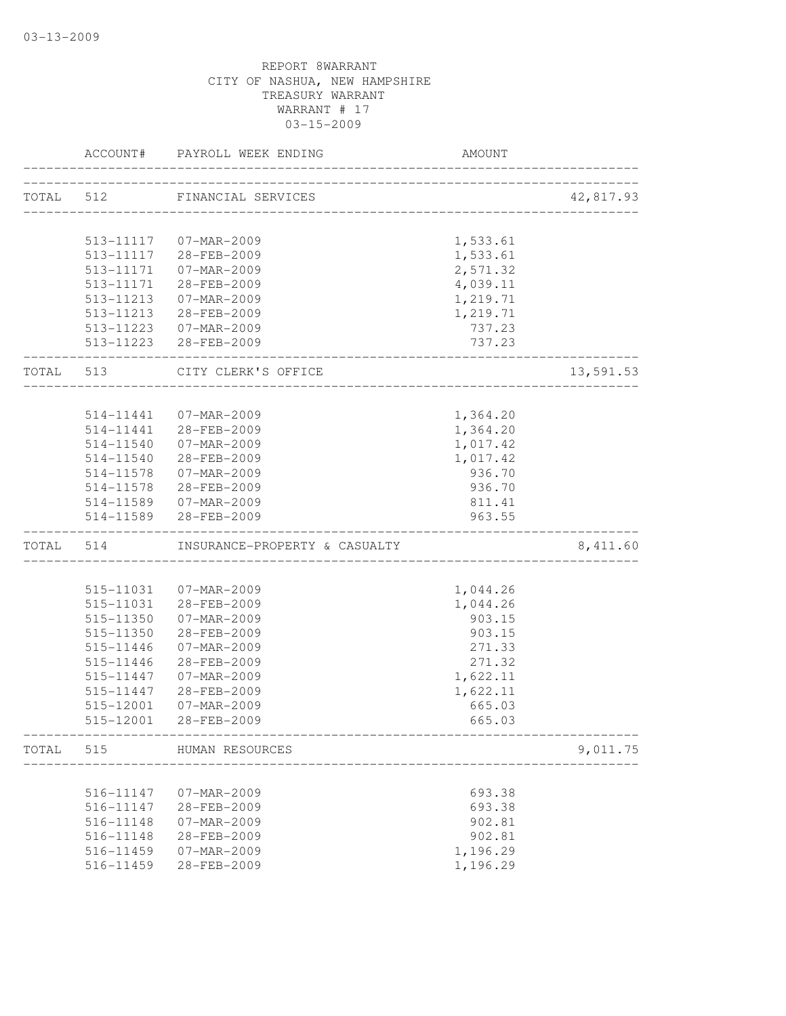|           | ACCOUNT#  | PAYROLL WEEK ENDING           | AMOUNT                           |           |
|-----------|-----------|-------------------------------|----------------------------------|-----------|
| TOTAL 512 |           | FINANCIAL SERVICES            |                                  | 42,817.93 |
|           |           |                               | ________________________________ |           |
|           |           | 513-11117  07-MAR-2009        | 1,533.61                         |           |
|           |           | 513-11117 28-FEB-2009         | 1,533.61                         |           |
|           | 513-11171 | 07-MAR-2009                   | 2,571.32                         |           |
|           | 513-11171 | 28-FEB-2009                   | 4,039.11                         |           |
|           | 513-11213 | 07-MAR-2009                   | 1,219.71                         |           |
|           |           | 513-11213 28-FEB-2009         | 1,219.71                         |           |
|           |           | 513-11223 07-MAR-2009         | 737.23                           |           |
|           |           | 513-11223 28-FEB-2009         | 737.23                           |           |
| TOTAL 513 |           | CITY CLERK'S OFFICE           |                                  | 13,591.53 |
|           |           |                               |                                  |           |
|           | 514-11441 | 07-MAR-2009                   | 1,364.20                         |           |
|           | 514-11441 | 28-FEB-2009                   | 1,364.20                         |           |
|           | 514-11540 | 07-MAR-2009                   | 1,017.42                         |           |
|           |           | 514-11540 28-FEB-2009         | 1,017.42                         |           |
|           |           | 514-11578  07-MAR-2009        | 936.70                           |           |
|           |           | 514-11578 28-FEB-2009         | 936.70                           |           |
|           |           | 514-11589  07-MAR-2009        | 811.41                           |           |
|           | 514-11589 | 28-FEB-2009                   | 963.55                           |           |
| TOTAL     | 514       | INSURANCE-PROPERTY & CASUALTY |                                  | 8,411.60  |
|           |           |                               |                                  |           |
|           | 515-11031 | 07-MAR-2009                   | 1,044.26                         |           |
|           | 515-11031 | 28-FEB-2009                   | 1,044.26                         |           |
|           | 515-11350 | 07-MAR-2009                   | 903.15                           |           |
|           | 515-11350 | 28-FEB-2009                   | 903.15                           |           |
|           | 515-11446 | 07-MAR-2009                   | 271.33                           |           |
|           | 515-11446 | 28-FEB-2009                   | 271.32                           |           |
|           | 515-11447 | 07-MAR-2009                   | 1,622.11                         |           |
|           | 515-11447 | 28-FEB-2009                   | 1,622.11                         |           |
|           | 515-12001 | 07-MAR-2009                   | 665.03                           |           |
|           | 515-12001 | 28-FEB-2009                   | 665.03                           |           |
| TOTAL     | 515       | HUMAN RESOURCES               |                                  | 9,011.75  |
|           |           |                               |                                  |           |
|           | 516-11147 | 07-MAR-2009                   | 693.38                           |           |
|           | 516-11147 | 28-FEB-2009                   | 693.38                           |           |
|           | 516-11148 | 07-MAR-2009                   | 902.81                           |           |
|           | 516-11148 | 28-FEB-2009                   | 902.81                           |           |
|           | 516-11459 | 07-MAR-2009                   | 1,196.29                         |           |
|           | 516-11459 | 28-FEB-2009                   | 1,196.29                         |           |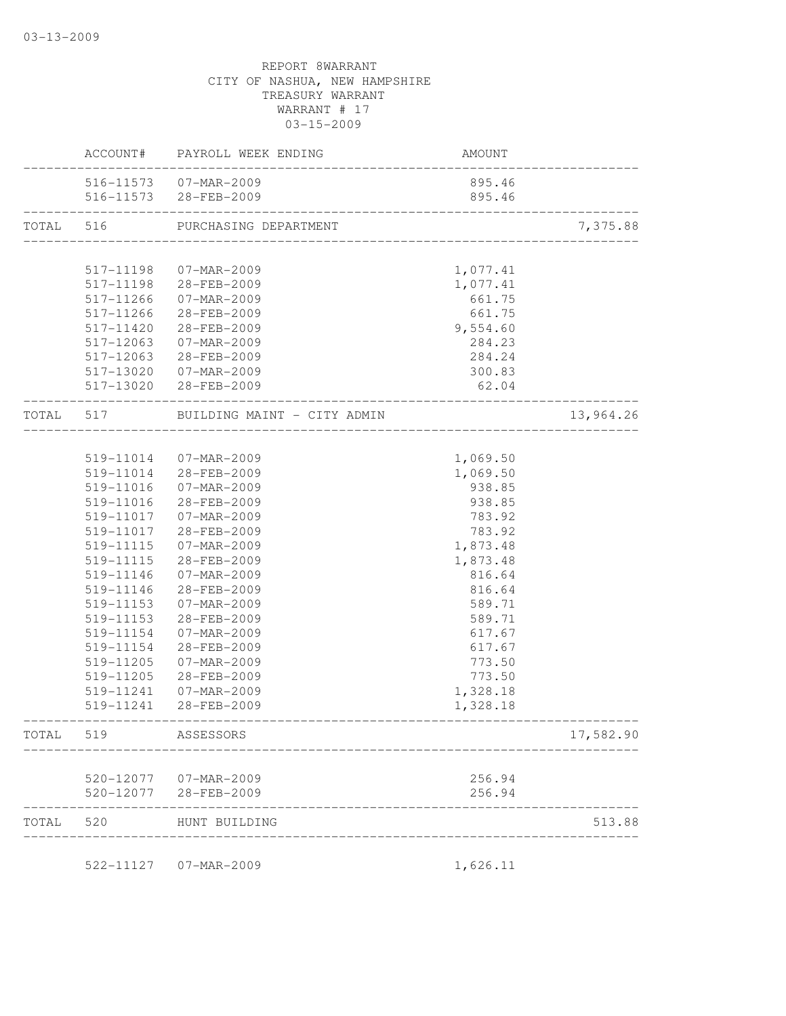|           |           | ACCOUNT# PAYROLL WEEK ENDING         | <b>AMOUNT</b>    |           |
|-----------|-----------|--------------------------------------|------------------|-----------|
|           |           | 516-11573 07-MAR-2009                | 895.46           |           |
|           |           | 516-11573 28-FEB-2009                | 895.46           |           |
| TOTAL     | 516       | PURCHASING DEPARTMENT                |                  | 7,375.88  |
|           |           |                                      |                  |           |
|           | 517-11198 | 07-MAR-2009                          | 1,077.41         |           |
|           | 517-11198 | 28-FEB-2009                          | 1,077.41         |           |
|           | 517-11266 | 07-MAR-2009                          | 661.75           |           |
|           | 517-11266 | 28-FEB-2009                          | 661.75           |           |
|           | 517-11420 | 28-FEB-2009                          | 9,554.60         |           |
|           | 517-12063 | 07-MAR-2009                          | 284.23           |           |
|           | 517-12063 | 28-FEB-2009                          | 284.24           |           |
|           | 517-13020 | 07-MAR-2009                          | 300.83           |           |
|           |           | 517-13020 28-FEB-2009                | 62.04            |           |
| TOTAL 517 |           | BUILDING MAINT - CITY ADMIN          |                  | 13,964.26 |
|           |           |                                      |                  |           |
|           | 519-11014 | 07-MAR-2009                          | 1,069.50         |           |
|           | 519-11014 | 28-FEB-2009                          | 1,069.50         |           |
|           | 519-11016 | 07-MAR-2009                          | 938.85           |           |
|           | 519-11016 | 28-FEB-2009                          | 938.85           |           |
|           | 519-11017 | 07-MAR-2009                          | 783.92           |           |
|           | 519-11017 | 28-FEB-2009                          | 783.92           |           |
|           | 519-11115 | 07-MAR-2009                          | 1,873.48         |           |
|           | 519-11115 | 28-FEB-2009                          | 1,873.48         |           |
|           | 519-11146 | 07-MAR-2009                          | 816.64           |           |
|           | 519-11146 | 28-FEB-2009                          | 816.64           |           |
|           | 519-11153 | 07-MAR-2009                          | 589.71           |           |
|           | 519-11153 | 28-FEB-2009                          | 589.71           |           |
|           | 519-11154 | 07-MAR-2009                          | 617.67           |           |
|           | 519-11154 | 28-FEB-2009                          | 617.67           |           |
|           | 519-11205 | 07-MAR-2009                          | 773.50           |           |
|           | 519-11205 | 28-FEB-2009                          | 773.50           |           |
|           | 519-11241 | 07-MAR-2009                          | 1,328.18         |           |
|           | 519-11241 | 28-FEB-2009                          | 1,328.18         |           |
| TOTAL     | 519       | ASSESSORS                            |                  | 17,582.90 |
|           |           |                                      |                  |           |
|           | 520-12077 | 520-12077 07-MAR-2009<br>28-FEB-2009 | 256.94<br>256.94 |           |
| TOTAL     | 520       | HUNT BUILDING                        |                  | 513.88    |
|           |           |                                      |                  |           |
|           | 522-11127 | 07-MAR-2009                          | 1,626.11         |           |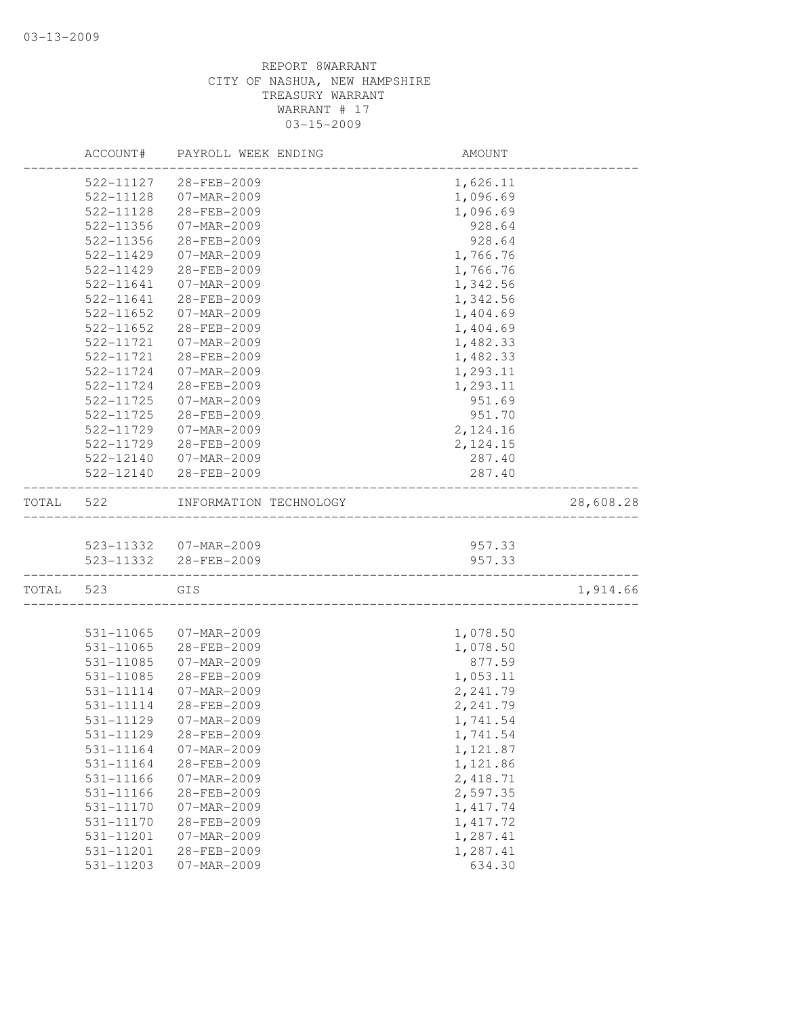|       | ACCOUNT#  | PAYROLL WEEK ENDING    | AMOUNT                            |           |
|-------|-----------|------------------------|-----------------------------------|-----------|
|       | 522-11127 | 28-FEB-2009            | 1,626.11                          |           |
|       | 522-11128 | 07-MAR-2009            | 1,096.69                          |           |
|       | 522-11128 | 28-FEB-2009            | 1,096.69                          |           |
|       | 522-11356 | 07-MAR-2009            | 928.64                            |           |
|       | 522-11356 | 28-FEB-2009            | 928.64                            |           |
|       | 522-11429 | 07-MAR-2009            | 1,766.76                          |           |
|       | 522-11429 | 28-FEB-2009            | 1,766.76                          |           |
|       | 522-11641 | 07-MAR-2009            | 1,342.56                          |           |
|       | 522-11641 | 28-FEB-2009            | 1,342.56                          |           |
|       | 522-11652 | 07-MAR-2009            | 1,404.69                          |           |
|       | 522-11652 | 28-FEB-2009            | 1,404.69                          |           |
|       | 522-11721 | 07-MAR-2009            | 1,482.33                          |           |
|       | 522-11721 | 28-FEB-2009            | 1,482.33                          |           |
|       | 522-11724 | 07-MAR-2009            | 1,293.11                          |           |
|       | 522-11724 | 28-FEB-2009            | 1,293.11                          |           |
|       | 522-11725 | 07-MAR-2009            | 951.69                            |           |
|       | 522-11725 | 28-FEB-2009            | 951.70                            |           |
|       | 522-11729 | 07-MAR-2009            | 2, 124.16                         |           |
|       | 522-11729 | 28-FEB-2009            | 2,124.15                          |           |
|       | 522-12140 | 07-MAR-2009            | 287.40                            |           |
|       | 522-12140 | 28-FEB-2009            | 287.40                            |           |
| TOTAL | 522       | INFORMATION TECHNOLOGY | _________________________________ | 28,608.28 |
|       |           |                        |                                   |           |
|       |           | 523-11332 07-MAR-2009  | 957.33                            |           |
|       |           | 523-11332 28-FEB-2009  | 957.33                            |           |
| TOTAL | 523       | GIS                    |                                   | 1,914.66  |
|       | 531-11065 | 07-MAR-2009            | 1,078.50                          |           |
|       | 531-11065 | 28-FEB-2009            | 1,078.50                          |           |
|       | 531-11085 | 07-MAR-2009            | 877.59                            |           |
|       | 531-11085 | 28-FEB-2009            | 1,053.11                          |           |
|       | 531-11114 | 07-MAR-2009            | 2,241.79                          |           |
|       | 531-11114 | 28-FEB-2009            | 2,241.79                          |           |
|       | 531-11129 | $07 - MAR - 2009$      | 1,741.54                          |           |
|       | 531-11129 | 28-FEB-2009            | 1,741.54                          |           |
|       | 531-11164 | 07-MAR-2009            | 1,121.87                          |           |
|       | 531-11164 | 28-FEB-2009            | 1,121.86                          |           |
|       | 531-11166 | 07-MAR-2009            | 2,418.71                          |           |
|       | 531-11166 | 28-FEB-2009            | 2,597.35                          |           |
|       | 531-11170 | 07-MAR-2009            | 1, 417.74                         |           |
|       | 531-11170 | 28-FEB-2009            | 1, 417.72                         |           |
|       | 531-11201 | 07-MAR-2009            | 1,287.41                          |           |
|       | 531-11201 | 28-FEB-2009            | 1,287.41                          |           |
|       | 531-11203 | $07 - MAR - 2009$      | 634.30                            |           |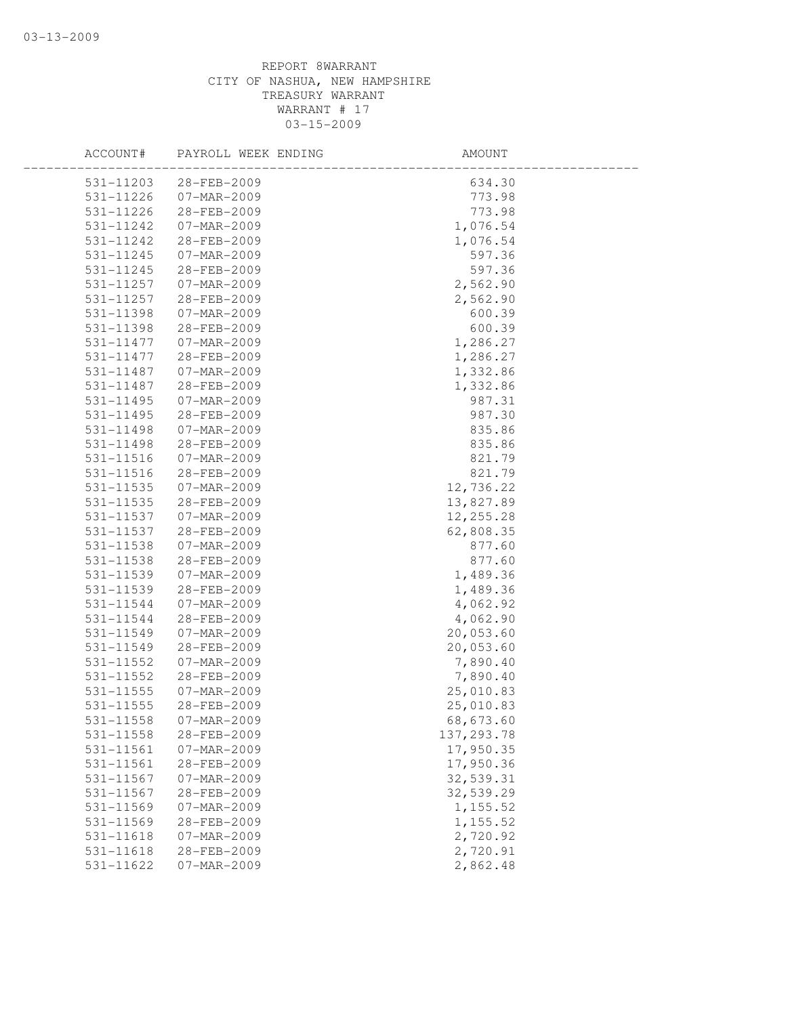| ACCOUNT#      | PAYROLL WEEK ENDING | AMOUNT      |  |
|---------------|---------------------|-------------|--|
| 531-11203     | 28-FEB-2009         | 634.30      |  |
| 531-11226     | 07-MAR-2009         | 773.98      |  |
| 531-11226     | 28-FEB-2009         | 773.98      |  |
| 531-11242     | 07-MAR-2009         | 1,076.54    |  |
| 531-11242     | 28-FEB-2009         | 1,076.54    |  |
| 531-11245     | 07-MAR-2009         | 597.36      |  |
| 531-11245     | 28-FEB-2009         | 597.36      |  |
| 531-11257     | $07 - MAR - 2009$   | 2,562.90    |  |
| 531-11257     | 28-FEB-2009         | 2,562.90    |  |
| 531-11398     | 07-MAR-2009         | 600.39      |  |
| 531-11398     | 28-FEB-2009         | 600.39      |  |
| 531-11477     | 07-MAR-2009         | 1,286.27    |  |
| 531-11477     | 28-FEB-2009         | 1,286.27    |  |
| 531-11487     | 07-MAR-2009         | 1,332.86    |  |
| 531-11487     | 28-FEB-2009         | 1,332.86    |  |
| 531-11495     | 07-MAR-2009         | 987.31      |  |
| 531-11495     | 28-FEB-2009         | 987.30      |  |
| 531-11498     | 07-MAR-2009         | 835.86      |  |
| $531 - 11498$ | 28-FEB-2009         | 835.86      |  |
| 531-11516     | 07-MAR-2009         | 821.79      |  |
| 531-11516     | 28-FEB-2009         | 821.79      |  |
| 531-11535     | $07 - MAR - 2009$   | 12,736.22   |  |
| 531-11535     | 28-FEB-2009         | 13,827.89   |  |
| 531-11537     | 07-MAR-2009         | 12, 255.28  |  |
| 531-11537     | 28-FEB-2009         | 62,808.35   |  |
| 531-11538     | 07-MAR-2009         | 877.60      |  |
| 531-11538     | 28-FEB-2009         | 877.60      |  |
| 531-11539     | 07-MAR-2009         | 1,489.36    |  |
| 531-11539     | 28-FEB-2009         | 1,489.36    |  |
| 531-11544     | 07-MAR-2009         | 4,062.92    |  |
| 531-11544     | 28-FEB-2009         | 4,062.90    |  |
| 531-11549     | 07-MAR-2009         | 20,053.60   |  |
| 531-11549     | 28-FEB-2009         | 20,053.60   |  |
| 531-11552     | 07-MAR-2009         | 7,890.40    |  |
| 531-11552     | 28-FEB-2009         | 7,890.40    |  |
| 531-11555     | 07-MAR-2009         | 25,010.83   |  |
| 531-11555     | 28-FEB-2009         | 25,010.83   |  |
| 531-11558     | 07-MAR-2009         | 68,673.60   |  |
| 531-11558     | 28-FEB-2009         | 137, 293.78 |  |
| 531-11561     | 07-MAR-2009         | 17,950.35   |  |
| 531-11561     | 28-FEB-2009         | 17,950.36   |  |
| 531-11567     | 07-MAR-2009         | 32,539.31   |  |
| 531-11567     | 28-FEB-2009         | 32,539.29   |  |
| 531-11569     | $07 - MAR - 2009$   | 1,155.52    |  |
| 531-11569     | 28-FEB-2009         | 1,155.52    |  |
| 531-11618     | 07-MAR-2009         | 2,720.92    |  |
| 531-11618     | 28-FEB-2009         | 2,720.91    |  |
| 531-11622     | 07-MAR-2009         | 2,862.48    |  |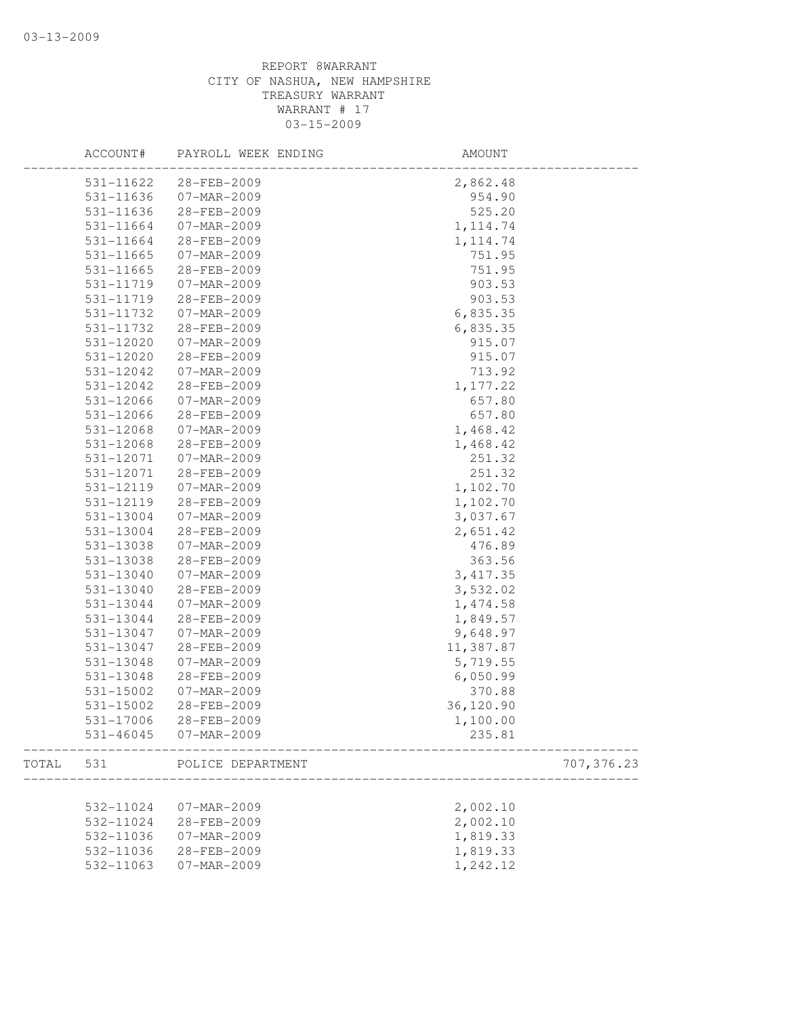|       | ACCOUNT#  | PAYROLL WEEK ENDING      | AMOUNT    |            |
|-------|-----------|--------------------------|-----------|------------|
|       | 531-11622 | 28-FEB-2009              | 2,862.48  |            |
|       | 531-11636 | $07 - \text{MAR} - 2009$ | 954.90    |            |
|       | 531-11636 | 28-FEB-2009              | 525.20    |            |
|       | 531-11664 | 07-MAR-2009              | 1, 114.74 |            |
|       | 531-11664 | 28-FEB-2009              | 1, 114.74 |            |
|       | 531-11665 | 07-MAR-2009              | 751.95    |            |
|       | 531-11665 | 28-FEB-2009              | 751.95    |            |
|       | 531-11719 | 07-MAR-2009              | 903.53    |            |
|       | 531-11719 | 28-FEB-2009              | 903.53    |            |
|       | 531-11732 | $07 - MAR - 2009$        | 6,835.35  |            |
|       | 531-11732 | 28-FEB-2009              | 6,835.35  |            |
|       | 531-12020 | 07-MAR-2009              | 915.07    |            |
|       | 531-12020 | 28-FEB-2009              | 915.07    |            |
|       | 531-12042 | 07-MAR-2009              | 713.92    |            |
|       | 531-12042 | 28-FEB-2009              | 1,177.22  |            |
|       | 531-12066 | 07-MAR-2009              | 657.80    |            |
|       | 531-12066 | 28-FEB-2009              | 657.80    |            |
|       | 531-12068 | 07-MAR-2009              | 1,468.42  |            |
|       | 531-12068 | 28-FEB-2009              | 1,468.42  |            |
|       | 531-12071 | 07-MAR-2009              | 251.32    |            |
|       | 531-12071 | 28-FEB-2009              | 251.32    |            |
|       | 531-12119 | 07-MAR-2009              | 1,102.70  |            |
|       | 531-12119 | 28-FEB-2009              | 1,102.70  |            |
|       | 531-13004 | 07-MAR-2009              | 3,037.67  |            |
|       |           | 28-FEB-2009              |           |            |
|       | 531-13004 |                          | 2,651.42  |            |
|       | 531-13038 | 07-MAR-2009              | 476.89    |            |
|       | 531-13038 | 28-FEB-2009              | 363.56    |            |
|       | 531-13040 | 07-MAR-2009              | 3, 417.35 |            |
|       | 531-13040 | 28-FEB-2009              | 3,532.02  |            |
|       | 531-13044 | 07-MAR-2009              | 1,474.58  |            |
|       | 531-13044 | 28-FEB-2009              | 1,849.57  |            |
|       | 531-13047 | 07-MAR-2009              | 9,648.97  |            |
|       | 531-13047 | 28-FEB-2009              | 11,387.87 |            |
|       | 531-13048 | $07 - MAR - 2009$        | 5,719.55  |            |
|       | 531-13048 | 28-FEB-2009              | 6,050.99  |            |
|       | 531-15002 | 07-MAR-2009              | 370.88    |            |
|       | 531-15002 | 28-FEB-2009              | 36,120.90 |            |
|       | 531-17006 | $28 - FEB - 2009$        | 1,100.00  |            |
|       | 531-46045 | 07-MAR-2009              | 235.81    |            |
| TOTAL | 531       | POLICE DEPARTMENT        |           | 707,376.23 |
|       |           |                          |           |            |
|       | 532-11024 | 07-MAR-2009              | 2,002.10  |            |
|       | 532-11024 | 28-FEB-2009              | 2,002.10  |            |
|       | 532-11036 | 07-MAR-2009              | 1,819.33  |            |
|       | 532-11036 | 28-FEB-2009              | 1,819.33  |            |
|       | 532-11063 | 07-MAR-2009              | 1,242.12  |            |
|       |           |                          |           |            |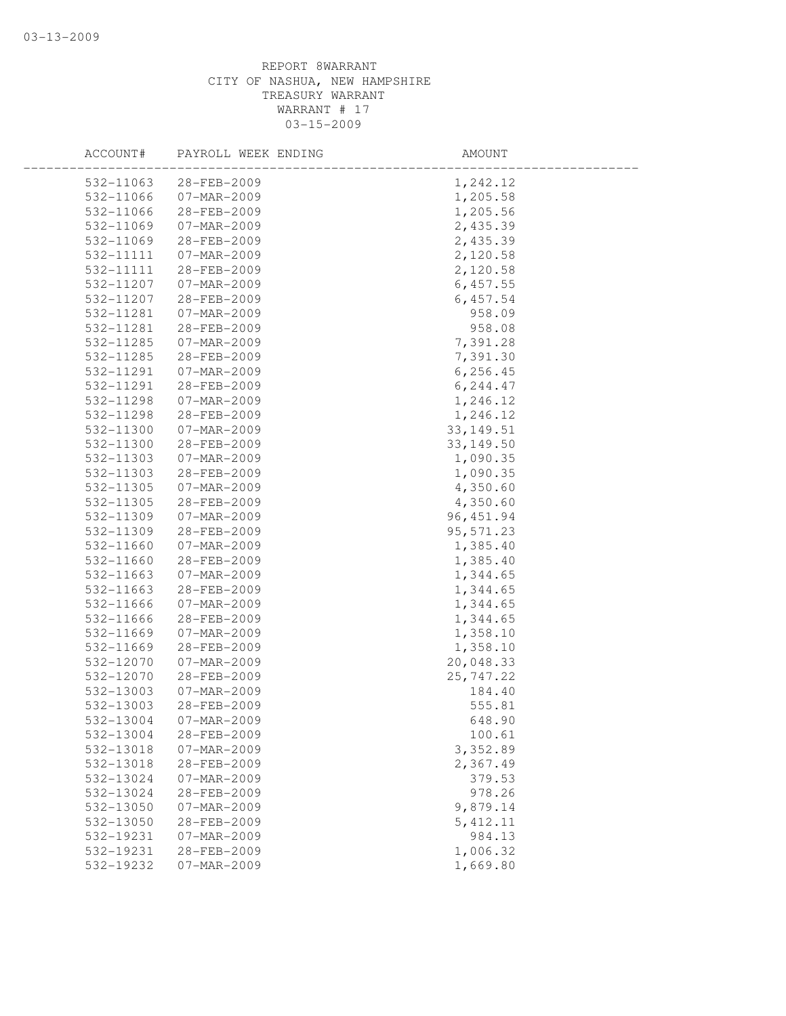| ACCOUNT#               | PAYROLL WEEK ENDING              | AMOUNT             |  |
|------------------------|----------------------------------|--------------------|--|
| 532-11063              | 28-FEB-2009                      | 1,242.12           |  |
| 532-11066              | 07-MAR-2009                      | 1,205.58           |  |
| 532-11066              | 28-FEB-2009                      | 1,205.56           |  |
| 532-11069              | $07 - MAR - 2009$                | 2,435.39           |  |
| 532-11069              | 28-FEB-2009                      | 2,435.39           |  |
| 532-11111              | 07-MAR-2009                      | 2,120.58           |  |
| 532-11111              | 28-FEB-2009                      | 2,120.58           |  |
| 532-11207              | $07 - MAR - 2009$                | 6,457.55           |  |
| 532-11207              | 28-FEB-2009                      | 6,457.54           |  |
| 532-11281              | 07-MAR-2009                      | 958.09             |  |
| 532-11281              | 28-FEB-2009                      | 958.08             |  |
| 532-11285              | 07-MAR-2009                      | 7,391.28           |  |
| 532-11285              | 28-FEB-2009                      | 7,391.30           |  |
| 532-11291              | 07-MAR-2009                      | 6, 256.45          |  |
| 532-11291              | 28-FEB-2009                      | 6,244.47           |  |
| 532-11298              | 07-MAR-2009                      | 1,246.12           |  |
| 532-11298              | 28-FEB-2009                      | 1,246.12           |  |
| 532-11300              | 07-MAR-2009                      | 33, 149.51         |  |
| 532-11300              | 28-FEB-2009                      | 33, 149.50         |  |
| 532-11303              | 07-MAR-2009                      | 1,090.35           |  |
| 532-11303              | 28-FEB-2009                      | 1,090.35           |  |
| 532-11305              | 07-MAR-2009                      | 4,350.60           |  |
| 532-11305              | 28-FEB-2009                      | 4,350.60           |  |
| 532-11309              | 07-MAR-2009                      | 96, 451.94         |  |
| 532-11309              | 28-FEB-2009                      | 95, 571.23         |  |
| 532-11660              | 07-MAR-2009                      | 1,385.40           |  |
| 532-11660              | 28-FEB-2009                      | 1,385.40           |  |
| 532-11663              | 07-MAR-2009                      | 1,344.65           |  |
| 532-11663              | 28-FEB-2009                      | 1,344.65           |  |
| 532-11666              | 07-MAR-2009                      | 1,344.65           |  |
| 532-11666              | 28-FEB-2009                      | 1,344.65           |  |
| 532-11669              | 07-MAR-2009                      | 1,358.10           |  |
| 532-11669              | 28-FEB-2009                      | 1,358.10           |  |
| 532-12070              | 07-MAR-2009                      | 20,048.33          |  |
| 532-12070              | 28-FEB-2009                      | 25, 747.22         |  |
| 532-13003              | $07 - MAR - 2009$                | 184.40             |  |
| 532-13003              | 28-FEB-2009                      | 555.81             |  |
| 532-13004              | 07-MAR-2009                      | 648.90             |  |
| 532-13004              | 28-FEB-2009                      | 100.61             |  |
| 532-13018<br>532-13018 | 07-MAR-2009                      | 3,352.89           |  |
| 532-13024              | 28-FEB-2009<br>07-MAR-2009       | 2,367.49<br>379.53 |  |
|                        |                                  | 978.26             |  |
| 532-13024<br>532-13050 | 28-FEB-2009<br>$07 - MAR - 2009$ | 9,879.14           |  |
| 532-13050              | 28-FEB-2009                      | 5, 412.11          |  |
| 532-19231              | 07-MAR-2009                      | 984.13             |  |
| 532-19231              | 28-FEB-2009                      | 1,006.32           |  |
| 532-19232              | $07 - MAR - 2009$                | 1,669.80           |  |
|                        |                                  |                    |  |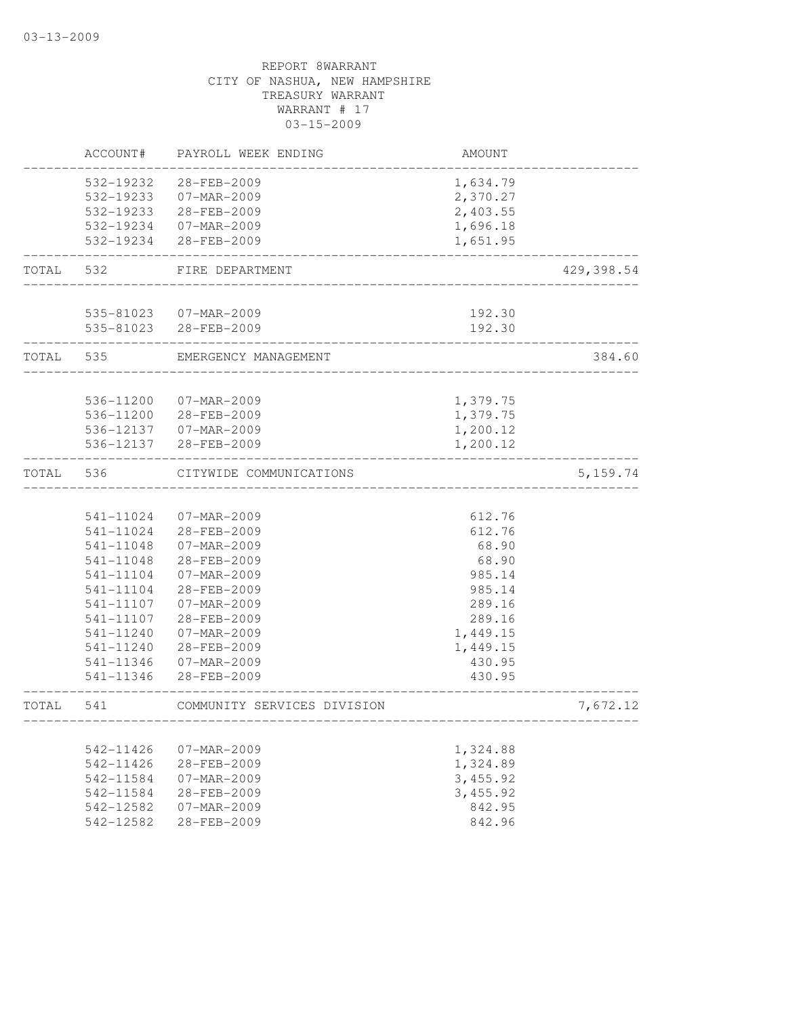|       | ACCOUNT#               | PAYROLL WEEK ENDING         | AMOUNT         |            |
|-------|------------------------|-----------------------------|----------------|------------|
|       | 532-19232              | 28-FEB-2009                 | 1,634.79       |            |
|       | 532-19233              | 07-MAR-2009                 | 2,370.27       |            |
|       |                        | 532-19233 28-FEB-2009       | 2,403.55       |            |
|       |                        | 532-19234 07-MAR-2009       | 1,696.18       |            |
|       | 532-19234              | 28-FEB-2009                 | 1,651.95       |            |
| TOTAL | 532                    | FIRE DEPARTMENT             |                | 429,398.54 |
|       |                        | 535-81023  07-MAR-2009      | 192.30         |            |
|       |                        | 535-81023 28-FEB-2009       | 192.30         |            |
| TOTAL | 535                    | EMERGENCY MANAGEMENT        |                | 384.60     |
|       | 536-11200              | 07-MAR-2009                 | 1,379.75       |            |
|       | 536-11200              | 28-FEB-2009                 | 1,379.75       |            |
|       | 536-12137              | 07-MAR-2009                 | 1,200.12       |            |
|       | 536-12137              | 28-FEB-2009                 | 1,200.12       |            |
|       |                        |                             |                |            |
| TOTAL | 536                    | CITYWIDE COMMUNICATIONS     |                | 5, 159.74  |
|       |                        |                             |                |            |
|       | 541-11024              | 07-MAR-2009                 | 612.76         |            |
|       | 541-11024              | 28-FEB-2009                 | 612.76         |            |
|       | 541-11048<br>541-11048 | 07-MAR-2009<br>28-FEB-2009  | 68.90<br>68.90 |            |
|       | 541-11104              | 07-MAR-2009                 | 985.14         |            |
|       | 541-11104              | 28-FEB-2009                 | 985.14         |            |
|       | 541-11107              | 07-MAR-2009                 | 289.16         |            |
|       | 541-11107              | 28-FEB-2009                 | 289.16         |            |
|       | 541-11240              | 07-MAR-2009                 | 1,449.15       |            |
|       | 541-11240              | 28-FEB-2009                 | 1,449.15       |            |
|       | 541-11346              | 07-MAR-2009                 | 430.95         |            |
|       | 541-11346              | 28-FEB-2009                 | 430.95         |            |
| TOTAL | 541                    | COMMUNITY SERVICES DIVISION |                | 7,672.12   |
|       |                        |                             |                |            |
|       | 542-11426              | 07-MAR-2009                 | 1,324.88       |            |
|       | 542-11426              | 28-FEB-2009                 | 1,324.89       |            |
|       | 542-11584              | $07 - MAR - 2009$           | 3,455.92       |            |
|       | 542-11584              | 28-FEB-2009                 | 3,455.92       |            |
|       | 542-12582              | $07 - MAR - 2009$           | 842.95         |            |
|       | 542-12582              | 28-FEB-2009                 | 842.96         |            |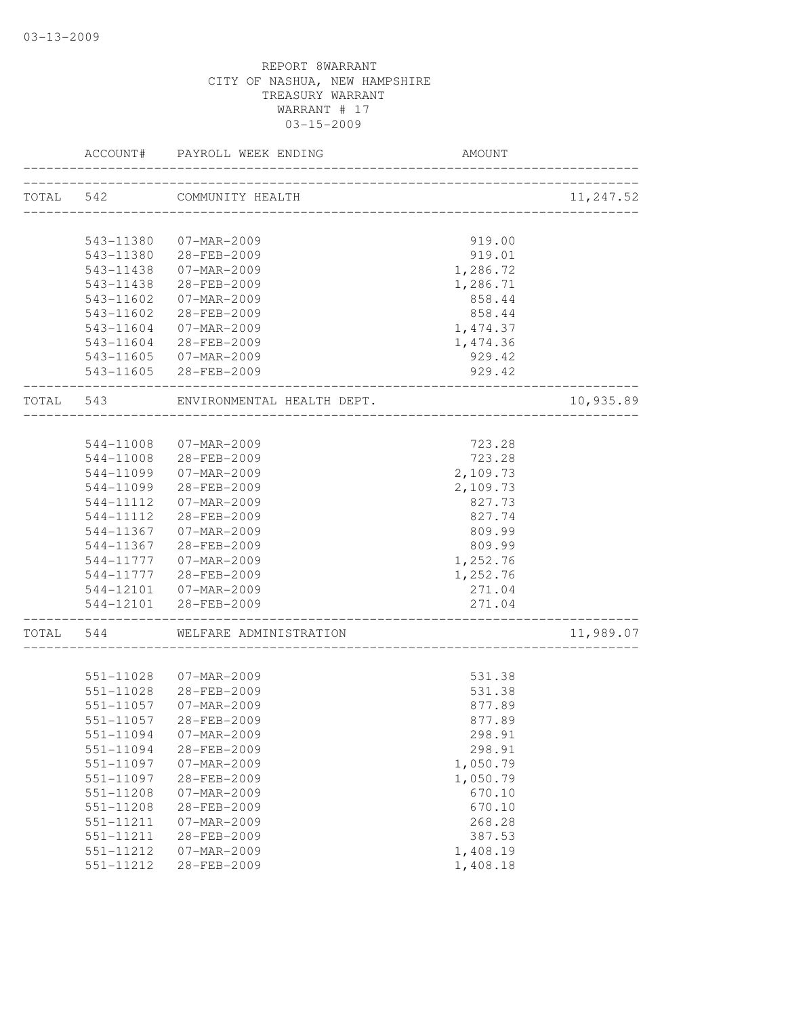|           | ACCOUNT#  | PAYROLL WEEK ENDING        | AMOUNT                           |           |
|-----------|-----------|----------------------------|----------------------------------|-----------|
| TOTAL 542 |           | COMMUNITY HEALTH           |                                  | 11,247.52 |
|           | 543-11380 | 07-MAR-2009                | 919.00                           |           |
|           |           | 543-11380 28-FEB-2009      | 919.01                           |           |
|           | 543-11438 | 07-MAR-2009                | 1,286.72                         |           |
|           | 543-11438 | 28-FEB-2009                | 1,286.71                         |           |
|           | 543-11602 | 07-MAR-2009                | 858.44                           |           |
|           | 543-11602 | 28-FEB-2009                | 858.44                           |           |
|           | 543-11604 | 07-MAR-2009                | 1,474.37                         |           |
|           |           | 543-11604 28-FEB-2009      | 1,474.36                         |           |
|           |           | 543-11605 07-MAR-2009      | 929.42                           |           |
|           |           | 543-11605 28-FEB-2009      | 929.42                           |           |
| TOTAL 543 |           | ENVIRONMENTAL HEALTH DEPT. | ________________                 | 10,935.89 |
|           |           |                            |                                  |           |
|           | 544-11008 | $07 - MAR - 2009$          | 723.28                           |           |
|           | 544-11008 | 28-FEB-2009                | 723.28                           |           |
|           |           | 544-11099 07-MAR-2009      | 2,109.73                         |           |
|           |           | 544-11099 28-FEB-2009      | 2,109.73                         |           |
|           | 544-11112 | 07-MAR-2009                | 827.73                           |           |
|           | 544-11112 | 28-FEB-2009                | 827.74                           |           |
|           | 544-11367 | 07-MAR-2009                | 809.99                           |           |
|           | 544-11367 | 28-FEB-2009                | 809.99                           |           |
|           | 544-11777 | 07-MAR-2009                | 1,252.76                         |           |
|           |           | 544-11777 28-FEB-2009      | 1,252.76                         |           |
|           |           | 544-12101  07-MAR-2009     | 271.04                           |           |
|           |           | 544-12101 28-FEB-2009      | 271.04<br>---------------------- |           |
| TOTAL     | 544       | WELFARE ADMINISTRATION     |                                  | 11,989.07 |
|           | 551-11028 | 07-MAR-2009                | 531.38                           |           |
|           | 551-11028 | 28-FEB-2009                | 531.38                           |           |
|           | 551-11057 | $07 - MAR - 2009$          | 877.89                           |           |
|           | 551-11057 | 28-FEB-2009                | 877.89                           |           |
|           | 551-11094 | 07-MAR-2009                | 298.91                           |           |
|           | 551-11094 | 28-FEB-2009                | 298.91                           |           |
|           | 551-11097 | 07-MAR-2009                | 1,050.79                         |           |
|           | 551-11097 | 28-FEB-2009                | 1,050.79                         |           |
|           | 551-11208 | 07-MAR-2009                | 670.10                           |           |
|           | 551-11208 | 28-FEB-2009                | 670.10                           |           |
|           | 551-11211 | $07 - MAR - 2009$          | 268.28                           |           |
|           | 551-11211 | 28-FEB-2009                | 387.53                           |           |
|           | 551-11212 | 07-MAR-2009                | 1,408.19                         |           |
|           | 551-11212 | 28-FEB-2009                | 1,408.18                         |           |
|           |           |                            |                                  |           |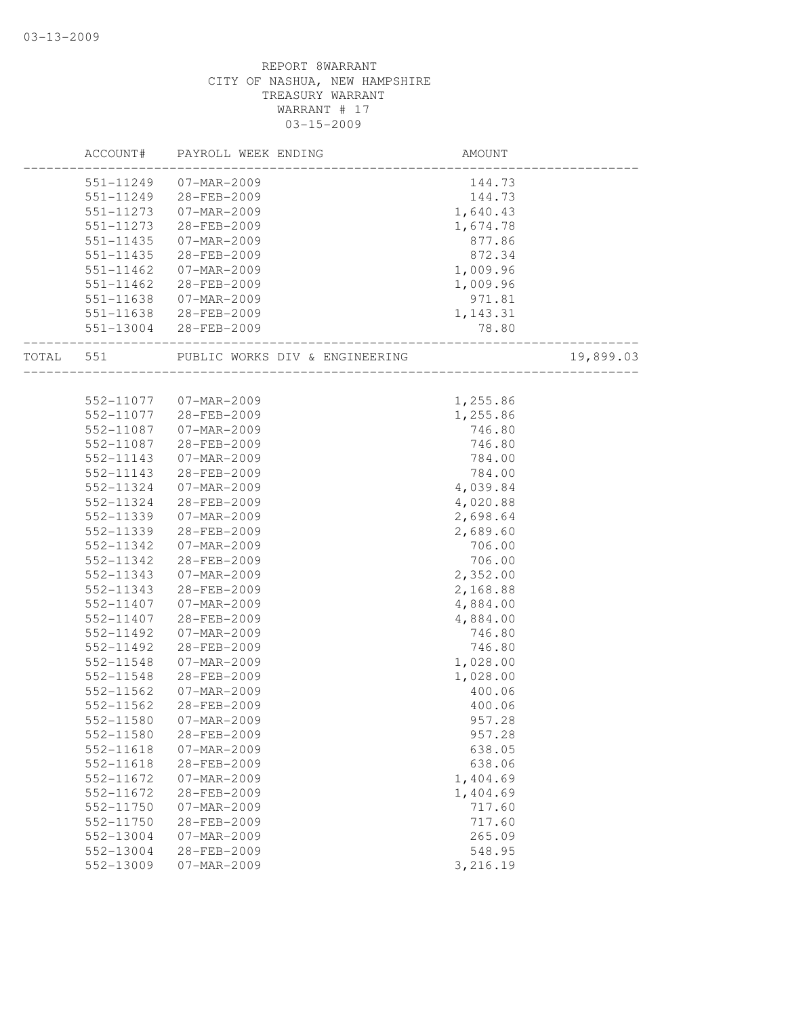|       | ACCOUNT#               | PAYROLL WEEK ENDING            | AMOUNT    |           |
|-------|------------------------|--------------------------------|-----------|-----------|
|       | 551-11249              | 07-MAR-2009                    | 144.73    |           |
|       | 551-11249              | 28-FEB-2009                    | 144.73    |           |
|       | 551-11273              | 07-MAR-2009                    | 1,640.43  |           |
|       | 551-11273              | 28-FEB-2009                    | 1,674.78  |           |
|       | 551-11435              | 07-MAR-2009                    | 877.86    |           |
|       | 551-11435              | 28-FEB-2009                    | 872.34    |           |
|       | 551-11462              | 07-MAR-2009                    | 1,009.96  |           |
|       | 551-11462              | 28-FEB-2009                    | 1,009.96  |           |
|       | 551-11638              | 07-MAR-2009                    | 971.81    |           |
|       | 551-11638              | 28-FEB-2009                    | 1, 143.31 |           |
|       |                        | 551-13004 28-FEB-2009          | 78.80     |           |
| TOTAL | 551                    | PUBLIC WORKS DIV & ENGINEERING |           | 19,899.03 |
|       |                        |                                |           |           |
|       | 552-11077              | 07-MAR-2009                    | 1,255.86  |           |
|       | 552-11077              | 28-FEB-2009                    | 1,255.86  |           |
|       | 552-11087              | 07-MAR-2009                    | 746.80    |           |
|       | 552-11087              | 28-FEB-2009                    | 746.80    |           |
|       | 552-11143              | 07-MAR-2009                    | 784.00    |           |
|       | 552-11143              | 28-FEB-2009                    | 784.00    |           |
|       | 552-11324              | 07-MAR-2009                    | 4,039.84  |           |
|       | 552-11324              | 28-FEB-2009                    | 4,020.88  |           |
|       | 552-11339              | 07-MAR-2009                    | 2,698.64  |           |
|       | 552-11339              | 28-FEB-2009                    | 2,689.60  |           |
|       | 552-11342              | 07-MAR-2009                    | 706.00    |           |
|       | 552-11342              | 28-FEB-2009                    | 706.00    |           |
|       | 552-11343              | 07-MAR-2009                    | 2,352.00  |           |
|       | 552-11343              | 28-FEB-2009                    | 2,168.88  |           |
|       | 552-11407              | 07-MAR-2009                    | 4,884.00  |           |
|       | 552-11407              | 28-FEB-2009                    | 4,884.00  |           |
|       | 552-11492              | 07-MAR-2009                    | 746.80    |           |
|       | 552-11492              | 28-FEB-2009                    | 746.80    |           |
|       | 552-11548              | 07-MAR-2009                    | 1,028.00  |           |
|       | 552-11548              | 28-FEB-2009                    | 1,028.00  |           |
|       | 552-11562              | 07-MAR-2009                    | 400.06    |           |
|       | 552-11562              | 28-FEB-2009                    | 400.06    |           |
|       | 552-11580              | 07-MAR-2009                    | 957.28    |           |
|       | 552-11580              | 28-FEB-2009                    | 957.28    |           |
|       | 552-11618              | $07 - MAR - 2009$              | 638.05    |           |
|       | 552-11618              | 28-FEB-2009                    | 638.06    |           |
|       | 552-11672              | 07-MAR-2009                    | 1,404.69  |           |
|       | 552-11672              | 28-FEB-2009                    | 1,404.69  |           |
|       | 552-11750              | 07-MAR-2009                    | 717.60    |           |
|       | $552 - 11750$          | 28-FEB-2009                    | 717.60    |           |
|       |                        | $07 - MAR - 2009$              |           |           |
|       | 552-13004<br>552-13004 |                                | 265.09    |           |
|       |                        | 28-FEB-2009                    | 548.95    |           |
|       | 552-13009              | 07-MAR-2009                    | 3,216.19  |           |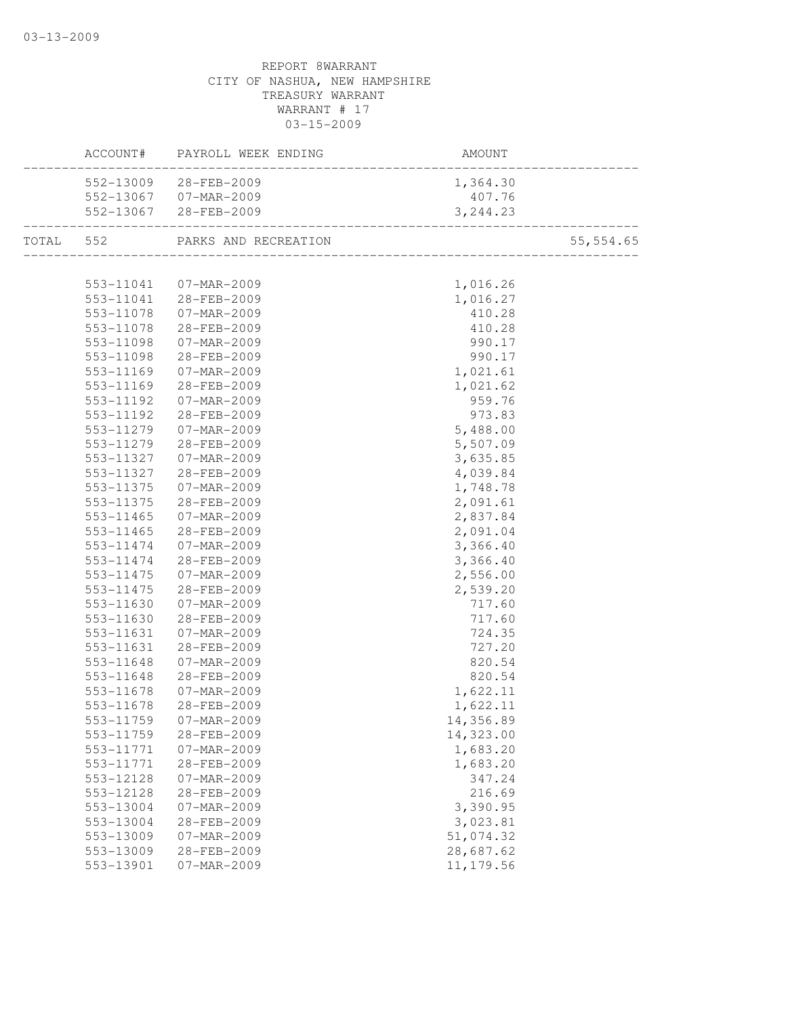| 552-13009 28-FEB-2009<br>1,364.30<br>552-13067 07-MAR-2009<br>407.76<br>552-13067 28-FEB-2009<br>3, 244.23<br>TOTAL 552 PARKS AND RECREATION<br>1,016.26<br>553-11041  07-MAR-2009<br>553-11041 28-FEB-2009<br>1,016.27<br>$07 - MAR - 2009$<br>553-11078<br>410.28<br>28-FEB-2009<br>553-11078<br>410.28<br>$07 - \text{MAR} - 2009$<br>553-11098<br>990.17<br>553-11098<br>28-FEB-2009<br>990.17<br>1,021.61<br>553-11169<br>07-MAR-2009<br>553-11169<br>28-FEB-2009<br>1,021.62<br>553-11192<br>07-MAR-2009<br>959.76<br>973.83<br>553-11192<br>28-FEB-2009<br>5,488.00<br>553-11279<br>07-MAR-2009<br>5,507.09<br>553-11279<br>28-FEB-2009<br>553-11327<br>07-MAR-2009<br>3,635.85<br>553-11327<br>28-FEB-2009<br>4,039.84<br>1,748.78<br>553-11375<br>07-MAR-2009<br>553-11375<br>2,091.61<br>28-FEB-2009<br>2,837.84<br>$553 - 11465$<br>07-MAR-2009<br>553-11465<br>28-FEB-2009<br>2,091.04<br>553-11474<br>07-MAR-2009<br>3,366.40<br>3,366.40<br>553-11474<br>28-FEB-2009<br>$07 - MAR - 2009$<br>2,556.00<br>553-11475<br>28-FEB-2009<br>2,539.20<br>553-11475<br>553-11630<br>$07 - \text{MAR} - 2009$<br>717.60<br>553-11630<br>28-FEB-2009<br>717.60<br>724.35<br>553-11631<br>07-MAR-2009<br>727.20<br>553-11631<br>28-FEB-2009<br>553-11648<br>07-MAR-2009<br>820.54<br>553-11648<br>28-FEB-2009<br>820.54<br>1,622.11<br>553-11678<br>07-MAR-2009<br>553-11678<br>28-FEB-2009<br>1,622.11<br>553-11759 07-MAR-2009<br>14,356.89<br>553-11759<br>28-FEB-2009<br>14,323.00<br>1,683.20<br>553-11771<br>07-MAR-2009<br>28-FEB-2009<br>1,683.20<br>553-11771<br>553-12128<br>07-MAR-2009<br>347.24<br>28-FEB-2009<br>216.69<br>553-12128<br>3,390.95<br>553-13004<br>07-MAR-2009<br>3,023.81<br>553-13004<br>28-FEB-2009<br>51,074.32<br>553-13009<br>07-MAR-2009<br>28,687.62<br>553-13009<br>28-FEB-2009<br>11, 179.56<br>553-13901<br>07-MAR-2009 |  | ACCOUNT# PAYROLL WEEK ENDING | AMOUNT<br>---------------------- |            |
|------------------------------------------------------------------------------------------------------------------------------------------------------------------------------------------------------------------------------------------------------------------------------------------------------------------------------------------------------------------------------------------------------------------------------------------------------------------------------------------------------------------------------------------------------------------------------------------------------------------------------------------------------------------------------------------------------------------------------------------------------------------------------------------------------------------------------------------------------------------------------------------------------------------------------------------------------------------------------------------------------------------------------------------------------------------------------------------------------------------------------------------------------------------------------------------------------------------------------------------------------------------------------------------------------------------------------------------------------------------------------------------------------------------------------------------------------------------------------------------------------------------------------------------------------------------------------------------------------------------------------------------------------------------------------------------------------------------------------------------------------------------------------------------------------------------------------------------------------------------|--|------------------------------|----------------------------------|------------|
|                                                                                                                                                                                                                                                                                                                                                                                                                                                                                                                                                                                                                                                                                                                                                                                                                                                                                                                                                                                                                                                                                                                                                                                                                                                                                                                                                                                                                                                                                                                                                                                                                                                                                                                                                                                                                                                                  |  |                              |                                  |            |
|                                                                                                                                                                                                                                                                                                                                                                                                                                                                                                                                                                                                                                                                                                                                                                                                                                                                                                                                                                                                                                                                                                                                                                                                                                                                                                                                                                                                                                                                                                                                                                                                                                                                                                                                                                                                                                                                  |  |                              |                                  |            |
|                                                                                                                                                                                                                                                                                                                                                                                                                                                                                                                                                                                                                                                                                                                                                                                                                                                                                                                                                                                                                                                                                                                                                                                                                                                                                                                                                                                                                                                                                                                                                                                                                                                                                                                                                                                                                                                                  |  |                              |                                  |            |
|                                                                                                                                                                                                                                                                                                                                                                                                                                                                                                                                                                                                                                                                                                                                                                                                                                                                                                                                                                                                                                                                                                                                                                                                                                                                                                                                                                                                                                                                                                                                                                                                                                                                                                                                                                                                                                                                  |  |                              |                                  | 55, 554.65 |
|                                                                                                                                                                                                                                                                                                                                                                                                                                                                                                                                                                                                                                                                                                                                                                                                                                                                                                                                                                                                                                                                                                                                                                                                                                                                                                                                                                                                                                                                                                                                                                                                                                                                                                                                                                                                                                                                  |  |                              |                                  |            |
|                                                                                                                                                                                                                                                                                                                                                                                                                                                                                                                                                                                                                                                                                                                                                                                                                                                                                                                                                                                                                                                                                                                                                                                                                                                                                                                                                                                                                                                                                                                                                                                                                                                                                                                                                                                                                                                                  |  |                              |                                  |            |
|                                                                                                                                                                                                                                                                                                                                                                                                                                                                                                                                                                                                                                                                                                                                                                                                                                                                                                                                                                                                                                                                                                                                                                                                                                                                                                                                                                                                                                                                                                                                                                                                                                                                                                                                                                                                                                                                  |  |                              |                                  |            |
|                                                                                                                                                                                                                                                                                                                                                                                                                                                                                                                                                                                                                                                                                                                                                                                                                                                                                                                                                                                                                                                                                                                                                                                                                                                                                                                                                                                                                                                                                                                                                                                                                                                                                                                                                                                                                                                                  |  |                              |                                  |            |
|                                                                                                                                                                                                                                                                                                                                                                                                                                                                                                                                                                                                                                                                                                                                                                                                                                                                                                                                                                                                                                                                                                                                                                                                                                                                                                                                                                                                                                                                                                                                                                                                                                                                                                                                                                                                                                                                  |  |                              |                                  |            |
|                                                                                                                                                                                                                                                                                                                                                                                                                                                                                                                                                                                                                                                                                                                                                                                                                                                                                                                                                                                                                                                                                                                                                                                                                                                                                                                                                                                                                                                                                                                                                                                                                                                                                                                                                                                                                                                                  |  |                              |                                  |            |
|                                                                                                                                                                                                                                                                                                                                                                                                                                                                                                                                                                                                                                                                                                                                                                                                                                                                                                                                                                                                                                                                                                                                                                                                                                                                                                                                                                                                                                                                                                                                                                                                                                                                                                                                                                                                                                                                  |  |                              |                                  |            |
|                                                                                                                                                                                                                                                                                                                                                                                                                                                                                                                                                                                                                                                                                                                                                                                                                                                                                                                                                                                                                                                                                                                                                                                                                                                                                                                                                                                                                                                                                                                                                                                                                                                                                                                                                                                                                                                                  |  |                              |                                  |            |
|                                                                                                                                                                                                                                                                                                                                                                                                                                                                                                                                                                                                                                                                                                                                                                                                                                                                                                                                                                                                                                                                                                                                                                                                                                                                                                                                                                                                                                                                                                                                                                                                                                                                                                                                                                                                                                                                  |  |                              |                                  |            |
|                                                                                                                                                                                                                                                                                                                                                                                                                                                                                                                                                                                                                                                                                                                                                                                                                                                                                                                                                                                                                                                                                                                                                                                                                                                                                                                                                                                                                                                                                                                                                                                                                                                                                                                                                                                                                                                                  |  |                              |                                  |            |
|                                                                                                                                                                                                                                                                                                                                                                                                                                                                                                                                                                                                                                                                                                                                                                                                                                                                                                                                                                                                                                                                                                                                                                                                                                                                                                                                                                                                                                                                                                                                                                                                                                                                                                                                                                                                                                                                  |  |                              |                                  |            |
|                                                                                                                                                                                                                                                                                                                                                                                                                                                                                                                                                                                                                                                                                                                                                                                                                                                                                                                                                                                                                                                                                                                                                                                                                                                                                                                                                                                                                                                                                                                                                                                                                                                                                                                                                                                                                                                                  |  |                              |                                  |            |
|                                                                                                                                                                                                                                                                                                                                                                                                                                                                                                                                                                                                                                                                                                                                                                                                                                                                                                                                                                                                                                                                                                                                                                                                                                                                                                                                                                                                                                                                                                                                                                                                                                                                                                                                                                                                                                                                  |  |                              |                                  |            |
|                                                                                                                                                                                                                                                                                                                                                                                                                                                                                                                                                                                                                                                                                                                                                                                                                                                                                                                                                                                                                                                                                                                                                                                                                                                                                                                                                                                                                                                                                                                                                                                                                                                                                                                                                                                                                                                                  |  |                              |                                  |            |
|                                                                                                                                                                                                                                                                                                                                                                                                                                                                                                                                                                                                                                                                                                                                                                                                                                                                                                                                                                                                                                                                                                                                                                                                                                                                                                                                                                                                                                                                                                                                                                                                                                                                                                                                                                                                                                                                  |  |                              |                                  |            |
|                                                                                                                                                                                                                                                                                                                                                                                                                                                                                                                                                                                                                                                                                                                                                                                                                                                                                                                                                                                                                                                                                                                                                                                                                                                                                                                                                                                                                                                                                                                                                                                                                                                                                                                                                                                                                                                                  |  |                              |                                  |            |
|                                                                                                                                                                                                                                                                                                                                                                                                                                                                                                                                                                                                                                                                                                                                                                                                                                                                                                                                                                                                                                                                                                                                                                                                                                                                                                                                                                                                                                                                                                                                                                                                                                                                                                                                                                                                                                                                  |  |                              |                                  |            |
|                                                                                                                                                                                                                                                                                                                                                                                                                                                                                                                                                                                                                                                                                                                                                                                                                                                                                                                                                                                                                                                                                                                                                                                                                                                                                                                                                                                                                                                                                                                                                                                                                                                                                                                                                                                                                                                                  |  |                              |                                  |            |
|                                                                                                                                                                                                                                                                                                                                                                                                                                                                                                                                                                                                                                                                                                                                                                                                                                                                                                                                                                                                                                                                                                                                                                                                                                                                                                                                                                                                                                                                                                                                                                                                                                                                                                                                                                                                                                                                  |  |                              |                                  |            |
|                                                                                                                                                                                                                                                                                                                                                                                                                                                                                                                                                                                                                                                                                                                                                                                                                                                                                                                                                                                                                                                                                                                                                                                                                                                                                                                                                                                                                                                                                                                                                                                                                                                                                                                                                                                                                                                                  |  |                              |                                  |            |
|                                                                                                                                                                                                                                                                                                                                                                                                                                                                                                                                                                                                                                                                                                                                                                                                                                                                                                                                                                                                                                                                                                                                                                                                                                                                                                                                                                                                                                                                                                                                                                                                                                                                                                                                                                                                                                                                  |  |                              |                                  |            |
|                                                                                                                                                                                                                                                                                                                                                                                                                                                                                                                                                                                                                                                                                                                                                                                                                                                                                                                                                                                                                                                                                                                                                                                                                                                                                                                                                                                                                                                                                                                                                                                                                                                                                                                                                                                                                                                                  |  |                              |                                  |            |
|                                                                                                                                                                                                                                                                                                                                                                                                                                                                                                                                                                                                                                                                                                                                                                                                                                                                                                                                                                                                                                                                                                                                                                                                                                                                                                                                                                                                                                                                                                                                                                                                                                                                                                                                                                                                                                                                  |  |                              |                                  |            |
|                                                                                                                                                                                                                                                                                                                                                                                                                                                                                                                                                                                                                                                                                                                                                                                                                                                                                                                                                                                                                                                                                                                                                                                                                                                                                                                                                                                                                                                                                                                                                                                                                                                                                                                                                                                                                                                                  |  |                              |                                  |            |
|                                                                                                                                                                                                                                                                                                                                                                                                                                                                                                                                                                                                                                                                                                                                                                                                                                                                                                                                                                                                                                                                                                                                                                                                                                                                                                                                                                                                                                                                                                                                                                                                                                                                                                                                                                                                                                                                  |  |                              |                                  |            |
|                                                                                                                                                                                                                                                                                                                                                                                                                                                                                                                                                                                                                                                                                                                                                                                                                                                                                                                                                                                                                                                                                                                                                                                                                                                                                                                                                                                                                                                                                                                                                                                                                                                                                                                                                                                                                                                                  |  |                              |                                  |            |
|                                                                                                                                                                                                                                                                                                                                                                                                                                                                                                                                                                                                                                                                                                                                                                                                                                                                                                                                                                                                                                                                                                                                                                                                                                                                                                                                                                                                                                                                                                                                                                                                                                                                                                                                                                                                                                                                  |  |                              |                                  |            |
|                                                                                                                                                                                                                                                                                                                                                                                                                                                                                                                                                                                                                                                                                                                                                                                                                                                                                                                                                                                                                                                                                                                                                                                                                                                                                                                                                                                                                                                                                                                                                                                                                                                                                                                                                                                                                                                                  |  |                              |                                  |            |
|                                                                                                                                                                                                                                                                                                                                                                                                                                                                                                                                                                                                                                                                                                                                                                                                                                                                                                                                                                                                                                                                                                                                                                                                                                                                                                                                                                                                                                                                                                                                                                                                                                                                                                                                                                                                                                                                  |  |                              |                                  |            |
|                                                                                                                                                                                                                                                                                                                                                                                                                                                                                                                                                                                                                                                                                                                                                                                                                                                                                                                                                                                                                                                                                                                                                                                                                                                                                                                                                                                                                                                                                                                                                                                                                                                                                                                                                                                                                                                                  |  |                              |                                  |            |
|                                                                                                                                                                                                                                                                                                                                                                                                                                                                                                                                                                                                                                                                                                                                                                                                                                                                                                                                                                                                                                                                                                                                                                                                                                                                                                                                                                                                                                                                                                                                                                                                                                                                                                                                                                                                                                                                  |  |                              |                                  |            |
|                                                                                                                                                                                                                                                                                                                                                                                                                                                                                                                                                                                                                                                                                                                                                                                                                                                                                                                                                                                                                                                                                                                                                                                                                                                                                                                                                                                                                                                                                                                                                                                                                                                                                                                                                                                                                                                                  |  |                              |                                  |            |
|                                                                                                                                                                                                                                                                                                                                                                                                                                                                                                                                                                                                                                                                                                                                                                                                                                                                                                                                                                                                                                                                                                                                                                                                                                                                                                                                                                                                                                                                                                                                                                                                                                                                                                                                                                                                                                                                  |  |                              |                                  |            |
|                                                                                                                                                                                                                                                                                                                                                                                                                                                                                                                                                                                                                                                                                                                                                                                                                                                                                                                                                                                                                                                                                                                                                                                                                                                                                                                                                                                                                                                                                                                                                                                                                                                                                                                                                                                                                                                                  |  |                              |                                  |            |
|                                                                                                                                                                                                                                                                                                                                                                                                                                                                                                                                                                                                                                                                                                                                                                                                                                                                                                                                                                                                                                                                                                                                                                                                                                                                                                                                                                                                                                                                                                                                                                                                                                                                                                                                                                                                                                                                  |  |                              |                                  |            |
|                                                                                                                                                                                                                                                                                                                                                                                                                                                                                                                                                                                                                                                                                                                                                                                                                                                                                                                                                                                                                                                                                                                                                                                                                                                                                                                                                                                                                                                                                                                                                                                                                                                                                                                                                                                                                                                                  |  |                              |                                  |            |
|                                                                                                                                                                                                                                                                                                                                                                                                                                                                                                                                                                                                                                                                                                                                                                                                                                                                                                                                                                                                                                                                                                                                                                                                                                                                                                                                                                                                                                                                                                                                                                                                                                                                                                                                                                                                                                                                  |  |                              |                                  |            |
|                                                                                                                                                                                                                                                                                                                                                                                                                                                                                                                                                                                                                                                                                                                                                                                                                                                                                                                                                                                                                                                                                                                                                                                                                                                                                                                                                                                                                                                                                                                                                                                                                                                                                                                                                                                                                                                                  |  |                              |                                  |            |
|                                                                                                                                                                                                                                                                                                                                                                                                                                                                                                                                                                                                                                                                                                                                                                                                                                                                                                                                                                                                                                                                                                                                                                                                                                                                                                                                                                                                                                                                                                                                                                                                                                                                                                                                                                                                                                                                  |  |                              |                                  |            |
|                                                                                                                                                                                                                                                                                                                                                                                                                                                                                                                                                                                                                                                                                                                                                                                                                                                                                                                                                                                                                                                                                                                                                                                                                                                                                                                                                                                                                                                                                                                                                                                                                                                                                                                                                                                                                                                                  |  |                              |                                  |            |
|                                                                                                                                                                                                                                                                                                                                                                                                                                                                                                                                                                                                                                                                                                                                                                                                                                                                                                                                                                                                                                                                                                                                                                                                                                                                                                                                                                                                                                                                                                                                                                                                                                                                                                                                                                                                                                                                  |  |                              |                                  |            |
|                                                                                                                                                                                                                                                                                                                                                                                                                                                                                                                                                                                                                                                                                                                                                                                                                                                                                                                                                                                                                                                                                                                                                                                                                                                                                                                                                                                                                                                                                                                                                                                                                                                                                                                                                                                                                                                                  |  |                              |                                  |            |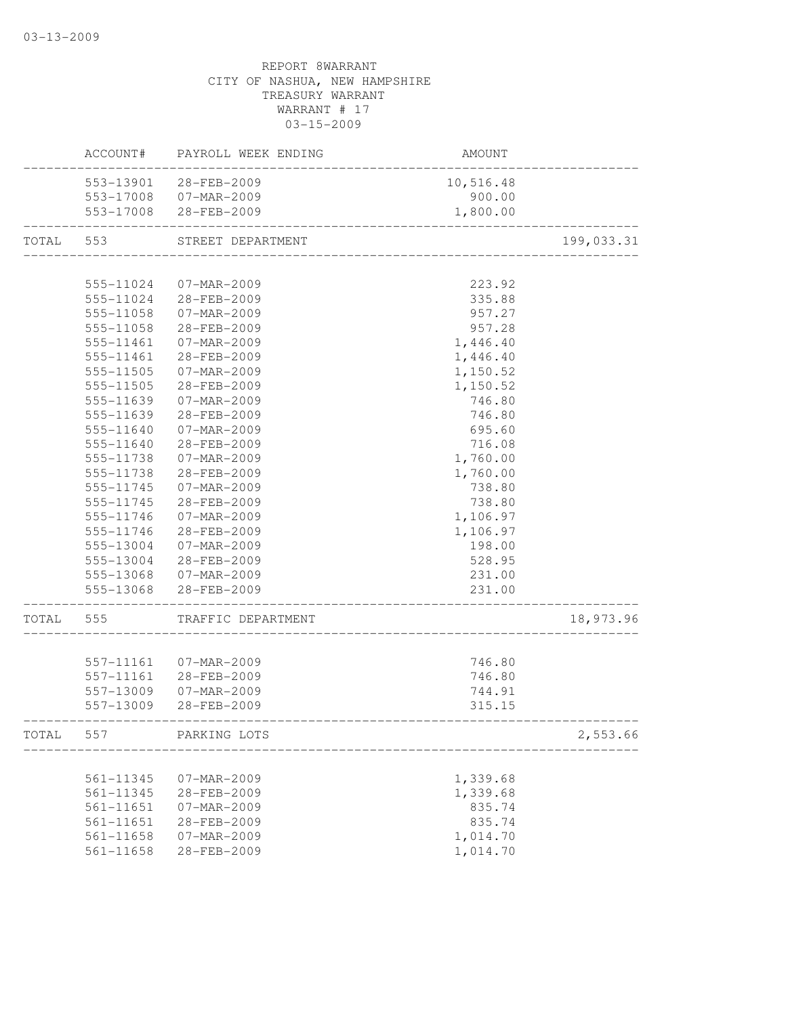|       | ACCOUNT#  | PAYROLL WEEK ENDING   | AMOUNT                             |            |
|-------|-----------|-----------------------|------------------------------------|------------|
|       |           | 553-13901 28-FEB-2009 | 10,516.48                          |            |
|       |           | 553-17008 07-MAR-2009 | 900.00                             |            |
|       |           | 553-17008 28-FEB-2009 | 1,800.00                           |            |
| TOTAL | 553       | STREET DEPARTMENT     | __________________________________ | 199,033.31 |
|       |           |                       |                                    |            |
|       | 555-11024 | $07 - MAR - 2009$     | 223.92                             |            |
|       | 555-11024 | 28-FEB-2009           | 335.88                             |            |
|       | 555-11058 | 07-MAR-2009           | 957.27                             |            |
|       | 555-11058 | 28-FEB-2009           | 957.28                             |            |
|       | 555-11461 | 07-MAR-2009           | 1,446.40                           |            |
|       | 555-11461 | 28-FEB-2009           | 1,446.40                           |            |
|       | 555-11505 | 07-MAR-2009           | 1,150.52                           |            |
|       | 555-11505 | 28-FEB-2009           | 1,150.52                           |            |
|       | 555-11639 | 07-MAR-2009           | 746.80                             |            |
|       | 555-11639 | 28-FEB-2009           | 746.80                             |            |
|       | 555-11640 | 07-MAR-2009           | 695.60                             |            |
|       | 555-11640 | 28-FEB-2009           | 716.08                             |            |
|       | 555-11738 | 07-MAR-2009           | 1,760.00                           |            |
|       | 555-11738 | $28 - FEB - 2009$     | 1,760.00                           |            |
|       | 555-11745 | 07-MAR-2009           | 738.80                             |            |
|       | 555-11745 | 28-FEB-2009           | 738.80                             |            |
|       | 555-11746 | 07-MAR-2009           | 1,106.97                           |            |
|       | 555-11746 | 28-FEB-2009           | 1,106.97                           |            |
|       | 555-13004 | 07-MAR-2009           | 198.00                             |            |
|       | 555-13004 | 28-FEB-2009           | 528.95                             |            |
|       |           | 555-13068 07-MAR-2009 | 231.00                             |            |
|       |           | 555-13068 28-FEB-2009 | 231.00                             |            |
| TOTAL | 555       | TRAFFIC DEPARTMENT    |                                    | 18,973.96  |
|       |           |                       |                                    |            |
|       | 557-11161 | $07 - MAR - 2009$     | 746.80                             |            |
|       | 557-11161 | 28-FEB-2009           | 746.80                             |            |
|       | 557-13009 | 07-MAR-2009           | 744.91                             |            |
|       | 557-13009 | 28-FEB-2009           | 315.15                             |            |
| TOTAL | 557       | PARKING LOTS          |                                    | 2,553.66   |
|       |           |                       |                                    |            |
|       | 561-11345 | 07-MAR-2009           | 1,339.68                           |            |
|       | 561-11345 | 28-FEB-2009           | 1,339.68                           |            |
|       | 561-11651 | $07 - MAR - 2009$     | 835.74                             |            |
|       | 561-11651 | 28-FEB-2009           | 835.74                             |            |
|       | 561-11658 | 07-MAR-2009           | 1,014.70                           |            |
|       | 561-11658 | 28-FEB-2009           | 1,014.70                           |            |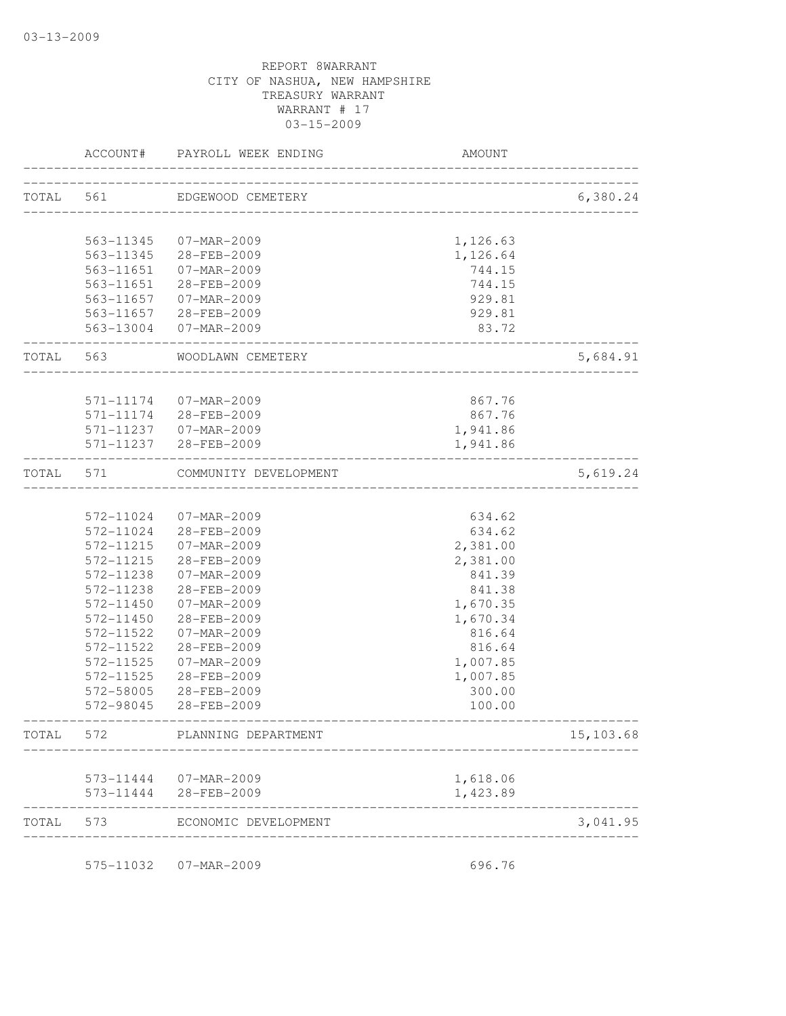|           | ACCOUNT#  | PAYROLL WEEK ENDING                             | AMOUNT                               |           |
|-----------|-----------|-------------------------------------------------|--------------------------------------|-----------|
| TOTAL 561 |           | EDGEWOOD CEMETERY                               | ____________________________________ | 6,380.24  |
|           |           |                                                 |                                      |           |
|           | 563-11345 | 07-MAR-2009                                     | 1,126.63                             |           |
|           | 563-11345 | 28-FEB-2009                                     | 1,126.64                             |           |
|           | 563-11651 | 07-MAR-2009                                     | 744.15                               |           |
|           | 563-11651 | 28-FEB-2009                                     | 744.15                               |           |
|           | 563-11657 | 07-MAR-2009                                     | 929.81                               |           |
|           |           | 563-11657 28-FEB-2009                           | 929.81                               |           |
|           |           | 563-13004 07-MAR-2009                           | 83.72                                |           |
| TOTAL 563 |           | WOODLAWN CEMETERY                               |                                      | 5,684.91  |
|           |           |                                                 |                                      |           |
|           |           | 571-11174 07-MAR-2009                           | 867.76                               |           |
|           | 571-11174 | 28-FEB-2009                                     | 867.76                               |           |
|           |           | 571-11237 07-MAR-2009                           | 1,941.86                             |           |
|           |           | 571-11237 28-FEB-2009                           | 1,941.86                             |           |
| TOTAL     | 571       | COMMUNITY DEVELOPMENT                           |                                      | 5,619.24  |
|           |           |                                                 | ________________________             |           |
|           | 572-11024 | 07-MAR-2009                                     | 634.62                               |           |
|           | 572-11024 | 28-FEB-2009                                     | 634.62                               |           |
|           | 572-11215 | 07-MAR-2009                                     | 2,381.00                             |           |
|           | 572-11215 | 28-FEB-2009                                     | 2,381.00                             |           |
|           | 572-11238 | 07-MAR-2009                                     | 841.39                               |           |
|           | 572-11238 | 28-FEB-2009                                     | 841.38                               |           |
|           | 572-11450 | 07-MAR-2009                                     | 1,670.35                             |           |
|           | 572-11450 | 28-FEB-2009                                     | 1,670.34                             |           |
|           | 572-11522 | 07-MAR-2009                                     | 816.64                               |           |
|           | 572-11522 | 28-FEB-2009                                     | 816.64                               |           |
|           | 572-11525 | $07 - MAR - 2009$                               | 1,007.85                             |           |
|           | 572-11525 | 28-FEB-2009                                     | 1,007.85                             |           |
|           | 572-58005 | 28-FEB-2009                                     | 300.00                               |           |
|           | 572-98045 | 28-FEB-2009                                     | 100.00                               |           |
| TOTAL     | 572       | PLANNING DEPARTMENT                             |                                      | 15,103.68 |
|           |           |                                                 | 1,618.06                             |           |
|           |           | 573-11444  07-MAR-2009<br>573-11444 28-FEB-2009 | 1,423.89                             |           |
| TOTAL     | 573       | ECONOMIC DEVELOPMENT                            |                                      | 3,041.95  |
|           |           |                                                 |                                      |           |
|           |           | 575-11032  07-MAR-2009                          | 696.76                               |           |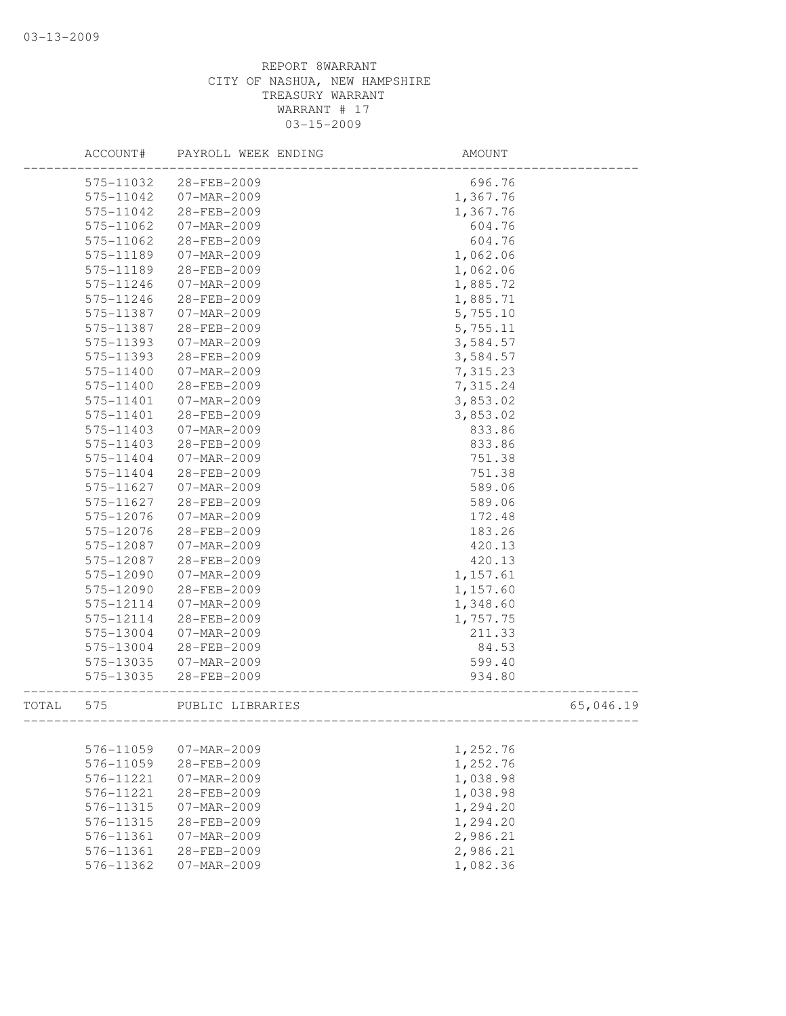|       | ACCOUNT#               | PAYROLL WEEK ENDING              | <b>AMOUNT</b>        |           |
|-------|------------------------|----------------------------------|----------------------|-----------|
|       | 575-11032              | 28-FEB-2009                      | 696.76               |           |
|       | 575-11042              | 07-MAR-2009                      | 1,367.76             |           |
|       | 575-11042              | 28-FEB-2009                      | 1,367.76             |           |
|       | 575-11062              | 07-MAR-2009                      | 604.76               |           |
|       | 575-11062              | 28-FEB-2009                      | 604.76               |           |
|       | 575-11189              | 07-MAR-2009                      | 1,062.06             |           |
|       | 575-11189              | 28-FEB-2009                      | 1,062.06             |           |
|       | 575-11246              | 07-MAR-2009                      | 1,885.72             |           |
|       | 575-11246              | 28-FEB-2009                      | 1,885.71             |           |
|       | 575-11387              | 07-MAR-2009                      | 5,755.10             |           |
|       | 575-11387              | 28-FEB-2009                      | 5,755.11             |           |
|       | 575-11393              | 07-MAR-2009                      | 3,584.57             |           |
|       | 575-11393              | 28-FEB-2009                      | 3,584.57             |           |
|       | 575-11400              | 07-MAR-2009                      | 7,315.23             |           |
|       | 575-11400              | 28-FEB-2009                      | 7,315.24             |           |
|       | 575-11401              | $07 - MAR - 2009$                | 3,853.02             |           |
|       | 575-11401              | 28-FEB-2009                      | 3,853.02             |           |
|       | 575-11403              | 07-MAR-2009                      | 833.86               |           |
|       | 575-11403              | 28-FEB-2009                      | 833.86               |           |
|       | 575-11404              | $07 - MAR - 2009$                | 751.38               |           |
|       | 575-11404              | 28-FEB-2009                      | 751.38               |           |
|       | 575-11627              | 07-MAR-2009                      | 589.06               |           |
|       | 575-11627              | 28-FEB-2009                      | 589.06               |           |
|       | 575-12076              | 07-MAR-2009                      | 172.48               |           |
|       | 575-12076              | 28-FEB-2009                      | 183.26               |           |
|       | 575-12087              | 07-MAR-2009                      | 420.13               |           |
|       | 575-12087              | 28-FEB-2009                      | 420.13               |           |
|       | 575-12090              | 07-MAR-2009                      | 1,157.61             |           |
|       | 575-12090              | 28-FEB-2009                      | 1,157.60             |           |
|       | 575-12114              | 07-MAR-2009                      | 1,348.60             |           |
|       | 575-12114              | 28-FEB-2009                      | 1,757.75             |           |
|       | 575-13004              | 07-MAR-2009                      | 211.33               |           |
|       | 575-13004              | 28-FEB-2009                      | 84.53                |           |
|       | 575-13035              | 07-MAR-2009                      | 599.40               |           |
|       | 575-13035              | 28-FEB-2009                      | 934.80               |           |
| TOTAL | 575                    | PUBLIC LIBRARIES                 |                      | 65,046.19 |
|       |                        | $07 - MAR - 2009$                |                      |           |
|       | 576-11059<br>576-11059 | 28-FEB-2009                      | 1,252.76             |           |
|       |                        |                                  | 1,252.76             |           |
|       | 576-11221<br>576-11221 | 07-MAR-2009                      | 1,038.98             |           |
|       | 576-11315              | 28-FEB-2009<br>$07 - MAR - 2009$ | 1,038.98<br>1,294.20 |           |
|       |                        |                                  |                      |           |
|       | 576-11315<br>576-11361 | 28-FEB-2009                      | 1,294.20             |           |
|       |                        | 07-MAR-2009<br>28-FEB-2009       | 2,986.21             |           |
|       | 576-11361<br>576-11362 | 07-MAR-2009                      | 2,986.21<br>1,082.36 |           |
|       |                        |                                  |                      |           |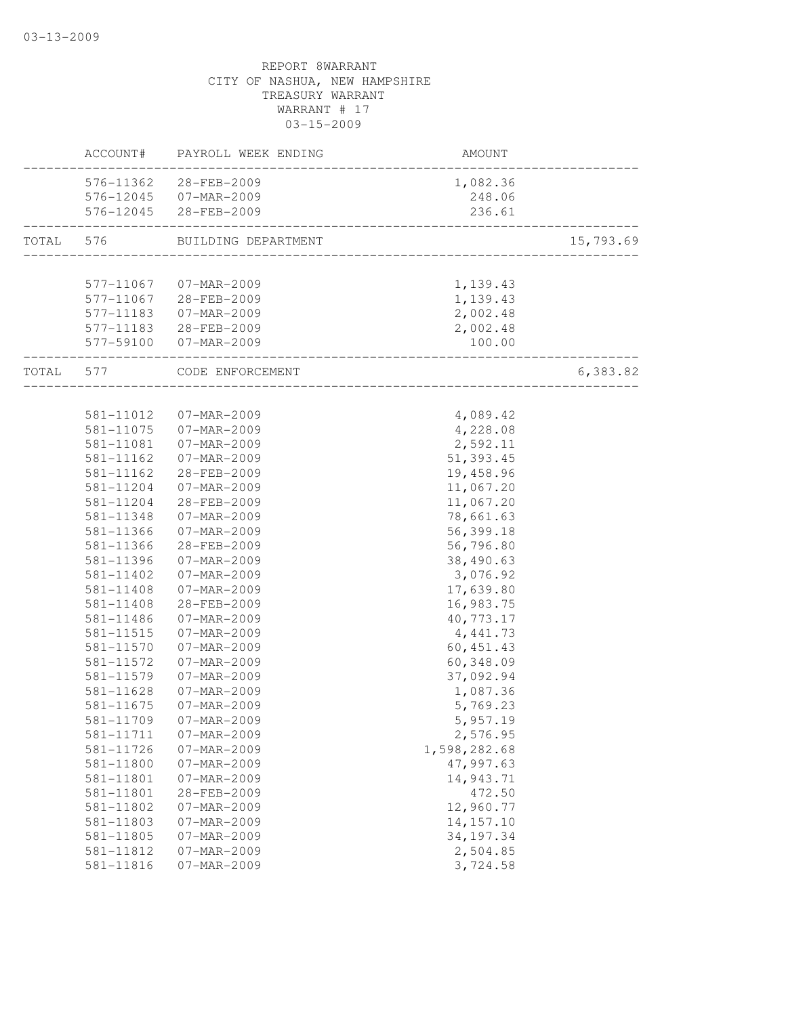|           | ACCOUNT#               | PAYROLL WEEK ENDING        | AMOUNT                               |           |
|-----------|------------------------|----------------------------|--------------------------------------|-----------|
|           | 576-11362              | 28-FEB-2009                | 1,082.36                             |           |
|           |                        | 576-12045 07-MAR-2009      | 248.06                               |           |
|           |                        | 576-12045 28-FEB-2009      | 236.61                               |           |
| TOTAL     | 576                    | BUILDING DEPARTMENT        |                                      | 15,793.69 |
|           |                        |                            | ____________________________________ |           |
|           | 577-11067              | 07-MAR-2009                | 1,139.43                             |           |
|           |                        | 577-11067 28-FEB-2009      | 1,139.43                             |           |
|           | 577-11183              | 07-MAR-2009                | 2,002.48                             |           |
|           |                        | 577-11183 28-FEB-2009      | 2,002.48                             |           |
|           |                        | 577-59100 07-MAR-2009      | 100.00<br>_______________________    |           |
| TOTAL 577 |                        | CODE ENFORCEMENT           | _________________                    | 6,383.82  |
|           |                        |                            |                                      |           |
|           | 581-11012              | 07-MAR-2009                | 4,089.42                             |           |
|           | 581-11075              | 07-MAR-2009                | 4,228.08                             |           |
|           | 581-11081              | 07-MAR-2009                | 2,592.11                             |           |
|           | 581-11162              | 07-MAR-2009                | 51,393.45                            |           |
|           | 581-11162              | 28-FEB-2009                | 19,458.96                            |           |
|           | 581-11204              | 07-MAR-2009                | 11,067.20                            |           |
|           | 581-11204              | 28-FEB-2009                | 11,067.20                            |           |
|           | 581-11348              | 07-MAR-2009                | 78,661.63                            |           |
|           | 581-11366              | 07-MAR-2009                | 56,399.18                            |           |
|           | 581-11366              | 28-FEB-2009                | 56,796.80                            |           |
|           | 581-11396<br>581-11402 | 07-MAR-2009<br>07-MAR-2009 | 38,490.63                            |           |
|           | 581-11408              | 07-MAR-2009                | 3,076.92                             |           |
|           | $581 - 11408$          | 28-FEB-2009                | 17,639.80                            |           |
|           | 581-11486              | 07-MAR-2009                | 16,983.75<br>40, 773.17              |           |
|           | 581-11515              | 07-MAR-2009                | 4, 441.73                            |           |
|           | 581-11570              | 07-MAR-2009                | 60, 451.43                           |           |
|           | 581-11572              | 07-MAR-2009                | 60,348.09                            |           |
|           | 581-11579              | 07-MAR-2009                | 37,092.94                            |           |
|           | 581-11628              | 07-MAR-2009                | 1,087.36                             |           |
|           | 581-11675              | 07-MAR-2009                | 5,769.23                             |           |
|           | 581-11709              | 07-MAR-2009                | 5,957.19                             |           |
|           | 581-11711              | $07 - MAR - 2009$          | 2,576.95                             |           |
|           | 581-11726              | 07-MAR-2009                | 1,598,282.68                         |           |
|           | 581-11800              | 07-MAR-2009                | 47,997.63                            |           |
|           | 581-11801              | 07-MAR-2009                | 14,943.71                            |           |
|           | 581-11801              | 28-FEB-2009                | 472.50                               |           |
|           | 581-11802              | $07 - MAR - 2009$          | 12,960.77                            |           |
|           | 581-11803              | 07-MAR-2009                | 14, 157. 10                          |           |
|           | 581-11805              | $07 - MAR - 2009$          | 34, 197. 34                          |           |
|           | 581-11812              | 07-MAR-2009                | 2,504.85                             |           |
|           | 581-11816              | 07-MAR-2009                | 3,724.58                             |           |
|           |                        |                            |                                      |           |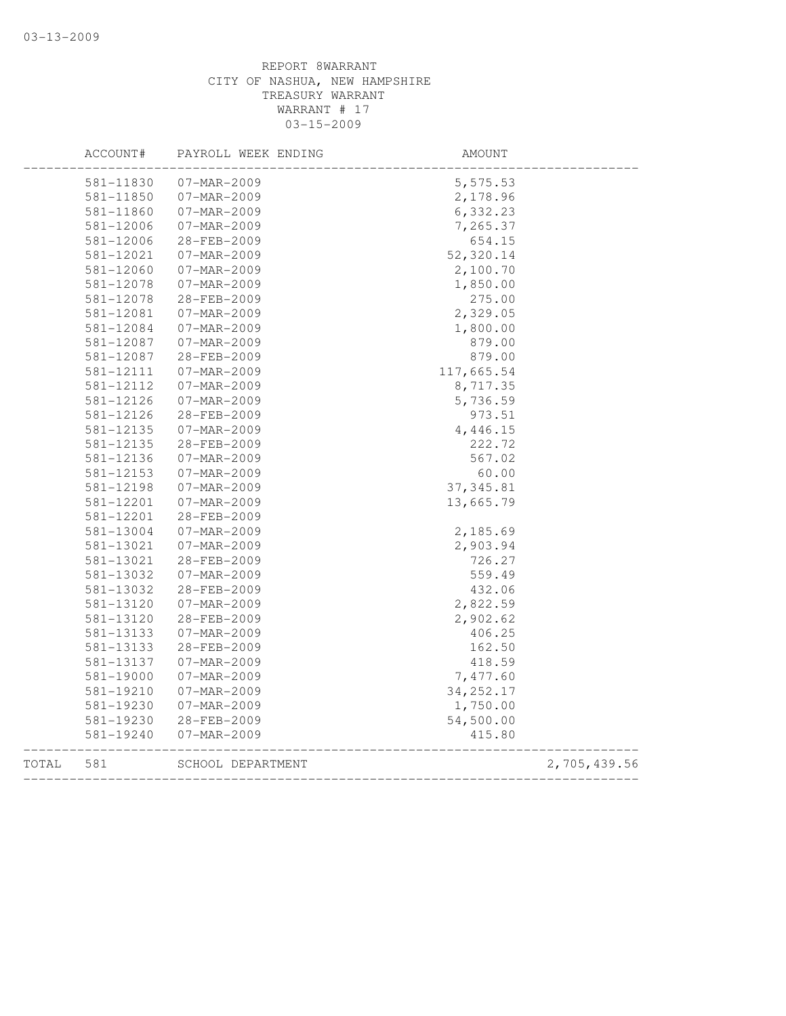|       | ACCOUNT#  | PAYROLL WEEK ENDING | AMOUNT     |              |
|-------|-----------|---------------------|------------|--------------|
|       | 581-11830 | 07-MAR-2009         | 5,575.53   |              |
|       | 581-11850 | 07-MAR-2009         | 2,178.96   |              |
|       | 581-11860 | 07-MAR-2009         | 6,332.23   |              |
|       | 581-12006 | 07-MAR-2009         | 7,265.37   |              |
|       | 581-12006 | 28-FEB-2009         | 654.15     |              |
|       | 581-12021 | 07-MAR-2009         | 52,320.14  |              |
|       | 581-12060 | 07-MAR-2009         | 2,100.70   |              |
|       | 581-12078 | 07-MAR-2009         | 1,850.00   |              |
|       | 581-12078 | 28-FEB-2009         | 275.00     |              |
|       | 581-12081 | 07-MAR-2009         | 2,329.05   |              |
|       | 581-12084 | 07-MAR-2009         | 1,800.00   |              |
|       | 581-12087 | 07-MAR-2009         | 879.00     |              |
|       | 581-12087 | 28-FEB-2009         | 879.00     |              |
|       | 581-12111 | 07-MAR-2009         | 117,665.54 |              |
|       | 581-12112 | 07-MAR-2009         | 8,717.35   |              |
|       | 581-12126 | 07-MAR-2009         | 5,736.59   |              |
|       | 581-12126 | 28-FEB-2009         | 973.51     |              |
|       | 581-12135 | $07 - MAR - 2009$   | 4,446.15   |              |
|       | 581-12135 | 28-FEB-2009         | 222.72     |              |
|       | 581-12136 | 07-MAR-2009         | 567.02     |              |
|       | 581-12153 | 07-MAR-2009         | 60.00      |              |
|       | 581-12198 | 07-MAR-2009         | 37, 345.81 |              |
|       | 581-12201 | 07-MAR-2009         | 13,665.79  |              |
|       | 581-12201 | 28-FEB-2009         |            |              |
|       | 581-13004 | 07-MAR-2009         | 2,185.69   |              |
|       | 581-13021 | 07-MAR-2009         | 2,903.94   |              |
|       | 581-13021 | 28-FEB-2009         | 726.27     |              |
|       | 581-13032 | 07-MAR-2009         | 559.49     |              |
|       | 581-13032 | 28-FEB-2009         | 432.06     |              |
|       | 581-13120 | 07-MAR-2009         | 2,822.59   |              |
|       | 581-13120 | 28-FEB-2009         | 2,902.62   |              |
|       | 581-13133 | 07-MAR-2009         | 406.25     |              |
|       | 581-13133 | 28-FEB-2009         | 162.50     |              |
|       | 581-13137 | 07-MAR-2009         | 418.59     |              |
|       | 581-19000 | $07 - MAR - 2009$   | 7,477.60   |              |
|       | 581-19210 | 07-MAR-2009         | 34, 252.17 |              |
|       | 581-19230 | 07-MAR-2009         | 1,750.00   |              |
|       | 581-19230 | 28-FEB-2009         | 54,500.00  |              |
|       | 581-19240 | 07-MAR-2009         | 415.80     |              |
| TOTAL | 581       | SCHOOL DEPARTMENT   |            | 2,705,439.56 |
|       |           |                     |            |              |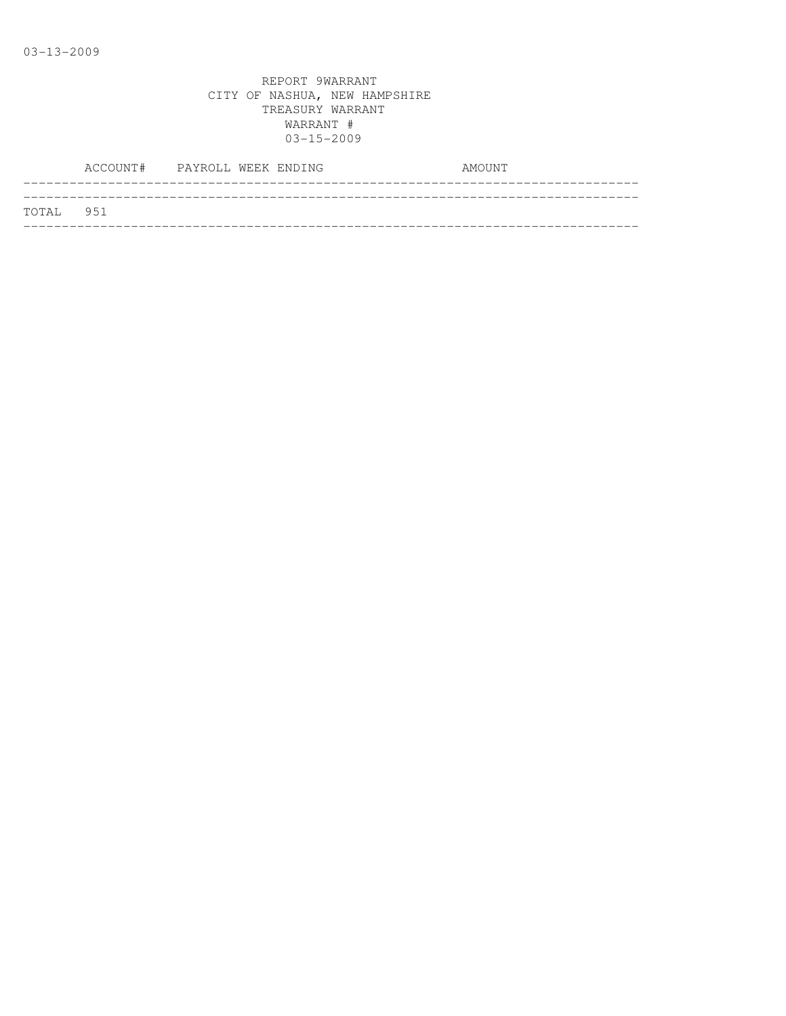|           | ACCOUNT# PAYROLL WEEK ENDING |  |  | AMOUNT |  |
|-----------|------------------------------|--|--|--------|--|
|           |                              |  |  |        |  |
| TOTAL 951 |                              |  |  |        |  |
|           |                              |  |  |        |  |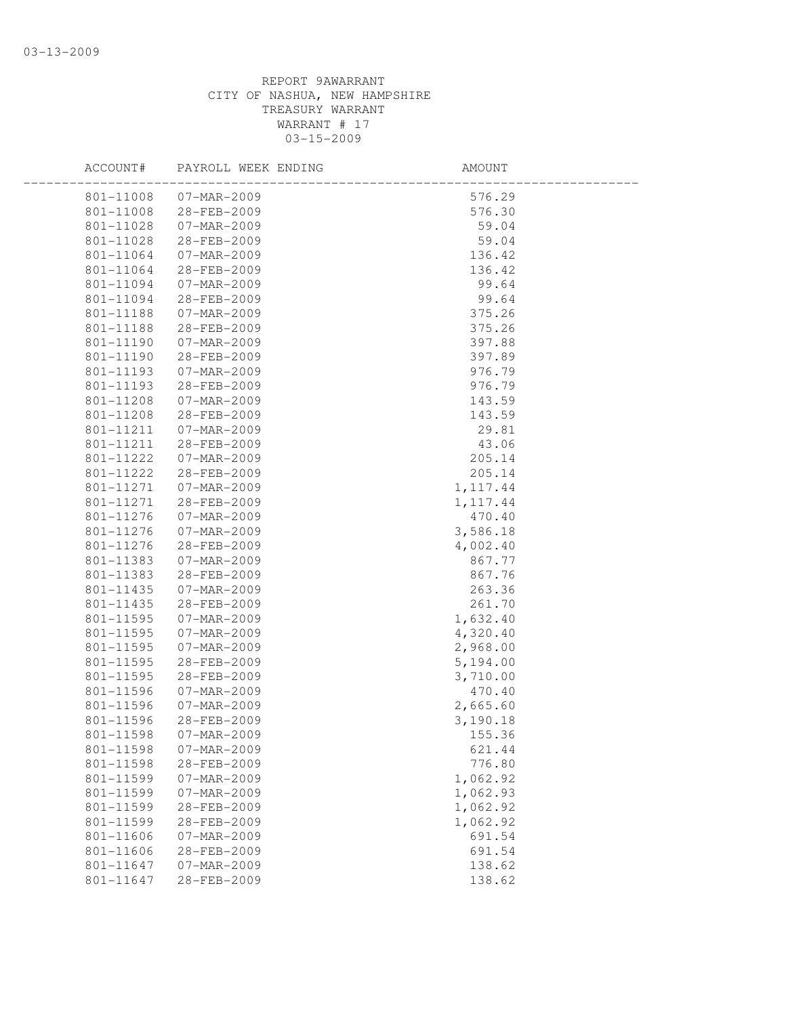| ACCOUNT#                       | PAYROLL WEEK ENDING | AMOUNT    |  |
|--------------------------------|---------------------|-----------|--|
| 801-11008<br>07-MAR-2009       |                     | 576.29    |  |
| 801-11008<br>28-FEB-2009       |                     | 576.30    |  |
| 801-11028<br>07-MAR-2009       |                     | 59.04     |  |
| 801-11028<br>28-FEB-2009       |                     | 59.04     |  |
| 801-11064<br>07-MAR-2009       |                     | 136.42    |  |
| 801-11064<br>28-FEB-2009       |                     | 136.42    |  |
| 801-11094<br>07-MAR-2009       |                     | 99.64     |  |
| 801-11094<br>28-FEB-2009       |                     | 99.64     |  |
| 801-11188<br>07-MAR-2009       |                     | 375.26    |  |
| 28-FEB-2009<br>801-11188       |                     | 375.26    |  |
| 801-11190<br>07-MAR-2009       |                     | 397.88    |  |
| 28-FEB-2009<br>801-11190       |                     | 397.89    |  |
| 801-11193<br>07-MAR-2009       |                     | 976.79    |  |
| 801-11193<br>28-FEB-2009       |                     | 976.79    |  |
| 801-11208<br>07-MAR-2009       |                     | 143.59    |  |
| 801-11208<br>28-FEB-2009       |                     | 143.59    |  |
| 801-11211<br>07-MAR-2009       |                     | 29.81     |  |
| 801-11211<br>28-FEB-2009       |                     | 43.06     |  |
| 801-11222<br>$07 - MAR - 2009$ |                     | 205.14    |  |
| 28-FEB-2009<br>801-11222       |                     | 205.14    |  |
| 801-11271<br>07-MAR-2009       |                     | 1, 117.44 |  |
| 801-11271<br>28-FEB-2009       |                     | 1,117.44  |  |
| 07-MAR-2009<br>801-11276       |                     | 470.40    |  |
| 801-11276<br>07-MAR-2009       |                     | 3,586.18  |  |
| 801-11276<br>28-FEB-2009       |                     | 4,002.40  |  |
| 801-11383<br>07-MAR-2009       |                     | 867.77    |  |
| 801-11383<br>28-FEB-2009       |                     | 867.76    |  |
| 801-11435<br>07-MAR-2009       |                     | 263.36    |  |
| 801-11435<br>28-FEB-2009       |                     | 261.70    |  |
| 801-11595<br>07-MAR-2009       |                     | 1,632.40  |  |
| 801-11595<br>07-MAR-2009       |                     | 4,320.40  |  |
| 801-11595<br>07-MAR-2009       |                     | 2,968.00  |  |
| 801-11595<br>28-FEB-2009       |                     | 5,194.00  |  |
| 801-11595<br>28-FEB-2009       |                     | 3,710.00  |  |
| 801-11596<br>07-MAR-2009       |                     | 470.40    |  |
| 801-11596<br>$07 - MAR - 2009$ |                     | 2,665.60  |  |
| 801-11596<br>28-FEB-2009       |                     | 3,190.18  |  |
| 801-11598<br>$07 - MAR - 2009$ |                     | 155.36    |  |
| 801-11598<br>07-MAR-2009       |                     | 621.44    |  |
| 801-11598<br>28-FEB-2009       |                     | 776.80    |  |
| 801-11599<br>07-MAR-2009       |                     | 1,062.92  |  |
| 801-11599<br>07-MAR-2009       |                     | 1,062.93  |  |
| 801-11599<br>28-FEB-2009       |                     | 1,062.92  |  |
| 801-11599<br>28-FEB-2009       |                     | 1,062.92  |  |
| 801-11606<br>07-MAR-2009       |                     | 691.54    |  |
| 801-11606<br>28-FEB-2009       |                     | 691.54    |  |
| 801-11647<br>07-MAR-2009       |                     | 138.62    |  |
| 801-11647<br>28-FEB-2009       |                     | 138.62    |  |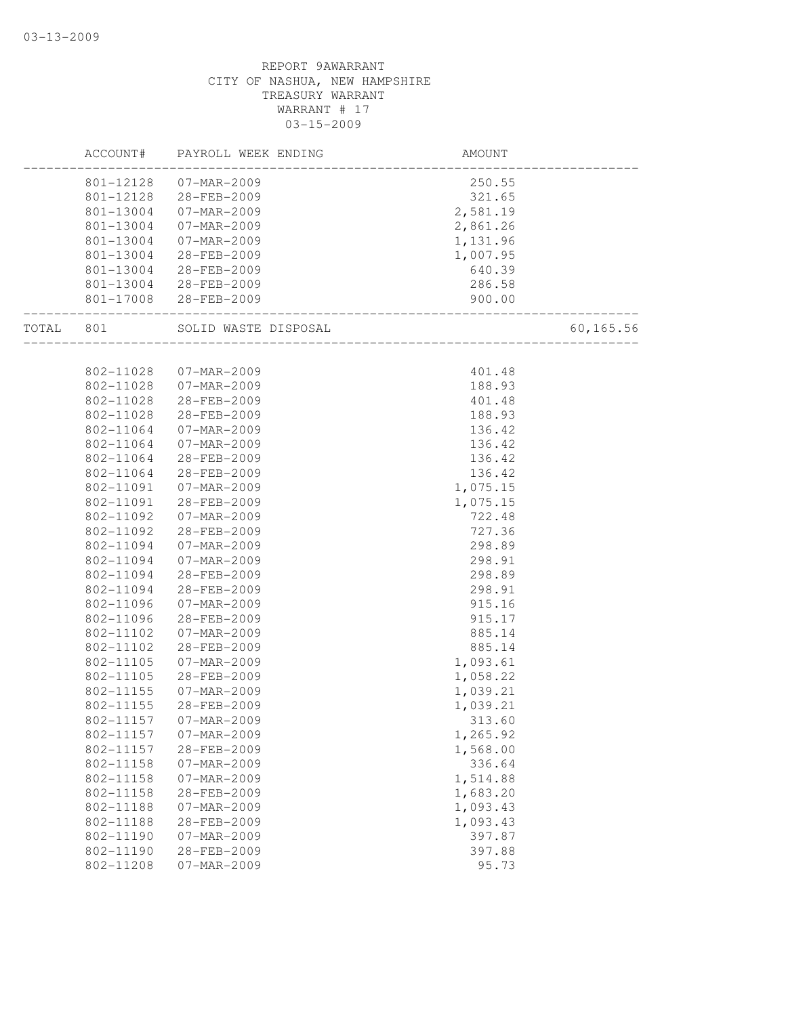|       | ACCOUNT#  | PAYROLL WEEK ENDING   | AMOUNT                              |           |
|-------|-----------|-----------------------|-------------------------------------|-----------|
|       | 801-12128 | 07-MAR-2009           | 250.55                              |           |
|       |           | 801-12128 28-FEB-2009 | 321.65                              |           |
|       | 801-13004 | 07-MAR-2009           | 2,581.19                            |           |
|       | 801-13004 | 07-MAR-2009           | 2,861.26                            |           |
|       | 801-13004 | 07-MAR-2009           | 1,131.96                            |           |
|       | 801-13004 | 28-FEB-2009           | 1,007.95                            |           |
|       | 801-13004 | 28-FEB-2009           | 640.39                              |           |
|       | 801-13004 | 28-FEB-2009           | 286.58                              |           |
|       |           | 801-17008 28-FEB-2009 | 900.00<br>_________________________ |           |
| TOTAL | 801       | SOLID WASTE DISPOSAL  | ____________________                | 60,165.56 |
|       |           |                       |                                     |           |
|       | 802-11028 | 07-MAR-2009           | 401.48                              |           |
|       | 802-11028 | 07-MAR-2009           | 188.93                              |           |
|       | 802-11028 | 28-FEB-2009           | 401.48                              |           |
|       | 802-11028 | 28-FEB-2009           | 188.93                              |           |
|       | 802-11064 | 07-MAR-2009           | 136.42                              |           |
|       | 802-11064 | 07-MAR-2009           | 136.42                              |           |
|       | 802-11064 | 28-FEB-2009           | 136.42                              |           |
|       | 802-11064 | 28-FEB-2009           | 136.42                              |           |
|       | 802-11091 | $07 - MAR - 2009$     | 1,075.15                            |           |
|       | 802-11091 | 28-FEB-2009           | 1,075.15                            |           |
|       | 802-11092 | $07 - MAR - 2009$     | 722.48                              |           |
|       | 802-11092 | 28-FEB-2009           | 727.36                              |           |
|       | 802-11094 | 07-MAR-2009           | 298.89                              |           |
|       | 802-11094 | 07-MAR-2009           | 298.91                              |           |
|       | 802-11094 | 28-FEB-2009           | 298.89                              |           |
|       | 802-11094 | 28-FEB-2009           | 298.91                              |           |
|       | 802-11096 | 07-MAR-2009           | 915.16                              |           |
|       | 802-11096 | 28-FEB-2009           | 915.17                              |           |
|       | 802-11102 | 07-MAR-2009           | 885.14                              |           |
|       | 802-11102 | 28-FEB-2009           | 885.14                              |           |
|       | 802-11105 | 07-MAR-2009           | 1,093.61                            |           |
|       | 802-11105 | 28-FEB-2009           | 1,058.22                            |           |
|       | 802-11155 | $07 - MAR - 2009$     | 1,039.21                            |           |
|       | 802-11155 | 28-FEB-2009           | 1,039.21                            |           |
|       | 802-11157 | 07-MAR-2009           | 313.60                              |           |
|       | 802-11157 | 07-MAR-2009           | 1,265.92                            |           |
|       | 802-11157 | 28-FEB-2009           | 1,568.00                            |           |
|       | 802-11158 | 07-MAR-2009           | 336.64                              |           |
|       | 802-11158 | $07 - MAR - 2009$     | 1,514.88                            |           |
|       | 802-11158 | 28-FEB-2009           | 1,683.20                            |           |
|       | 802-11188 | $07 - MAR - 2009$     | 1,093.43                            |           |
|       | 802-11188 | 28-FEB-2009           | 1,093.43                            |           |
|       | 802-11190 | 07-MAR-2009           | 397.87                              |           |
|       | 802-11190 | 28-FEB-2009           | 397.88                              |           |
|       | 802-11208 | $07 - MAR - 2009$     | 95.73                               |           |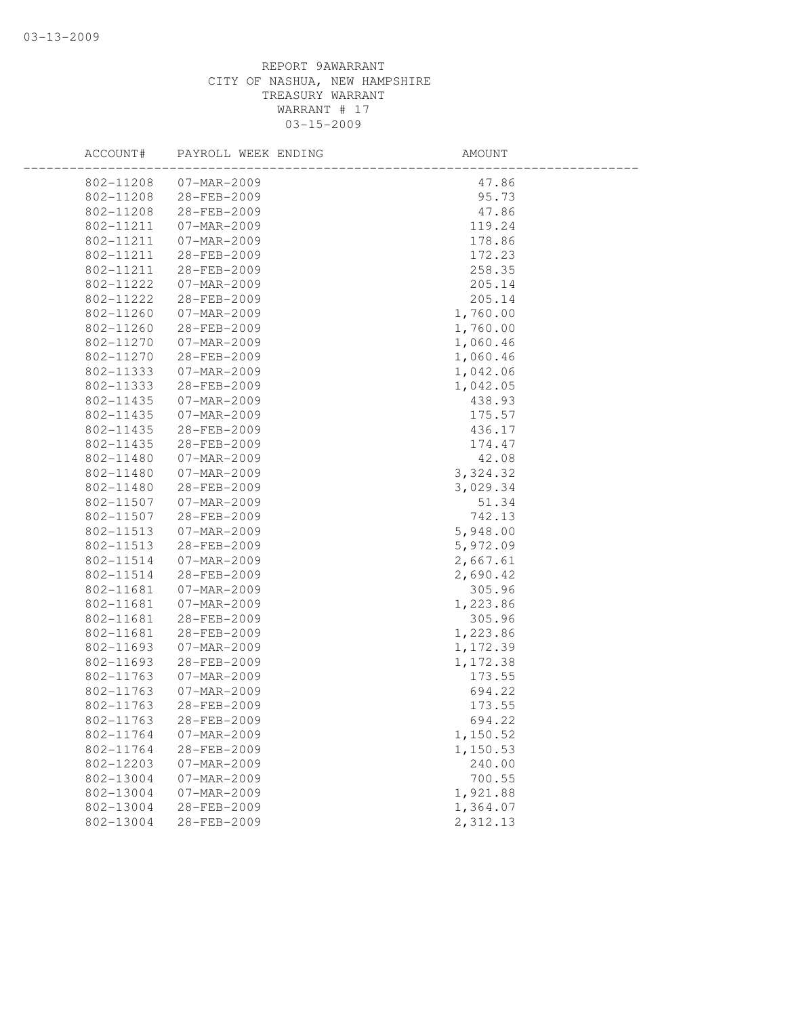| ACCOUNT#  | PAYROLL WEEK ENDING | AMOUNT             |  |
|-----------|---------------------|--------------------|--|
| 802-11208 | 07-MAR-2009         | 47.86              |  |
| 802-11208 | 28-FEB-2009         | 95.73              |  |
| 802-11208 | 28-FEB-2009         | 47.86              |  |
| 802-11211 | 07-MAR-2009         | 119.24             |  |
| 802-11211 | $07 - MAR - 2009$   | 178.86             |  |
| 802-11211 | 28-FEB-2009         | 172.23             |  |
| 802-11211 | 28-FEB-2009         | 258.35             |  |
| 802-11222 | 07-MAR-2009         | 205.14             |  |
| 802-11222 | 28-FEB-2009         | 205.14             |  |
| 802-11260 | $07 - MAR - 2009$   | 1,760.00           |  |
| 802-11260 | 28-FEB-2009         | 1,760.00           |  |
| 802-11270 | 07-MAR-2009         | 1,060.46           |  |
| 802-11270 | 28-FEB-2009         | 1,060.46           |  |
| 802-11333 | 07-MAR-2009         | 1,042.06           |  |
| 802-11333 | 28-FEB-2009         | 1,042.05           |  |
| 802-11435 | 07-MAR-2009         | 438.93             |  |
| 802-11435 | 07-MAR-2009         | 175.57             |  |
| 802-11435 | 28-FEB-2009         | 436.17             |  |
| 802-11435 | 28-FEB-2009         | 174.47             |  |
| 802-11480 | 07-MAR-2009         | 42.08              |  |
| 802-11480 | 07-MAR-2009         | 3,324.32           |  |
| 802-11480 | 28-FEB-2009         | 3,029.34           |  |
| 802-11507 | 07-MAR-2009         | 51.34              |  |
| 802-11507 | 28-FEB-2009         | 742.13             |  |
| 802-11513 | 07-MAR-2009         | 5,948.00           |  |
| 802-11513 | 28-FEB-2009         | 5,972.09           |  |
| 802-11514 | 07-MAR-2009         | 2,667.61           |  |
| 802-11514 | 28-FEB-2009         | 2,690.42           |  |
| 802-11681 | 07-MAR-2009         | 305.96             |  |
| 802-11681 | 07-MAR-2009         | 1,223.86           |  |
| 802-11681 | 28-FEB-2009         | 305.96             |  |
| 802-11681 | 28-FEB-2009         | 1,223.86           |  |
| 802-11693 | 07-MAR-2009         | 1,172.39           |  |
| 802-11693 | 28-FEB-2009         | 1,172.38           |  |
| 802-11763 | 07-MAR-2009         | 173.55             |  |
| 802-11763 | 07-MAR-2009         | 694.22             |  |
| 802-11763 | 28-FEB-2009         | 173.55             |  |
| 802-11763 | 28-FEB-2009         | 694.22             |  |
| 802-11764 | 07-MAR-2009         | 1,150.52           |  |
| 802-11764 | 28-FEB-2009         | 1,150.53           |  |
| 802-12203 | 07-MAR-2009         | 240.00             |  |
| 802-13004 | $07 - MAR - 2009$   | 700.55<br>1,921.88 |  |
| 802-13004 | 07-MAR-2009         |                    |  |
| 802-13004 | 28-FEB-2009         | 1,364.07           |  |
| 802-13004 | 28-FEB-2009         | 2,312.13           |  |